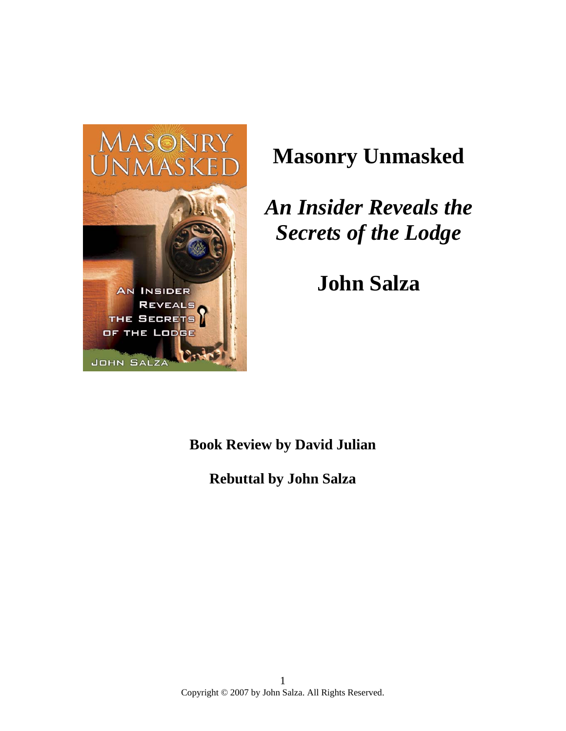

# **Masonry Unmasked**

*An Insider Reveals the Secrets of the Lodge* 

**John Salza** 

**Book Review by David Julian** 

**Rebuttal by John Salza**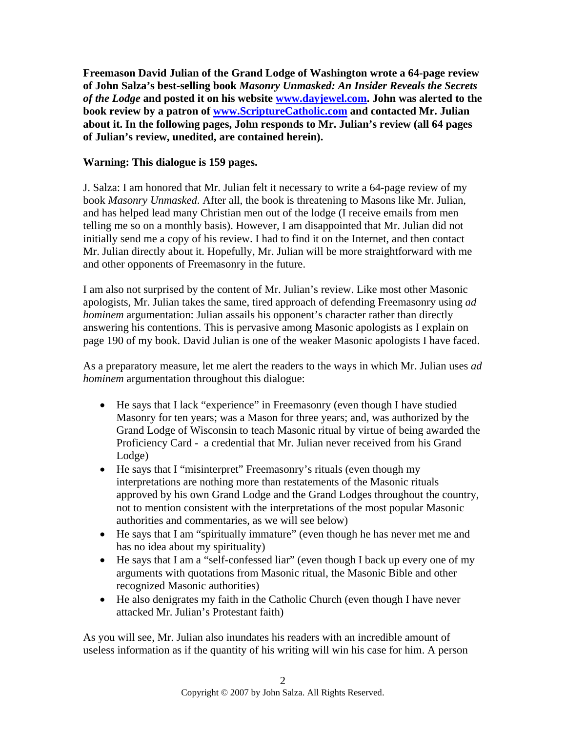**Freemason David Julian of the Grand Lodge of Washington wrote a 64-page review of John Salza's best-selling book** *Masonry Unmasked: An Insider Reveals the Secrets of the Lodge* **and posted it on his website www.dayjewel.com. John was alerted to the book review by a patron of www.ScriptureCatholic.com and contacted Mr. Julian about it. In the following pages, John responds to Mr. Julian's review (all 64 pages of Julian's review, unedited, are contained herein).** 

### **Warning: This dialogue is 159 pages.**

J. Salza: I am honored that Mr. Julian felt it necessary to write a 64-page review of my book *Masonry Unmasked*. After all, the book is threatening to Masons like Mr. Julian, and has helped lead many Christian men out of the lodge (I receive emails from men telling me so on a monthly basis). However, I am disappointed that Mr. Julian did not initially send me a copy of his review. I had to find it on the Internet, and then contact Mr. Julian directly about it. Hopefully, Mr. Julian will be more straightforward with me and other opponents of Freemasonry in the future.

I am also not surprised by the content of Mr. Julian's review. Like most other Masonic apologists, Mr. Julian takes the same, tired approach of defending Freemasonry using *ad hominem* argumentation: Julian assails his opponent's character rather than directly answering his contentions. This is pervasive among Masonic apologists as I explain on page 190 of my book. David Julian is one of the weaker Masonic apologists I have faced.

As a preparatory measure, let me alert the readers to the ways in which Mr. Julian uses *ad hominem* argumentation throughout this dialogue:

- He says that I lack "experience" in Freemasonry (even though I have studied Masonry for ten years; was a Mason for three years; and, was authorized by the Grand Lodge of Wisconsin to teach Masonic ritual by virtue of being awarded the Proficiency Card - a credential that Mr. Julian never received from his Grand Lodge)
- He says that I "misinterpret" Freemasonry's rituals (even though my interpretations are nothing more than restatements of the Masonic rituals approved by his own Grand Lodge and the Grand Lodges throughout the country, not to mention consistent with the interpretations of the most popular Masonic authorities and commentaries, as we will see below)
- He says that I am "spiritually immature" (even though he has never met me and has no idea about my spirituality)
- He says that I am a "self-confessed liar" (even though I back up every one of my arguments with quotations from Masonic ritual, the Masonic Bible and other recognized Masonic authorities)
- He also denigrates my faith in the Catholic Church (even though I have never attacked Mr. Julian's Protestant faith)

As you will see, Mr. Julian also inundates his readers with an incredible amount of useless information as if the quantity of his writing will win his case for him. A person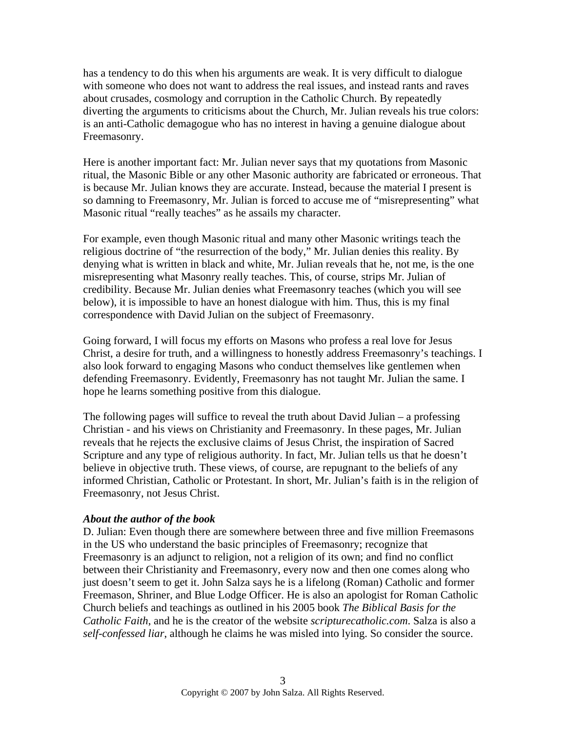has a tendency to do this when his arguments are weak. It is very difficult to dialogue with someone who does not want to address the real issues, and instead rants and raves about crusades, cosmology and corruption in the Catholic Church. By repeatedly diverting the arguments to criticisms about the Church, Mr. Julian reveals his true colors: is an anti-Catholic demagogue who has no interest in having a genuine dialogue about Freemasonry.

Here is another important fact: Mr. Julian never says that my quotations from Masonic ritual, the Masonic Bible or any other Masonic authority are fabricated or erroneous. That is because Mr. Julian knows they are accurate. Instead, because the material I present is so damning to Freemasonry, Mr. Julian is forced to accuse me of "misrepresenting" what Masonic ritual "really teaches" as he assails my character.

For example, even though Masonic ritual and many other Masonic writings teach the religious doctrine of "the resurrection of the body," Mr. Julian denies this reality. By denying what is written in black and white, Mr. Julian reveals that he, not me, is the one misrepresenting what Masonry really teaches. This, of course, strips Mr. Julian of credibility. Because Mr. Julian denies what Freemasonry teaches (which you will see below), it is impossible to have an honest dialogue with him. Thus, this is my final correspondence with David Julian on the subject of Freemasonry.

Going forward, I will focus my efforts on Masons who profess a real love for Jesus Christ, a desire for truth, and a willingness to honestly address Freemasonry's teachings. I also look forward to engaging Masons who conduct themselves like gentlemen when defending Freemasonry. Evidently, Freemasonry has not taught Mr. Julian the same. I hope he learns something positive from this dialogue.

The following pages will suffice to reveal the truth about David Julian – a professing Christian - and his views on Christianity and Freemasonry. In these pages, Mr. Julian reveals that he rejects the exclusive claims of Jesus Christ, the inspiration of Sacred Scripture and any type of religious authority. In fact, Mr. Julian tells us that he doesn't believe in objective truth. These views, of course, are repugnant to the beliefs of any informed Christian, Catholic or Protestant. In short, Mr. Julian's faith is in the religion of Freemasonry, not Jesus Christ.

#### *About the author of the book*

D. Julian: Even though there are somewhere between three and five million Freemasons in the US who understand the basic principles of Freemasonry; recognize that Freemasonry is an adjunct to religion, not a religion of its own; and find no conflict between their Christianity and Freemasonry, every now and then one comes along who just doesn't seem to get it. John Salza says he is a lifelong (Roman) Catholic and former Freemason, Shriner, and Blue Lodge Officer. He is also an apologist for Roman Catholic Church beliefs and teachings as outlined in his 2005 book *The Biblical Basis for the Catholic Faith*, and he is the creator of the website *scripturecatholic.com*. Salza is also a *self-confessed liar*, although he claims he was misled into lying. So consider the source.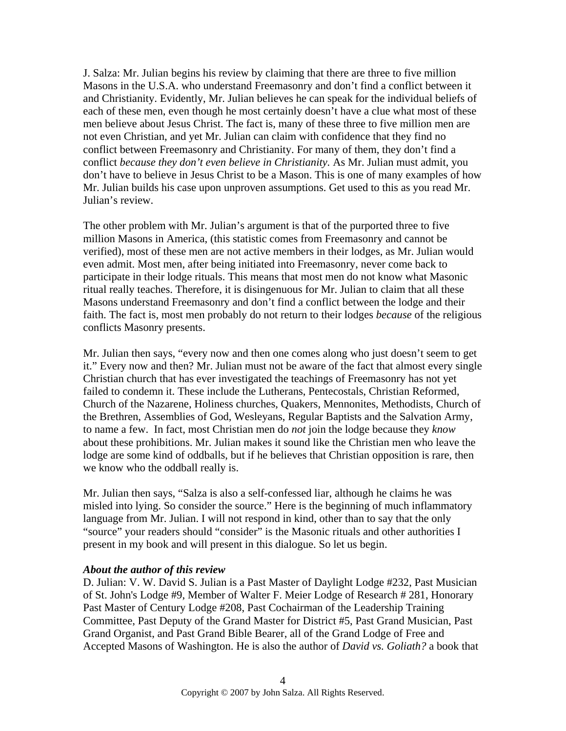J. Salza: Mr. Julian begins his review by claiming that there are three to five million Masons in the U.S.A. who understand Freemasonry and don't find a conflict between it and Christianity. Evidently, Mr. Julian believes he can speak for the individual beliefs of each of these men, even though he most certainly doesn't have a clue what most of these men believe about Jesus Christ. The fact is, many of these three to five million men are not even Christian, and yet Mr. Julian can claim with confidence that they find no conflict between Freemasonry and Christianity. For many of them, they don't find a conflict *because they don't even believe in Christianity.* As Mr. Julian must admit, you don't have to believe in Jesus Christ to be a Mason. This is one of many examples of how Mr. Julian builds his case upon unproven assumptions. Get used to this as you read Mr. Julian's review.

The other problem with Mr. Julian's argument is that of the purported three to five million Masons in America, (this statistic comes from Freemasonry and cannot be verified), most of these men are not active members in their lodges, as Mr. Julian would even admit. Most men, after being initiated into Freemasonry, never come back to participate in their lodge rituals. This means that most men do not know what Masonic ritual really teaches. Therefore, it is disingenuous for Mr. Julian to claim that all these Masons understand Freemasonry and don't find a conflict between the lodge and their faith. The fact is, most men probably do not return to their lodges *because* of the religious conflicts Masonry presents.

Mr. Julian then says, "every now and then one comes along who just doesn't seem to get it." Every now and then? Mr. Julian must not be aware of the fact that almost every single Christian church that has ever investigated the teachings of Freemasonry has not yet failed to condemn it. These include the Lutherans, Pentecostals, Christian Reformed, Church of the Nazarene, Holiness churches, Quakers, Mennonites, Methodists, Church of the Brethren, Assemblies of God, Wesleyans, Regular Baptists and the Salvation Army, to name a few. In fact, most Christian men do *not* join the lodge because they *know* about these prohibitions. Mr. Julian makes it sound like the Christian men who leave the lodge are some kind of oddballs, but if he believes that Christian opposition is rare, then we know who the oddball really is.

Mr. Julian then says, "Salza is also a self-confessed liar, although he claims he was misled into lying. So consider the source." Here is the beginning of much inflammatory language from Mr. Julian. I will not respond in kind, other than to say that the only "source" your readers should "consider" is the Masonic rituals and other authorities I present in my book and will present in this dialogue. So let us begin.

#### *About the author of this review*

D. Julian: V. W. David S. Julian is a Past Master of Daylight Lodge #232, Past Musician of St. John's Lodge #9, Member of Walter F. Meier Lodge of Research # 281, Honorary Past Master of Century Lodge #208, Past Cochairman of the Leadership Training Committee, Past Deputy of the Grand Master for District #5, Past Grand Musician, Past Grand Organist, and Past Grand Bible Bearer, all of the Grand Lodge of Free and Accepted Masons of Washington. He is also the author of *David vs. Goliath?* a book that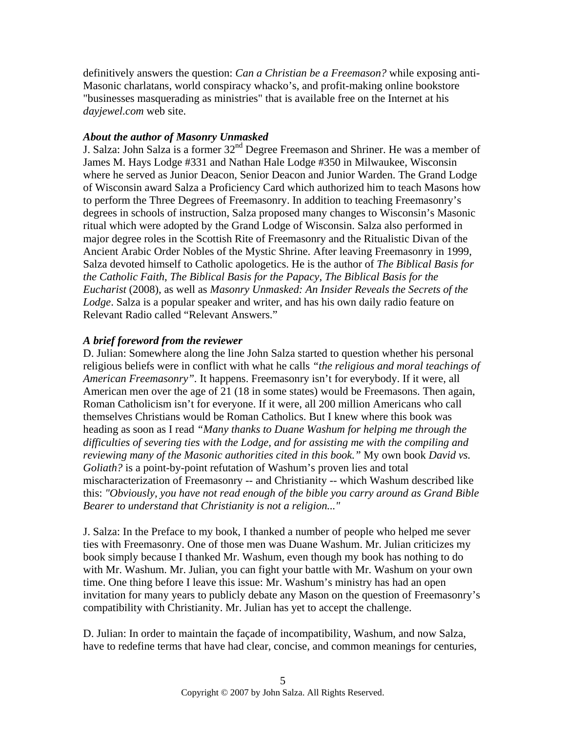definitively answers the question: *Can a Christian be a Freemason?* while exposing anti-Masonic charlatans, world conspiracy whacko's, and profit-making online bookstore "businesses masquerading as ministries" that is available free on the Internet at his *dayjewel.com* web site.

#### *About the author of Masonry Unmasked*

J. Salza: John Salza is a former 32<sup>nd</sup> Degree Freemason and Shriner. He was a member of James M. Hays Lodge #331 and Nathan Hale Lodge #350 in Milwaukee, Wisconsin where he served as Junior Deacon, Senior Deacon and Junior Warden. The Grand Lodge of Wisconsin award Salza a Proficiency Card which authorized him to teach Masons how to perform the Three Degrees of Freemasonry. In addition to teaching Freemasonry's degrees in schools of instruction, Salza proposed many changes to Wisconsin's Masonic ritual which were adopted by the Grand Lodge of Wisconsin. Salza also performed in major degree roles in the Scottish Rite of Freemasonry and the Ritualistic Divan of the Ancient Arabic Order Nobles of the Mystic Shrine. After leaving Freemasonry in 1999, Salza devoted himself to Catholic apologetics. He is the author of *The Biblical Basis for the Catholic Faith*, *The Biblical Basis for the Papacy*, *The Biblical Basis for the Eucharist* (2008), as well as *Masonry Unmasked: An Insider Reveals the Secrets of the Lodge*. Salza is a popular speaker and writer, and has his own daily radio feature on Relevant Radio called "Relevant Answers."

#### *A brief foreword from the reviewer*

D. Julian: Somewhere along the line John Salza started to question whether his personal religious beliefs were in conflict with what he calls *"the religious and moral teachings of American Freemasonry".* It happens. Freemasonry isn't for everybody. If it were, all American men over the age of 21 (18 in some states) would be Freemasons. Then again, Roman Catholicism isn't for everyone. If it were, all 200 million Americans who call themselves Christians would be Roman Catholics. But I knew where this book was heading as soon as I read *"Many thanks to Duane Washum for helping me through the difficulties of severing ties with the Lodge, and for assisting me with the compiling and reviewing many of the Masonic authorities cited in this book."* My own book *David vs. Goliath?* is a point-by-point refutation of Washum's proven lies and total mischaracterization of Freemasonry -- and Christianity -- which Washum described like this: *"Obviously, you have not read enough of the bible you carry around as Grand Bible Bearer to understand that Christianity is not a religion..."* 

J. Salza: In the Preface to my book, I thanked a number of people who helped me sever ties with Freemasonry. One of those men was Duane Washum. Mr. Julian criticizes my book simply because I thanked Mr. Washum, even though my book has nothing to do with Mr. Washum. Mr. Julian, you can fight your battle with Mr. Washum on your own time. One thing before I leave this issue: Mr. Washum's ministry has had an open invitation for many years to publicly debate any Mason on the question of Freemasonry's compatibility with Christianity. Mr. Julian has yet to accept the challenge.

D. Julian: In order to maintain the façade of incompatibility, Washum, and now Salza, have to redefine terms that have had clear, concise, and common meanings for centuries,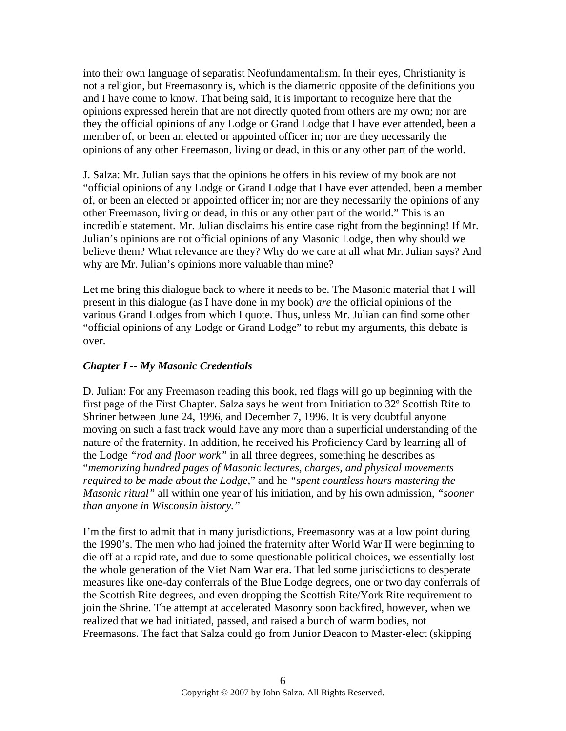into their own language of separatist Neofundamentalism. In their eyes, Christianity is not a religion, but Freemasonry is, which is the diametric opposite of the definitions you and I have come to know. That being said, it is important to recognize here that the opinions expressed herein that are not directly quoted from others are my own; nor are they the official opinions of any Lodge or Grand Lodge that I have ever attended, been a member of, or been an elected or appointed officer in; nor are they necessarily the opinions of any other Freemason, living or dead, in this or any other part of the world.

J. Salza: Mr. Julian says that the opinions he offers in his review of my book are not "official opinions of any Lodge or Grand Lodge that I have ever attended, been a member of, or been an elected or appointed officer in; nor are they necessarily the opinions of any other Freemason, living or dead, in this or any other part of the world." This is an incredible statement. Mr. Julian disclaims his entire case right from the beginning! If Mr. Julian's opinions are not official opinions of any Masonic Lodge, then why should we believe them? What relevance are they? Why do we care at all what Mr. Julian says? And why are Mr. Julian's opinions more valuable than mine?

Let me bring this dialogue back to where it needs to be. The Masonic material that I will present in this dialogue (as I have done in my book) *are* the official opinions of the various Grand Lodges from which I quote. Thus, unless Mr. Julian can find some other "official opinions of any Lodge or Grand Lodge" to rebut my arguments, this debate is over.

# *Chapter I -- My Masonic Credentials*

D. Julian: For any Freemason reading this book, red flags will go up beginning with the first page of the First Chapter. Salza says he went from Initiation to 32º Scottish Rite to Shriner between June 24, 1996, and December 7, 1996. It is very doubtful anyone moving on such a fast track would have any more than a superficial understanding of the nature of the fraternity. In addition, he received his Proficiency Card by learning all of the Lodge *"rod and floor work"* in all three degrees, something he describes as "*memorizing hundred pages of Masonic lectures, charges, and physical movements required to be made about the Lodge*," and he *"spent countless hours mastering the Masonic ritual"* all within one year of his initiation, and by his own admission, *"sooner than anyone in Wisconsin history."* 

I'm the first to admit that in many jurisdictions, Freemasonry was at a low point during the 1990's. The men who had joined the fraternity after World War II were beginning to die off at a rapid rate, and due to some questionable political choices, we essentially lost the whole generation of the Viet Nam War era. That led some jurisdictions to desperate measures like one-day conferrals of the Blue Lodge degrees, one or two day conferrals of the Scottish Rite degrees, and even dropping the Scottish Rite/York Rite requirement to join the Shrine. The attempt at accelerated Masonry soon backfired, however, when we realized that we had initiated, passed, and raised a bunch of warm bodies, not Freemasons. The fact that Salza could go from Junior Deacon to Master-elect (skipping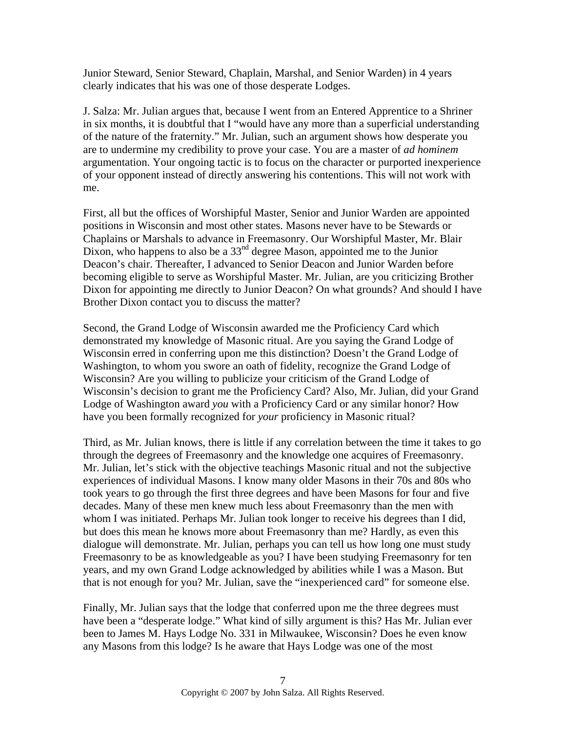Junior Steward, Senior Steward, Chaplain, Marshal, and Senior Warden) in 4 years clearly indicates that his was one of those desperate Lodges.

J. Salza: Mr. Julian argues that, because I went from an Entered Apprentice to a Shriner in six months, it is doubtful that I "would have any more than a superficial understanding of the nature of the fraternity." Mr. Julian, such an argument shows how desperate you are to undermine my credibility to prove your case. You are a master of *ad hominem* argumentation. Your ongoing tactic is to focus on the character or purported inexperience of your opponent instead of directly answering his contentions. This will not work with me.

First, all but the offices of Worshipful Master, Senior and Junior Warden are appointed positions in Wisconsin and most other states. Masons never have to be Stewards or Chaplains or Marshals to advance in Freemasonry. Our Worshipful Master, Mr. Blair Dixon, who happens to also be a  $33<sup>nd</sup>$  degree Mason, appointed me to the Junior Deacon's chair. Thereafter, I advanced to Senior Deacon and Junior Warden before becoming eligible to serve as Worshipful Master. Mr. Julian, are you criticizing Brother Dixon for appointing me directly to Junior Deacon? On what grounds? And should I have Brother Dixon contact you to discuss the matter?

Second, the Grand Lodge of Wisconsin awarded me the Proficiency Card which demonstrated my knowledge of Masonic ritual. Are you saying the Grand Lodge of Wisconsin erred in conferring upon me this distinction? Doesn't the Grand Lodge of Washington, to whom you swore an oath of fidelity, recognize the Grand Lodge of Wisconsin? Are you willing to publicize your criticism of the Grand Lodge of Wisconsin's decision to grant me the Proficiency Card? Also, Mr. Julian, did your Grand Lodge of Washington award *you* with a Proficiency Card or any similar honor? How have you been formally recognized for *your* proficiency in Masonic ritual?

Third, as Mr. Julian knows, there is little if any correlation between the time it takes to go through the degrees of Freemasonry and the knowledge one acquires of Freemasonry. Mr. Julian, let's stick with the objective teachings Masonic ritual and not the subjective experiences of individual Masons. I know many older Masons in their 70s and 80s who took years to go through the first three degrees and have been Masons for four and five decades. Many of these men knew much less about Freemasonry than the men with whom I was initiated. Perhaps Mr. Julian took longer to receive his degrees than I did, but does this mean he knows more about Freemasonry than me? Hardly, as even this dialogue will demonstrate. Mr. Julian, perhaps you can tell us how long one must study Freemasonry to be as knowledgeable as you? I have been studying Freemasonry for ten years, and my own Grand Lodge acknowledged by abilities while I was a Mason. But that is not enough for you? Mr. Julian, save the "inexperienced card" for someone else.

Finally, Mr. Julian says that the lodge that conferred upon me the three degrees must have been a "desperate lodge." What kind of silly argument is this? Has Mr. Julian ever been to James M. Hays Lodge No. 331 in Milwaukee, Wisconsin? Does he even know any Masons from this lodge? Is he aware that Hays Lodge was one of the most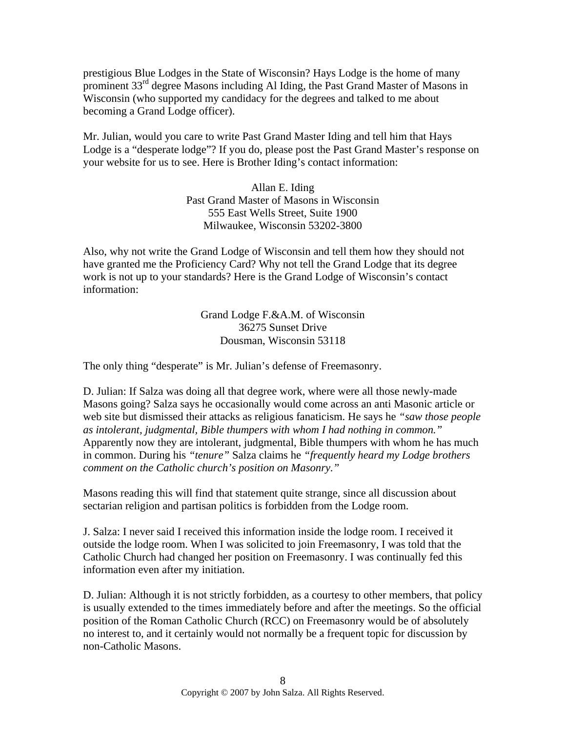prestigious Blue Lodges in the State of Wisconsin? Hays Lodge is the home of many prominent 33<sup>rd</sup> degree Masons including Al Iding, the Past Grand Master of Masons in Wisconsin (who supported my candidacy for the degrees and talked to me about becoming a Grand Lodge officer).

Mr. Julian, would you care to write Past Grand Master Iding and tell him that Hays Lodge is a "desperate lodge"? If you do, please post the Past Grand Master's response on your website for us to see. Here is Brother Iding's contact information:

> Allan E. Iding Past Grand Master of Masons in Wisconsin 555 East Wells Street, Suite 1900 Milwaukee, Wisconsin 53202-3800

Also, why not write the Grand Lodge of Wisconsin and tell them how they should not have granted me the Proficiency Card? Why not tell the Grand Lodge that its degree work is not up to your standards? Here is the Grand Lodge of Wisconsin's contact information:

> Grand Lodge F.&A.M. of Wisconsin 36275 Sunset Drive Dousman, Wisconsin 53118

The only thing "desperate" is Mr. Julian's defense of Freemasonry.

D. Julian: If Salza was doing all that degree work, where were all those newly-made Masons going? Salza says he occasionally would come across an anti Masonic article or web site but dismissed their attacks as religious fanaticism. He says he *"saw those people as intolerant, judgmental, Bible thumpers with whom I had nothing in common."*  Apparently now they are intolerant, judgmental, Bible thumpers with whom he has much in common. During his *"tenure"* Salza claims he *"frequently heard my Lodge brothers comment on the Catholic church's position on Masonry."* 

Masons reading this will find that statement quite strange, since all discussion about sectarian religion and partisan politics is forbidden from the Lodge room.

J. Salza: I never said I received this information inside the lodge room. I received it outside the lodge room. When I was solicited to join Freemasonry, I was told that the Catholic Church had changed her position on Freemasonry. I was continually fed this information even after my initiation.

D. Julian: Although it is not strictly forbidden, as a courtesy to other members, that policy is usually extended to the times immediately before and after the meetings. So the official position of the Roman Catholic Church (RCC) on Freemasonry would be of absolutely no interest to, and it certainly would not normally be a frequent topic for discussion by non-Catholic Masons.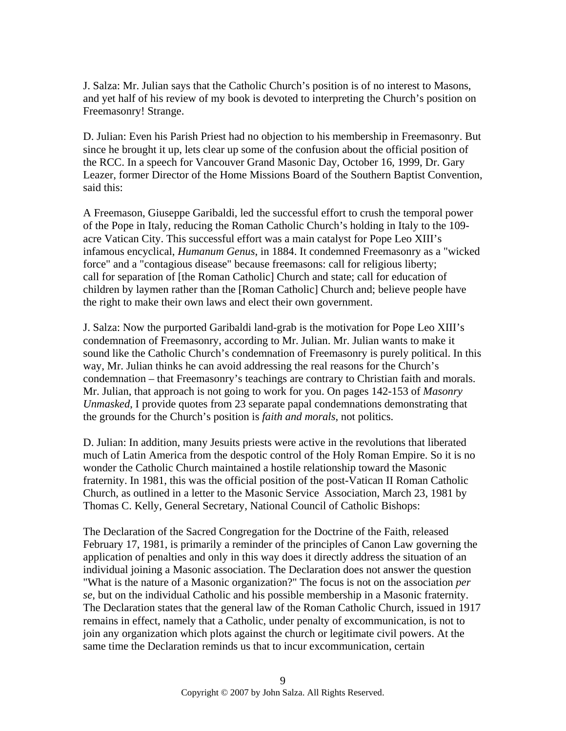J. Salza: Mr. Julian says that the Catholic Church's position is of no interest to Masons, and yet half of his review of my book is devoted to interpreting the Church's position on Freemasonry! Strange.

D. Julian: Even his Parish Priest had no objection to his membership in Freemasonry. But since he brought it up, lets clear up some of the confusion about the official position of the RCC. In a speech for Vancouver Grand Masonic Day, October 16, 1999, Dr. Gary Leazer, former Director of the Home Missions Board of the Southern Baptist Convention, said this:

A Freemason, Giuseppe Garibaldi, led the successful effort to crush the temporal power of the Pope in Italy, reducing the Roman Catholic Church's holding in Italy to the 109 acre Vatican City. This successful effort was a main catalyst for Pope Leo XIII's infamous encyclical, *Humanum Genus*, in 1884. It condemned Freemasonry as a "wicked force" and a "contagious disease" because freemasons: call for religious liberty; call for separation of [the Roman Catholic] Church and state; call for education of children by laymen rather than the [Roman Catholic] Church and; believe people have the right to make their own laws and elect their own government.

J. Salza: Now the purported Garibaldi land-grab is the motivation for Pope Leo XIII's condemnation of Freemasonry, according to Mr. Julian. Mr. Julian wants to make it sound like the Catholic Church's condemnation of Freemasonry is purely political. In this way, Mr. Julian thinks he can avoid addressing the real reasons for the Church's condemnation – that Freemasonry's teachings are contrary to Christian faith and morals. Mr. Julian, that approach is not going to work for you. On pages 142-153 of *Masonry Unmasked*, I provide quotes from 23 separate papal condemnations demonstrating that the grounds for the Church's position is *faith and morals*, not politics.

D. Julian: In addition, many Jesuits priests were active in the revolutions that liberated much of Latin America from the despotic control of the Holy Roman Empire. So it is no wonder the Catholic Church maintained a hostile relationship toward the Masonic fraternity. In 1981, this was the official position of the post-Vatican II Roman Catholic Church, as outlined in a letter to the Masonic Service Association, March 23, 1981 by Thomas C. Kelly, General Secretary, National Council of Catholic Bishops:

The Declaration of the Sacred Congregation for the Doctrine of the Faith, released February 17, 1981, is primarily a reminder of the principles of Canon Law governing the application of penalties and only in this way does it directly address the situation of an individual joining a Masonic association. The Declaration does not answer the question "What is the nature of a Masonic organization?" The focus is not on the association *per se*, but on the individual Catholic and his possible membership in a Masonic fraternity. The Declaration states that the general law of the Roman Catholic Church, issued in 1917 remains in effect, namely that a Catholic, under penalty of excommunication, is not to join any organization which plots against the church or legitimate civil powers. At the same time the Declaration reminds us that to incur excommunication, certain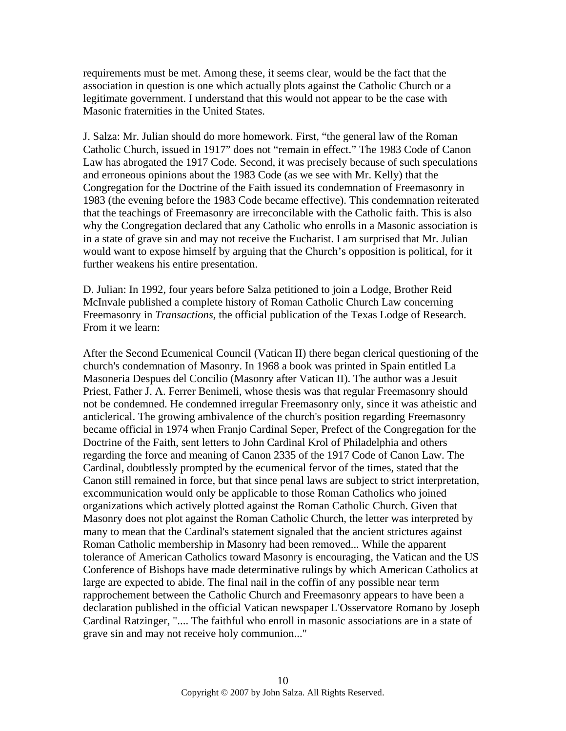requirements must be met. Among these, it seems clear, would be the fact that the association in question is one which actually plots against the Catholic Church or a legitimate government. I understand that this would not appear to be the case with Masonic fraternities in the United States.

J. Salza: Mr. Julian should do more homework. First, "the general law of the Roman Catholic Church, issued in 1917" does not "remain in effect." The 1983 Code of Canon Law has abrogated the 1917 Code. Second, it was precisely because of such speculations and erroneous opinions about the 1983 Code (as we see with Mr. Kelly) that the Congregation for the Doctrine of the Faith issued its condemnation of Freemasonry in 1983 (the evening before the 1983 Code became effective). This condemnation reiterated that the teachings of Freemasonry are irreconcilable with the Catholic faith. This is also why the Congregation declared that any Catholic who enrolls in a Masonic association is in a state of grave sin and may not receive the Eucharist. I am surprised that Mr. Julian would want to expose himself by arguing that the Church's opposition is political, for it further weakens his entire presentation.

D. Julian: In 1992, four years before Salza petitioned to join a Lodge, Brother Reid McInvale published a complete history of Roman Catholic Church Law concerning Freemasonry in *Transactions,* the official publication of the Texas Lodge of Research. From it we learn:

After the Second Ecumenical Council (Vatican II) there began clerical questioning of the church's condemnation of Masonry. In 1968 a book was printed in Spain entitled La Masoneria Despues del Concilio (Masonry after Vatican II). The author was a Jesuit Priest, Father J. A. Ferrer Benimeli, whose thesis was that regular Freemasonry should not be condemned. He condemned irregular Freemasonry only, since it was atheistic and anticlerical. The growing ambivalence of the church's position regarding Freemasonry became official in 1974 when Franjo Cardinal Seper, Prefect of the Congregation for the Doctrine of the Faith, sent letters to John Cardinal Krol of Philadelphia and others regarding the force and meaning of Canon 2335 of the 1917 Code of Canon Law. The Cardinal, doubtlessly prompted by the ecumenical fervor of the times, stated that the Canon still remained in force, but that since penal laws are subject to strict interpretation, excommunication would only be applicable to those Roman Catholics who joined organizations which actively plotted against the Roman Catholic Church. Given that Masonry does not plot against the Roman Catholic Church, the letter was interpreted by many to mean that the Cardinal's statement signaled that the ancient strictures against Roman Catholic membership in Masonry had been removed... While the apparent tolerance of American Catholics toward Masonry is encouraging, the Vatican and the US Conference of Bishops have made determinative rulings by which American Catholics at large are expected to abide. The final nail in the coffin of any possible near term rapprochement between the Catholic Church and Freemasonry appears to have been a declaration published in the official Vatican newspaper L'Osservatore Romano by Joseph Cardinal Ratzinger, ".... The faithful who enroll in masonic associations are in a state of grave sin and may not receive holy communion..."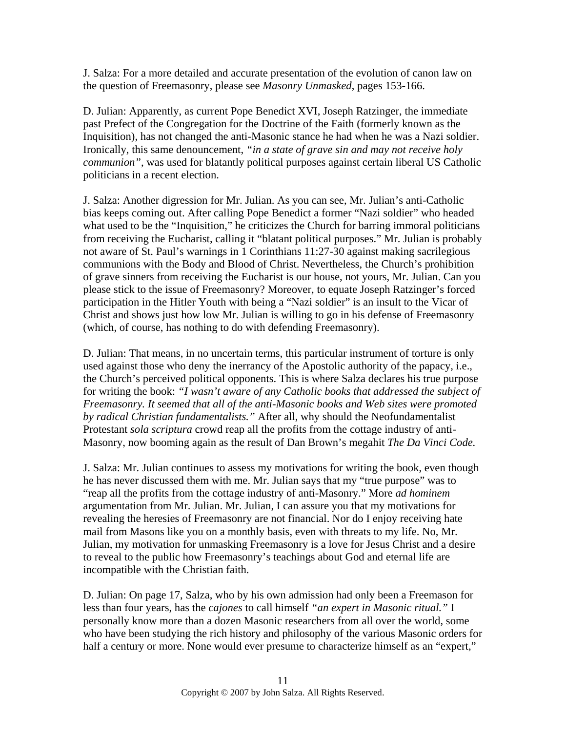J. Salza: For a more detailed and accurate presentation of the evolution of canon law on the question of Freemasonry, please see *Masonry Unmasked*, pages 153-166.

D. Julian: Apparently, as current Pope Benedict XVI, Joseph Ratzinger, the immediate past Prefect of the Congregation for the Doctrine of the Faith (formerly known as the Inquisition), has not changed the anti-Masonic stance he had when he was a Nazi soldier. Ironically, this same denouncement, *"in a state of grave sin and may not receive holy communion"*, was used for blatantly political purposes against certain liberal US Catholic politicians in a recent election.

J. Salza: Another digression for Mr. Julian. As you can see, Mr. Julian's anti-Catholic bias keeps coming out. After calling Pope Benedict a former "Nazi soldier" who headed what used to be the "Inquisition," he criticizes the Church for barring immoral politicians from receiving the Eucharist, calling it "blatant political purposes." Mr. Julian is probably not aware of St. Paul's warnings in 1 Corinthians 11:27-30 against making sacrilegious communions with the Body and Blood of Christ. Nevertheless, the Church's prohibition of grave sinners from receiving the Eucharist is our house, not yours, Mr. Julian. Can you please stick to the issue of Freemasonry? Moreover, to equate Joseph Ratzinger's forced participation in the Hitler Youth with being a "Nazi soldier" is an insult to the Vicar of Christ and shows just how low Mr. Julian is willing to go in his defense of Freemasonry (which, of course, has nothing to do with defending Freemasonry).

D. Julian: That means, in no uncertain terms, this particular instrument of torture is only used against those who deny the inerrancy of the Apostolic authority of the papacy, i.e., the Church's perceived political opponents. This is where Salza declares his true purpose for writing the book: *"I wasn't aware of any Catholic books that addressed the subject of Freemasonry. It seemed that all of the anti-Masonic books and Web sites were promoted by radical Christian fundamentalists."* After all, why should the Neofundamentalist Protestant *sola scriptura* crowd reap all the profits from the cottage industry of anti-Masonry, now booming again as the result of Dan Brown's megahit *The Da Vinci Code.* 

J. Salza: Mr. Julian continues to assess my motivations for writing the book, even though he has never discussed them with me. Mr. Julian says that my "true purpose" was to "reap all the profits from the cottage industry of anti-Masonry." More *ad hominem* argumentation from Mr. Julian. Mr. Julian, I can assure you that my motivations for revealing the heresies of Freemasonry are not financial. Nor do I enjoy receiving hate mail from Masons like you on a monthly basis, even with threats to my life. No, Mr. Julian, my motivation for unmasking Freemasonry is a love for Jesus Christ and a desire to reveal to the public how Freemasonry's teachings about God and eternal life are incompatible with the Christian faith.

D. Julian: On page 17, Salza, who by his own admission had only been a Freemason for less than four years, has the *cajones* to call himself *"an expert in Masonic ritual."* I personally know more than a dozen Masonic researchers from all over the world, some who have been studying the rich history and philosophy of the various Masonic orders for half a century or more. None would ever presume to characterize himself as an "expert,"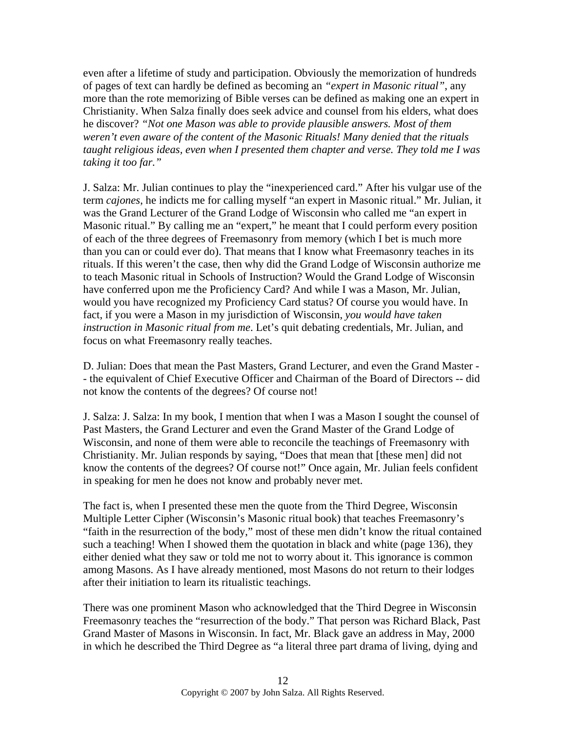even after a lifetime of study and participation. Obviously the memorization of hundreds of pages of text can hardly be defined as becoming an *"expert in Masonic ritual"*, any more than the rote memorizing of Bible verses can be defined as making one an expert in Christianity. When Salza finally does seek advice and counsel from his elders, what does he discover? *"Not one Mason was able to provide plausible answers. Most of them weren't even aware of the content of the Masonic Rituals! Many denied that the rituals taught religious ideas, even when I presented them chapter and verse. They told me I was taking it too far."* 

J. Salza: Mr. Julian continues to play the "inexperienced card." After his vulgar use of the term *cajones*, he indicts me for calling myself "an expert in Masonic ritual." Mr. Julian, it was the Grand Lecturer of the Grand Lodge of Wisconsin who called me "an expert in Masonic ritual." By calling me an "expert," he meant that I could perform every position of each of the three degrees of Freemasonry from memory (which I bet is much more than you can or could ever do). That means that I know what Freemasonry teaches in its rituals. If this weren't the case, then why did the Grand Lodge of Wisconsin authorize me to teach Masonic ritual in Schools of Instruction? Would the Grand Lodge of Wisconsin have conferred upon me the Proficiency Card? And while I was a Mason, Mr. Julian, would you have recognized my Proficiency Card status? Of course you would have. In fact, if you were a Mason in my jurisdiction of Wisconsin, *you would have taken instruction in Masonic ritual from me*. Let's quit debating credentials, Mr. Julian, and focus on what Freemasonry really teaches.

D. Julian: Does that mean the Past Masters, Grand Lecturer, and even the Grand Master - - the equivalent of Chief Executive Officer and Chairman of the Board of Directors -- did not know the contents of the degrees? Of course not!

J. Salza: J. Salza: In my book, I mention that when I was a Mason I sought the counsel of Past Masters, the Grand Lecturer and even the Grand Master of the Grand Lodge of Wisconsin, and none of them were able to reconcile the teachings of Freemasonry with Christianity. Mr. Julian responds by saying, "Does that mean that [these men] did not know the contents of the degrees? Of course not!" Once again, Mr. Julian feels confident in speaking for men he does not know and probably never met.

The fact is, when I presented these men the quote from the Third Degree, Wisconsin Multiple Letter Cipher (Wisconsin's Masonic ritual book) that teaches Freemasonry's "faith in the resurrection of the body," most of these men didn't know the ritual contained such a teaching! When I showed them the quotation in black and white (page 136), they either denied what they saw or told me not to worry about it. This ignorance is common among Masons. As I have already mentioned, most Masons do not return to their lodges after their initiation to learn its ritualistic teachings.

There was one prominent Mason who acknowledged that the Third Degree in Wisconsin Freemasonry teaches the "resurrection of the body." That person was Richard Black, Past Grand Master of Masons in Wisconsin. In fact, Mr. Black gave an address in May, 2000 in which he described the Third Degree as "a literal three part drama of living, dying and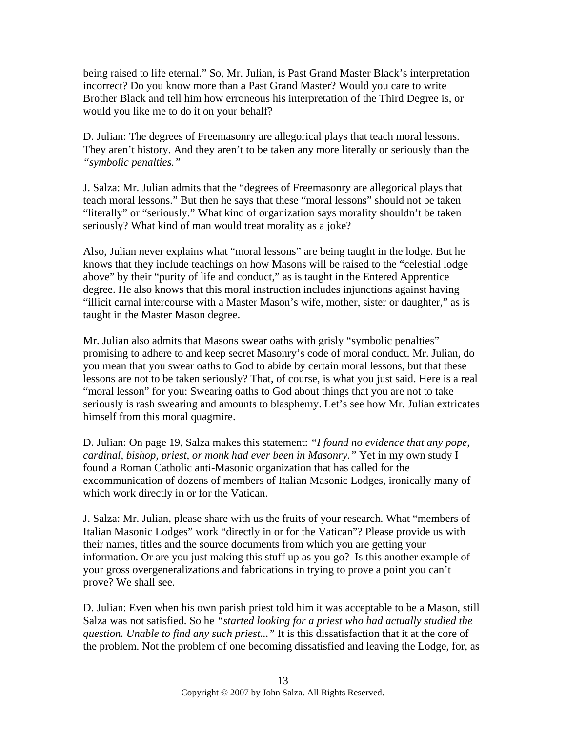being raised to life eternal." So, Mr. Julian, is Past Grand Master Black's interpretation incorrect? Do you know more than a Past Grand Master? Would you care to write Brother Black and tell him how erroneous his interpretation of the Third Degree is, or would you like me to do it on your behalf?

D. Julian: The degrees of Freemasonry are allegorical plays that teach moral lessons. They aren't history. And they aren't to be taken any more literally or seriously than the *"symbolic penalties."* 

J. Salza: Mr. Julian admits that the "degrees of Freemasonry are allegorical plays that teach moral lessons." But then he says that these "moral lessons" should not be taken "literally" or "seriously." What kind of organization says morality shouldn't be taken seriously? What kind of man would treat morality as a joke?

Also, Julian never explains what "moral lessons" are being taught in the lodge. But he knows that they include teachings on how Masons will be raised to the "celestial lodge above" by their "purity of life and conduct," as is taught in the Entered Apprentice degree. He also knows that this moral instruction includes injunctions against having "illicit carnal intercourse with a Master Mason's wife, mother, sister or daughter," as is taught in the Master Mason degree.

Mr. Julian also admits that Masons swear oaths with grisly "symbolic penalties" promising to adhere to and keep secret Masonry's code of moral conduct. Mr. Julian, do you mean that you swear oaths to God to abide by certain moral lessons, but that these lessons are not to be taken seriously? That, of course, is what you just said. Here is a real "moral lesson" for you: Swearing oaths to God about things that you are not to take seriously is rash swearing and amounts to blasphemy. Let's see how Mr. Julian extricates himself from this moral quagmire.

D. Julian: On page 19, Salza makes this statement: *"I found no evidence that any pope, cardinal, bishop, priest, or monk had ever been in Masonry."* Yet in my own study I found a Roman Catholic anti-Masonic organization that has called for the excommunication of dozens of members of Italian Masonic Lodges, ironically many of which work directly in or for the Vatican.

J. Salza: Mr. Julian, please share with us the fruits of your research. What "members of Italian Masonic Lodges" work "directly in or for the Vatican"? Please provide us with their names, titles and the source documents from which you are getting your information. Or are you just making this stuff up as you go? Is this another example of your gross overgeneralizations and fabrications in trying to prove a point you can't prove? We shall see.

D. Julian: Even when his own parish priest told him it was acceptable to be a Mason, still Salza was not satisfied. So he *"started looking for a priest who had actually studied the question. Unable to find any such priest..."* It is this dissatisfaction that it at the core of the problem. Not the problem of one becoming dissatisfied and leaving the Lodge, for, as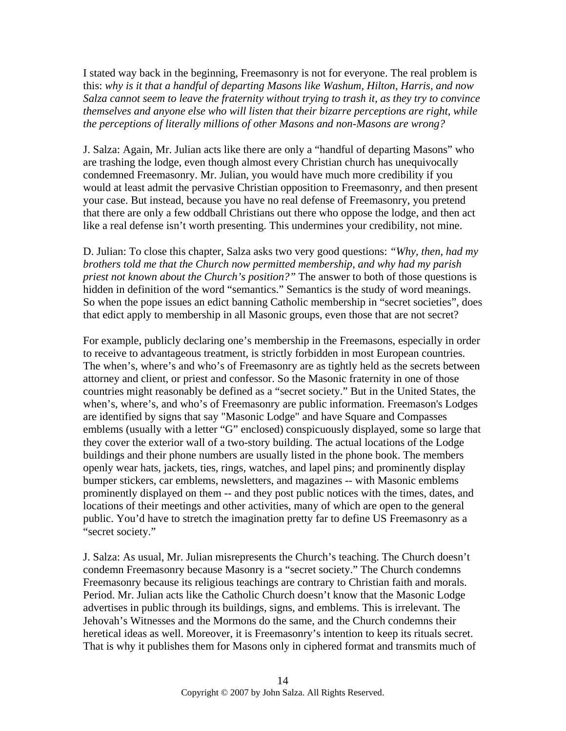I stated way back in the beginning, Freemasonry is not for everyone. The real problem is this: *why is it that a handful of departing Masons like Washum, Hilton, Harris, and now Salza cannot seem to leave the fraternity without trying to trash it, as they try to convince themselves and anyone else who will listen that their bizarre perceptions are right, while the perceptions of literally millions of other Masons and non-Masons are wrong?*

J. Salza: Again, Mr. Julian acts like there are only a "handful of departing Masons" who are trashing the lodge, even though almost every Christian church has unequivocally condemned Freemasonry. Mr. Julian, you would have much more credibility if you would at least admit the pervasive Christian opposition to Freemasonry, and then present your case. But instead, because you have no real defense of Freemasonry, you pretend that there are only a few oddball Christians out there who oppose the lodge, and then act like a real defense isn't worth presenting. This undermines your credibility, not mine.

D. Julian: To close this chapter, Salza asks two very good questions: *"Why, then, had my brothers told me that the Church now permitted membership, and why had my parish priest not known about the Church's position?"* The answer to both of those questions is hidden in definition of the word "semantics." Semantics is the study of word meanings. So when the pope issues an edict banning Catholic membership in "secret societies", does that edict apply to membership in all Masonic groups, even those that are not secret?

For example, publicly declaring one's membership in the Freemasons, especially in order to receive to advantageous treatment, is strictly forbidden in most European countries. The when's, where's and who's of Freemasonry are as tightly held as the secrets between attorney and client, or priest and confessor. So the Masonic fraternity in one of those countries might reasonably be defined as a "secret society." But in the United States, the when's, where's, and who's of Freemasonry are public information. Freemason's Lodges are identified by signs that say "Masonic Lodge" and have Square and Compasses emblems (usually with a letter "G" enclosed) conspicuously displayed, some so large that they cover the exterior wall of a two-story building. The actual locations of the Lodge buildings and their phone numbers are usually listed in the phone book. The members openly wear hats, jackets, ties, rings, watches, and lapel pins; and prominently display bumper stickers, car emblems, newsletters, and magazines -- with Masonic emblems prominently displayed on them -- and they post public notices with the times, dates, and locations of their meetings and other activities, many of which are open to the general public. You'd have to stretch the imagination pretty far to define US Freemasonry as a "secret society."

J. Salza: As usual, Mr. Julian misrepresents the Church's teaching. The Church doesn't condemn Freemasonry because Masonry is a "secret society." The Church condemns Freemasonry because its religious teachings are contrary to Christian faith and morals. Period. Mr. Julian acts like the Catholic Church doesn't know that the Masonic Lodge advertises in public through its buildings, signs, and emblems. This is irrelevant. The Jehovah's Witnesses and the Mormons do the same, and the Church condemns their heretical ideas as well. Moreover, it is Freemasonry's intention to keep its rituals secret. That is why it publishes them for Masons only in ciphered format and transmits much of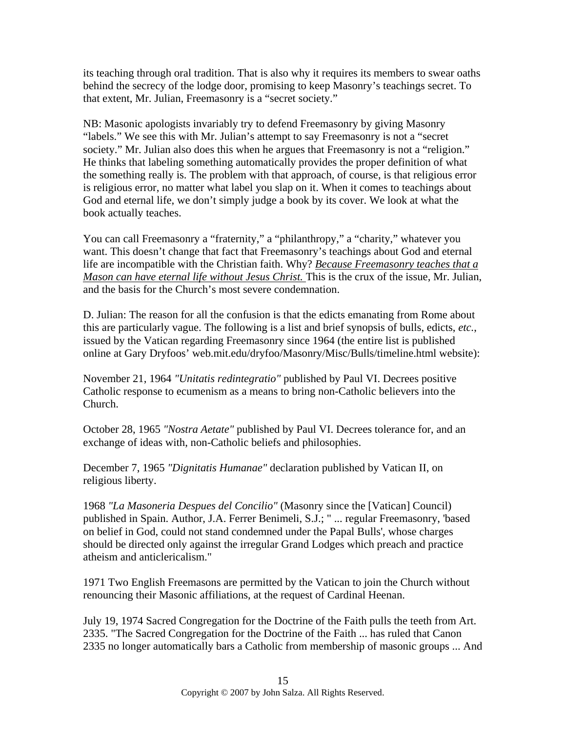its teaching through oral tradition. That is also why it requires its members to swear oaths behind the secrecy of the lodge door, promising to keep Masonry's teachings secret. To that extent, Mr. Julian, Freemasonry is a "secret society."

NB: Masonic apologists invariably try to defend Freemasonry by giving Masonry "labels." We see this with Mr. Julian's attempt to say Freemasonry is not a "secret society." Mr. Julian also does this when he argues that Freemasonry is not a "religion." He thinks that labeling something automatically provides the proper definition of what the something really is. The problem with that approach, of course, is that religious error is religious error, no matter what label you slap on it. When it comes to teachings about God and eternal life, we don't simply judge a book by its cover. We look at what the book actually teaches.

You can call Freemasonry a "fraternity," a "philanthropy," a "charity," whatever you want. This doesn't change that fact that Freemasonry's teachings about God and eternal life are incompatible with the Christian faith. Why? *Because Freemasonry teaches that a Mason can have eternal life without Jesus Christ.* This is the crux of the issue, Mr. Julian, and the basis for the Church's most severe condemnation.

D. Julian: The reason for all the confusion is that the edicts emanating from Rome about this are particularly vague. The following is a list and brief synopsis of bulls, edicts, *etc.*, issued by the Vatican regarding Freemasonry since 1964 (the entire list is published online at Gary Dryfoos' web.mit.edu/dryfoo/Masonry/Misc/Bulls/timeline.html website):

November 21, 1964 *"Unitatis redintegratio"* published by Paul VI. Decrees positive Catholic response to ecumenism as a means to bring non-Catholic believers into the Church.

October 28, 1965 *"Nostra Aetate"* published by Paul VI. Decrees tolerance for, and an exchange of ideas with, non-Catholic beliefs and philosophies.

December 7, 1965 *"Dignitatis Humanae"* declaration published by Vatican II, on religious liberty.

1968 *"La Masoneria Despues del Concilio"* (Masonry since the [Vatican] Council) published in Spain. Author, J.A. Ferrer Benimeli, S.J.; " ... regular Freemasonry, 'based on belief in God, could not stand condemned under the Papal Bulls', whose charges should be directed only against the irregular Grand Lodges which preach and practice atheism and anticlericalism."

1971 Two English Freemasons are permitted by the Vatican to join the Church without renouncing their Masonic affiliations, at the request of Cardinal Heenan.

July 19, 1974 Sacred Congregation for the Doctrine of the Faith pulls the teeth from Art. 2335. "The Sacred Congregation for the Doctrine of the Faith ... has ruled that Canon 2335 no longer automatically bars a Catholic from membership of masonic groups ... And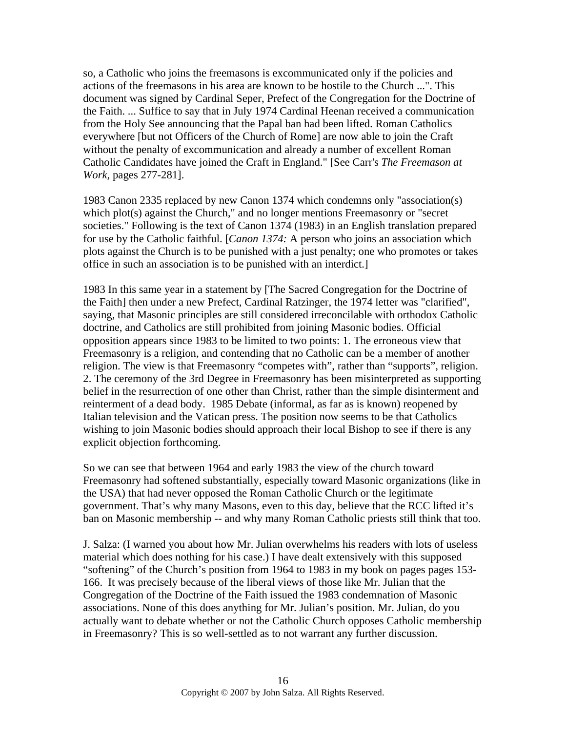so, a Catholic who joins the freemasons is excommunicated only if the policies and actions of the freemasons in his area are known to be hostile to the Church ...". This document was signed by Cardinal Seper, Prefect of the Congregation for the Doctrine of the Faith. ... Suffice to say that in July 1974 Cardinal Heenan received a communication from the Holy See announcing that the Papal ban had been lifted. Roman Catholics everywhere [but not Officers of the Church of Rome] are now able to join the Craft without the penalty of excommunication and already a number of excellent Roman Catholic Candidates have joined the Craft in England." [See Carr's *The Freemason at Work,* pages 277-281].

1983 Canon 2335 replaced by new Canon 1374 which condemns only "association(s) which plot(s) against the Church," and no longer mentions Freemasonry or "secret societies." Following is the text of Canon 1374 (1983) in an English translation prepared for use by the Catholic faithful. [*Canon 1374:* A person who joins an association which plots against the Church is to be punished with a just penalty; one who promotes or takes office in such an association is to be punished with an interdict.]

1983 In this same year in a statement by [The Sacred Congregation for the Doctrine of the Faith] then under a new Prefect, Cardinal Ratzinger, the 1974 letter was "clarified", saying, that Masonic principles are still considered irreconcilable with orthodox Catholic doctrine, and Catholics are still prohibited from joining Masonic bodies. Official opposition appears since 1983 to be limited to two points: 1. The erroneous view that Freemasonry is a religion, and contending that no Catholic can be a member of another religion. The view is that Freemasonry "competes with", rather than "supports", religion. 2. The ceremony of the 3rd Degree in Freemasonry has been misinterpreted as supporting belief in the resurrection of one other than Christ, rather than the simple disinterment and reinterment of a dead body. 1985 Debate (informal, as far as is known) reopened by Italian television and the Vatican press. The position now seems to be that Catholics wishing to join Masonic bodies should approach their local Bishop to see if there is any explicit objection forthcoming.

So we can see that between 1964 and early 1983 the view of the church toward Freemasonry had softened substantially, especially toward Masonic organizations (like in the USA) that had never opposed the Roman Catholic Church or the legitimate government. That's why many Masons, even to this day, believe that the RCC lifted it's ban on Masonic membership -- and why many Roman Catholic priests still think that too.

J. Salza: (I warned you about how Mr. Julian overwhelms his readers with lots of useless material which does nothing for his case.) I have dealt extensively with this supposed "softening" of the Church's position from 1964 to 1983 in my book on pages pages 153- 166. It was precisely because of the liberal views of those like Mr. Julian that the Congregation of the Doctrine of the Faith issued the 1983 condemnation of Masonic associations. None of this does anything for Mr. Julian's position. Mr. Julian, do you actually want to debate whether or not the Catholic Church opposes Catholic membership in Freemasonry? This is so well-settled as to not warrant any further discussion.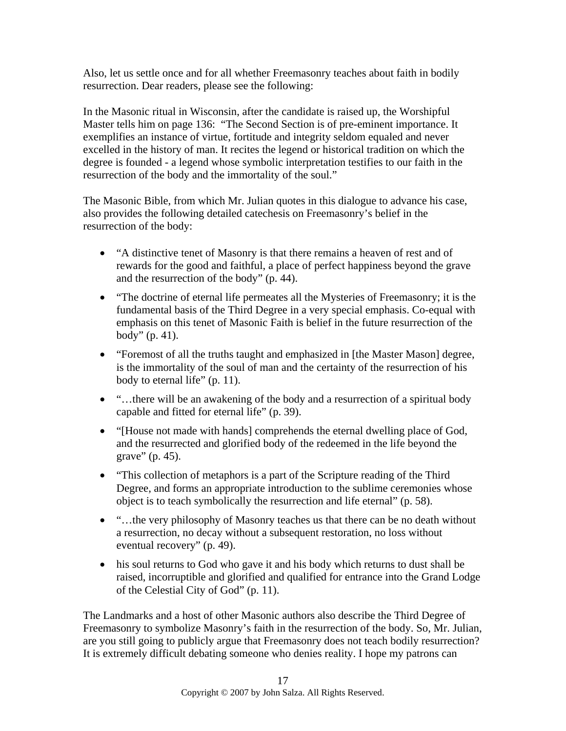Also, let us settle once and for all whether Freemasonry teaches about faith in bodily resurrection. Dear readers, please see the following:

In the Masonic ritual in Wisconsin, after the candidate is raised up, the Worshipful Master tells him on page 136: "The Second Section is of pre-eminent importance. It exemplifies an instance of virtue, fortitude and integrity seldom equaled and never excelled in the history of man. It recites the legend or historical tradition on which the degree is founded - a legend whose symbolic interpretation testifies to our faith in the resurrection of the body and the immortality of the soul."

The Masonic Bible, from which Mr. Julian quotes in this dialogue to advance his case, also provides the following detailed catechesis on Freemasonry's belief in the resurrection of the body:

- "A distinctive tenet of Masonry is that there remains a heaven of rest and of rewards for the good and faithful, a place of perfect happiness beyond the grave and the resurrection of the body" (p. 44).
- "The doctrine of eternal life permeates all the Mysteries of Freemasonry; it is the fundamental basis of the Third Degree in a very special emphasis. Co-equal with emphasis on this tenet of Masonic Faith is belief in the future resurrection of the body" (p. 41).
- "Foremost of all the truths taught and emphasized in [the Master Mason] degree, is the immortality of the soul of man and the certainty of the resurrection of his body to eternal life" (p. 11).
- "...there will be an awakening of the body and a resurrection of a spiritual body capable and fitted for eternal life" (p. 39).
- "[House not made with hands] comprehends the eternal dwelling place of God, and the resurrected and glorified body of the redeemed in the life beyond the grave" (p. 45).
- "This collection of metaphors is a part of the Scripture reading of the Third Degree, and forms an appropriate introduction to the sublime ceremonies whose object is to teach symbolically the resurrection and life eternal" (p. 58).
- "...the very philosophy of Masonry teaches us that there can be no death without a resurrection, no decay without a subsequent restoration, no loss without eventual recovery" (p. 49).
- his soul returns to God who gave it and his body which returns to dust shall be raised, incorruptible and glorified and qualified for entrance into the Grand Lodge of the Celestial City of God" (p. 11).

The Landmarks and a host of other Masonic authors also describe the Third Degree of Freemasonry to symbolize Masonry's faith in the resurrection of the body. So, Mr. Julian, are you still going to publicly argue that Freemasonry does not teach bodily resurrection? It is extremely difficult debating someone who denies reality. I hope my patrons can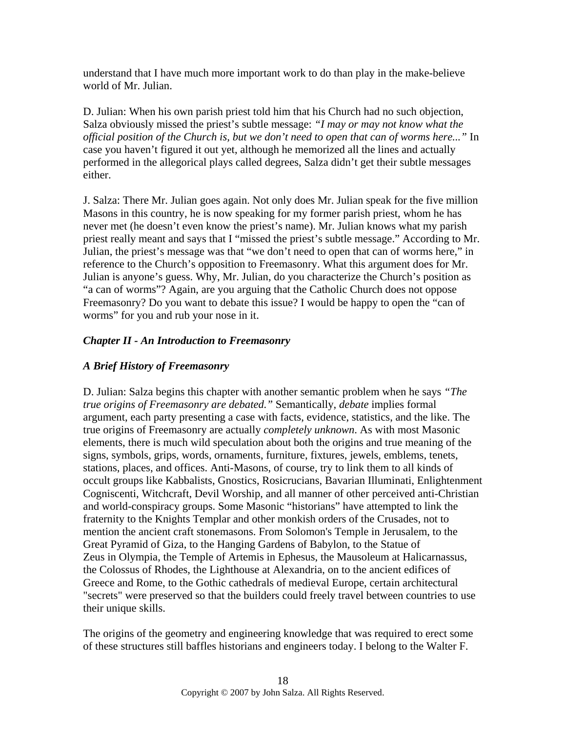understand that I have much more important work to do than play in the make-believe world of Mr. Julian.

D. Julian: When his own parish priest told him that his Church had no such objection, Salza obviously missed the priest's subtle message: *"I may or may not know what the official position of the Church is, but we don't need to open that can of worms here..."* In case you haven't figured it out yet, although he memorized all the lines and actually performed in the allegorical plays called degrees, Salza didn't get their subtle messages either.

J. Salza: There Mr. Julian goes again. Not only does Mr. Julian speak for the five million Masons in this country, he is now speaking for my former parish priest, whom he has never met (he doesn't even know the priest's name). Mr. Julian knows what my parish priest really meant and says that I "missed the priest's subtle message." According to Mr. Julian, the priest's message was that "we don't need to open that can of worms here," in reference to the Church's opposition to Freemasonry. What this argument does for Mr. Julian is anyone's guess. Why, Mr. Julian, do you characterize the Church's position as "a can of worms"? Again, are you arguing that the Catholic Church does not oppose Freemasonry? Do you want to debate this issue? I would be happy to open the "can of worms" for you and rub your nose in it.

# *Chapter II - An Introduction to Freemasonry*

# *A Brief History of Freemasonry*

D. Julian: Salza begins this chapter with another semantic problem when he says *"The true origins of Freemasonry are debated."* Semantically, *debate* implies formal argument, each party presenting a case with facts, evidence, statistics, and the like. The true origins of Freemasonry are actually *completely unknown*. As with most Masonic elements, there is much wild speculation about both the origins and true meaning of the signs, symbols, grips, words, ornaments, furniture, fixtures, jewels, emblems, tenets, stations, places, and offices. Anti-Masons, of course, try to link them to all kinds of occult groups like Kabbalists, Gnostics, Rosicrucians, Bavarian Illuminati, Enlightenment Cogniscenti, Witchcraft, Devil Worship, and all manner of other perceived anti-Christian and world-conspiracy groups. Some Masonic "historians" have attempted to link the fraternity to the Knights Templar and other monkish orders of the Crusades, not to mention the ancient craft stonemasons. From Solomon's Temple in Jerusalem, to the Great Pyramid of Giza, to the Hanging Gardens of Babylon, to the Statue of Zeus in Olympia, the Temple of Artemis in Ephesus, the Mausoleum at Halicarnassus, the Colossus of Rhodes, the Lighthouse at Alexandria, on to the ancient edifices of Greece and Rome, to the Gothic cathedrals of medieval Europe, certain architectural "secrets" were preserved so that the builders could freely travel between countries to use their unique skills.

The origins of the geometry and engineering knowledge that was required to erect some of these structures still baffles historians and engineers today. I belong to the Walter F.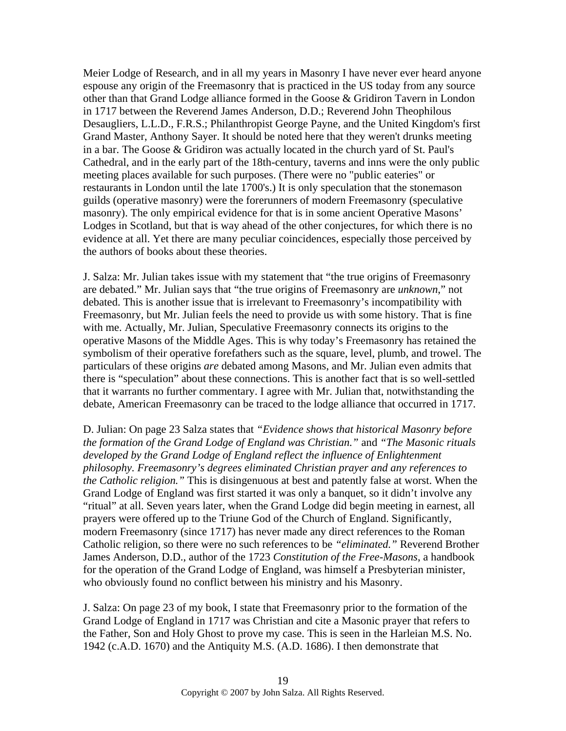Meier Lodge of Research, and in all my years in Masonry I have never ever heard anyone espouse any origin of the Freemasonry that is practiced in the US today from any source other than that Grand Lodge alliance formed in the Goose & Gridiron Tavern in London in 1717 between the Reverend James Anderson, D.D.; Reverend John Theophilous Desaugliers, L.L.D., F.R.S.; Philanthropist George Payne, and the United Kingdom's first Grand Master, Anthony Sayer. It should be noted here that they weren't drunks meeting in a bar. The Goose & Gridiron was actually located in the church yard of St. Paul's Cathedral, and in the early part of the 18th-century, taverns and inns were the only public meeting places available for such purposes. (There were no "public eateries" or restaurants in London until the late 1700's.) It is only speculation that the stonemason guilds (operative masonry) were the forerunners of modern Freemasonry (speculative masonry). The only empirical evidence for that is in some ancient Operative Masons' Lodges in Scotland, but that is way ahead of the other conjectures, for which there is no evidence at all. Yet there are many peculiar coincidences, especially those perceived by the authors of books about these theories.

J. Salza: Mr. Julian takes issue with my statement that "the true origins of Freemasonry are debated." Mr. Julian says that "the true origins of Freemasonry are *unknown*," not debated. This is another issue that is irrelevant to Freemasonry's incompatibility with Freemasonry, but Mr. Julian feels the need to provide us with some history. That is fine with me. Actually, Mr. Julian, Speculative Freemasonry connects its origins to the operative Masons of the Middle Ages. This is why today's Freemasonry has retained the symbolism of their operative forefathers such as the square, level, plumb, and trowel. The particulars of these origins *are* debated among Masons, and Mr. Julian even admits that there is "speculation" about these connections. This is another fact that is so well-settled that it warrants no further commentary. I agree with Mr. Julian that, notwithstanding the debate, American Freemasonry can be traced to the lodge alliance that occurred in 1717.

D. Julian: On page 23 Salza states that *"Evidence shows that historical Masonry before the formation of the Grand Lodge of England was Christian."* and *"The Masonic rituals*  developed by the Grand Lodge of England reflect the influence of Enlightenment *philosophy. Freemasonry's degrees eliminated Christian prayer and any references to the Catholic religion."* This is disingenuous at best and patently false at worst. When the Grand Lodge of England was first started it was only a banquet, so it didn't involve any "ritual" at all. Seven years later, when the Grand Lodge did begin meeting in earnest, all prayers were offered up to the Triune God of the Church of England. Significantly, modern Freemasonry (since 1717) has never made any direct references to the Roman Catholic religion, so there were no such references to be *"eliminated."* Reverend Brother James Anderson, D.D., author of the 1723 *Constitution of the Free-Masons*, a handbook for the operation of the Grand Lodge of England, was himself a Presbyterian minister, who obviously found no conflict between his ministry and his Masonry.

J. Salza: On page 23 of my book, I state that Freemasonry prior to the formation of the Grand Lodge of England in 1717 was Christian and cite a Masonic prayer that refers to the Father, Son and Holy Ghost to prove my case. This is seen in the Harleian M.S. No. 1942 (c.A.D. 1670) and the Antiquity M.S. (A.D. 1686). I then demonstrate that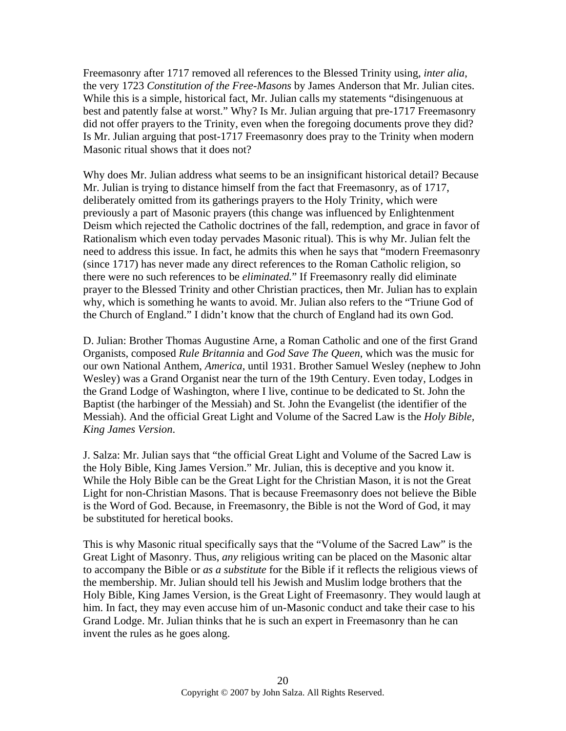Freemasonry after 1717 removed all references to the Blessed Trinity using, *inter alia*, the very 1723 *Constitution of the Free-Masons* by James Anderson that Mr. Julian cites. While this is a simple, historical fact, Mr. Julian calls my statements "disingenuous at best and patently false at worst." Why? Is Mr. Julian arguing that pre-1717 Freemasonry did not offer prayers to the Trinity, even when the foregoing documents prove they did? Is Mr. Julian arguing that post-1717 Freemasonry does pray to the Trinity when modern Masonic ritual shows that it does not?

Why does Mr. Julian address what seems to be an insignificant historical detail? Because Mr. Julian is trying to distance himself from the fact that Freemasonry, as of 1717, deliberately omitted from its gatherings prayers to the Holy Trinity, which were previously a part of Masonic prayers (this change was influenced by Enlightenment Deism which rejected the Catholic doctrines of the fall, redemption, and grace in favor of Rationalism which even today pervades Masonic ritual). This is why Mr. Julian felt the need to address this issue. In fact, he admits this when he says that "modern Freemasonry (since 1717) has never made any direct references to the Roman Catholic religion, so there were no such references to be *eliminated.*" If Freemasonry really did eliminate prayer to the Blessed Trinity and other Christian practices, then Mr. Julian has to explain why, which is something he wants to avoid. Mr. Julian also refers to the "Triune God of the Church of England." I didn't know that the church of England had its own God.

D. Julian: Brother Thomas Augustine Arne, a Roman Catholic and one of the first Grand Organists, composed *Rule Britannia* and *God Save The Queen*, which was the music for our own National Anthem, *America*, until 1931. Brother Samuel Wesley (nephew to John Wesley) was a Grand Organist near the turn of the 19th Century. Even today, Lodges in the Grand Lodge of Washington, where I live, continue to be dedicated to St. John the Baptist (the harbinger of the Messiah) and St. John the Evangelist (the identifier of the Messiah). And the official Great Light and Volume of the Sacred Law is the *Holy Bible, King James Version*.

J. Salza: Mr. Julian says that "the official Great Light and Volume of the Sacred Law is the Holy Bible, King James Version." Mr. Julian, this is deceptive and you know it. While the Holy Bible can be the Great Light for the Christian Mason, it is not the Great Light for non-Christian Masons. That is because Freemasonry does not believe the Bible is the Word of God. Because, in Freemasonry, the Bible is not the Word of God, it may be substituted for heretical books.

This is why Masonic ritual specifically says that the "Volume of the Sacred Law" is the Great Light of Masonry. Thus, *any* religious writing can be placed on the Masonic altar to accompany the Bible or *as a substitute* for the Bible if it reflects the religious views of the membership. Mr. Julian should tell his Jewish and Muslim lodge brothers that the Holy Bible, King James Version, is the Great Light of Freemasonry. They would laugh at him. In fact, they may even accuse him of un-Masonic conduct and take their case to his Grand Lodge. Mr. Julian thinks that he is such an expert in Freemasonry than he can invent the rules as he goes along.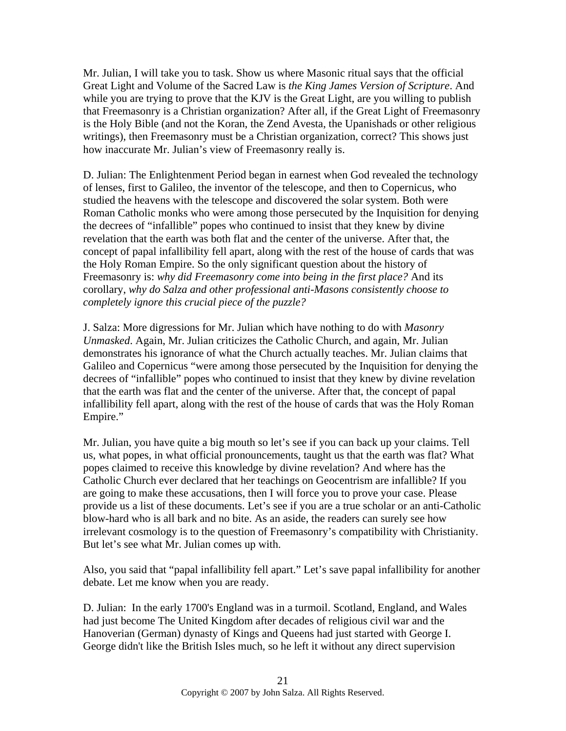Mr. Julian, I will take you to task. Show us where Masonic ritual says that the official Great Light and Volume of the Sacred Law is *the King James Version of Scripture*. And while you are trying to prove that the KJV is the Great Light, are you willing to publish that Freemasonry is a Christian organization? After all, if the Great Light of Freemasonry is the Holy Bible (and not the Koran, the Zend Avesta, the Upanishads or other religious writings), then Freemasonry must be a Christian organization, correct? This shows just how inaccurate Mr. Julian's view of Freemasonry really is.

D. Julian: The Enlightenment Period began in earnest when God revealed the technology of lenses, first to Galileo, the inventor of the telescope, and then to Copernicus, who studied the heavens with the telescope and discovered the solar system. Both were Roman Catholic monks who were among those persecuted by the Inquisition for denying the decrees of "infallible" popes who continued to insist that they knew by divine revelation that the earth was both flat and the center of the universe. After that, the concept of papal infallibility fell apart, along with the rest of the house of cards that was the Holy Roman Empire. So the only significant question about the history of Freemasonry is: *why did Freemasonry come into being in the first place?* And its corollary, *why do Salza and other professional anti-Masons consistently choose to completely ignore this crucial piece of the puzzle?* 

J. Salza: More digressions for Mr. Julian which have nothing to do with *Masonry Unmasked*. Again, Mr. Julian criticizes the Catholic Church, and again, Mr. Julian demonstrates his ignorance of what the Church actually teaches. Mr. Julian claims that Galileo and Copernicus "were among those persecuted by the Inquisition for denying the decrees of "infallible" popes who continued to insist that they knew by divine revelation that the earth was flat and the center of the universe. After that, the concept of papal infallibility fell apart, along with the rest of the house of cards that was the Holy Roman Empire."

Mr. Julian, you have quite a big mouth so let's see if you can back up your claims. Tell us, what popes, in what official pronouncements, taught us that the earth was flat? What popes claimed to receive this knowledge by divine revelation? And where has the Catholic Church ever declared that her teachings on Geocentrism are infallible? If you are going to make these accusations, then I will force you to prove your case. Please provide us a list of these documents. Let's see if you are a true scholar or an anti-Catholic blow-hard who is all bark and no bite. As an aside, the readers can surely see how irrelevant cosmology is to the question of Freemasonry's compatibility with Christianity. But let's see what Mr. Julian comes up with.

Also, you said that "papal infallibility fell apart." Let's save papal infallibility for another debate. Let me know when you are ready.

D. Julian: In the early 1700's England was in a turmoil. Scotland, England, and Wales had just become The United Kingdom after decades of religious civil war and the Hanoverian (German) dynasty of Kings and Queens had just started with George I. George didn't like the British Isles much, so he left it without any direct supervision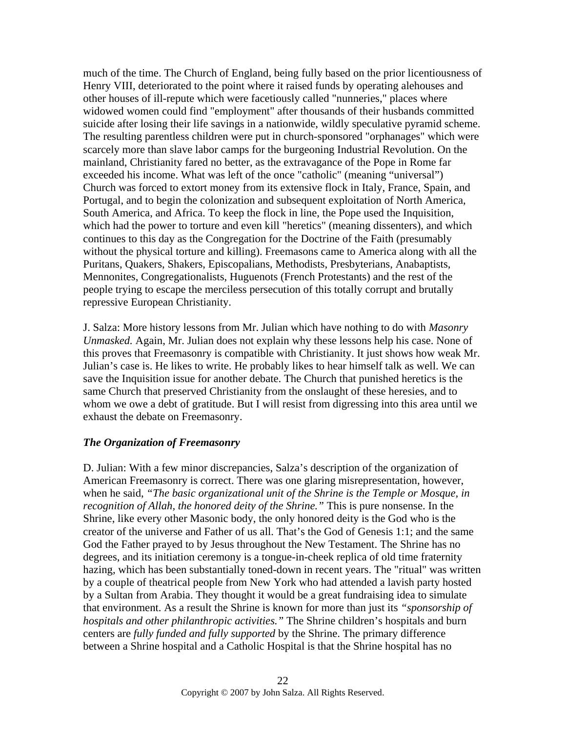much of the time. The Church of England, being fully based on the prior licentiousness of Henry VIII, deteriorated to the point where it raised funds by operating alehouses and other houses of ill-repute which were facetiously called "nunneries," places where widowed women could find "employment" after thousands of their husbands committed suicide after losing their life savings in a nationwide, wildly speculative pyramid scheme. The resulting parentless children were put in church-sponsored "orphanages" which were scarcely more than slave labor camps for the burgeoning Industrial Revolution. On the mainland, Christianity fared no better, as the extravagance of the Pope in Rome far exceeded his income. What was left of the once "catholic" (meaning "universal") Church was forced to extort money from its extensive flock in Italy, France, Spain, and Portugal, and to begin the colonization and subsequent exploitation of North America, South America, and Africa. To keep the flock in line, the Pope used the Inquisition, which had the power to torture and even kill "heretics" (meaning dissenters), and which continues to this day as the Congregation for the Doctrine of the Faith (presumably without the physical torture and killing). Freemasons came to America along with all the Puritans, Quakers, Shakers, Episcopalians, Methodists, Presbyterians, Anabaptists, Mennonites, Congregationalists, Huguenots (French Protestants) and the rest of the people trying to escape the merciless persecution of this totally corrupt and brutally repressive European Christianity.

J. Salza: More history lessons from Mr. Julian which have nothing to do with *Masonry Unmasked.* Again, Mr. Julian does not explain why these lessons help his case. None of this proves that Freemasonry is compatible with Christianity. It just shows how weak Mr. Julian's case is. He likes to write. He probably likes to hear himself talk as well. We can save the Inquisition issue for another debate. The Church that punished heretics is the same Church that preserved Christianity from the onslaught of these heresies, and to whom we owe a debt of gratitude. But I will resist from digressing into this area until we exhaust the debate on Freemasonry.

#### *The Organization of Freemasonry*

D. Julian: With a few minor discrepancies, Salza's description of the organization of American Freemasonry is correct. There was one glaring misrepresentation, however, when he said, *"The basic organizational unit of the Shrine is the Temple or Mosque, in recognition of Allah, the honored deity of the Shrine."* This is pure nonsense. In the Shrine, like every other Masonic body, the only honored deity is the God who is the creator of the universe and Father of us all. That's the God of Genesis 1:1; and the same God the Father prayed to by Jesus throughout the New Testament. The Shrine has no degrees, and its initiation ceremony is a tongue-in-cheek replica of old time fraternity hazing, which has been substantially toned-down in recent years. The "ritual" was written by a couple of theatrical people from New York who had attended a lavish party hosted by a Sultan from Arabia. They thought it would be a great fundraising idea to simulate that environment. As a result the Shrine is known for more than just its *"sponsorship of hospitals and other philanthropic activities."* The Shrine children's hospitals and burn centers are *fully funded and fully supported* by the Shrine. The primary difference between a Shrine hospital and a Catholic Hospital is that the Shrine hospital has no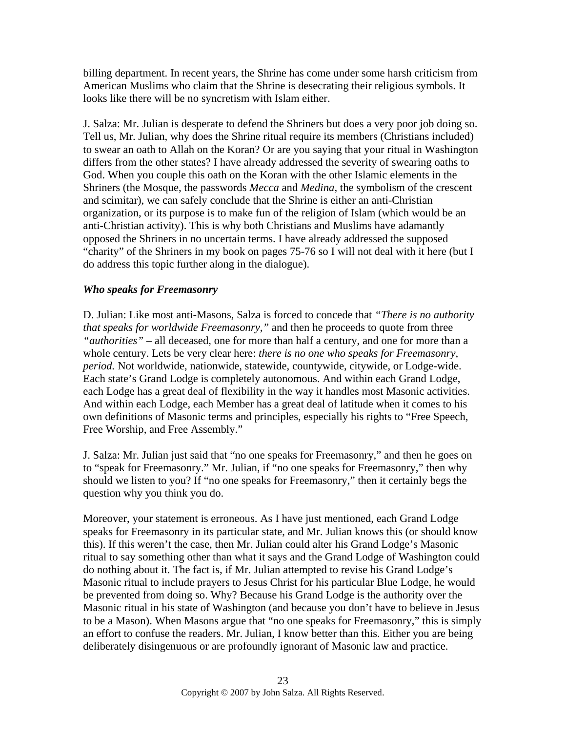billing department. In recent years, the Shrine has come under some harsh criticism from American Muslims who claim that the Shrine is desecrating their religious symbols. It looks like there will be no syncretism with Islam either.

J. Salza: Mr. Julian is desperate to defend the Shriners but does a very poor job doing so. Tell us, Mr. Julian, why does the Shrine ritual require its members (Christians included) to swear an oath to Allah on the Koran? Or are you saying that your ritual in Washington differs from the other states? I have already addressed the severity of swearing oaths to God. When you couple this oath on the Koran with the other Islamic elements in the Shriners (the Mosque, the passwords *Mecca* and *Medina*, the symbolism of the crescent and scimitar), we can safely conclude that the Shrine is either an anti-Christian organization, or its purpose is to make fun of the religion of Islam (which would be an anti-Christian activity). This is why both Christians and Muslims have adamantly opposed the Shriners in no uncertain terms. I have already addressed the supposed "charity" of the Shriners in my book on pages 75-76 so I will not deal with it here (but I do address this topic further along in the dialogue).

#### *Who speaks for Freemasonry*

D. Julian: Like most anti-Masons, Salza is forced to concede that *"There is no authority that speaks for worldwide Freemasonry,"* and then he proceeds to quote from three *"authorities"* – all deceased, one for more than half a century, and one for more than a whole century. Lets be very clear here: *there is no one who speaks for Freemasonry, period.* Not worldwide, nationwide, statewide, countywide, citywide, or Lodge-wide. Each state's Grand Lodge is completely autonomous. And within each Grand Lodge, each Lodge has a great deal of flexibility in the way it handles most Masonic activities. And within each Lodge, each Member has a great deal of latitude when it comes to his own definitions of Masonic terms and principles, especially his rights to "Free Speech, Free Worship, and Free Assembly."

J. Salza: Mr. Julian just said that "no one speaks for Freemasonry," and then he goes on to "speak for Freemasonry." Mr. Julian, if "no one speaks for Freemasonry," then why should we listen to you? If "no one speaks for Freemasonry," then it certainly begs the question why you think you do.

Moreover, your statement is erroneous. As I have just mentioned, each Grand Lodge speaks for Freemasonry in its particular state, and Mr. Julian knows this (or should know this). If this weren't the case, then Mr. Julian could alter his Grand Lodge's Masonic ritual to say something other than what it says and the Grand Lodge of Washington could do nothing about it. The fact is, if Mr. Julian attempted to revise his Grand Lodge's Masonic ritual to include prayers to Jesus Christ for his particular Blue Lodge, he would be prevented from doing so. Why? Because his Grand Lodge is the authority over the Masonic ritual in his state of Washington (and because you don't have to believe in Jesus to be a Mason). When Masons argue that "no one speaks for Freemasonry," this is simply an effort to confuse the readers. Mr. Julian, I know better than this. Either you are being deliberately disingenuous or are profoundly ignorant of Masonic law and practice.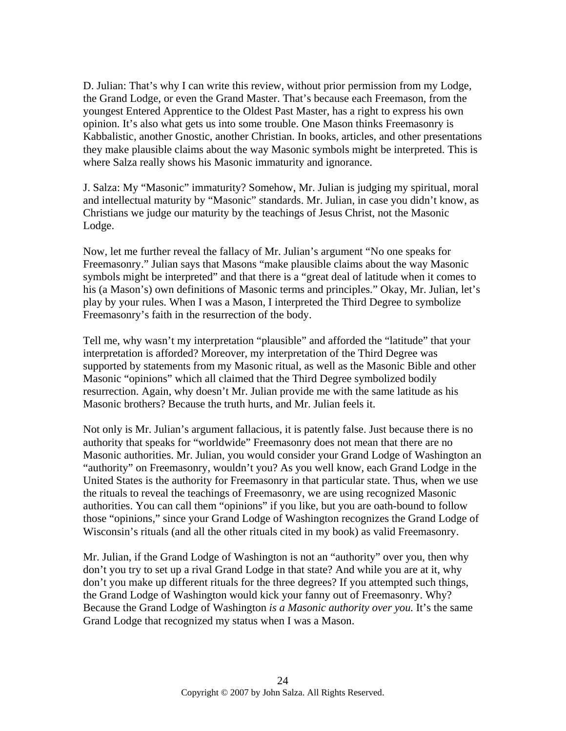D. Julian: That's why I can write this review, without prior permission from my Lodge, the Grand Lodge, or even the Grand Master. That's because each Freemason, from the youngest Entered Apprentice to the Oldest Past Master, has a right to express his own opinion. It's also what gets us into some trouble. One Mason thinks Freemasonry is Kabbalistic, another Gnostic, another Christian. In books, articles, and other presentations they make plausible claims about the way Masonic symbols might be interpreted. This is where Salza really shows his Masonic immaturity and ignorance.

J. Salza: My "Masonic" immaturity? Somehow, Mr. Julian is judging my spiritual, moral and intellectual maturity by "Masonic" standards. Mr. Julian, in case you didn't know, as Christians we judge our maturity by the teachings of Jesus Christ, not the Masonic Lodge.

Now, let me further reveal the fallacy of Mr. Julian's argument "No one speaks for Freemasonry." Julian says that Masons "make plausible claims about the way Masonic symbols might be interpreted" and that there is a "great deal of latitude when it comes to his (a Mason's) own definitions of Masonic terms and principles." Okay, Mr. Julian, let's play by your rules. When I was a Mason, I interpreted the Third Degree to symbolize Freemasonry's faith in the resurrection of the body.

Tell me, why wasn't my interpretation "plausible" and afforded the "latitude" that your interpretation is afforded? Moreover, my interpretation of the Third Degree was supported by statements from my Masonic ritual, as well as the Masonic Bible and other Masonic "opinions" which all claimed that the Third Degree symbolized bodily resurrection. Again, why doesn't Mr. Julian provide me with the same latitude as his Masonic brothers? Because the truth hurts, and Mr. Julian feels it.

Not only is Mr. Julian's argument fallacious, it is patently false. Just because there is no authority that speaks for "worldwide" Freemasonry does not mean that there are no Masonic authorities. Mr. Julian, you would consider your Grand Lodge of Washington an "authority" on Freemasonry, wouldn't you? As you well know, each Grand Lodge in the United States is the authority for Freemasonry in that particular state. Thus, when we use the rituals to reveal the teachings of Freemasonry, we are using recognized Masonic authorities. You can call them "opinions" if you like, but you are oath-bound to follow those "opinions," since your Grand Lodge of Washington recognizes the Grand Lodge of Wisconsin's rituals (and all the other rituals cited in my book) as valid Freemasonry.

Mr. Julian, if the Grand Lodge of Washington is not an "authority" over you, then why don't you try to set up a rival Grand Lodge in that state? And while you are at it, why don't you make up different rituals for the three degrees? If you attempted such things, the Grand Lodge of Washington would kick your fanny out of Freemasonry. Why? Because the Grand Lodge of Washington *is a Masonic authority over you.* It's the same Grand Lodge that recognized my status when I was a Mason.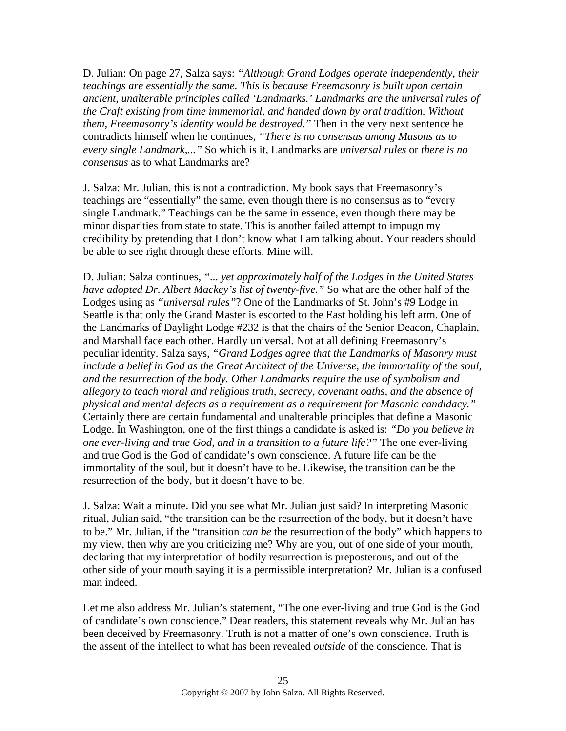D. Julian: On page 27, Salza says: *"Although Grand Lodges operate independently, their teachings are essentially the same. This is because Freemasonry is built upon certain ancient, unalterable principles called 'Landmarks.' Landmarks are the universal rules of the Craft existing from time immemorial, and handed down by oral tradition. Without them, Freemasonry's identity would be destroyed."* Then in the very next sentence he contradicts himself when he continues, *"There is no consensus among Masons as to every single Landmark,..."* So which is it, Landmarks are *universal rules* or *there is no consensus* as to what Landmarks are?

J. Salza: Mr. Julian, this is not a contradiction. My book says that Freemasonry's teachings are "essentially" the same, even though there is no consensus as to "every single Landmark." Teachings can be the same in essence, even though there may be minor disparities from state to state. This is another failed attempt to impugn my credibility by pretending that I don't know what I am talking about. Your readers should be able to see right through these efforts. Mine will.

D. Julian: Salza continues, *"... yet approximately half of the Lodges in the United States have adopted Dr. Albert Mackey's list of twenty-five."* So what are the other half of the Lodges using as *"universal rules"*? One of the Landmarks of St. John's #9 Lodge in Seattle is that only the Grand Master is escorted to the East holding his left arm. One of the Landmarks of Daylight Lodge #232 is that the chairs of the Senior Deacon, Chaplain, and Marshall face each other. Hardly universal. Not at all defining Freemasonry's peculiar identity. Salza says, *"Grand Lodges agree that the Landmarks of Masonry must include a belief in God as the Great Architect of the Universe, the immortality of the soul, and the resurrection of the body. Other Landmarks require the use of symbolism and allegory to teach moral and religious truth, secrecy, covenant oaths, and the absence of physical and mental defects as a requirement as a requirement for Masonic candidacy."*  Certainly there are certain fundamental and unalterable principles that define a Masonic Lodge. In Washington, one of the first things a candidate is asked is: *"Do you believe in one ever-living and true God, and in a transition to a future life?"* The one ever-living and true God is the God of candidate's own conscience. A future life can be the immortality of the soul, but it doesn't have to be. Likewise, the transition can be the resurrection of the body, but it doesn't have to be.

J. Salza: Wait a minute. Did you see what Mr. Julian just said? In interpreting Masonic ritual, Julian said, "the transition can be the resurrection of the body, but it doesn't have to be." Mr. Julian, if the "transition *can be* the resurrection of the body" which happens to my view, then why are you criticizing me? Why are you, out of one side of your mouth, declaring that my interpretation of bodily resurrection is preposterous, and out of the other side of your mouth saying it is a permissible interpretation? Mr. Julian is a confused man indeed.

Let me also address Mr. Julian's statement, "The one ever-living and true God is the God of candidate's own conscience." Dear readers, this statement reveals why Mr. Julian has been deceived by Freemasonry. Truth is not a matter of one's own conscience. Truth is the assent of the intellect to what has been revealed *outside* of the conscience. That is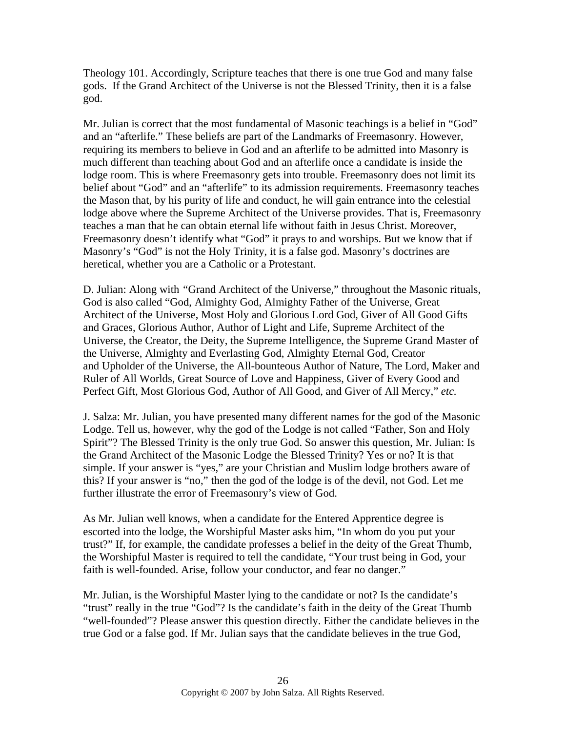Theology 101. Accordingly, Scripture teaches that there is one true God and many false gods. If the Grand Architect of the Universe is not the Blessed Trinity, then it is a false god.

Mr. Julian is correct that the most fundamental of Masonic teachings is a belief in "God" and an "afterlife." These beliefs are part of the Landmarks of Freemasonry. However, requiring its members to believe in God and an afterlife to be admitted into Masonry is much different than teaching about God and an afterlife once a candidate is inside the lodge room. This is where Freemasonry gets into trouble. Freemasonry does not limit its belief about "God" and an "afterlife" to its admission requirements. Freemasonry teaches the Mason that, by his purity of life and conduct, he will gain entrance into the celestial lodge above where the Supreme Architect of the Universe provides. That is, Freemasonry teaches a man that he can obtain eternal life without faith in Jesus Christ. Moreover, Freemasonry doesn't identify what "God" it prays to and worships. But we know that if Masonry's "God" is not the Holy Trinity, it is a false god. Masonry's doctrines are heretical, whether you are a Catholic or a Protestant.

D. Julian: Along with *"*Grand Architect of the Universe*,*" throughout the Masonic rituals, God is also called "God, Almighty God, Almighty Father of the Universe, Great Architect of the Universe, Most Holy and Glorious Lord God, Giver of All Good Gifts and Graces, Glorious Author, Author of Light and Life, Supreme Architect of the Universe, the Creator, the Deity, the Supreme Intelligence, the Supreme Grand Master of the Universe, Almighty and Everlasting God, Almighty Eternal God, Creator and Upholder of the Universe, the All-bounteous Author of Nature, The Lord, Maker and Ruler of All Worlds, Great Source of Love and Happiness, Giver of Every Good and Perfect Gift, Most Glorious God, Author of All Good, and Giver of All Mercy," *etc.* 

J. Salza: Mr. Julian, you have presented many different names for the god of the Masonic Lodge. Tell us, however, why the god of the Lodge is not called "Father, Son and Holy Spirit"? The Blessed Trinity is the only true God. So answer this question, Mr. Julian: Is the Grand Architect of the Masonic Lodge the Blessed Trinity? Yes or no? It is that simple. If your answer is "yes," are your Christian and Muslim lodge brothers aware of this? If your answer is "no," then the god of the lodge is of the devil, not God. Let me further illustrate the error of Freemasonry's view of God.

As Mr. Julian well knows, when a candidate for the Entered Apprentice degree is escorted into the lodge, the Worshipful Master asks him, "In whom do you put your trust?" If, for example, the candidate professes a belief in the deity of the Great Thumb, the Worshipful Master is required to tell the candidate, "Your trust being in God, your faith is well-founded. Arise, follow your conductor, and fear no danger."

Mr. Julian, is the Worshipful Master lying to the candidate or not? Is the candidate's "trust" really in the true "God"? Is the candidate's faith in the deity of the Great Thumb "well-founded"? Please answer this question directly. Either the candidate believes in the true God or a false god. If Mr. Julian says that the candidate believes in the true God,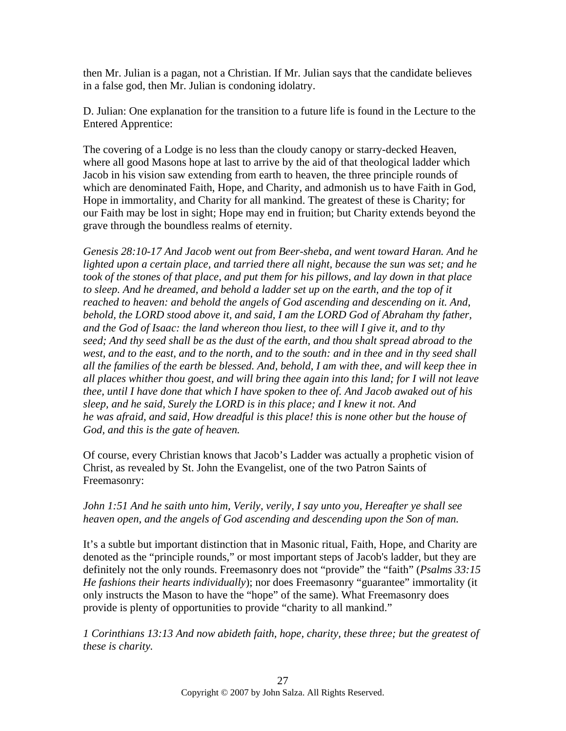then Mr. Julian is a pagan, not a Christian. If Mr. Julian says that the candidate believes in a false god, then Mr. Julian is condoning idolatry.

D. Julian: One explanation for the transition to a future life is found in the Lecture to the Entered Apprentice:

The covering of a Lodge is no less than the cloudy canopy or starry-decked Heaven, where all good Masons hope at last to arrive by the aid of that theological ladder which Jacob in his vision saw extending from earth to heaven, the three principle rounds of which are denominated Faith, Hope, and Charity, and admonish us to have Faith in God, Hope in immortality, and Charity for all mankind. The greatest of these is Charity; for our Faith may be lost in sight; Hope may end in fruition; but Charity extends beyond the grave through the boundless realms of eternity.

*Genesis 28:10-17 And Jacob went out from Beer-sheba, and went toward Haran. And he lighted upon a certain place, and tarried there all night, because the sun was set; and he took of the stones of that place, and put them for his pillows, and lay down in that place to sleep. And he dreamed, and behold a ladder set up on the earth, and the top of it reached to heaven: and behold the angels of God ascending and descending on it. And,*  behold, the LORD stood above it, and said, I am the LORD God of Abraham thy father, *and the God of Isaac: the land whereon thou liest, to thee will I give it, and to thy seed; And thy seed shall be as the dust of the earth, and thou shalt spread abroad to the west, and to the east, and to the north, and to the south: and in thee and in thy seed shall all the families of the earth be blessed. And, behold, I am with thee, and will keep thee in all places whither thou goest, and will bring thee again into this land; for I will not leave thee, until I have done that which I have spoken to thee of. And Jacob awaked out of his sleep, and he said, Surely the LORD is in this place; and I knew it not. And he was afraid, and said, How dreadful is this place! this is none other but the house of God, and this is the gate of heaven.* 

Of course, every Christian knows that Jacob's Ladder was actually a prophetic vision of Christ, as revealed by St. John the Evangelist, one of the two Patron Saints of Freemasonry:

# *John 1:51 And he saith unto him, Verily, verily, I say unto you, Hereafter ye shall see heaven open, and the angels of God ascending and descending upon the Son of man.*

It's a subtle but important distinction that in Masonic ritual, Faith, Hope, and Charity are denoted as the "principle rounds," or most important steps of Jacob's ladder, but they are definitely not the only rounds. Freemasonry does not "provide" the "faith" (*Psalms 33:15 He fashions their hearts individually*); nor does Freemasonry "guarantee" immortality (it only instructs the Mason to have the "hope" of the same). What Freemasonry does provide is plenty of opportunities to provide "charity to all mankind."

*1 Corinthians 13:13 And now abideth faith, hope, charity, these three; but the greatest of these is charity.*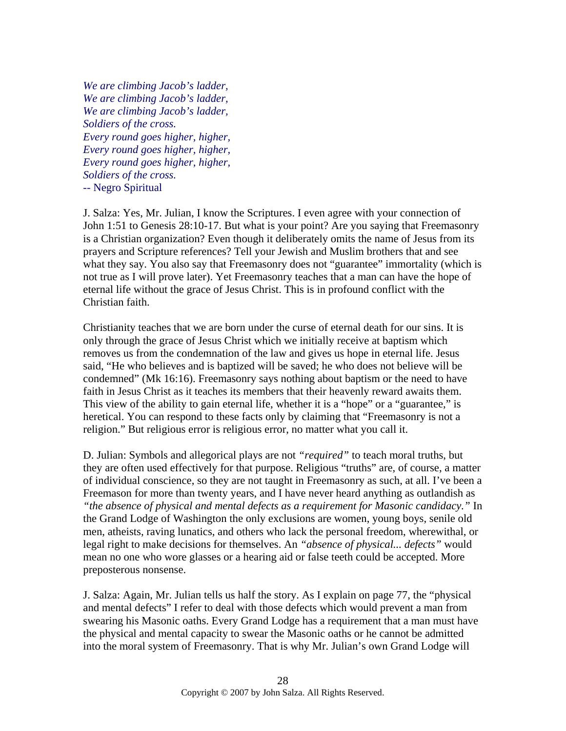*We are climbing Jacob's ladder, We are climbing Jacob's ladder, We are climbing Jacob's ladder, Soldiers of the cross. Every round goes higher, higher, Every round goes higher, higher, Every round goes higher, higher, Soldiers of the cross. --* Negro Spiritual

J. Salza: Yes, Mr. Julian, I know the Scriptures. I even agree with your connection of John 1:51 to Genesis 28:10-17. But what is your point? Are you saying that Freemasonry is a Christian organization? Even though it deliberately omits the name of Jesus from its prayers and Scripture references? Tell your Jewish and Muslim brothers that and see what they say. You also say that Freemasonry does not "guarantee" immortality (which is not true as I will prove later). Yet Freemasonry teaches that a man can have the hope of eternal life without the grace of Jesus Christ. This is in profound conflict with the Christian faith.

Christianity teaches that we are born under the curse of eternal death for our sins. It is only through the grace of Jesus Christ which we initially receive at baptism which removes us from the condemnation of the law and gives us hope in eternal life. Jesus said, "He who believes and is baptized will be saved; he who does not believe will be condemned" (Mk 16:16). Freemasonry says nothing about baptism or the need to have faith in Jesus Christ as it teaches its members that their heavenly reward awaits them. This view of the ability to gain eternal life, whether it is a "hope" or a "guarantee," is heretical. You can respond to these facts only by claiming that "Freemasonry is not a religion." But religious error is religious error, no matter what you call it.

D. Julian: Symbols and allegorical plays are not *"required"* to teach moral truths, but they are often used effectively for that purpose. Religious "truths" are, of course, a matter of individual conscience, so they are not taught in Freemasonry as such, at all. I've been a Freemason for more than twenty years, and I have never heard anything as outlandish as *"the absence of physical and mental defects as a requirement for Masonic candidacy."* In the Grand Lodge of Washington the only exclusions are women, young boys, senile old men, atheists, raving lunatics, and others who lack the personal freedom, wherewithal, or legal right to make decisions for themselves. An *"absence of physical... defects"* would mean no one who wore glasses or a hearing aid or false teeth could be accepted. More preposterous nonsense.

J. Salza: Again, Mr. Julian tells us half the story. As I explain on page 77, the "physical and mental defects" I refer to deal with those defects which would prevent a man from swearing his Masonic oaths. Every Grand Lodge has a requirement that a man must have the physical and mental capacity to swear the Masonic oaths or he cannot be admitted into the moral system of Freemasonry. That is why Mr. Julian's own Grand Lodge will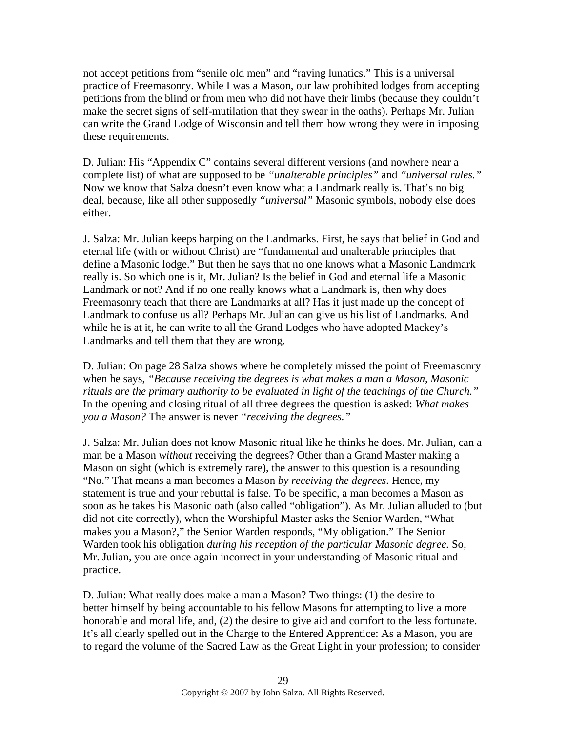not accept petitions from "senile old men" and "raving lunatics." This is a universal practice of Freemasonry. While I was a Mason, our law prohibited lodges from accepting petitions from the blind or from men who did not have their limbs (because they couldn't make the secret signs of self-mutilation that they swear in the oaths). Perhaps Mr. Julian can write the Grand Lodge of Wisconsin and tell them how wrong they were in imposing these requirements.

D. Julian: His "Appendix C" contains several different versions (and nowhere near a complete list) of what are supposed to be *"unalterable principles"* and *"universal rules."*  Now we know that Salza doesn't even know what a Landmark really is. That's no big deal, because, like all other supposedly *"universal"* Masonic symbols, nobody else does either.

J. Salza: Mr. Julian keeps harping on the Landmarks. First, he says that belief in God and eternal life (with or without Christ) are "fundamental and unalterable principles that define a Masonic lodge." But then he says that no one knows what a Masonic Landmark really is. So which one is it, Mr. Julian? Is the belief in God and eternal life a Masonic Landmark or not? And if no one really knows what a Landmark is, then why does Freemasonry teach that there are Landmarks at all? Has it just made up the concept of Landmark to confuse us all? Perhaps Mr. Julian can give us his list of Landmarks. And while he is at it, he can write to all the Grand Lodges who have adopted Mackey's Landmarks and tell them that they are wrong.

D. Julian: On page 28 Salza shows where he completely missed the point of Freemasonry when he says, *"Because receiving the degrees is what makes a man a Mason, Masonic rituals are the primary authority to be evaluated in light of the teachings of the Church."*  In the opening and closing ritual of all three degrees the question is asked: *What makes you a Mason?* The answer is never *"receiving the degrees."* 

J. Salza: Mr. Julian does not know Masonic ritual like he thinks he does. Mr. Julian, can a man be a Mason *without* receiving the degrees? Other than a Grand Master making a Mason on sight (which is extremely rare), the answer to this question is a resounding "No." That means a man becomes a Mason *by receiving the degrees*. Hence, my statement is true and your rebuttal is false. To be specific, a man becomes a Mason as soon as he takes his Masonic oath (also called "obligation"). As Mr. Julian alluded to (but did not cite correctly), when the Worshipful Master asks the Senior Warden, "What makes you a Mason?," the Senior Warden responds, "My obligation." The Senior Warden took his obligation *during his reception of the particular Masonic degree.* So, Mr. Julian, you are once again incorrect in your understanding of Masonic ritual and practice.

D. Julian: What really does make a man a Mason? Two things: (1) the desire to better himself by being accountable to his fellow Masons for attempting to live a more honorable and moral life, and, (2) the desire to give aid and comfort to the less fortunate. It's all clearly spelled out in the Charge to the Entered Apprentice: As a Mason, you are to regard the volume of the Sacred Law as the Great Light in your profession; to consider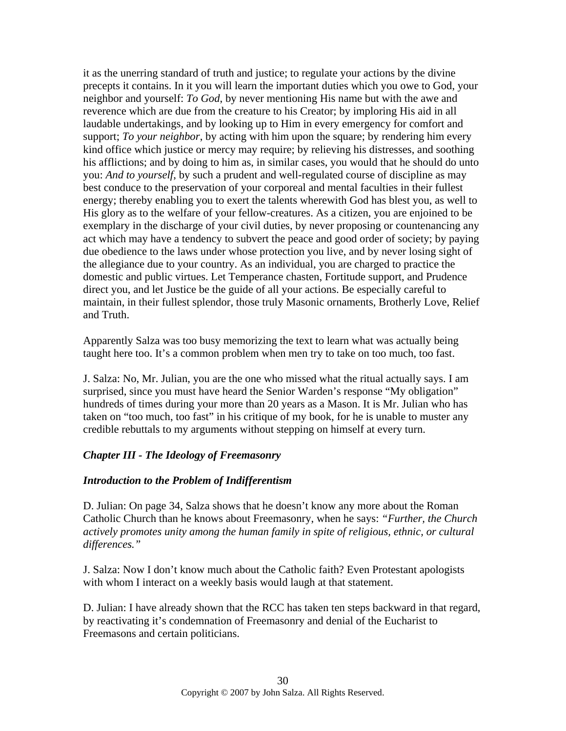it as the unerring standard of truth and justice; to regulate your actions by the divine precepts it contains. In it you will learn the important duties which you owe to God, your neighbor and yourself: *To God*, by never mentioning His name but with the awe and reverence which are due from the creature to his Creator; by imploring His aid in all laudable undertakings, and by looking up to Him in every emergency for comfort and support; *To your neighbor*, by acting with him upon the square; by rendering him every kind office which justice or mercy may require; by relieving his distresses, and soothing his afflictions; and by doing to him as, in similar cases, you would that he should do unto you: *And to yourself*, by such a prudent and well-regulated course of discipline as may best conduce to the preservation of your corporeal and mental faculties in their fullest energy; thereby enabling you to exert the talents wherewith God has blest you, as well to His glory as to the welfare of your fellow-creatures. As a citizen, you are enjoined to be exemplary in the discharge of your civil duties, by never proposing or countenancing any act which may have a tendency to subvert the peace and good order of society; by paying due obedience to the laws under whose protection you live, and by never losing sight of the allegiance due to your country. As an individual, you are charged to practice the domestic and public virtues. Let Temperance chasten, Fortitude support, and Prudence direct you, and let Justice be the guide of all your actions. Be especially careful to maintain, in their fullest splendor, those truly Masonic ornaments, Brotherly Love, Relief and Truth.

Apparently Salza was too busy memorizing the text to learn what was actually being taught here too. It's a common problem when men try to take on too much, too fast.

J. Salza: No, Mr. Julian, you are the one who missed what the ritual actually says. I am surprised, since you must have heard the Senior Warden's response "My obligation" hundreds of times during your more than 20 years as a Mason. It is Mr. Julian who has taken on "too much, too fast" in his critique of my book, for he is unable to muster any credible rebuttals to my arguments without stepping on himself at every turn.

#### *Chapter III - The Ideology of Freemasonry*

#### *Introduction to the Problem of Indifferentism*

D. Julian: On page 34, Salza shows that he doesn't know any more about the Roman Catholic Church than he knows about Freemasonry, when he says: *"Further, the Church actively promotes unity among the human family in spite of religious, ethnic, or cultural differences."* 

J. Salza: Now I don't know much about the Catholic faith? Even Protestant apologists with whom I interact on a weekly basis would laugh at that statement.

D. Julian: I have already shown that the RCC has taken ten steps backward in that regard, by reactivating it's condemnation of Freemasonry and denial of the Eucharist to Freemasons and certain politicians.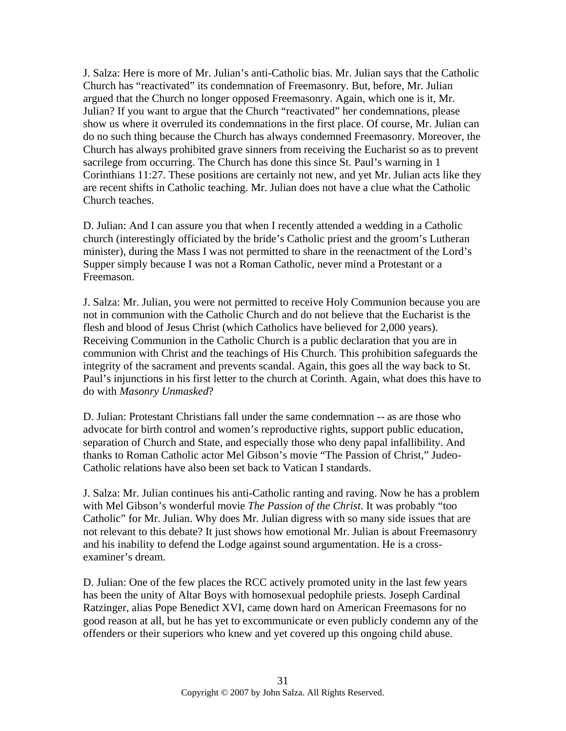J. Salza: Here is more of Mr. Julian's anti-Catholic bias. Mr. Julian says that the Catholic Church has "reactivated" its condemnation of Freemasonry. But, before, Mr. Julian argued that the Church no longer opposed Freemasonry. Again, which one is it, Mr. Julian? If you want to argue that the Church "reactivated" her condemnations, please show us where it overruled its condemnations in the first place. Of course, Mr. Julian can do no such thing because the Church has always condemned Freemasonry. Moreover, the Church has always prohibited grave sinners from receiving the Eucharist so as to prevent sacrilege from occurring. The Church has done this since St. Paul's warning in 1 Corinthians 11:27. These positions are certainly not new, and yet Mr. Julian acts like they are recent shifts in Catholic teaching. Mr. Julian does not have a clue what the Catholic Church teaches.

D. Julian: And I can assure you that when I recently attended a wedding in a Catholic church (interestingly officiated by the bride's Catholic priest and the groom's Lutheran minister), during the Mass I was not permitted to share in the reenactment of the Lord's Supper simply because I was not a Roman Catholic, never mind a Protestant or a Freemason.

J. Salza: Mr. Julian, you were not permitted to receive Holy Communion because you are not in communion with the Catholic Church and do not believe that the Eucharist is the flesh and blood of Jesus Christ (which Catholics have believed for 2,000 years). Receiving Communion in the Catholic Church is a public declaration that you are in communion with Christ and the teachings of His Church. This prohibition safeguards the integrity of the sacrament and prevents scandal. Again, this goes all the way back to St. Paul's injunctions in his first letter to the church at Corinth. Again, what does this have to do with *Masonry Unmasked*?

D. Julian: Protestant Christians fall under the same condemnation -- as are those who advocate for birth control and women's reproductive rights, support public education, separation of Church and State, and especially those who deny papal infallibility. And thanks to Roman Catholic actor Mel Gibson's movie "The Passion of Christ," Judeo-Catholic relations have also been set back to Vatican I standards.

J. Salza: Mr. Julian continues his anti-Catholic ranting and raving. Now he has a problem with Mel Gibson's wonderful movie *The Passion of the Christ*. It was probably "too Catholic" for Mr. Julian. Why does Mr. Julian digress with so many side issues that are not relevant to this debate? It just shows how emotional Mr. Julian is about Freemasonry and his inability to defend the Lodge against sound argumentation. He is a crossexaminer's dream.

D. Julian: One of the few places the RCC actively promoted unity in the last few years has been the unity of Altar Boys with homosexual pedophile priests. Joseph Cardinal Ratzinger, alias Pope Benedict XVI, came down hard on American Freemasons for no good reason at all, but he has yet to excommunicate or even publicly condemn any of the offenders or their superiors who knew and yet covered up this ongoing child abuse.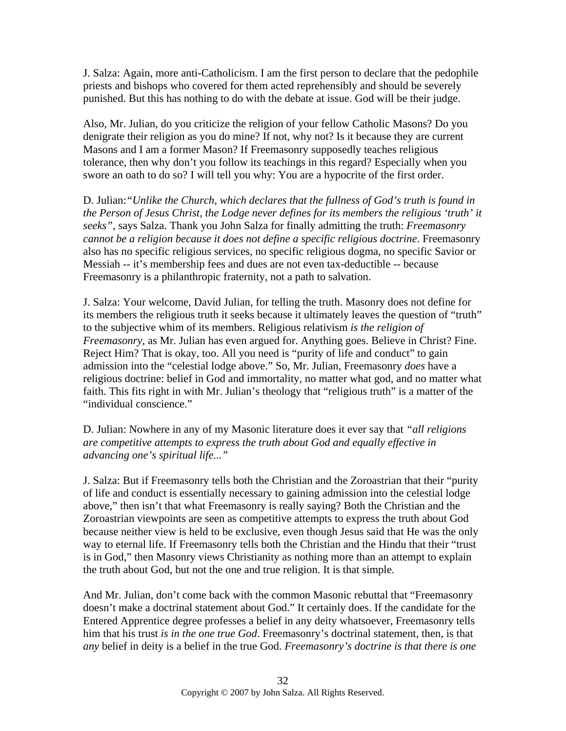J. Salza: Again, more anti-Catholicism. I am the first person to declare that the pedophile priests and bishops who covered for them acted reprehensibly and should be severely punished. But this has nothing to do with the debate at issue. God will be their judge.

Also, Mr. Julian, do you criticize the religion of your fellow Catholic Masons? Do you denigrate their religion as you do mine? If not, why not? Is it because they are current Masons and I am a former Mason? If Freemasonry supposedly teaches religious tolerance, then why don't you follow its teachings in this regard? Especially when you swore an oath to do so? I will tell you why: You are a hypocrite of the first order.

D. Julian:*"Unlike the Church, which declares that the fullness of God's truth is found in the Person of Jesus Christ, the Lodge never defines for its members the religious 'truth' it seeks",* says Salza. Thank you John Salza for finally admitting the truth: *Freemasonry cannot be a religion because it does not define a specific religious doctrine*. Freemasonry also has no specific religious services, no specific religious dogma, no specific Savior or Messiah -- it's membership fees and dues are not even tax-deductible -- because Freemasonry is a philanthropic fraternity, not a path to salvation.

J. Salza: Your welcome, David Julian, for telling the truth. Masonry does not define for its members the religious truth it seeks because it ultimately leaves the question of "truth" to the subjective whim of its members. Religious relativism *is the religion of Freemasonry*, as Mr. Julian has even argued for. Anything goes. Believe in Christ? Fine. Reject Him? That is okay, too. All you need is "purity of life and conduct" to gain admission into the "celestial lodge above." So, Mr. Julian, Freemasonry *does* have a religious doctrine: belief in God and immortality, no matter what god, and no matter what faith. This fits right in with Mr. Julian's theology that "religious truth" is a matter of the "individual conscience."

D. Julian: Nowhere in any of my Masonic literature does it ever say that *"all religions are competitive attempts to express the truth about God and equally effective in advancing one's spiritual life..."* 

J. Salza: But if Freemasonry tells both the Christian and the Zoroastrian that their "purity of life and conduct is essentially necessary to gaining admission into the celestial lodge above," then isn't that what Freemasonry is really saying? Both the Christian and the Zoroastrian viewpoints are seen as competitive attempts to express the truth about God because neither view is held to be exclusive, even though Jesus said that He was the only way to eternal life. If Freemasonry tells both the Christian and the Hindu that their "trust is in God," then Masonry views Christianity as nothing more than an attempt to explain the truth about God, but not the one and true religion. It is that simple.

And Mr. Julian, don't come back with the common Masonic rebuttal that "Freemasonry doesn't make a doctrinal statement about God." It certainly does. If the candidate for the Entered Apprentice degree professes a belief in any deity whatsoever, Freemasonry tells him that his trust *is in the one true God*. Freemasonry's doctrinal statement, then, is that *any* belief in deity is a belief in the true God. *Freemasonry's doctrine is that there is one*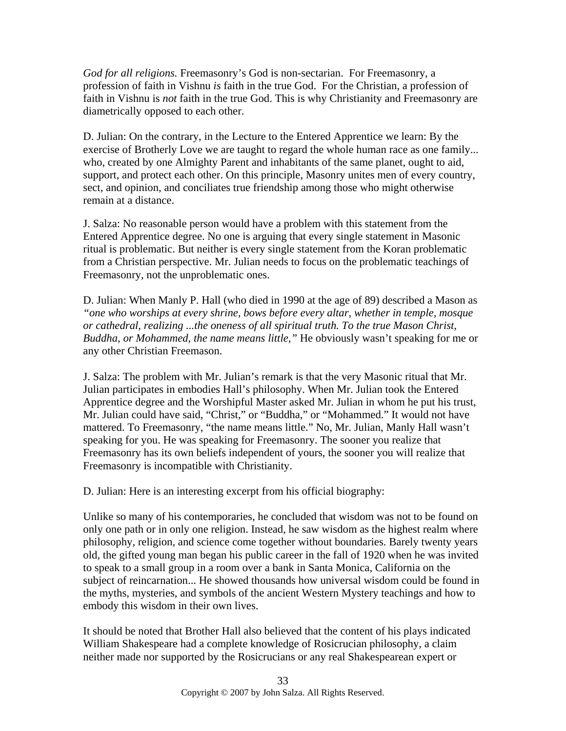*God for all religions.* Freemasonry's God is non-sectarian. For Freemasonry, a profession of faith in Vishnu *is* faith in the true God. For the Christian, a profession of faith in Vishnu is *not* faith in the true God. This is why Christianity and Freemasonry are diametrically opposed to each other.

D. Julian: On the contrary, in the Lecture to the Entered Apprentice we learn: By the exercise of Brotherly Love we are taught to regard the whole human race as one family... who, created by one Almighty Parent and inhabitants of the same planet, ought to aid, support, and protect each other. On this principle, Masonry unites men of every country, sect, and opinion, and conciliates true friendship among those who might otherwise remain at a distance.

J. Salza: No reasonable person would have a problem with this statement from the Entered Apprentice degree. No one is arguing that every single statement in Masonic ritual is problematic. But neither is every single statement from the Koran problematic from a Christian perspective. Mr. Julian needs to focus on the problematic teachings of Freemasonry, not the unproblematic ones.

D. Julian: When Manly P. Hall (who died in 1990 at the age of 89) described a Mason as *"one who worships at every shrine, bows before every altar, whether in temple, mosque or cathedral, realizing ...the oneness of all spiritual truth. To the true Mason Christ, Buddha, or Mohammed, the name means little,"* He obviously wasn't speaking for me or any other Christian Freemason.

J. Salza: The problem with Mr. Julian's remark is that the very Masonic ritual that Mr. Julian participates in embodies Hall's philosophy. When Mr. Julian took the Entered Apprentice degree and the Worshipful Master asked Mr. Julian in whom he put his trust, Mr. Julian could have said, "Christ," or "Buddha," or "Mohammed." It would not have mattered. To Freemasonry, "the name means little." No, Mr. Julian, Manly Hall wasn't speaking for you. He was speaking for Freemasonry. The sooner you realize that Freemasonry has its own beliefs independent of yours, the sooner you will realize that Freemasonry is incompatible with Christianity.

D. Julian: Here is an interesting excerpt from his official biography:

Unlike so many of his contemporaries, he concluded that wisdom was not to be found on only one path or in only one religion. Instead, he saw wisdom as the highest realm where philosophy, religion, and science come together without boundaries. Barely twenty years old, the gifted young man began his public career in the fall of 1920 when he was invited to speak to a small group in a room over a bank in Santa Monica, California on the subject of reincarnation... He showed thousands how universal wisdom could be found in the myths, mysteries, and symbols of the ancient Western Mystery teachings and how to embody this wisdom in their own lives.

It should be noted that Brother Hall also believed that the content of his plays indicated William Shakespeare had a complete knowledge of Rosicrucian philosophy, a claim neither made nor supported by the Rosicrucians or any real Shakespearean expert or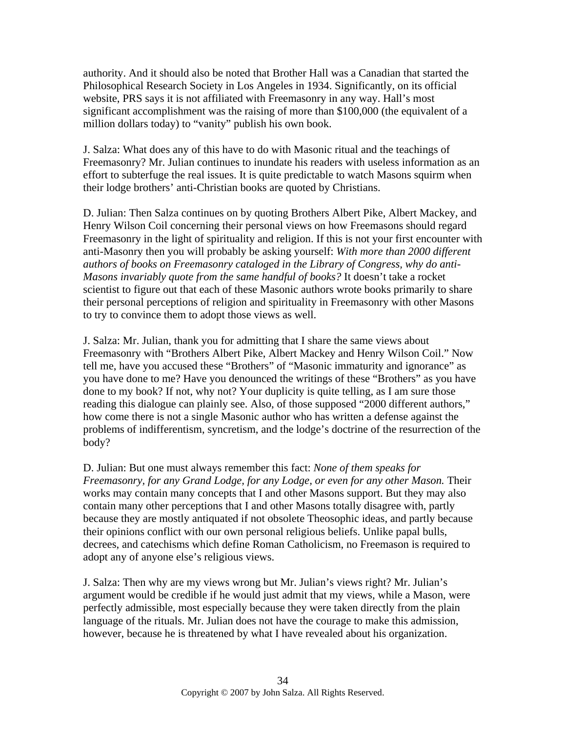authority. And it should also be noted that Brother Hall was a Canadian that started the Philosophical Research Society in Los Angeles in 1934. Significantly, on its official website, PRS says it is not affiliated with Freemasonry in any way. Hall's most significant accomplishment was the raising of more than \$100,000 (the equivalent of a million dollars today) to "vanity" publish his own book.

J. Salza: What does any of this have to do with Masonic ritual and the teachings of Freemasonry? Mr. Julian continues to inundate his readers with useless information as an effort to subterfuge the real issues. It is quite predictable to watch Masons squirm when their lodge brothers' anti-Christian books are quoted by Christians.

D. Julian: Then Salza continues on by quoting Brothers Albert Pike, Albert Mackey, and Henry Wilson Coil concerning their personal views on how Freemasons should regard Freemasonry in the light of spirituality and religion. If this is not your first encounter with anti-Masonry then you will probably be asking yourself: *With more than 2000 different authors of books on Freemasonry cataloged in the Library of Congress, why do anti-Masons invariably quote from the same handful of books?* It doesn't take a rocket scientist to figure out that each of these Masonic authors wrote books primarily to share their personal perceptions of religion and spirituality in Freemasonry with other Masons to try to convince them to adopt those views as well.

J. Salza: Mr. Julian, thank you for admitting that I share the same views about Freemasonry with "Brothers Albert Pike, Albert Mackey and Henry Wilson Coil." Now tell me, have you accused these "Brothers" of "Masonic immaturity and ignorance" as you have done to me? Have you denounced the writings of these "Brothers" as you have done to my book? If not, why not? Your duplicity is quite telling, as I am sure those reading this dialogue can plainly see. Also, of those supposed "2000 different authors," how come there is not a single Masonic author who has written a defense against the problems of indifferentism, syncretism, and the lodge's doctrine of the resurrection of the body?

D. Julian: But one must always remember this fact: *None of them speaks for Freemasonry, for any Grand Lodge, for any Lodge, or even for any other Mason.* Their works may contain many concepts that I and other Masons support. But they may also contain many other perceptions that I and other Masons totally disagree with, partly because they are mostly antiquated if not obsolete Theosophic ideas, and partly because their opinions conflict with our own personal religious beliefs. Unlike papal bulls, decrees, and catechisms which define Roman Catholicism, no Freemason is required to adopt any of anyone else's religious views.

J. Salza: Then why are my views wrong but Mr. Julian's views right? Mr. Julian's argument would be credible if he would just admit that my views, while a Mason, were perfectly admissible, most especially because they were taken directly from the plain language of the rituals. Mr. Julian does not have the courage to make this admission, however, because he is threatened by what I have revealed about his organization.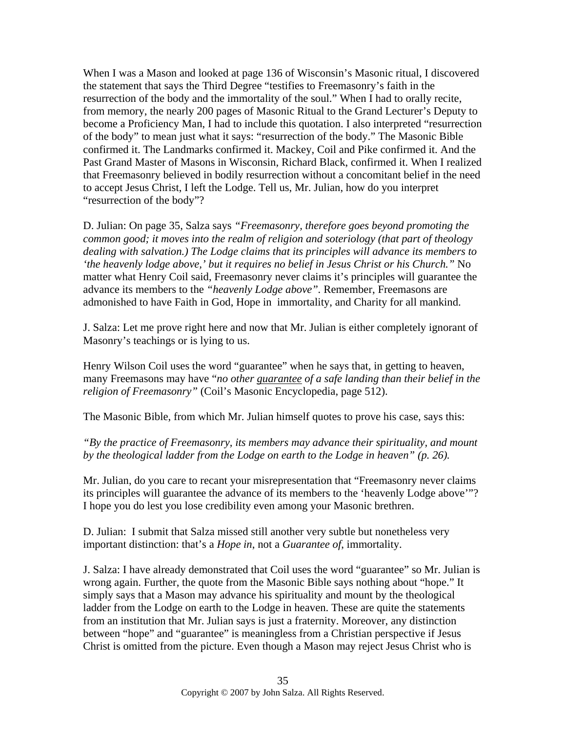When I was a Mason and looked at page 136 of Wisconsin's Masonic ritual, I discovered the statement that says the Third Degree "testifies to Freemasonry's faith in the resurrection of the body and the immortality of the soul." When I had to orally recite, from memory, the nearly 200 pages of Masonic Ritual to the Grand Lecturer's Deputy to become a Proficiency Man, I had to include this quotation. I also interpreted "resurrection of the body" to mean just what it says: "resurrection of the body." The Masonic Bible confirmed it. The Landmarks confirmed it. Mackey, Coil and Pike confirmed it. And the Past Grand Master of Masons in Wisconsin, Richard Black, confirmed it. When I realized that Freemasonry believed in bodily resurrection without a concomitant belief in the need to accept Jesus Christ, I left the Lodge. Tell us, Mr. Julian, how do you interpret "resurrection of the body"?

D. Julian: On page 35, Salza says *"Freemasonry, therefore goes beyond promoting the common good; it moves into the realm of religion and soteriology (that part of theology dealing with salvation.) The Lodge claims that its principles will advance its members to 'the heavenly lodge above,' but it requires no belief in Jesus Christ or his Church."* No matter what Henry Coil said, Freemasonry never claims it's principles will guarantee the advance its members to the *"heavenly Lodge above".* Remember, Freemasons are admonished to have Faith in God, Hope in immortality, and Charity for all mankind.

J. Salza: Let me prove right here and now that Mr. Julian is either completely ignorant of Masonry's teachings or is lying to us.

Henry Wilson Coil uses the word "guarantee" when he says that, in getting to heaven, many Freemasons may have "*no other guarantee of a safe landing than their belief in the religion of Freemasonry"* (Coil's Masonic Encyclopedia, page 512).

The Masonic Bible, from which Mr. Julian himself quotes to prove his case, says this:

*"By the practice of Freemasonry, its members may advance their spirituality, and mount by the theological ladder from the Lodge on earth to the Lodge in heaven" (p. 26).* 

Mr. Julian, do you care to recant your misrepresentation that "Freemasonry never claims its principles will guarantee the advance of its members to the 'heavenly Lodge above'"? I hope you do lest you lose credibility even among your Masonic brethren.

D. Julian: I submit that Salza missed still another very subtle but nonetheless very important distinction: that's a *Hope in*, not a *Guarantee of*, immortality.

J. Salza: I have already demonstrated that Coil uses the word "guarantee" so Mr. Julian is wrong again. Further, the quote from the Masonic Bible says nothing about "hope." It simply says that a Mason may advance his spirituality and mount by the theological ladder from the Lodge on earth to the Lodge in heaven. These are quite the statements from an institution that Mr. Julian says is just a fraternity. Moreover, any distinction between "hope" and "guarantee" is meaningless from a Christian perspective if Jesus Christ is omitted from the picture. Even though a Mason may reject Jesus Christ who is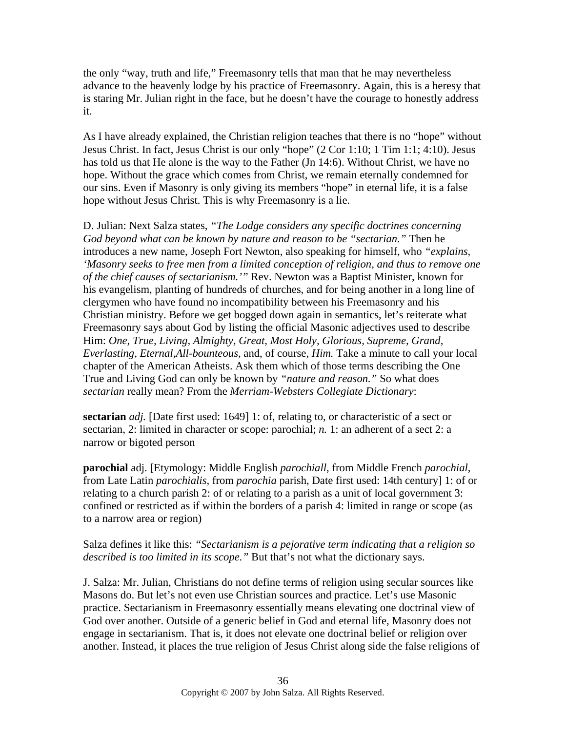the only "way, truth and life," Freemasonry tells that man that he may nevertheless advance to the heavenly lodge by his practice of Freemasonry. Again, this is a heresy that is staring Mr. Julian right in the face, but he doesn't have the courage to honestly address it.

As I have already explained, the Christian religion teaches that there is no "hope" without Jesus Christ. In fact, Jesus Christ is our only "hope" (2 Cor 1:10; 1 Tim 1:1; 4:10). Jesus has told us that He alone is the way to the Father (Jn 14:6). Without Christ, we have no hope. Without the grace which comes from Christ, we remain eternally condemned for our sins. Even if Masonry is only giving its members "hope" in eternal life, it is a false hope without Jesus Christ. This is why Freemasonry is a lie.

D. Julian: Next Salza states, *"The Lodge considers any specific doctrines concerning God beyond what can be known by nature and reason to be "sectarian."* Then he introduces a new name, Joseph Fort Newton, also speaking for himself, who *"explains, 'Masonry seeks to free men from a limited conception of religion, and thus to remove one of the chief causes of sectarianism.'"* Rev. Newton was a Baptist Minister, known for his evangelism, planting of hundreds of churches, and for being another in a long line of clergymen who have found no incompatibility between his Freemasonry and his Christian ministry. Before we get bogged down again in semantics, let's reiterate what Freemasonry says about God by listing the official Masonic adjectives used to describe Him: *One, True, Living, Almighty, Great, Most Holy, Glorious, Supreme, Grand, Everlasting, Eternal,All-bounteous,* and, of course*, Him.* Take a minute to call your local chapter of the American Atheists. Ask them which of those terms describing the One True and Living God can only be known by *"nature and reason."* So what does *sectarian* really mean? From the *Merriam-Websters Collegiate Dictionary*:

**sectarian** *adj.* [Date first used: 1649] 1: of, relating to, or characteristic of a sect or sectarian, 2: limited in character or scope: parochial; *n.* 1: an adherent of a sect 2: a narrow or bigoted person

**parochial** adj. [Etymology: Middle English *parochiall*, from Middle French *parochial*, from Late Latin *parochialis,* from *parochia* parish, Date first used: 14th century] 1: of or relating to a church parish 2: of or relating to a parish as a unit of local government 3: confined or restricted as if within the borders of a parish 4: limited in range or scope (as to a narrow area or region)

#### Salza defines it like this: *"Sectarianism is a pejorative term indicating that a religion so described is too limited in its scope."* But that's not what the dictionary says.

J. Salza: Mr. Julian, Christians do not define terms of religion using secular sources like Masons do. But let's not even use Christian sources and practice. Let's use Masonic practice. Sectarianism in Freemasonry essentially means elevating one doctrinal view of God over another. Outside of a generic belief in God and eternal life, Masonry does not engage in sectarianism. That is, it does not elevate one doctrinal belief or religion over another. Instead, it places the true religion of Jesus Christ along side the false religions of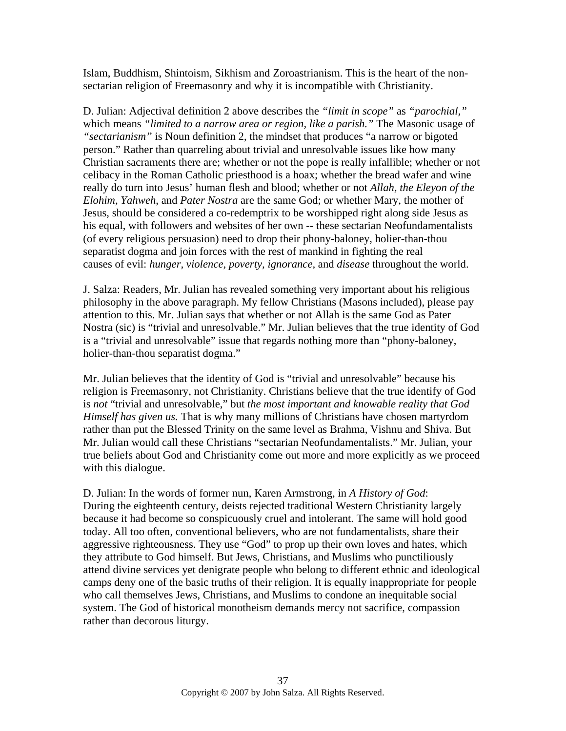Islam, Buddhism, Shintoism, Sikhism and Zoroastrianism. This is the heart of the nonsectarian religion of Freemasonry and why it is incompatible with Christianity.

D. Julian: Adjectival definition 2 above describes the *"limit in scope"* as *"parochial,"*  which means *"limited to a narrow area or region, like a parish."* The Masonic usage of *"sectarianism"* is Noun definition 2, the mindset that produces "a narrow or bigoted person." Rather than quarreling about trivial and unresolvable issues like how many Christian sacraments there are; whether or not the pope is really infallible; whether or not celibacy in the Roman Catholic priesthood is a hoax; whether the bread wafer and wine really do turn into Jesus' human flesh and blood; whether or not *Allah, the Eleyon of the Elohim, Yahweh*, and *Pater Nostra* are the same God; or whether Mary, the mother of Jesus, should be considered a co-redemptrix to be worshipped right along side Jesus as his equal, with followers and websites of her own -- these sectarian Neofundamentalists (of every religious persuasion) need to drop their phony-baloney, holier-than-thou separatist dogma and join forces with the rest of mankind in fighting the real causes of evil: *hunger, violence, poverty, ignorance,* and *disease* throughout the world.

J. Salza: Readers, Mr. Julian has revealed something very important about his religious philosophy in the above paragraph. My fellow Christians (Masons included), please pay attention to this. Mr. Julian says that whether or not Allah is the same God as Pater Nostra (sic) is "trivial and unresolvable." Mr. Julian believes that the true identity of God is a "trivial and unresolvable" issue that regards nothing more than "phony-baloney, holier-than-thou separatist dogma."

Mr. Julian believes that the identity of God is "trivial and unresolvable" because his religion is Freemasonry, not Christianity. Christians believe that the true identify of God is *not* "trivial and unresolvable," but *the most important and knowable reality that God Himself has given us.* That is why many millions of Christians have chosen martyrdom rather than put the Blessed Trinity on the same level as Brahma, Vishnu and Shiva. But Mr. Julian would call these Christians "sectarian Neofundamentalists." Mr. Julian, your true beliefs about God and Christianity come out more and more explicitly as we proceed with this dialogue.

D. Julian: In the words of former nun, Karen Armstrong, in *A History of God*: During the eighteenth century, deists rejected traditional Western Christianity largely because it had become so conspicuously cruel and intolerant. The same will hold good today. All too often, conventional believers, who are not fundamentalists, share their aggressive righteousness. They use "God" to prop up their own loves and hates, which they attribute to God himself. But Jews, Christians, and Muslims who punctiliously attend divine services yet denigrate people who belong to different ethnic and ideological camps deny one of the basic truths of their religion. It is equally inappropriate for people who call themselves Jews, Christians, and Muslims to condone an inequitable social system. The God of historical monotheism demands mercy not sacrifice, compassion rather than decorous liturgy.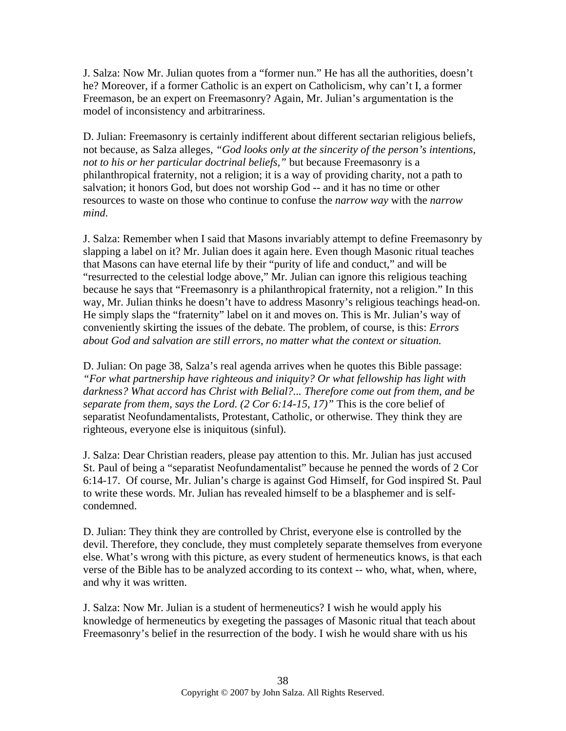J. Salza: Now Mr. Julian quotes from a "former nun." He has all the authorities, doesn't he? Moreover, if a former Catholic is an expert on Catholicism, why can't I, a former Freemason, be an expert on Freemasonry? Again, Mr. Julian's argumentation is the model of inconsistency and arbitrariness.

D. Julian: Freemasonry is certainly indifferent about different sectarian religious beliefs, not because, as Salza alleges, *"God looks only at the sincerity of the person's intentions, not to his or her particular doctrinal beliefs,"* but because Freemasonry is a philanthropical fraternity, not a religion; it is a way of providing charity, not a path to salvation; it honors God, but does not worship God -- and it has no time or other resources to waste on those who continue to confuse the *narrow way* with the *narrow mind*.

J. Salza: Remember when I said that Masons invariably attempt to define Freemasonry by slapping a label on it? Mr. Julian does it again here. Even though Masonic ritual teaches that Masons can have eternal life by their "purity of life and conduct," and will be "resurrected to the celestial lodge above," Mr. Julian can ignore this religious teaching because he says that "Freemasonry is a philanthropical fraternity, not a religion." In this way, Mr. Julian thinks he doesn't have to address Masonry's religious teachings head-on. He simply slaps the "fraternity" label on it and moves on. This is Mr. Julian's way of conveniently skirting the issues of the debate. The problem, of course, is this: *Errors about God and salvation are still errors, no matter what the context or situation.*

D. Julian: On page 38, Salza's real agenda arrives when he quotes this Bible passage: *"For what partnership have righteous and iniquity? Or what fellowship has light with darkness? What accord has Christ with Belial?... Therefore come out from them, and be separate from them, says the Lord. (2 Cor 6:14-15, 17)"* This is the core belief of separatist Neofundamentalists, Protestant, Catholic, or otherwise. They think they are righteous, everyone else is iniquitous (sinful).

J. Salza: Dear Christian readers, please pay attention to this. Mr. Julian has just accused St. Paul of being a "separatist Neofundamentalist" because he penned the words of 2 Cor 6:14-17. Of course, Mr. Julian's charge is against God Himself, for God inspired St. Paul to write these words. Mr. Julian has revealed himself to be a blasphemer and is selfcondemned.

D. Julian: They think they are controlled by Christ, everyone else is controlled by the devil. Therefore, they conclude, they must completely separate themselves from everyone else. What's wrong with this picture, as every student of hermeneutics knows, is that each verse of the Bible has to be analyzed according to its context -- who, what, when, where, and why it was written.

J. Salza: Now Mr. Julian is a student of hermeneutics? I wish he would apply his knowledge of hermeneutics by exegeting the passages of Masonic ritual that teach about Freemasonry's belief in the resurrection of the body. I wish he would share with us his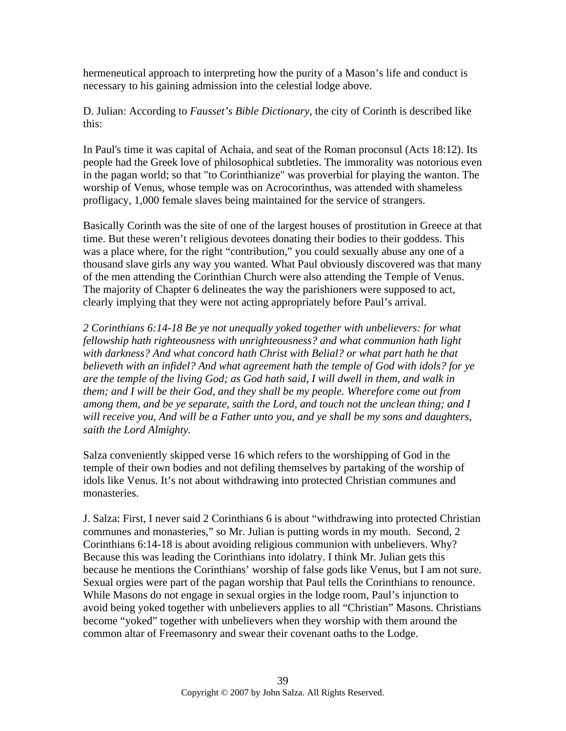hermeneutical approach to interpreting how the purity of a Mason's life and conduct is necessary to his gaining admission into the celestial lodge above.

D. Julian: According to *Fausset's Bible Dictionary*, the city of Corinth is described like this:

In Paul's time it was capital of Achaia, and seat of the Roman proconsul (Acts 18:12). Its people had the Greek love of philosophical subtleties. The immorality was notorious even in the pagan world; so that "to Corinthianize" was proverbial for playing the wanton. The worship of Venus, whose temple was on Acrocorinthus, was attended with shameless profligacy, 1,000 female slaves being maintained for the service of strangers.

Basically Corinth was the site of one of the largest houses of prostitution in Greece at that time. But these weren't religious devotees donating their bodies to their goddess. This was a place where, for the right "contribution," you could sexually abuse any one of a thousand slave girls any way you wanted. What Paul obviously discovered was that many of the men attending the Corinthian Church were also attending the Temple of Venus. The majority of Chapter 6 delineates the way the parishioners were supposed to act, clearly implying that they were not acting appropriately before Paul's arrival.

*2 Corinthians 6:14-18 Be ye not unequally yoked together with unbelievers: for what fellowship hath righteousness with unrighteousness? and what communion hath light*  with darkness? And what concord hath Christ with Belial? or what part hath he that *believeth with an infidel? And what agreement hath the temple of God with idols? for ye are the temple of the living God; as God hath said, I will dwell in them, and walk in them; and I will be their God, and they shall be my people. Wherefore come out from among them, and be ye separate, saith the Lord, and touch not the unclean thing; and I will receive you, And will be a Father unto you, and ye shall be my sons and daughters, saith the Lord Almighty.* 

Salza conveniently skipped verse 16 which refers to the worshipping of God in the temple of their own bodies and not defiling themselves by partaking of the worship of idols like Venus. It's not about withdrawing into protected Christian communes and monasteries.

J. Salza: First, I never said 2 Corinthians 6 is about "withdrawing into protected Christian communes and monasteries," so Mr. Julian is putting words in my mouth. Second, 2 Corinthians 6:14-18 is about avoiding religious communion with unbelievers. Why? Because this was leading the Corinthians into idolatry. I think Mr. Julian gets this because he mentions the Corinthians' worship of false gods like Venus, but I am not sure. Sexual orgies were part of the pagan worship that Paul tells the Corinthians to renounce. While Masons do not engage in sexual orgies in the lodge room, Paul's injunction to avoid being yoked together with unbelievers applies to all "Christian" Masons. Christians become "yoked" together with unbelievers when they worship with them around the common altar of Freemasonry and swear their covenant oaths to the Lodge.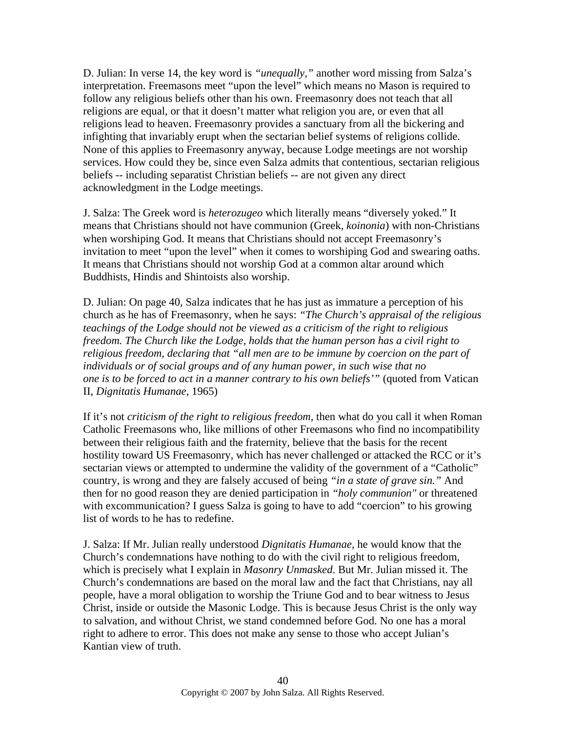D. Julian: In verse 14, the key word is *"unequally,"* another word missing from Salza's interpretation. Freemasons meet "upon the level" which means no Mason is required to follow any religious beliefs other than his own. Freemasonry does not teach that all religions are equal, or that it doesn't matter what religion you are, or even that all religions lead to heaven. Freemasonry provides a sanctuary from all the bickering and infighting that invariably erupt when the sectarian belief systems of religions collide. None of this applies to Freemasonry anyway, because Lodge meetings are not worship services. How could they be, since even Salza admits that contentious, sectarian religious beliefs -- including separatist Christian beliefs -- are not given any direct acknowledgment in the Lodge meetings.

J. Salza: The Greek word is *heterozugeo* which literally means "diversely yoked." It means that Christians should not have communion (Greek, *koinonia*) with non-Christians when worshiping God. It means that Christians should not accept Freemasonry's invitation to meet "upon the level" when it comes to worshiping God and swearing oaths. It means that Christians should not worship God at a common altar around which Buddhists, Hindis and Shintoists also worship.

D. Julian: On page 40, Salza indicates that he has just as immature a perception of his church as he has of Freemasonry, when he says: *"The Church's appraisal of the religious teachings of the Lodge should not be viewed as a criticism of the right to religious freedom. The Church like the Lodge, holds that the human person has a civil right to religious freedom, declaring that "all men are to be immune by coercion on the part of individuals or of social groups and of any human power, in such wise that no one is to be forced to act in a manner contrary to his own beliefs'"* (quoted from Vatican II, *Dignitatis Humanae*, 1965)

If it's not *criticism of the right to religious freedom*, then what do you call it when Roman Catholic Freemasons who, like millions of other Freemasons who find no incompatibility between their religious faith and the fraternity, believe that the basis for the recent hostility toward US Freemasonry, which has never challenged or attacked the RCC or it's sectarian views or attempted to undermine the validity of the government of a "Catholic" country, is wrong and they are falsely accused of being *"in a state of grave sin."* And then for no good reason they are denied participation in *"holy communion"* or threatened with excommunication? I guess Salza is going to have to add "coercion" to his growing list of words to he has to redefine.

J. Salza: If Mr. Julian really understood *Dignitatis Humanae*, he would know that the Church's condemnations have nothing to do with the civil right to religious freedom, which is precisely what I explain in *Masonry Unmasked*. But Mr. Julian missed it. The Church's condemnations are based on the moral law and the fact that Christians, nay all people, have a moral obligation to worship the Triune God and to bear witness to Jesus Christ, inside or outside the Masonic Lodge. This is because Jesus Christ is the only way to salvation, and without Christ, we stand condemned before God. No one has a moral right to adhere to error. This does not make any sense to those who accept Julian's Kantian view of truth.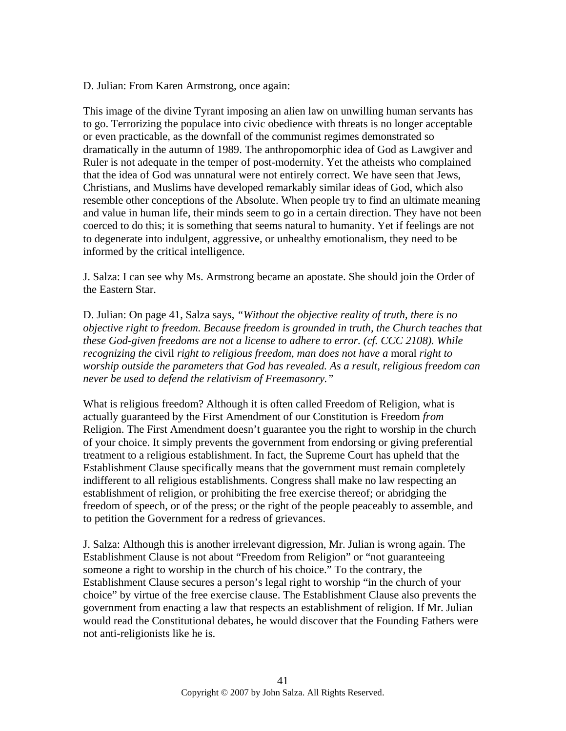D. Julian: From Karen Armstrong, once again:

This image of the divine Tyrant imposing an alien law on unwilling human servants has to go. Terrorizing the populace into civic obedience with threats is no longer acceptable or even practicable, as the downfall of the communist regimes demonstrated so dramatically in the autumn of 1989. The anthropomorphic idea of God as Lawgiver and Ruler is not adequate in the temper of post-modernity. Yet the atheists who complained that the idea of God was unnatural were not entirely correct. We have seen that Jews, Christians, and Muslims have developed remarkably similar ideas of God, which also resemble other conceptions of the Absolute. When people try to find an ultimate meaning and value in human life, their minds seem to go in a certain direction. They have not been coerced to do this; it is something that seems natural to humanity. Yet if feelings are not to degenerate into indulgent, aggressive, or unhealthy emotionalism, they need to be informed by the critical intelligence.

J. Salza: I can see why Ms. Armstrong became an apostate. She should join the Order of the Eastern Star.

D. Julian: On page 41, Salza says, *"Without the objective reality of truth, there is no objective right to freedom. Because freedom is grounded in truth, the Church teaches that these God-given freedoms are not a license to adhere to error. (cf. CCC 2108). While recognizing the* civil *right to religious freedom, man does not have a* moral *right to worship outside the parameters that God has revealed. As a result, religious freedom can never be used to defend the relativism of Freemasonry."* 

What is religious freedom? Although it is often called Freedom of Religion, what is actually guaranteed by the First Amendment of our Constitution is Freedom *from*  Religion. The First Amendment doesn't guarantee you the right to worship in the church of your choice. It simply prevents the government from endorsing or giving preferential treatment to a religious establishment. In fact, the Supreme Court has upheld that the Establishment Clause specifically means that the government must remain completely indifferent to all religious establishments. Congress shall make no law respecting an establishment of religion, or prohibiting the free exercise thereof; or abridging the freedom of speech, or of the press; or the right of the people peaceably to assemble, and to petition the Government for a redress of grievances.

J. Salza: Although this is another irrelevant digression, Mr. Julian is wrong again. The Establishment Clause is not about "Freedom from Religion" or "not guaranteeing someone a right to worship in the church of his choice." To the contrary, the Establishment Clause secures a person's legal right to worship "in the church of your choice" by virtue of the free exercise clause. The Establishment Clause also prevents the government from enacting a law that respects an establishment of religion. If Mr. Julian would read the Constitutional debates, he would discover that the Founding Fathers were not anti-religionists like he is.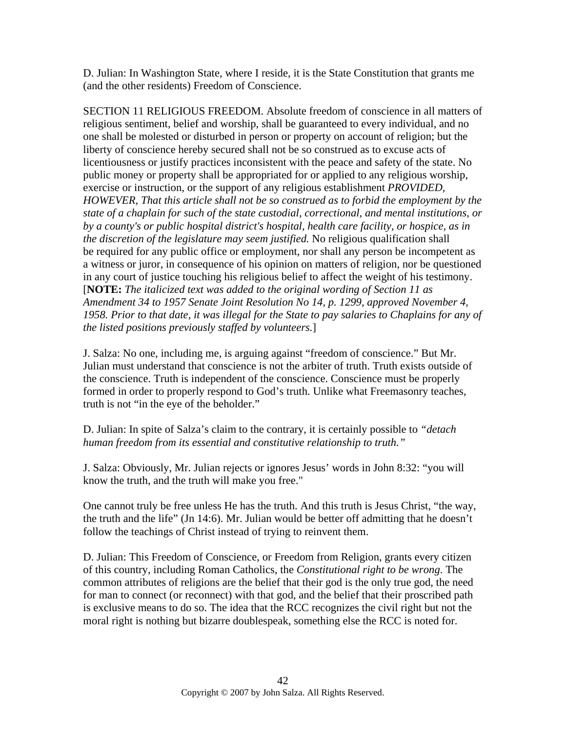D. Julian: In Washington State, where I reside, it is the State Constitution that grants me (and the other residents) Freedom of Conscience.

SECTION 11 RELIGIOUS FREEDOM. Absolute freedom of conscience in all matters of religious sentiment, belief and worship, shall be guaranteed to every individual, and no one shall be molested or disturbed in person or property on account of religion; but the liberty of conscience hereby secured shall not be so construed as to excuse acts of licentiousness or justify practices inconsistent with the peace and safety of the state. No public money or property shall be appropriated for or applied to any religious worship, exercise or instruction, or the support of any religious establishment *PROVIDED, HOWEVER, That this article shall not be so construed as to forbid the employment by the state of a chaplain for such of the state custodial, correctional, and mental institutions, or by a county's or public hospital district's hospital, health care facility, or hospice, as in the discretion of the legislature may seem justified.* No religious qualification shall be required for any public office or employment, nor shall any person be incompetent as a witness or juror, in consequence of his opinion on matters of religion, nor be questioned in any court of justice touching his religious belief to affect the weight of his testimony. [**NOTE:** *The italicized text was added to the original wording of Section 11 as Amendment 34 to 1957 Senate Joint Resolution No 14, p. 1299, approved November 4, 1958. Prior to that date, it was illegal for the State to pay salaries to Chaplains for any of the listed positions previously staffed by volunteers.*]

J. Salza: No one, including me, is arguing against "freedom of conscience." But Mr. Julian must understand that conscience is not the arbiter of truth. Truth exists outside of the conscience. Truth is independent of the conscience. Conscience must be properly formed in order to properly respond to God's truth. Unlike what Freemasonry teaches, truth is not "in the eye of the beholder."

D. Julian: In spite of Salza's claim to the contrary, it is certainly possible to *"detach human freedom from its essential and constitutive relationship to truth."* 

J. Salza: Obviously, Mr. Julian rejects or ignores Jesus' words in John 8:32: "you will know the truth, and the truth will make you free."

One cannot truly be free unless He has the truth. And this truth is Jesus Christ, "the way, the truth and the life" (Jn 14:6). Mr. Julian would be better off admitting that he doesn't follow the teachings of Christ instead of trying to reinvent them.

D. Julian: This Freedom of Conscience, or Freedom from Religion, grants every citizen of this country, including Roman Catholics, the *Constitutional right to be wrong*. The common attributes of religions are the belief that their god is the only true god, the need for man to connect (or reconnect) with that god, and the belief that their proscribed path is exclusive means to do so. The idea that the RCC recognizes the civil right but not the moral right is nothing but bizarre doublespeak, something else the RCC is noted for.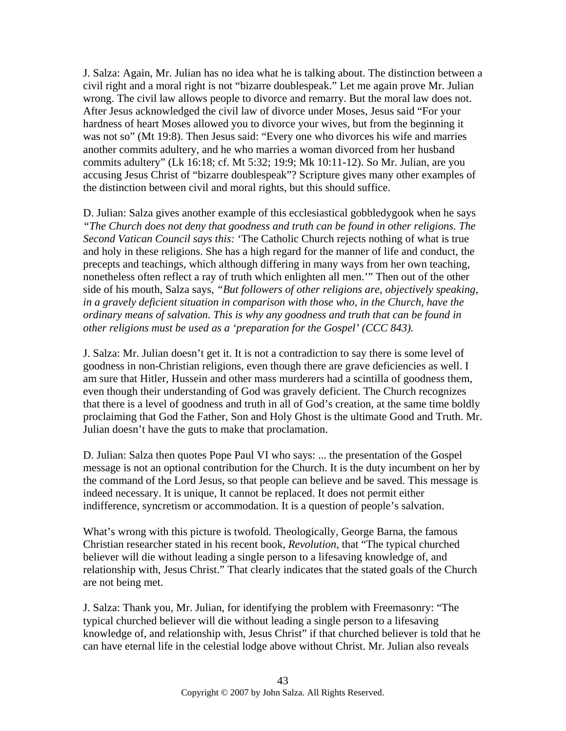J. Salza: Again, Mr. Julian has no idea what he is talking about. The distinction between a civil right and a moral right is not "bizarre doublespeak." Let me again prove Mr. Julian wrong. The civil law allows people to divorce and remarry. But the moral law does not. After Jesus acknowledged the civil law of divorce under Moses, Jesus said "For your hardness of heart Moses allowed you to divorce your wives, but from the beginning it was not so" (Mt 19:8). Then Jesus said: "Every one who divorces his wife and marries another commits adultery, and he who marries a woman divorced from her husband commits adultery" (Lk 16:18; cf. Mt 5:32; 19:9; Mk 10:11-12). So Mr. Julian, are you accusing Jesus Christ of "bizarre doublespeak"? Scripture gives many other examples of the distinction between civil and moral rights, but this should suffice.

D. Julian: Salza gives another example of this ecclesiastical gobbledygook when he says *"The Church does not deny that goodness and truth can be found in other religions. The Second Vatican Council says this:* 'The Catholic Church rejects nothing of what is true and holy in these religions. She has a high regard for the manner of life and conduct, the precepts and teachings, which although differing in many ways from her own teaching, nonetheless often reflect a ray of truth which enlighten all men.'" Then out of the other side of his mouth, Salza says, *"But followers of other religions are, objectively speaking, in a gravely deficient situation in comparison with those who, in the Church, have the ordinary means of salvation. This is why any goodness and truth that can be found in other religions must be used as a 'preparation for the Gospel' (CCC 843).* 

J. Salza: Mr. Julian doesn't get it. It is not a contradiction to say there is some level of goodness in non-Christian religions, even though there are grave deficiencies as well. I am sure that Hitler, Hussein and other mass murderers had a scintilla of goodness them, even though their understanding of God was gravely deficient. The Church recognizes that there is a level of goodness and truth in all of God's creation, at the same time boldly proclaiming that God the Father, Son and Holy Ghost is the ultimate Good and Truth. Mr. Julian doesn't have the guts to make that proclamation.

D. Julian: Salza then quotes Pope Paul VI who says: ... the presentation of the Gospel message is not an optional contribution for the Church. It is the duty incumbent on her by the command of the Lord Jesus, so that people can believe and be saved. This message is indeed necessary. It is unique, It cannot be replaced. It does not permit either indifference, syncretism or accommodation. It is a question of people's salvation.

What's wrong with this picture is twofold. Theologically, George Barna, the famous Christian researcher stated in his recent book, *Revolution*, that "The typical churched believer will die without leading a single person to a lifesaving knowledge of, and relationship with, Jesus Christ." That clearly indicates that the stated goals of the Church are not being met.

J. Salza: Thank you, Mr. Julian, for identifying the problem with Freemasonry: "The typical churched believer will die without leading a single person to a lifesaving knowledge of, and relationship with, Jesus Christ" if that churched believer is told that he can have eternal life in the celestial lodge above without Christ. Mr. Julian also reveals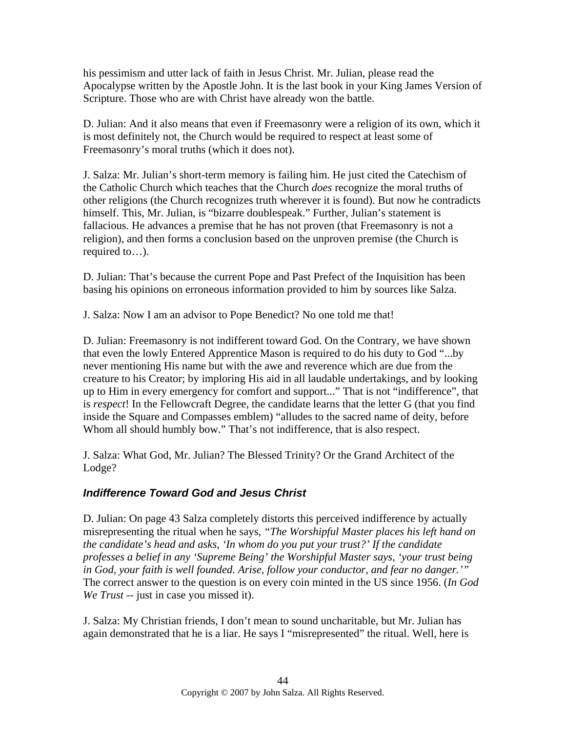his pessimism and utter lack of faith in Jesus Christ. Mr. Julian, please read the Apocalypse written by the Apostle John. It is the last book in your King James Version of Scripture. Those who are with Christ have already won the battle.

D. Julian: And it also means that even if Freemasonry were a religion of its own, which it is most definitely not, the Church would be required to respect at least some of Freemasonry's moral truths (which it does not).

J. Salza: Mr. Julian's short-term memory is failing him. He just cited the Catechism of the Catholic Church which teaches that the Church *does* recognize the moral truths of other religions (the Church recognizes truth wherever it is found). But now he contradicts himself. This, Mr. Julian, is "bizarre doublespeak." Further, Julian's statement is fallacious. He advances a premise that he has not proven (that Freemasonry is not a religion), and then forms a conclusion based on the unproven premise (the Church is required to…).

D. Julian: That's because the current Pope and Past Prefect of the Inquisition has been basing his opinions on erroneous information provided to him by sources like Salza.

J. Salza: Now I am an advisor to Pope Benedict? No one told me that!

D. Julian: Freemasonry is not indifferent toward God. On the Contrary, we have shown that even the lowly Entered Apprentice Mason is required to do his duty to God "...by never mentioning His name but with the awe and reverence which are due from the creature to his Creator; by imploring His aid in all laudable undertakings, and by looking up to Him in every emergency for comfort and support..." That is not "indifference", that is *respect*! In the Fellowcraft Degree, the candidate learns that the letter G (that you find inside the Square and Compasses emblem) "alludes to the sacred name of deity, before Whom all should humbly bow." That's not indifference, that is also respect.

J. Salza: What God, Mr. Julian? The Blessed Trinity? Or the Grand Architect of the Lodge?

# *Indifference Toward God and Jesus Christ*

D. Julian: On page 43 Salza completely distorts this perceived indifference by actually misrepresenting the ritual when he says, *"The Worshipful Master places his left hand on the candidate's head and asks, 'In whom do you put your trust?' If the candidate professes a belief in any 'Supreme Being' the Worshipful Master says, 'your trust being in God, your faith is well founded. Arise, follow your conductor, and fear no danger.'"*  The correct answer to the question is on every coin minted in the US since 1956. (*In God We Trust* -- just in case you missed it).

J. Salza: My Christian friends, I don't mean to sound uncharitable, but Mr. Julian has again demonstrated that he is a liar. He says I "misrepresented" the ritual. Well, here is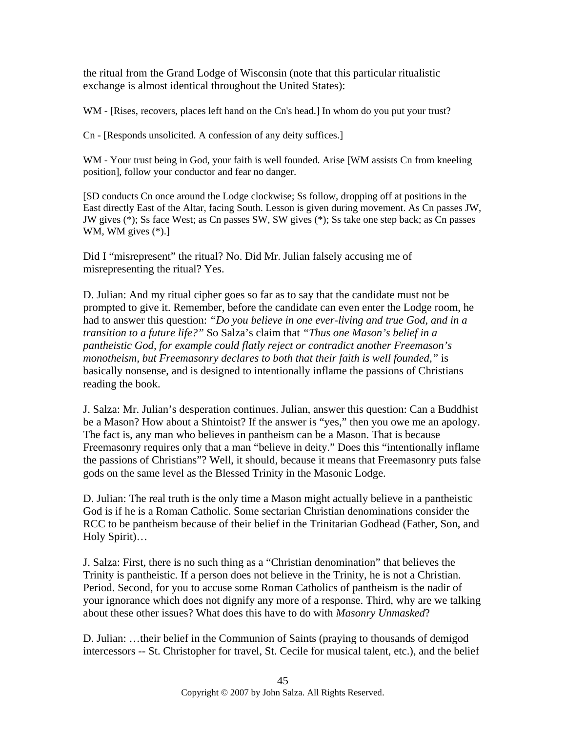the ritual from the Grand Lodge of Wisconsin (note that this particular ritualistic exchange is almost identical throughout the United States):

WM - [Rises, recovers, places left hand on the Cn's head.] In whom do you put your trust?

Cn - [Responds unsolicited. A confession of any deity suffices.]

WM - Your trust being in God, your faith is well founded. Arise [WM assists Cn from kneeling] position], follow your conductor and fear no danger.

[SD conducts Cn once around the Lodge clockwise; Ss follow, dropping off at positions in the East directly East of the Altar, facing South. Lesson is given during movement. As Cn passes JW, JW gives (\*); Ss face West; as Cn passes SW, SW gives (\*); Ss take one step back; as Cn passes WM, WM gives  $(*)$ .]

Did I "misrepresent" the ritual? No. Did Mr. Julian falsely accusing me of misrepresenting the ritual? Yes.

D. Julian: And my ritual cipher goes so far as to say that the candidate must not be prompted to give it. Remember, before the candidate can even enter the Lodge room, he had to answer this question: *"Do you believe in one ever-living and true God, and in a transition to a future life?"* So Salza's claim that *"Thus one Mason's belief in a pantheistic God, for example could flatly reject or contradict another Freemason's monotheism, but Freemasonry declares to both that their faith is well founded,"* is basically nonsense, and is designed to intentionally inflame the passions of Christians reading the book.

J. Salza: Mr. Julian's desperation continues. Julian, answer this question: Can a Buddhist be a Mason? How about a Shintoist? If the answer is "yes," then you owe me an apology. The fact is, any man who believes in pantheism can be a Mason. That is because Freemasonry requires only that a man "believe in deity." Does this "intentionally inflame the passions of Christians"? Well, it should, because it means that Freemasonry puts false gods on the same level as the Blessed Trinity in the Masonic Lodge.

D. Julian: The real truth is the only time a Mason might actually believe in a pantheistic God is if he is a Roman Catholic. Some sectarian Christian denominations consider the RCC to be pantheism because of their belief in the Trinitarian Godhead (Father, Son, and Holy Spirit)…

J. Salza: First, there is no such thing as a "Christian denomination" that believes the Trinity is pantheistic. If a person does not believe in the Trinity, he is not a Christian. Period. Second, for you to accuse some Roman Catholics of pantheism is the nadir of your ignorance which does not dignify any more of a response. Third, why are we talking about these other issues? What does this have to do with *Masonry Unmasked*?

D. Julian: …their belief in the Communion of Saints (praying to thousands of demigod intercessors -- St. Christopher for travel, St. Cecile for musical talent, etc.), and the belief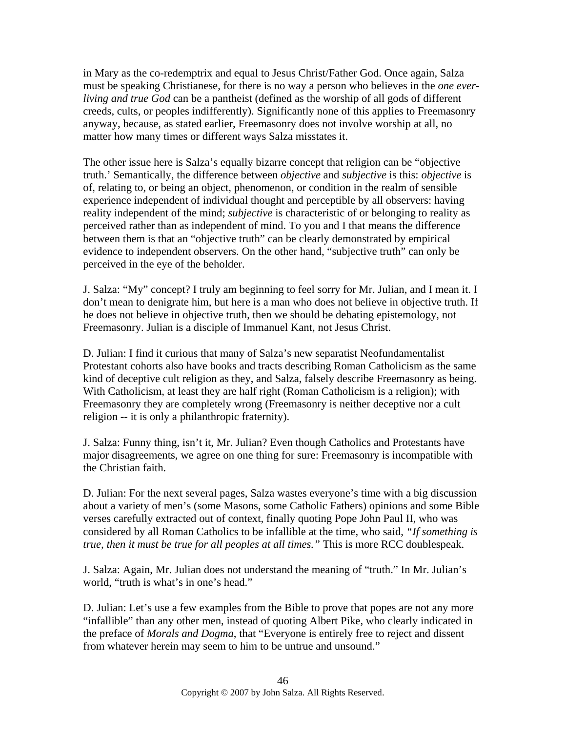in Mary as the co-redemptrix and equal to Jesus Christ/Father God. Once again, Salza must be speaking Christianese, for there is no way a person who believes in the *one everliving and true God* can be a pantheist (defined as the worship of all gods of different creeds, cults, or peoples indifferently). Significantly none of this applies to Freemasonry anyway, because, as stated earlier, Freemasonry does not involve worship at all, no matter how many times or different ways Salza misstates it.

The other issue here is Salza's equally bizarre concept that religion can be "objective truth.' Semantically, the difference between *objective* and *subjective* is this: *objective* is of, relating to, or being an object, phenomenon, or condition in the realm of sensible experience independent of individual thought and perceptible by all observers: having reality independent of the mind; *subjective* is characteristic of or belonging to reality as perceived rather than as independent of mind. To you and I that means the difference between them is that an "objective truth" can be clearly demonstrated by empirical evidence to independent observers. On the other hand, "subjective truth" can only be perceived in the eye of the beholder.

J. Salza: "My" concept? I truly am beginning to feel sorry for Mr. Julian, and I mean it. I don't mean to denigrate him, but here is a man who does not believe in objective truth. If he does not believe in objective truth, then we should be debating epistemology, not Freemasonry. Julian is a disciple of Immanuel Kant, not Jesus Christ.

D. Julian: I find it curious that many of Salza's new separatist Neofundamentalist Protestant cohorts also have books and tracts describing Roman Catholicism as the same kind of deceptive cult religion as they, and Salza, falsely describe Freemasonry as being. With Catholicism, at least they are half right (Roman Catholicism is a religion); with Freemasonry they are completely wrong (Freemasonry is neither deceptive nor a cult religion -- it is only a philanthropic fraternity).

J. Salza: Funny thing, isn't it, Mr. Julian? Even though Catholics and Protestants have major disagreements, we agree on one thing for sure: Freemasonry is incompatible with the Christian faith.

D. Julian: For the next several pages, Salza wastes everyone's time with a big discussion about a variety of men's (some Masons, some Catholic Fathers) opinions and some Bible verses carefully extracted out of context, finally quoting Pope John Paul II, who was considered by all Roman Catholics to be infallible at the time, who said, *"If something is true, then it must be true for all peoples at all times."* This is more RCC doublespeak.

J. Salza: Again, Mr. Julian does not understand the meaning of "truth." In Mr. Julian's world, "truth is what's in one's head."

D. Julian: Let's use a few examples from the Bible to prove that popes are not any more "infallible" than any other men, instead of quoting Albert Pike, who clearly indicated in the preface of *Morals and Dogma*, that "Everyone is entirely free to reject and dissent from whatever herein may seem to him to be untrue and unsound."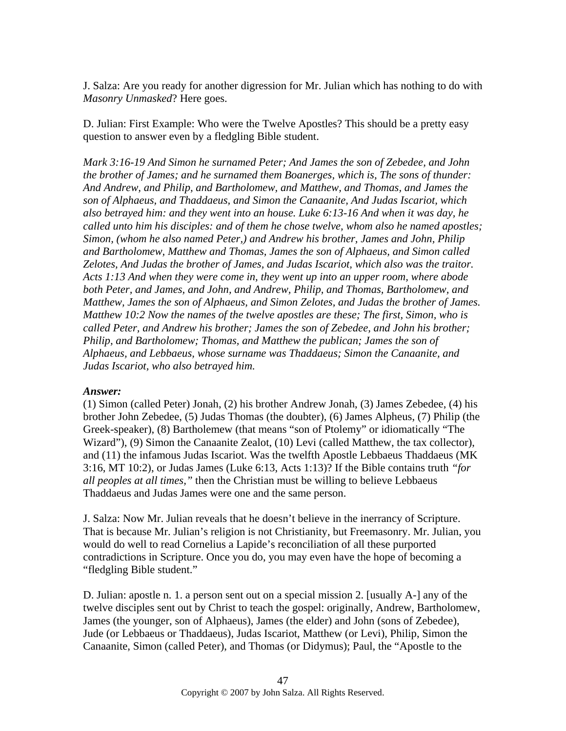J. Salza: Are you ready for another digression for Mr. Julian which has nothing to do with *Masonry Unmasked*? Here goes.

D. Julian: First Example: Who were the Twelve Apostles? This should be a pretty easy question to answer even by a fledgling Bible student.

*Mark 3:16-19 And Simon he surnamed Peter; And James the son of Zebedee, and John the brother of James; and he surnamed them Boanerges, which is, The sons of thunder: And Andrew, and Philip, and Bartholomew, and Matthew, and Thomas, and James the son of Alphaeus, and Thaddaeus, and Simon the Canaanite, And Judas Iscariot, which also betrayed him: and they went into an house. Luke 6:13-16 And when it was day, he called unto him his disciples: and of them he chose twelve, whom also he named apostles; Simon, (whom he also named Peter,) and Andrew his brother, James and John, Philip and Bartholomew, Matthew and Thomas, James the son of Alphaeus, and Simon called Zelotes, And Judas the brother of James, and Judas Iscariot, which also was the traitor. Acts 1:13 And when they were come in, they went up into an upper room, where abode both Peter, and James, and John, and Andrew, Philip, and Thomas, Bartholomew, and Matthew, James the son of Alphaeus, and Simon Zelotes, and Judas the brother of James. Matthew 10:2 Now the names of the twelve apostles are these; The first, Simon, who is called Peter, and Andrew his brother; James the son of Zebedee, and John his brother; Philip, and Bartholomew; Thomas, and Matthew the publican; James the son of Alphaeus, and Lebbaeus, whose surname was Thaddaeus; Simon the Canaanite, and Judas Iscariot, who also betrayed him.* 

#### *Answer:*

(1) Simon (called Peter) Jonah, (2) his brother Andrew Jonah, (3) James Zebedee, (4) his brother John Zebedee, (5) Judas Thomas (the doubter), (6) James Alpheus, (7) Philip (the Greek-speaker), (8) Bartholemew (that means "son of Ptolemy" or idiomatically "The Wizard"), (9) Simon the Canaanite Zealot, (10) Levi (called Matthew, the tax collector), and (11) the infamous Judas Iscariot. Was the twelfth Apostle Lebbaeus Thaddaeus (MK 3:16, MT 10:2), or Judas James (Luke 6:13, Acts 1:13)? If the Bible contains truth *"for all peoples at all times,"* then the Christian must be willing to believe Lebbaeus Thaddaeus and Judas James were one and the same person.

J. Salza: Now Mr. Julian reveals that he doesn't believe in the inerrancy of Scripture. That is because Mr. Julian's religion is not Christianity, but Freemasonry. Mr. Julian, you would do well to read Cornelius a Lapide's reconciliation of all these purported contradictions in Scripture. Once you do, you may even have the hope of becoming a "fledgling Bible student."

D. Julian: apostle n. 1. a person sent out on a special mission 2. [usually A-] any of the twelve disciples sent out by Christ to teach the gospel: originally, Andrew, Bartholomew, James (the younger, son of Alphaeus), James (the elder) and John (sons of Zebedee), Jude (or Lebbaeus or Thaddaeus), Judas Iscariot, Matthew (or Levi), Philip, Simon the Canaanite, Simon (called Peter), and Thomas (or Didymus); Paul, the "Apostle to the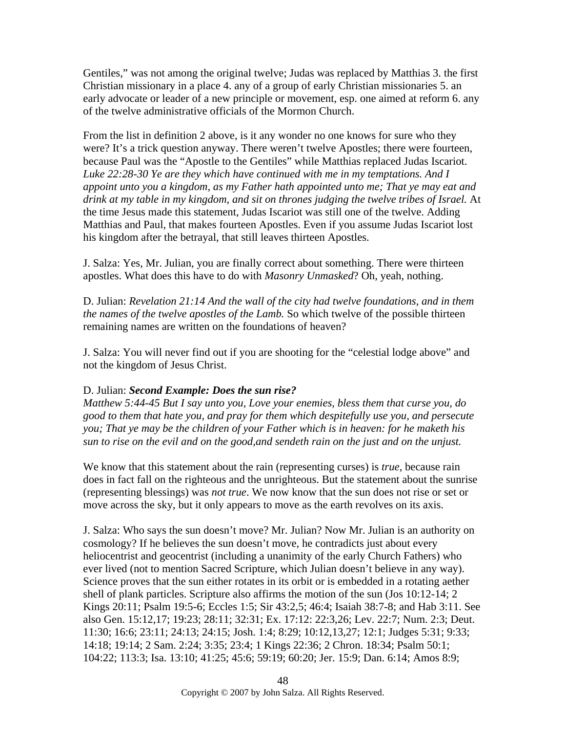Gentiles," was not among the original twelve; Judas was replaced by Matthias 3. the first Christian missionary in a place 4. any of a group of early Christian missionaries 5. an early advocate or leader of a new principle or movement, esp. one aimed at reform 6. any of the twelve administrative officials of the Mormon Church.

From the list in definition 2 above, is it any wonder no one knows for sure who they were? It's a trick question anyway. There weren't twelve Apostles; there were fourteen, because Paul was the "Apostle to the Gentiles" while Matthias replaced Judas Iscariot. *Luke 22:28-30 Ye are they which have continued with me in my temptations. And I appoint unto you a kingdom, as my Father hath appointed unto me; That ye may eat and drink at my table in my kingdom, and sit on thrones judging the twelve tribes of Israel.* At the time Jesus made this statement, Judas Iscariot was still one of the twelve. Adding Matthias and Paul, that makes fourteen Apostles. Even if you assume Judas Iscariot lost his kingdom after the betrayal, that still leaves thirteen Apostles.

J. Salza: Yes, Mr. Julian, you are finally correct about something. There were thirteen apostles. What does this have to do with *Masonry Unmasked*? Oh, yeah, nothing.

D. Julian: *Revelation 21:14 And the wall of the city had twelve foundations, and in them the names of the twelve apostles of the Lamb.* So which twelve of the possible thirteen remaining names are written on the foundations of heaven?

J. Salza: You will never find out if you are shooting for the "celestial lodge above" and not the kingdom of Jesus Christ.

# D. Julian: *Second Example: Does the sun rise?*

*Matthew 5:44-45 But I say unto you, Love your enemies, bless them that curse you, do good to them that hate you, and pray for them which despitefully use you, and persecute you; That ye may be the children of your Father which is in heaven: for he maketh his sun to rise on the evil and on the good,and sendeth rain on the just and on the unjust.* 

We know that this statement about the rain (representing curses) is *true*, because rain does in fact fall on the righteous and the unrighteous. But the statement about the sunrise (representing blessings) was *not true*. We now know that the sun does not rise or set or move across the sky, but it only appears to move as the earth revolves on its axis.

J. Salza: Who says the sun doesn't move? Mr. Julian? Now Mr. Julian is an authority on cosmology? If he believes the sun doesn't move, he contradicts just about every heliocentrist and geocentrist (including a unanimity of the early Church Fathers) who ever lived (not to mention Sacred Scripture, which Julian doesn't believe in any way). Science proves that the sun either rotates in its orbit or is embedded in a rotating aether shell of plank particles. Scripture also affirms the motion of the sun (Jos 10:12-14; 2 Kings 20:11; Psalm 19:5-6; Eccles 1:5; Sir 43:2,5; 46:4; Isaiah 38:7-8; and Hab 3:11. See also Gen. 15:12,17; 19:23; 28:11; 32:31; Ex. 17:12: 22:3,26; Lev. 22:7; Num. 2:3; Deut. 11:30; 16:6; 23:11; 24:13; 24:15; Josh. 1:4; 8:29; 10:12,13,27; 12:1; Judges 5:31; 9:33; 14:18; 19:14; 2 Sam. 2:24; 3:35; 23:4; 1 Kings 22:36; 2 Chron. 18:34; Psalm 50:1; 104:22; 113:3; Isa. 13:10; 41:25; 45:6; 59:19; 60:20; Jer. 15:9; Dan. 6:14; Amos 8:9;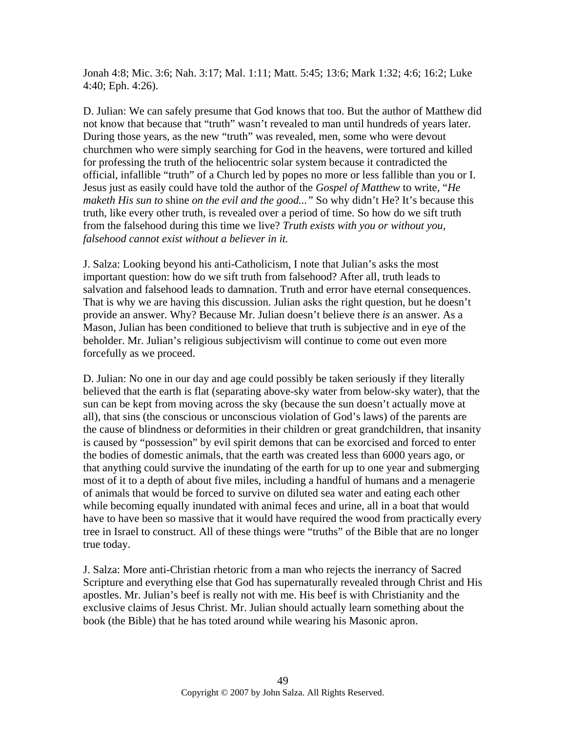Jonah 4:8; Mic. 3:6; Nah. 3:17; Mal. 1:11; Matt. 5:45; 13:6; Mark 1:32; 4:6; 16:2; Luke 4:40; Eph. 4:26).

D. Julian: We can safely presume that God knows that too. But the author of Matthew did not know that because that "truth" wasn't revealed to man until hundreds of years later. During those years, as the new "truth" was revealed, men, some who were devout churchmen who were simply searching for God in the heavens, were tortured and killed for professing the truth of the heliocentric solar system because it contradicted the official, infallible "truth" of a Church led by popes no more or less fallible than you or I. Jesus just as easily could have told the author of the *Gospel of Matthew* to write, "*He maketh His sun to* shine *on the evil and the good..."* So why didn't He? It's because this truth, like every other truth, is revealed over a period of time. So how do we sift truth from the falsehood during this time we live? *Truth exists with you or without you, falsehood cannot exist without a believer in it.* 

J. Salza: Looking beyond his anti-Catholicism, I note that Julian's asks the most important question: how do we sift truth from falsehood? After all, truth leads to salvation and falsehood leads to damnation. Truth and error have eternal consequences. That is why we are having this discussion. Julian asks the right question, but he doesn't provide an answer. Why? Because Mr. Julian doesn't believe there *is* an answer. As a Mason, Julian has been conditioned to believe that truth is subjective and in eye of the beholder. Mr. Julian's religious subjectivism will continue to come out even more forcefully as we proceed.

D. Julian: No one in our day and age could possibly be taken seriously if they literally believed that the earth is flat (separating above-sky water from below-sky water), that the sun can be kept from moving across the sky (because the sun doesn't actually move at all), that sins (the conscious or unconscious violation of God's laws) of the parents are the cause of blindness or deformities in their children or great grandchildren, that insanity is caused by "possession" by evil spirit demons that can be exorcised and forced to enter the bodies of domestic animals, that the earth was created less than 6000 years ago, or that anything could survive the inundating of the earth for up to one year and submerging most of it to a depth of about five miles, including a handful of humans and a menagerie of animals that would be forced to survive on diluted sea water and eating each other while becoming equally inundated with animal feces and urine, all in a boat that would have to have been so massive that it would have required the wood from practically every tree in Israel to construct. All of these things were "truths" of the Bible that are no longer true today.

J. Salza: More anti-Christian rhetoric from a man who rejects the inerrancy of Sacred Scripture and everything else that God has supernaturally revealed through Christ and His apostles. Mr. Julian's beef is really not with me. His beef is with Christianity and the exclusive claims of Jesus Christ. Mr. Julian should actually learn something about the book (the Bible) that he has toted around while wearing his Masonic apron.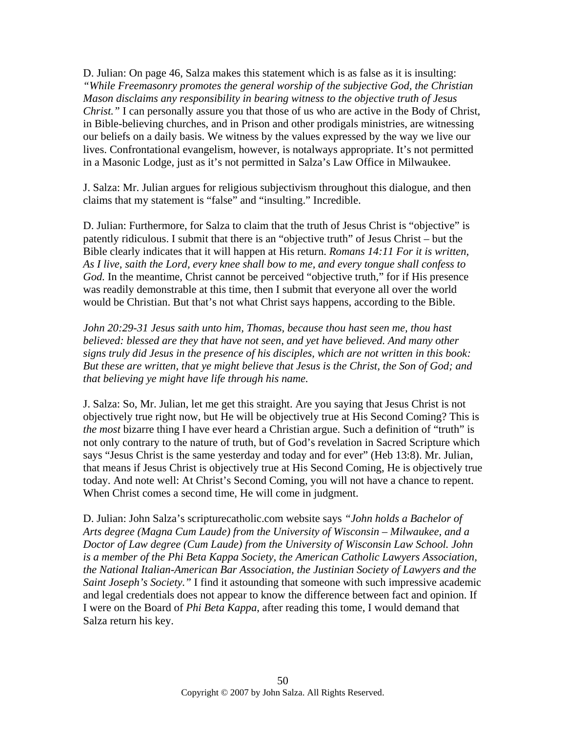D. Julian: On page 46, Salza makes this statement which is as false as it is insulting: *"While Freemasonry promotes the general worship of the subjective God, the Christian Mason disclaims any responsibility in bearing witness to the objective truth of Jesus Christ."* I can personally assure you that those of us who are active in the Body of Christ, in Bible-believing churches, and in Prison and other prodigals ministries, are witnessing our beliefs on a daily basis. We witness by the values expressed by the way we live our lives. Confrontational evangelism, however, is notalways appropriate. It's not permitted in a Masonic Lodge, just as it's not permitted in Salza's Law Office in Milwaukee.

J. Salza: Mr. Julian argues for religious subjectivism throughout this dialogue, and then claims that my statement is "false" and "insulting." Incredible.

D. Julian: Furthermore, for Salza to claim that the truth of Jesus Christ is "objective" is patently ridiculous. I submit that there is an "objective truth" of Jesus Christ – but the Bible clearly indicates that it will happen at His return. *Romans 14:11 For it is written, As I live, saith the Lord, every knee shall bow to me, and every tongue shall confess to*  God. In the meantime, Christ cannot be perceived "objective truth," for if His presence was readily demonstrable at this time, then I submit that everyone all over the world would be Christian. But that's not what Christ says happens, according to the Bible.

*John 20:29-31 Jesus saith unto him, Thomas, because thou hast seen me, thou hast believed: blessed are they that have not seen, and yet have believed. And many other signs truly did Jesus in the presence of his disciples, which are not written in this book: But these are written, that ye might believe that Jesus is the Christ, the Son of God; and that believing ye might have life through his name.* 

J. Salza: So, Mr. Julian, let me get this straight. Are you saying that Jesus Christ is not objectively true right now, but He will be objectively true at His Second Coming? This is *the most* bizarre thing I have ever heard a Christian argue. Such a definition of "truth" is not only contrary to the nature of truth, but of God's revelation in Sacred Scripture which says "Jesus Christ is the same yesterday and today and for ever" (Heb 13:8). Mr. Julian, that means if Jesus Christ is objectively true at His Second Coming, He is objectively true today. And note well: At Christ's Second Coming, you will not have a chance to repent. When Christ comes a second time, He will come in judgment.

D. Julian: John Salza's scripturecatholic.com website says *"John holds a Bachelor of Arts degree (Magna Cum Laude) from the University of Wisconsin – Milwaukee, and a Doctor of Law degree (Cum Laude) from the University of Wisconsin Law School. John is a member of the Phi Beta Kappa Society, the American Catholic Lawyers Association, the National Italian-American Bar Association, the Justinian Society of Lawyers and the Saint Joseph's Society."* I find it astounding that someone with such impressive academic and legal credentials does not appear to know the difference between fact and opinion. If I were on the Board of *Phi Beta Kappa*, after reading this tome, I would demand that Salza return his key.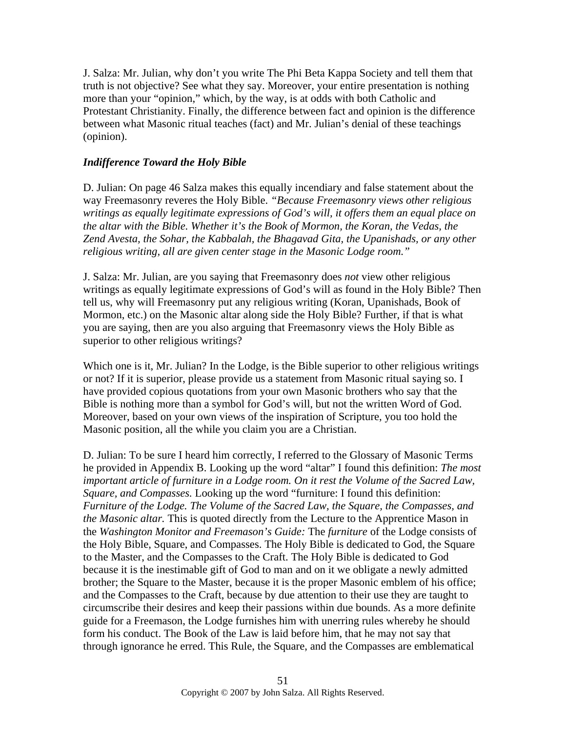J. Salza: Mr. Julian, why don't you write The Phi Beta Kappa Society and tell them that truth is not objective? See what they say. Moreover, your entire presentation is nothing more than your "opinion," which, by the way, is at odds with both Catholic and Protestant Christianity. Finally, the difference between fact and opinion is the difference between what Masonic ritual teaches (fact) and Mr. Julian's denial of these teachings (opinion).

#### *Indifference Toward the Holy Bible*

D. Julian: On page 46 Salza makes this equally incendiary and false statement about the way Freemasonry reveres the Holy Bible. *"Because Freemasonry views other religious writings as equally legitimate expressions of God's will, it offers them an equal place on the altar with the Bible. Whether it's the Book of Mormon, the Koran, the Vedas, the Zend Avesta, the Sohar, the Kabbalah, the Bhagavad Gita, the Upanishads, or any other religious writing, all are given center stage in the Masonic Lodge room."* 

J. Salza: Mr. Julian, are you saying that Freemasonry does *not* view other religious writings as equally legitimate expressions of God's will as found in the Holy Bible? Then tell us, why will Freemasonry put any religious writing (Koran, Upanishads, Book of Mormon, etc.) on the Masonic altar along side the Holy Bible? Further, if that is what you are saying, then are you also arguing that Freemasonry views the Holy Bible as superior to other religious writings?

Which one is it, Mr. Julian? In the Lodge, is the Bible superior to other religious writings or not? If it is superior, please provide us a statement from Masonic ritual saying so. I have provided copious quotations from your own Masonic brothers who say that the Bible is nothing more than a symbol for God's will, but not the written Word of God. Moreover, based on your own views of the inspiration of Scripture, you too hold the Masonic position, all the while you claim you are a Christian.

D. Julian: To be sure I heard him correctly, I referred to the Glossary of Masonic Terms he provided in Appendix B. Looking up the word "altar" I found this definition: *The most important article of furniture in a Lodge room. On it rest the Volume of the Sacred Law, Square, and Compasses.* Looking up the word "furniture: I found this definition: *Furniture of the Lodge. The Volume of the Sacred Law, the Square, the Compasses, and the Masonic altar.* This is quoted directly from the Lecture to the Apprentice Mason in the *Washington Monitor and Freemason's Guide:* The *furniture* of the Lodge consists of the Holy Bible, Square, and Compasses. The Holy Bible is dedicated to God, the Square to the Master, and the Compasses to the Craft. The Holy Bible is dedicated to God because it is the inestimable gift of God to man and on it we obligate a newly admitted brother; the Square to the Master, because it is the proper Masonic emblem of his office; and the Compasses to the Craft, because by due attention to their use they are taught to circumscribe their desires and keep their passions within due bounds. As a more definite guide for a Freemason, the Lodge furnishes him with unerring rules whereby he should form his conduct. The Book of the Law is laid before him, that he may not say that through ignorance he erred. This Rule, the Square, and the Compasses are emblematical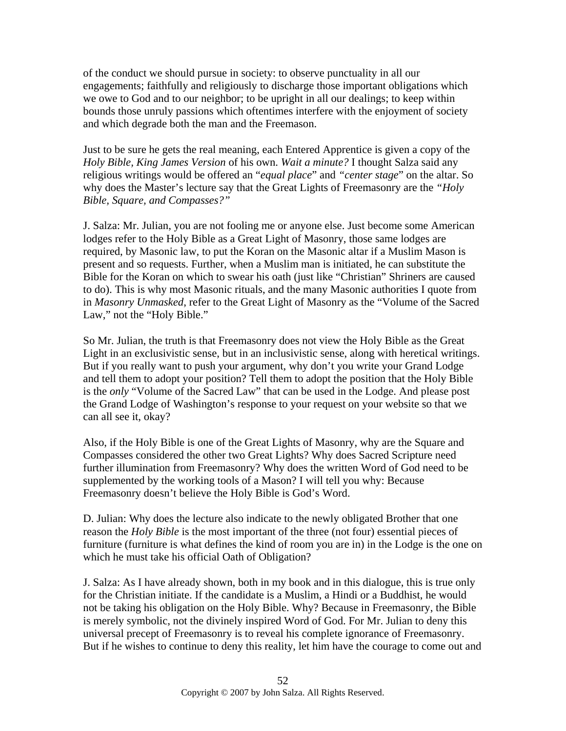of the conduct we should pursue in society: to observe punctuality in all our engagements; faithfully and religiously to discharge those important obligations which we owe to God and to our neighbor; to be upright in all our dealings; to keep within bounds those unruly passions which oftentimes interfere with the enjoyment of society and which degrade both the man and the Freemason.

Just to be sure he gets the real meaning, each Entered Apprentice is given a copy of the *Holy Bible, King James Version* of his own. *Wait a minute?* I thought Salza said any religious writings would be offered an "*equal place*" and *"center stage*" on the altar. So why does the Master's lecture say that the Great Lights of Freemasonry are the *"Holy Bible, Square, and Compasses?"* 

J. Salza: Mr. Julian, you are not fooling me or anyone else. Just become some American lodges refer to the Holy Bible as a Great Light of Masonry, those same lodges are required, by Masonic law, to put the Koran on the Masonic altar if a Muslim Mason is present and so requests. Further, when a Muslim man is initiated, he can substitute the Bible for the Koran on which to swear his oath (just like "Christian" Shriners are caused to do). This is why most Masonic rituals, and the many Masonic authorities I quote from in *Masonry Unmasked*, refer to the Great Light of Masonry as the "Volume of the Sacred Law," not the "Holy Bible."

So Mr. Julian, the truth is that Freemasonry does not view the Holy Bible as the Great Light in an exclusivistic sense, but in an inclusivistic sense, along with heretical writings. But if you really want to push your argument, why don't you write your Grand Lodge and tell them to adopt your position? Tell them to adopt the position that the Holy Bible is the *only* "Volume of the Sacred Law" that can be used in the Lodge. And please post the Grand Lodge of Washington's response to your request on your website so that we can all see it, okay?

Also, if the Holy Bible is one of the Great Lights of Masonry, why are the Square and Compasses considered the other two Great Lights? Why does Sacred Scripture need further illumination from Freemasonry? Why does the written Word of God need to be supplemented by the working tools of a Mason? I will tell you why: Because Freemasonry doesn't believe the Holy Bible is God's Word.

D. Julian: Why does the lecture also indicate to the newly obligated Brother that one reason the *Holy Bible* is the most important of the three (not four) essential pieces of furniture (furniture is what defines the kind of room you are in) in the Lodge is the one on which he must take his official Oath of Obligation?

J. Salza: As I have already shown, both in my book and in this dialogue, this is true only for the Christian initiate. If the candidate is a Muslim, a Hindi or a Buddhist, he would not be taking his obligation on the Holy Bible. Why? Because in Freemasonry, the Bible is merely symbolic, not the divinely inspired Word of God. For Mr. Julian to deny this universal precept of Freemasonry is to reveal his complete ignorance of Freemasonry. But if he wishes to continue to deny this reality, let him have the courage to come out and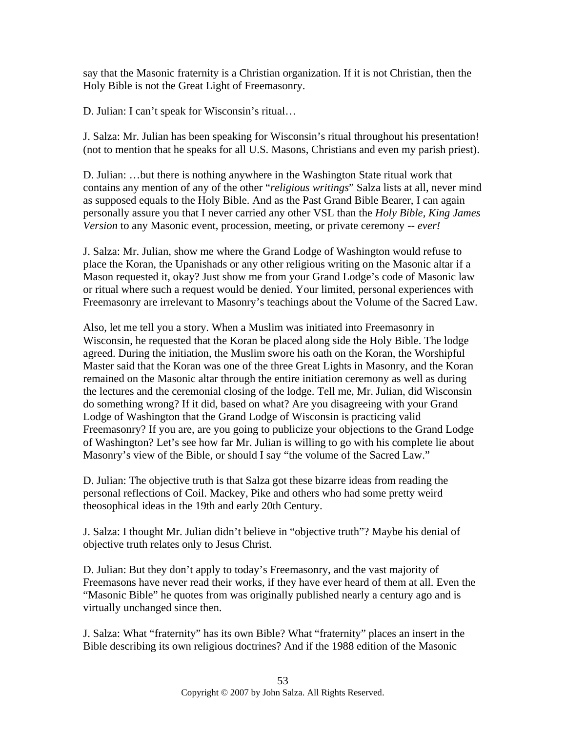say that the Masonic fraternity is a Christian organization. If it is not Christian, then the Holy Bible is not the Great Light of Freemasonry.

D. Julian: I can't speak for Wisconsin's ritual…

J. Salza: Mr. Julian has been speaking for Wisconsin's ritual throughout his presentation! (not to mention that he speaks for all U.S. Masons, Christians and even my parish priest).

D. Julian: …but there is nothing anywhere in the Washington State ritual work that contains any mention of any of the other "*religious writings*" Salza lists at all, never mind as supposed equals to the Holy Bible. And as the Past Grand Bible Bearer, I can again personally assure you that I never carried any other VSL than the *Holy Bible, King James Version* to any Masonic event, procession, meeting, or private ceremony -- *ever!* 

J. Salza: Mr. Julian, show me where the Grand Lodge of Washington would refuse to place the Koran, the Upanishads or any other religious writing on the Masonic altar if a Mason requested it, okay? Just show me from your Grand Lodge's code of Masonic law or ritual where such a request would be denied. Your limited, personal experiences with Freemasonry are irrelevant to Masonry's teachings about the Volume of the Sacred Law.

Also, let me tell you a story. When a Muslim was initiated into Freemasonry in Wisconsin, he requested that the Koran be placed along side the Holy Bible. The lodge agreed. During the initiation, the Muslim swore his oath on the Koran, the Worshipful Master said that the Koran was one of the three Great Lights in Masonry, and the Koran remained on the Masonic altar through the entire initiation ceremony as well as during the lectures and the ceremonial closing of the lodge. Tell me, Mr. Julian, did Wisconsin do something wrong? If it did, based on what? Are you disagreeing with your Grand Lodge of Washington that the Grand Lodge of Wisconsin is practicing valid Freemasonry? If you are, are you going to publicize your objections to the Grand Lodge of Washington? Let's see how far Mr. Julian is willing to go with his complete lie about Masonry's view of the Bible, or should I say "the volume of the Sacred Law."

D. Julian: The objective truth is that Salza got these bizarre ideas from reading the personal reflections of Coil. Mackey, Pike and others who had some pretty weird theosophical ideas in the 19th and early 20th Century.

J. Salza: I thought Mr. Julian didn't believe in "objective truth"? Maybe his denial of objective truth relates only to Jesus Christ.

D. Julian: But they don't apply to today's Freemasonry, and the vast majority of Freemasons have never read their works, if they have ever heard of them at all. Even the "Masonic Bible" he quotes from was originally published nearly a century ago and is virtually unchanged since then.

J. Salza: What "fraternity" has its own Bible? What "fraternity" places an insert in the Bible describing its own religious doctrines? And if the 1988 edition of the Masonic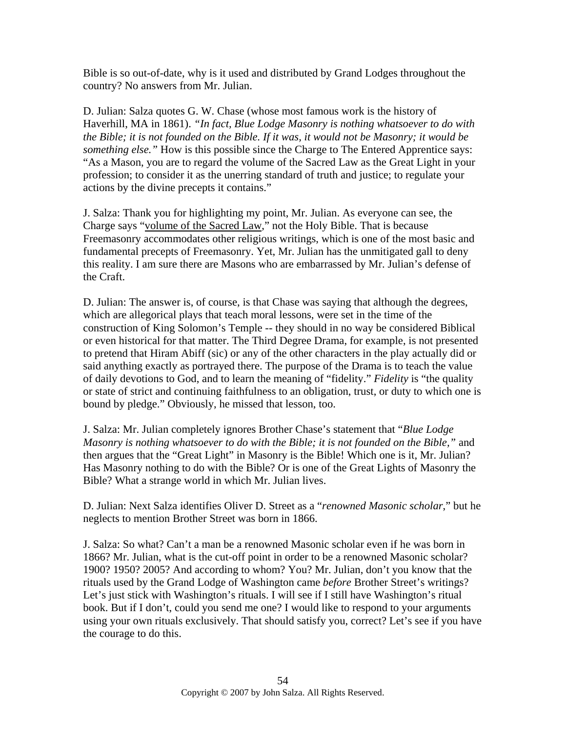Bible is so out-of-date, why is it used and distributed by Grand Lodges throughout the country? No answers from Mr. Julian.

D. Julian: Salza quotes G. W. Chase (whose most famous work is the history of Haverhill, MA in 1861). *"In fact, Blue Lodge Masonry is nothing whatsoever to do with the Bible; it is not founded on the Bible. If it was, it would not be Masonry; it would be something else."* How is this possible since the Charge to The Entered Apprentice says: "As a Mason, you are to regard the volume of the Sacred Law as the Great Light in your profession; to consider it as the unerring standard of truth and justice; to regulate your actions by the divine precepts it contains."

J. Salza: Thank you for highlighting my point, Mr. Julian. As everyone can see, the Charge says "volume of the Sacred Law," not the Holy Bible. That is because Freemasonry accommodates other religious writings, which is one of the most basic and fundamental precepts of Freemasonry. Yet, Mr. Julian has the unmitigated gall to deny this reality. I am sure there are Masons who are embarrassed by Mr. Julian's defense of the Craft.

D. Julian: The answer is, of course, is that Chase was saying that although the degrees, which are allegorical plays that teach moral lessons, were set in the time of the construction of King Solomon's Temple -- they should in no way be considered Biblical or even historical for that matter. The Third Degree Drama, for example, is not presented to pretend that Hiram Abiff (sic) or any of the other characters in the play actually did or said anything exactly as portrayed there. The purpose of the Drama is to teach the value of daily devotions to God, and to learn the meaning of "fidelity." *Fidelity* is "the quality or state of strict and continuing faithfulness to an obligation, trust, or duty to which one is bound by pledge." Obviously, he missed that lesson, too.

J. Salza: Mr. Julian completely ignores Brother Chase's statement that "*Blue Lodge Masonry is nothing whatsoever to do with the Bible; it is not founded on the Bible,"* and then argues that the "Great Light" in Masonry is the Bible! Which one is it, Mr. Julian? Has Masonry nothing to do with the Bible? Or is one of the Great Lights of Masonry the Bible? What a strange world in which Mr. Julian lives.

D. Julian: Next Salza identifies Oliver D. Street as a "*renowned Masonic scholar*," but he neglects to mention Brother Street was born in 1866.

J. Salza: So what? Can't a man be a renowned Masonic scholar even if he was born in 1866? Mr. Julian, what is the cut-off point in order to be a renowned Masonic scholar? 1900? 1950? 2005? And according to whom? You? Mr. Julian, don't you know that the rituals used by the Grand Lodge of Washington came *before* Brother Street's writings? Let's just stick with Washington's rituals. I will see if I still have Washington's ritual book. But if I don't, could you send me one? I would like to respond to your arguments using your own rituals exclusively. That should satisfy you, correct? Let's see if you have the courage to do this.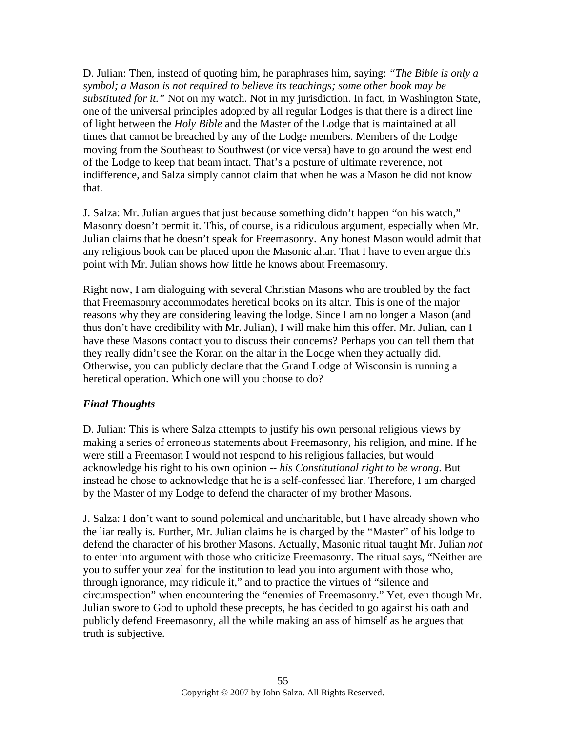D. Julian: Then, instead of quoting him, he paraphrases him, saying: *"The Bible is only a symbol; a Mason is not required to believe its teachings; some other book may be substituted for it."* Not on my watch. Not in my jurisdiction. In fact, in Washington State, one of the universal principles adopted by all regular Lodges is that there is a direct line of light between the *Holy Bible* and the Master of the Lodge that is maintained at all times that cannot be breached by any of the Lodge members. Members of the Lodge moving from the Southeast to Southwest (or vice versa) have to go around the west end of the Lodge to keep that beam intact. That's a posture of ultimate reverence, not indifference, and Salza simply cannot claim that when he was a Mason he did not know that.

J. Salza: Mr. Julian argues that just because something didn't happen "on his watch," Masonry doesn't permit it. This, of course, is a ridiculous argument, especially when Mr. Julian claims that he doesn't speak for Freemasonry. Any honest Mason would admit that any religious book can be placed upon the Masonic altar. That I have to even argue this point with Mr. Julian shows how little he knows about Freemasonry.

Right now, I am dialoguing with several Christian Masons who are troubled by the fact that Freemasonry accommodates heretical books on its altar. This is one of the major reasons why they are considering leaving the lodge. Since I am no longer a Mason (and thus don't have credibility with Mr. Julian), I will make him this offer. Mr. Julian, can I have these Masons contact you to discuss their concerns? Perhaps you can tell them that they really didn't see the Koran on the altar in the Lodge when they actually did. Otherwise, you can publicly declare that the Grand Lodge of Wisconsin is running a heretical operation. Which one will you choose to do?

# *Final Thoughts*

D. Julian: This is where Salza attempts to justify his own personal religious views by making a series of erroneous statements about Freemasonry, his religion, and mine. If he were still a Freemason I would not respond to his religious fallacies, but would acknowledge his right to his own opinion -- *his Constitutional right to be wrong*. But instead he chose to acknowledge that he is a self-confessed liar. Therefore, I am charged by the Master of my Lodge to defend the character of my brother Masons.

J. Salza: I don't want to sound polemical and uncharitable, but I have already shown who the liar really is. Further, Mr. Julian claims he is charged by the "Master" of his lodge to defend the character of his brother Masons. Actually, Masonic ritual taught Mr. Julian *not* to enter into argument with those who criticize Freemasonry. The ritual says, "Neither are you to suffer your zeal for the institution to lead you into argument with those who, through ignorance, may ridicule it," and to practice the virtues of "silence and circumspection" when encountering the "enemies of Freemasonry." Yet, even though Mr. Julian swore to God to uphold these precepts, he has decided to go against his oath and publicly defend Freemasonry, all the while making an ass of himself as he argues that truth is subjective.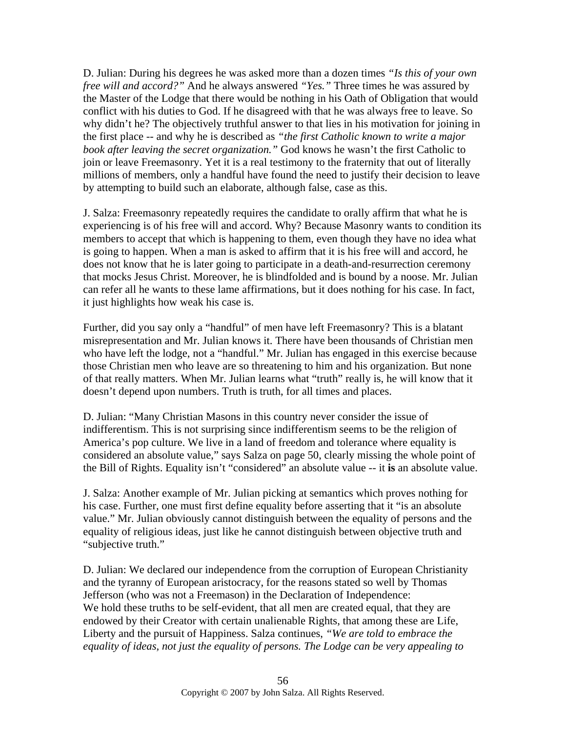D. Julian: During his degrees he was asked more than a dozen times *"Is this of your own free will and accord?"* And he always answered *"Yes."* Three times he was assured by the Master of the Lodge that there would be nothing in his Oath of Obligation that would conflict with his duties to God. If he disagreed with that he was always free to leave. So why didn't he? The objectively truthful answer to that lies in his motivation for joining in the first place -- and why he is described as *"the first Catholic known to write a major book after leaving the secret organization."* God knows he wasn't the first Catholic to join or leave Freemasonry. Yet it is a real testimony to the fraternity that out of literally millions of members, only a handful have found the need to justify their decision to leave by attempting to build such an elaborate, although false, case as this.

J. Salza: Freemasonry repeatedly requires the candidate to orally affirm that what he is experiencing is of his free will and accord. Why? Because Masonry wants to condition its members to accept that which is happening to them, even though they have no idea what is going to happen. When a man is asked to affirm that it is his free will and accord, he does not know that he is later going to participate in a death-and-resurrection ceremony that mocks Jesus Christ. Moreover, he is blindfolded and is bound by a noose. Mr. Julian can refer all he wants to these lame affirmations, but it does nothing for his case. In fact, it just highlights how weak his case is.

Further, did you say only a "handful" of men have left Freemasonry? This is a blatant misrepresentation and Mr. Julian knows it. There have been thousands of Christian men who have left the lodge, not a "handful." Mr. Julian has engaged in this exercise because those Christian men who leave are so threatening to him and his organization. But none of that really matters. When Mr. Julian learns what "truth" really is, he will know that it doesn't depend upon numbers. Truth is truth, for all times and places.

D. Julian: "Many Christian Masons in this country never consider the issue of indifferentism. This is not surprising since indifferentism seems to be the religion of America's pop culture. We live in a land of freedom and tolerance where equality is considered an absolute value," says Salza on page 50, clearly missing the whole point of the Bill of Rights. Equality isn't "considered" an absolute value -- it **is** an absolute value.

J. Salza: Another example of Mr. Julian picking at semantics which proves nothing for his case. Further, one must first define equality before asserting that it "is an absolute value." Mr. Julian obviously cannot distinguish between the equality of persons and the equality of religious ideas, just like he cannot distinguish between objective truth and "subjective truth."

D. Julian: We declared our independence from the corruption of European Christianity and the tyranny of European aristocracy, for the reasons stated so well by Thomas Jefferson (who was not a Freemason) in the Declaration of Independence: We hold these truths to be self-evident, that all men are created equal, that they are endowed by their Creator with certain unalienable Rights, that among these are Life, Liberty and the pursuit of Happiness. Salza continues, *"We are told to embrace the equality of ideas, not just the equality of persons. The Lodge can be very appealing to*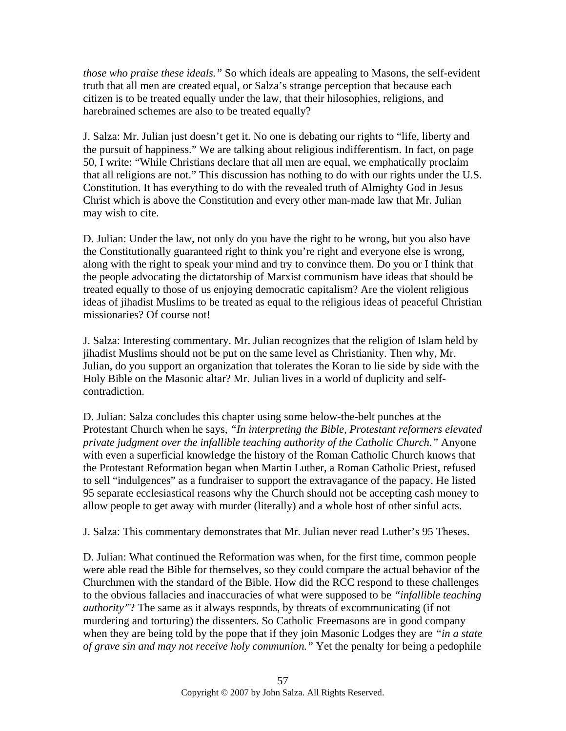*those who praise these ideals."* So which ideals are appealing to Masons, the self-evident truth that all men are created equal, or Salza's strange perception that because each citizen is to be treated equally under the law, that their hilosophies, religions, and harebrained schemes are also to be treated equally?

J. Salza: Mr. Julian just doesn't get it. No one is debating our rights to "life, liberty and the pursuit of happiness." We are talking about religious indifferentism. In fact, on page 50, I write: "While Christians declare that all men are equal, we emphatically proclaim that all religions are not." This discussion has nothing to do with our rights under the U.S. Constitution. It has everything to do with the revealed truth of Almighty God in Jesus Christ which is above the Constitution and every other man-made law that Mr. Julian may wish to cite.

D. Julian: Under the law, not only do you have the right to be wrong, but you also have the Constitutionally guaranteed right to think you're right and everyone else is wrong, along with the right to speak your mind and try to convince them. Do you or I think that the people advocating the dictatorship of Marxist communism have ideas that should be treated equally to those of us enjoying democratic capitalism? Are the violent religious ideas of jihadist Muslims to be treated as equal to the religious ideas of peaceful Christian missionaries? Of course not!

J. Salza: Interesting commentary. Mr. Julian recognizes that the religion of Islam held by jihadist Muslims should not be put on the same level as Christianity. Then why, Mr. Julian, do you support an organization that tolerates the Koran to lie side by side with the Holy Bible on the Masonic altar? Mr. Julian lives in a world of duplicity and selfcontradiction.

D. Julian: Salza concludes this chapter using some below-the-belt punches at the Protestant Church when he says, *"In interpreting the Bible, Protestant reformers elevated private judgment over the infallible teaching authority of the Catholic Church."* Anyone with even a superficial knowledge the history of the Roman Catholic Church knows that the Protestant Reformation began when Martin Luther, a Roman Catholic Priest, refused to sell "indulgences" as a fundraiser to support the extravagance of the papacy. He listed 95 separate ecclesiastical reasons why the Church should not be accepting cash money to allow people to get away with murder (literally) and a whole host of other sinful acts.

J. Salza: This commentary demonstrates that Mr. Julian never read Luther's 95 Theses.

D. Julian: What continued the Reformation was when, for the first time, common people were able read the Bible for themselves, so they could compare the actual behavior of the Churchmen with the standard of the Bible. How did the RCC respond to these challenges to the obvious fallacies and inaccuracies of what were supposed to be *"infallible teaching authority"*? The same as it always responds, by threats of excommunicating (if not murdering and torturing) the dissenters. So Catholic Freemasons are in good company when they are being told by the pope that if they join Masonic Lodges they are *"in a state of grave sin and may not receive holy communion."* Yet the penalty for being a pedophile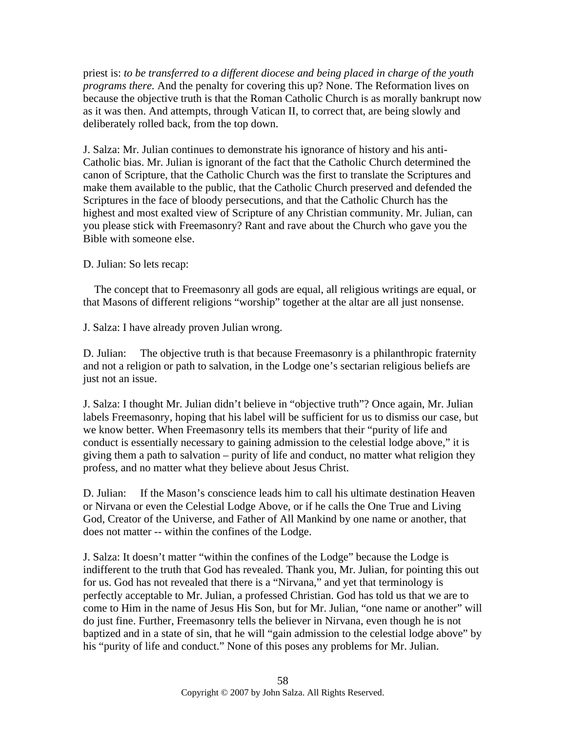priest is: *to be transferred to a different diocese and being placed in charge of the youth programs there.* And the penalty for covering this up? None. The Reformation lives on because the objective truth is that the Roman Catholic Church is as morally bankrupt now as it was then. And attempts, through Vatican II, to correct that, are being slowly and deliberately rolled back, from the top down.

J. Salza: Mr. Julian continues to demonstrate his ignorance of history and his anti-Catholic bias. Mr. Julian is ignorant of the fact that the Catholic Church determined the canon of Scripture, that the Catholic Church was the first to translate the Scriptures and make them available to the public, that the Catholic Church preserved and defended the Scriptures in the face of bloody persecutions, and that the Catholic Church has the highest and most exalted view of Scripture of any Christian community. Mr. Julian, can you please stick with Freemasonry? Rant and rave about the Church who gave you the Bible with someone else.

D. Julian: So lets recap:

 The concept that to Freemasonry all gods are equal, all religious writings are equal, or that Masons of different religions "worship" together at the altar are all just nonsense.

J. Salza: I have already proven Julian wrong.

D. Julian: The objective truth is that because Freemasonry is a philanthropic fraternity and not a religion or path to salvation, in the Lodge one's sectarian religious beliefs are just not an issue.

J. Salza: I thought Mr. Julian didn't believe in "objective truth"? Once again, Mr. Julian labels Freemasonry, hoping that his label will be sufficient for us to dismiss our case, but we know better. When Freemasonry tells its members that their "purity of life and conduct is essentially necessary to gaining admission to the celestial lodge above," it is giving them a path to salvation – purity of life and conduct, no matter what religion they profess, and no matter what they believe about Jesus Christ.

D. Julian: If the Mason's conscience leads him to call his ultimate destination Heaven or Nirvana or even the Celestial Lodge Above, or if he calls the One True and Living God, Creator of the Universe, and Father of All Mankind by one name or another, that does not matter -- within the confines of the Lodge.

J. Salza: It doesn't matter "within the confines of the Lodge" because the Lodge is indifferent to the truth that God has revealed. Thank you, Mr. Julian, for pointing this out for us. God has not revealed that there is a "Nirvana," and yet that terminology is perfectly acceptable to Mr. Julian, a professed Christian. God has told us that we are to come to Him in the name of Jesus His Son, but for Mr. Julian, "one name or another" will do just fine. Further, Freemasonry tells the believer in Nirvana, even though he is not baptized and in a state of sin, that he will "gain admission to the celestial lodge above" by his "purity of life and conduct." None of this poses any problems for Mr. Julian.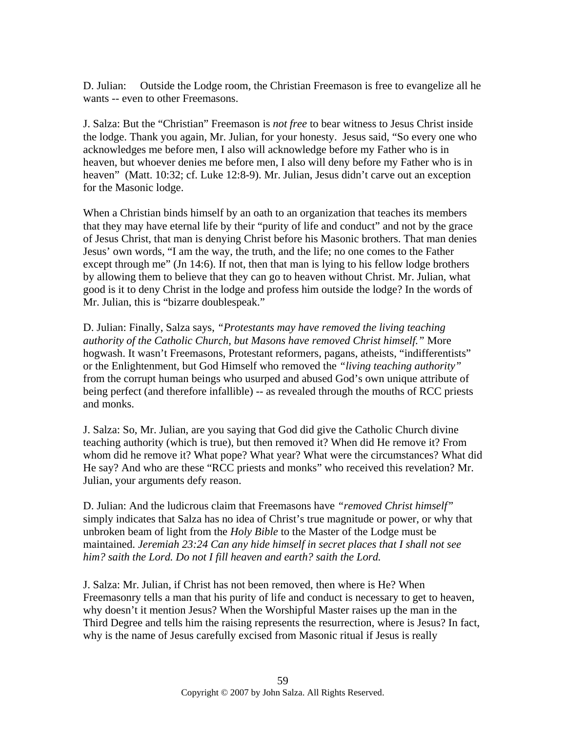D. Julian: Outside the Lodge room, the Christian Freemason is free to evangelize all he wants -- even to other Freemasons.

J. Salza: But the "Christian" Freemason is *not free* to bear witness to Jesus Christ inside the lodge. Thank you again, Mr. Julian, for your honesty. Jesus said, "So every one who acknowledges me before men, I also will acknowledge before my Father who is in heaven, but whoever denies me before men, I also will deny before my Father who is in heaven" (Matt. 10:32; cf. Luke 12:8-9). Mr. Julian, Jesus didn't carve out an exception for the Masonic lodge.

When a Christian binds himself by an oath to an organization that teaches its members that they may have eternal life by their "purity of life and conduct" and not by the grace of Jesus Christ, that man is denying Christ before his Masonic brothers. That man denies Jesus' own words, "I am the way, the truth, and the life; no one comes to the Father except through me" (Jn 14:6). If not, then that man is lying to his fellow lodge brothers by allowing them to believe that they can go to heaven without Christ. Mr. Julian, what good is it to deny Christ in the lodge and profess him outside the lodge? In the words of Mr. Julian, this is "bizarre doublespeak."

D. Julian: Finally, Salza says, *"Protestants may have removed the living teaching authority of the Catholic Church, but Masons have removed Christ himself."* More hogwash. It wasn't Freemasons, Protestant reformers, pagans, atheists, "indifferentists" or the Enlightenment, but God Himself who removed the *"living teaching authority"*  from the corrupt human beings who usurped and abused God's own unique attribute of being perfect (and therefore infallible) -- as revealed through the mouths of RCC priests and monks.

J. Salza: So, Mr. Julian, are you saying that God did give the Catholic Church divine teaching authority (which is true), but then removed it? When did He remove it? From whom did he remove it? What pope? What year? What were the circumstances? What did He say? And who are these "RCC priests and monks" who received this revelation? Mr. Julian, your arguments defy reason.

D. Julian: And the ludicrous claim that Freemasons have *"removed Christ himself"*  simply indicates that Salza has no idea of Christ's true magnitude or power, or why that unbroken beam of light from the *Holy Bible* to the Master of the Lodge must be maintained. *Jeremiah 23:24 Can any hide himself in secret places that I shall not see him? saith the Lord. Do not I fill heaven and earth? saith the Lord.* 

J. Salza: Mr. Julian, if Christ has not been removed, then where is He? When Freemasonry tells a man that his purity of life and conduct is necessary to get to heaven, why doesn't it mention Jesus? When the Worshipful Master raises up the man in the Third Degree and tells him the raising represents the resurrection, where is Jesus? In fact, why is the name of Jesus carefully excised from Masonic ritual if Jesus is really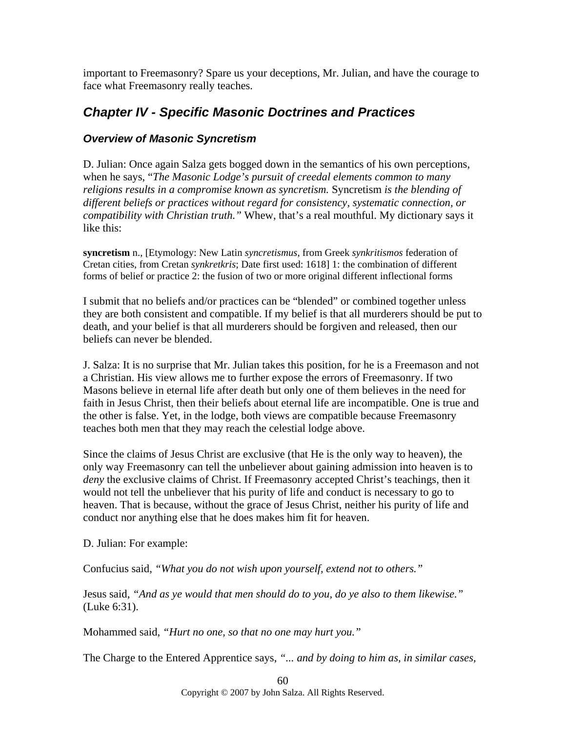important to Freemasonry? Spare us your deceptions, Mr. Julian, and have the courage to face what Freemasonry really teaches.

# *Chapter IV - Specific Masonic Doctrines and Practices*

# *Overview of Masonic Syncretism*

D. Julian: Once again Salza gets bogged down in the semantics of his own perceptions, when he says, "*The Masonic Lodge's pursuit of creedal elements common to many religions results in a compromise known as syncretism.* Syncretism *is the blending of different beliefs or practices without regard for consistency, systematic connection, or compatibility with Christian truth."* Whew, that's a real mouthful. My dictionary says it like this:

**syncretism** n., [Etymology: New Latin *syncretismus*, from Greek *synkritismos* federation of Cretan cities, from Cretan *synkretkris*; Date first used: 1618] 1: the combination of different forms of belief or practice 2: the fusion of two or more original different inflectional forms

I submit that no beliefs and/or practices can be "blended" or combined together unless they are both consistent and compatible. If my belief is that all murderers should be put to death, and your belief is that all murderers should be forgiven and released, then our beliefs can never be blended.

J. Salza: It is no surprise that Mr. Julian takes this position, for he is a Freemason and not a Christian. His view allows me to further expose the errors of Freemasonry. If two Masons believe in eternal life after death but only one of them believes in the need for faith in Jesus Christ, then their beliefs about eternal life are incompatible. One is true and the other is false. Yet, in the lodge, both views are compatible because Freemasonry teaches both men that they may reach the celestial lodge above.

Since the claims of Jesus Christ are exclusive (that He is the only way to heaven), the only way Freemasonry can tell the unbeliever about gaining admission into heaven is to *deny* the exclusive claims of Christ. If Freemasonry accepted Christ's teachings, then it would not tell the unbeliever that his purity of life and conduct is necessary to go to heaven. That is because, without the grace of Jesus Christ, neither his purity of life and conduct nor anything else that he does makes him fit for heaven.

D. Julian: For example:

Confucius said, *"What you do not wish upon yourself, extend not to others."* 

Jesus said, *"And as ye would that men should do to you, do ye also to them likewise."*  (Luke 6:31).

Mohammed said, *"Hurt no one, so that no one may hurt you."* 

The Charge to the Entered Apprentice says, *"... and by doing to him as, in similar cases,* 

60

Copyright © 2007 by John Salza. All Rights Reserved.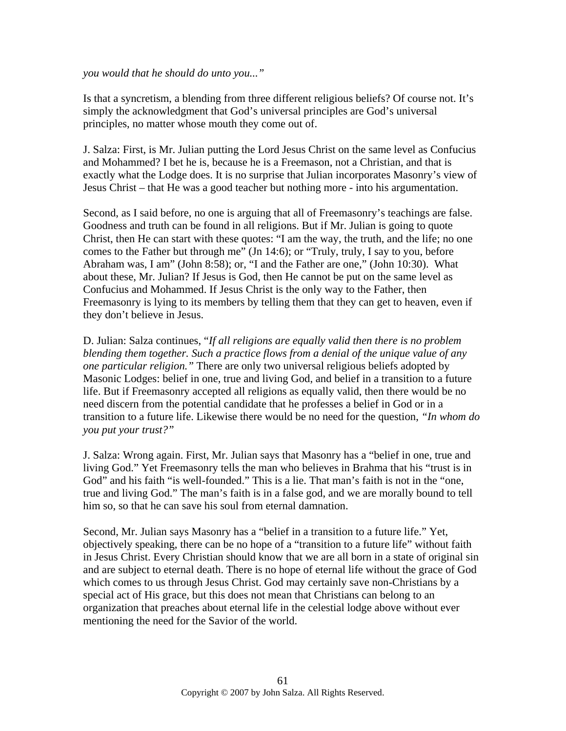#### *you would that he should do unto you..."*

Is that a syncretism, a blending from three different religious beliefs? Of course not. It's simply the acknowledgment that God's universal principles are God's universal principles, no matter whose mouth they come out of.

J. Salza: First, is Mr. Julian putting the Lord Jesus Christ on the same level as Confucius and Mohammed? I bet he is, because he is a Freemason, not a Christian, and that is exactly what the Lodge does. It is no surprise that Julian incorporates Masonry's view of Jesus Christ – that He was a good teacher but nothing more - into his argumentation.

Second, as I said before, no one is arguing that all of Freemasonry's teachings are false. Goodness and truth can be found in all religions. But if Mr. Julian is going to quote Christ, then He can start with these quotes: "I am the way, the truth, and the life; no one comes to the Father but through me" (Jn 14:6); or "Truly, truly, I say to you, before Abraham was, I am" (John 8:58); or, "I and the Father are one," (John 10:30). What about these, Mr. Julian? If Jesus is God, then He cannot be put on the same level as Confucius and Mohammed. If Jesus Christ is the only way to the Father, then Freemasonry is lying to its members by telling them that they can get to heaven, even if they don't believe in Jesus.

D. Julian: Salza continues, "*If all religions are equally valid then there is no problem blending them together. Such a practice flows from a denial of the unique value of any one particular religion."* There are only two universal religious beliefs adopted by Masonic Lodges: belief in one, true and living God, and belief in a transition to a future life. But if Freemasonry accepted all religions as equally valid, then there would be no need discern from the potential candidate that he professes a belief in God or in a transition to a future life. Likewise there would be no need for the question, *"In whom do you put your trust?"* 

J. Salza: Wrong again. First, Mr. Julian says that Masonry has a "belief in one, true and living God." Yet Freemasonry tells the man who believes in Brahma that his "trust is in God" and his faith "is well-founded." This is a lie. That man's faith is not in the "one, true and living God." The man's faith is in a false god, and we are morally bound to tell him so, so that he can save his soul from eternal damnation.

Second, Mr. Julian says Masonry has a "belief in a transition to a future life." Yet, objectively speaking, there can be no hope of a "transition to a future life" without faith in Jesus Christ. Every Christian should know that we are all born in a state of original sin and are subject to eternal death. There is no hope of eternal life without the grace of God which comes to us through Jesus Christ. God may certainly save non-Christians by a special act of His grace, but this does not mean that Christians can belong to an organization that preaches about eternal life in the celestial lodge above without ever mentioning the need for the Savior of the world.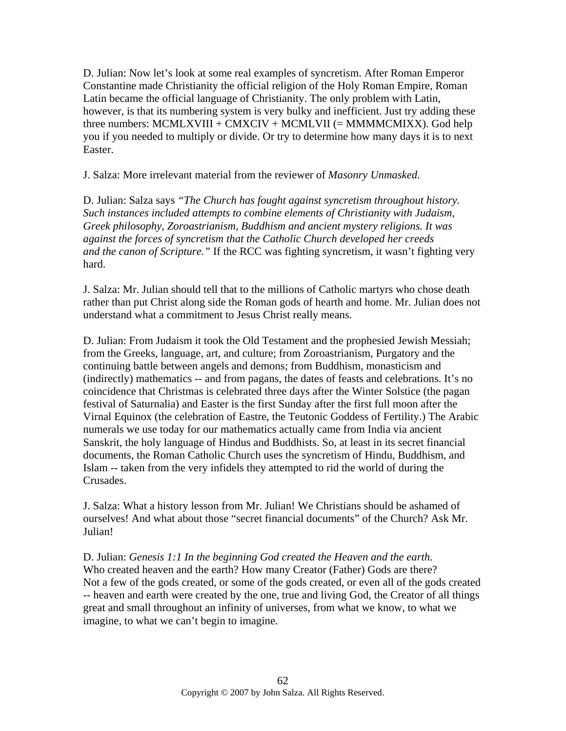D. Julian: Now let's look at some real examples of syncretism. After Roman Emperor Constantine made Christianity the official religion of the Holy Roman Empire, Roman Latin became the official language of Christianity. The only problem with Latin, however, is that its numbering system is very bulky and inefficient. Just try adding these three numbers:  $MCMLXVIII + CMXCIV + MCMLVII$  (= MMMMCMIXX). God help you if you needed to multiply or divide. Or try to determine how many days it is to next Easter.

J. Salza: More irrelevant material from the reviewer of *Masonry Unmasked*.

D. Julian: Salza says *"The Church has fought against syncretism throughout history. Such instances included attempts to combine elements of Christianity with Judaism, Greek philosophy, Zoroastrianism, Buddhism and ancient mystery religions. It was against the forces of syncretism that the Catholic Church developed her creeds and the canon of Scripture."* If the RCC was fighting syncretism, it wasn't fighting very hard.

J. Salza: Mr. Julian should tell that to the millions of Catholic martyrs who chose death rather than put Christ along side the Roman gods of hearth and home. Mr. Julian does not understand what a commitment to Jesus Christ really means.

D. Julian: From Judaism it took the Old Testament and the prophesied Jewish Messiah; from the Greeks, language, art, and culture; from Zoroastrianism, Purgatory and the continuing battle between angels and demons; from Buddhism, monasticism and (indirectly) mathematics -- and from pagans, the dates of feasts and celebrations. It's no coincidence that Christmas is celebrated three days after the Winter Solstice (the pagan festival of Saturnalia) and Easter is the first Sunday after the first full moon after the Virnal Equinox (the celebration of Eastre, the Teutonic Goddess of Fertility.) The Arabic numerals we use today for our mathematics actually came from India via ancient Sanskrit, the holy language of Hindus and Buddhists. So, at least in its secret financial documents, the Roman Catholic Church uses the syncretism of Hindu, Buddhism, and Islam -- taken from the very infidels they attempted to rid the world of during the Crusades.

J. Salza: What a history lesson from Mr. Julian! We Christians should be ashamed of ourselves! And what about those "secret financial documents" of the Church? Ask Mr. Julian!

D. Julian: *Genesis 1:1 In the beginning God created the Heaven and the earth.*  Who created heaven and the earth? How many Creator (Father) Gods are there? Not a few of the gods created, or some of the gods created, or even all of the gods created -- heaven and earth were created by the one, true and living God, the Creator of all things great and small throughout an infinity of universes, from what we know, to what we imagine, to what we can't begin to imagine.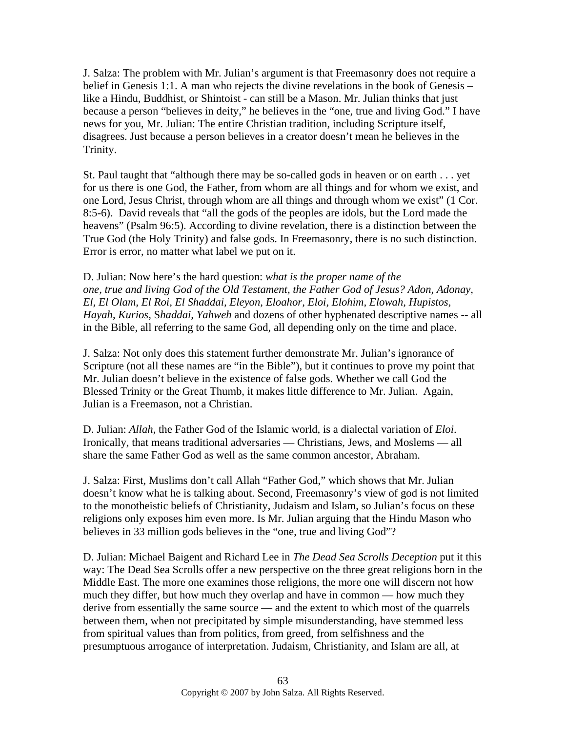J. Salza: The problem with Mr. Julian's argument is that Freemasonry does not require a belief in Genesis 1:1. A man who rejects the divine revelations in the book of Genesis – like a Hindu, Buddhist, or Shintoist - can still be a Mason. Mr. Julian thinks that just because a person "believes in deity," he believes in the "one, true and living God." I have news for you, Mr. Julian: The entire Christian tradition, including Scripture itself, disagrees. Just because a person believes in a creator doesn't mean he believes in the Trinity.

St. Paul taught that "although there may be so-called gods in heaven or on earth . . . yet for us there is one God, the Father, from whom are all things and for whom we exist, and one Lord, Jesus Christ, through whom are all things and through whom we exist" (1 Cor. 8:5-6). David reveals that "all the gods of the peoples are idols, but the Lord made the heavens" (Psalm 96:5). According to divine revelation, there is a distinction between the True God (the Holy Trinity) and false gods. In Freemasonry, there is no such distinction. Error is error, no matter what label we put on it.

D. Julian: Now here's the hard question: *what is the proper name of the one, true and living God of the Old Testament, the Father God of Jesus? Adon, Adonay, El, El Olam, El Roi, El Shaddai, Eleyon, Eloahor, Eloi, Elohim, Elowah, Hupistos, Hayah*, *Kurios,* S*haddai, Yahweh* and dozens of other hyphenated descriptive names -- all in the Bible, all referring to the same God, all depending only on the time and place.

J. Salza: Not only does this statement further demonstrate Mr. Julian's ignorance of Scripture (not all these names are "in the Bible"), but it continues to prove my point that Mr. Julian doesn't believe in the existence of false gods. Whether we call God the Blessed Trinity or the Great Thumb, it makes little difference to Mr. Julian. Again, Julian is a Freemason, not a Christian.

D. Julian: *Allah*, the Father God of the Islamic world, is a dialectal variation of *Eloi*. Ironically, that means traditional adversaries — Christians, Jews, and Moslems — all share the same Father God as well as the same common ancestor, Abraham.

J. Salza: First, Muslims don't call Allah "Father God," which shows that Mr. Julian doesn't know what he is talking about. Second, Freemasonry's view of god is not limited to the monotheistic beliefs of Christianity, Judaism and Islam, so Julian's focus on these religions only exposes him even more. Is Mr. Julian arguing that the Hindu Mason who believes in 33 million gods believes in the "one, true and living God"?

D. Julian: Michael Baigent and Richard Lee in *The Dead Sea Scrolls Deception* put it this way: The Dead Sea Scrolls offer a new perspective on the three great religions born in the Middle East. The more one examines those religions, the more one will discern not how much they differ, but how much they overlap and have in common — how much they derive from essentially the same source — and the extent to which most of the quarrels between them, when not precipitated by simple misunderstanding, have stemmed less from spiritual values than from politics, from greed, from selfishness and the presumptuous arrogance of interpretation. Judaism, Christianity, and Islam are all, at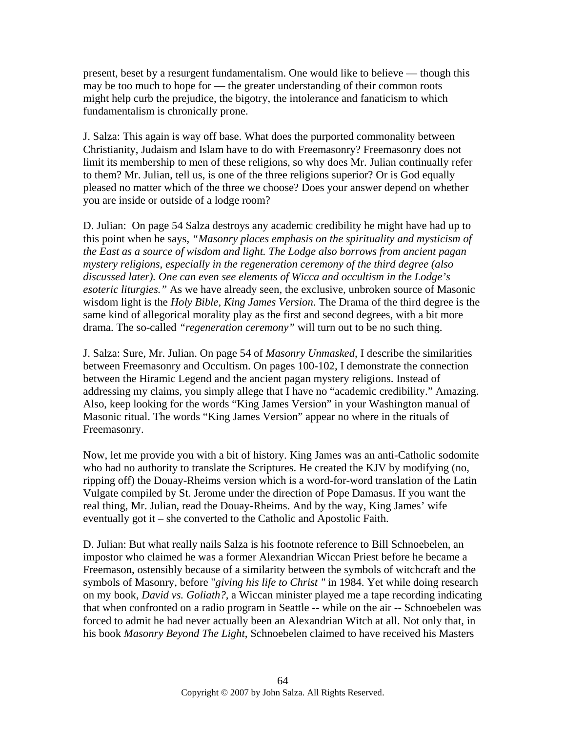present, beset by a resurgent fundamentalism. One would like to believe — though this may be too much to hope for — the greater understanding of their common roots might help curb the prejudice, the bigotry, the intolerance and fanaticism to which fundamentalism is chronically prone.

J. Salza: This again is way off base. What does the purported commonality between Christianity, Judaism and Islam have to do with Freemasonry? Freemasonry does not limit its membership to men of these religions, so why does Mr. Julian continually refer to them? Mr. Julian, tell us, is one of the three religions superior? Or is God equally pleased no matter which of the three we choose? Does your answer depend on whether you are inside or outside of a lodge room?

D. Julian: On page 54 Salza destroys any academic credibility he might have had up to this point when he says, *"Masonry places emphasis on the spirituality and mysticism of the East as a source of wisdom and light. The Lodge also borrows from ancient pagan mystery religions, especially in the regeneration ceremony of the third degree (also discussed later). One can even see elements of Wicca and occultism in the Lodge's esoteric liturgies."* As we have already seen, the exclusive, unbroken source of Masonic wisdom light is the *Holy Bible, King James Version*. The Drama of the third degree is the same kind of allegorical morality play as the first and second degrees, with a bit more drama. The so-called *"regeneration ceremony"* will turn out to be no such thing.

J. Salza: Sure, Mr. Julian. On page 54 of *Masonry Unmasked*, I describe the similarities between Freemasonry and Occultism. On pages 100-102, I demonstrate the connection between the Hiramic Legend and the ancient pagan mystery religions. Instead of addressing my claims, you simply allege that I have no "academic credibility." Amazing. Also, keep looking for the words "King James Version" in your Washington manual of Masonic ritual. The words "King James Version" appear no where in the rituals of Freemasonry.

Now, let me provide you with a bit of history. King James was an anti-Catholic sodomite who had no authority to translate the Scriptures. He created the KJV by modifying (no, ripping off) the Douay-Rheims version which is a word-for-word translation of the Latin Vulgate compiled by St. Jerome under the direction of Pope Damasus. If you want the real thing, Mr. Julian, read the Douay-Rheims. And by the way, King James' wife eventually got it – she converted to the Catholic and Apostolic Faith.

D. Julian: But what really nails Salza is his footnote reference to Bill Schnoebelen, an impostor who claimed he was a former Alexandrian Wiccan Priest before he became a Freemason, ostensibly because of a similarity between the symbols of witchcraft and the symbols of Masonry, before "*giving his life to Christ "* in 1984. Yet while doing research on my book, *David vs. Goliath?,* a Wiccan minister played me a tape recording indicating that when confronted on a radio program in Seattle -- while on the air -- Schnoebelen was forced to admit he had never actually been an Alexandrian Witch at all. Not only that, in his book *Masonry Beyond The Light*, Schnoebelen claimed to have received his Masters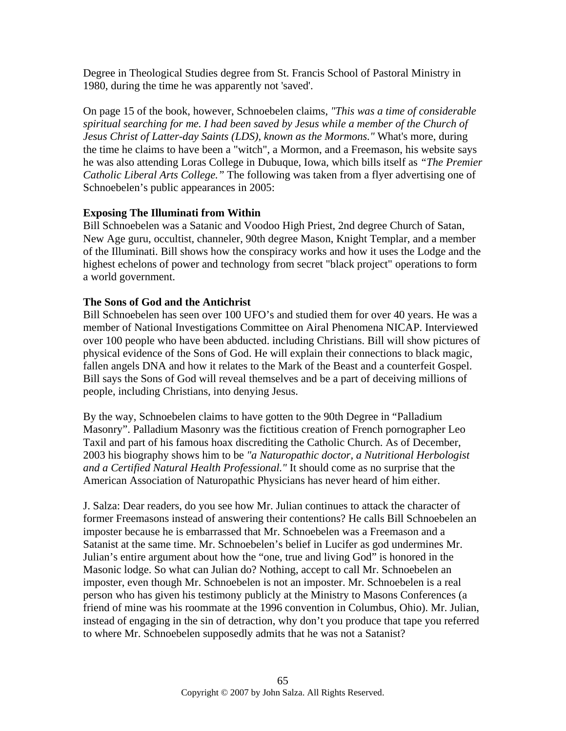Degree in Theological Studies degree from St. Francis School of Pastoral Ministry in 1980, during the time he was apparently not 'saved'.

On page 15 of the book, however, Schnoebelen claims, *"This was a time of considerable*  spiritual searching for me. I had been saved by Jesus while a member of the Church of *Jesus Christ of Latter-day Saints (LDS), known as the Mormons."* What's more, during the time he claims to have been a "witch", a Mormon, and a Freemason, his website says he was also attending Loras College in Dubuque, Iowa, which bills itself as *"The Premier Catholic Liberal Arts College."* The following was taken from a flyer advertising one of Schnoebelen's public appearances in 2005:

#### **Exposing The Illuminati from Within**

Bill Schnoebelen was a Satanic and Voodoo High Priest, 2nd degree Church of Satan, New Age guru, occultist, channeler, 90th degree Mason, Knight Templar, and a member of the Illuminati. Bill shows how the conspiracy works and how it uses the Lodge and the highest echelons of power and technology from secret "black project" operations to form a world government.

#### **The Sons of God and the Antichrist**

Bill Schnoebelen has seen over 100 UFO's and studied them for over 40 years. He was a member of National Investigations Committee on Airal Phenomena NICAP. Interviewed over 100 people who have been abducted. including Christians. Bill will show pictures of physical evidence of the Sons of God. He will explain their connections to black magic, fallen angels DNA and how it relates to the Mark of the Beast and a counterfeit Gospel. Bill says the Sons of God will reveal themselves and be a part of deceiving millions of people, including Christians, into denying Jesus.

By the way, Schnoebelen claims to have gotten to the 90th Degree in "Palladium Masonry". Palladium Masonry was the fictitious creation of French pornographer Leo Taxil and part of his famous hoax discrediting the Catholic Church. As of December, 2003 his biography shows him to be *"a Naturopathic doctor, a Nutritional Herbologist and a Certified Natural Health Professional."* It should come as no surprise that the American Association of Naturopathic Physicians has never heard of him either.

J. Salza: Dear readers, do you see how Mr. Julian continues to attack the character of former Freemasons instead of answering their contentions? He calls Bill Schnoebelen an imposter because he is embarrassed that Mr. Schnoebelen was a Freemason and a Satanist at the same time. Mr. Schnoebelen's belief in Lucifer as god undermines Mr. Julian's entire argument about how the "one, true and living God" is honored in the Masonic lodge. So what can Julian do? Nothing, accept to call Mr. Schnoebelen an imposter, even though Mr. Schnoebelen is not an imposter. Mr. Schnoebelen is a real person who has given his testimony publicly at the Ministry to Masons Conferences (a friend of mine was his roommate at the 1996 convention in Columbus, Ohio). Mr. Julian, instead of engaging in the sin of detraction, why don't you produce that tape you referred to where Mr. Schnoebelen supposedly admits that he was not a Satanist?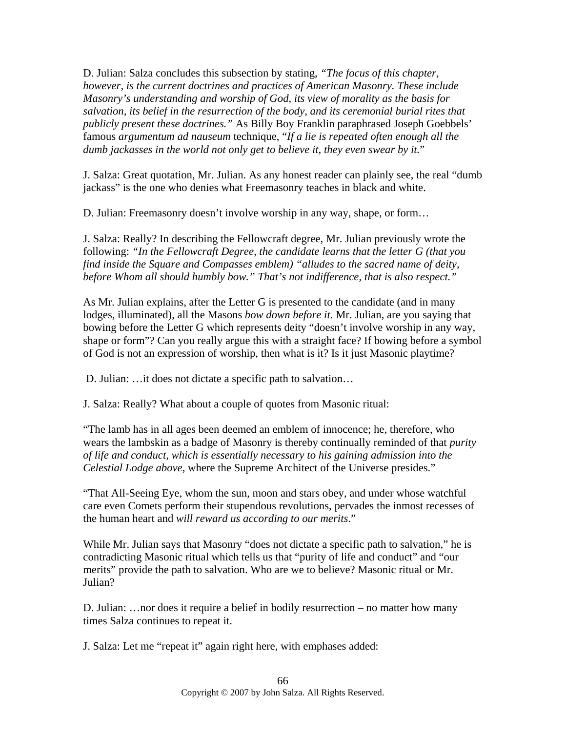D. Julian: Salza concludes this subsection by stating, *"The focus of this chapter, however, is the current doctrines and practices of American Masonry. These include Masonry's understanding and worship of God, its view of morality as the basis for salvation, its belief in the resurrection of the body, and its ceremonial burial rites that publicly present these doctrines."* As Billy Boy Franklin paraphrased Joseph Goebbels' famous *argumentum ad nauseum* technique, "*If a lie is repeated often enough all the dumb jackasses in the world not only get to believe it, they even swear by it.*"

J. Salza: Great quotation, Mr. Julian. As any honest reader can plainly see, the real "dumb jackass" is the one who denies what Freemasonry teaches in black and white.

D. Julian: Freemasonry doesn't involve worship in any way, shape, or form…

J. Salza: Really? In describing the Fellowcraft degree, Mr. Julian previously wrote the following: *"In the Fellowcraft Degree, the candidate learns that the letter G (that you find inside the Square and Compasses emblem) "alludes to the sacred name of deity, before Whom all should humbly bow." That's not indifference, that is also respect."* 

As Mr. Julian explains, after the Letter G is presented to the candidate (and in many lodges, illuminated), all the Masons *bow down before it*. Mr. Julian, are you saying that bowing before the Letter G which represents deity "doesn't involve worship in any way, shape or form"? Can you really argue this with a straight face? If bowing before a symbol of God is not an expression of worship, then what is it? Is it just Masonic playtime?

D. Julian: …it does not dictate a specific path to salvation…

J. Salza: Really? What about a couple of quotes from Masonic ritual:

"The lamb has in all ages been deemed an emblem of innocence; he, therefore, who wears the lambskin as a badge of Masonry is thereby continually reminded of that *purity of life and conduct, which is essentially necessary to his gaining admission into the Celestial Lodge above*, where the Supreme Architect of the Universe presides."

"That All-Seeing Eye, whom the sun, moon and stars obey, and under whose watchful care even Comets perform their stupendous revolutions, pervades the inmost recesses of the human heart and *will reward us according to our merits*."

While Mr. Julian says that Masonry "does not dictate a specific path to salvation," he is contradicting Masonic ritual which tells us that "purity of life and conduct" and "our merits" provide the path to salvation. Who are we to believe? Masonic ritual or Mr. Julian?

D. Julian: …nor does it require a belief in bodily resurrection – no matter how many times Salza continues to repeat it.

J. Salza: Let me "repeat it" again right here, with emphases added: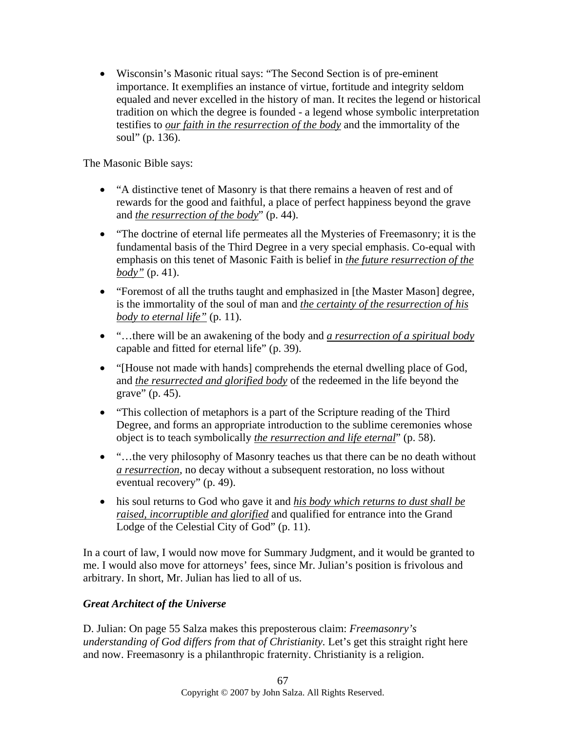• Wisconsin's Masonic ritual says: "The Second Section is of pre-eminent importance. It exemplifies an instance of virtue, fortitude and integrity seldom equaled and never excelled in the history of man. It recites the legend or historical tradition on which the degree is founded - a legend whose symbolic interpretation testifies to *our faith in the resurrection of the body* and the immortality of the soul" (p. 136).

The Masonic Bible says:

- "A distinctive tenet of Masonry is that there remains a heaven of rest and of rewards for the good and faithful, a place of perfect happiness beyond the grave and *the resurrection of the body*" (p. 44).
- "The doctrine of eternal life permeates all the Mysteries of Freemasonry; it is the fundamental basis of the Third Degree in a very special emphasis. Co-equal with emphasis on this tenet of Masonic Faith is belief in *the future resurrection of the body"* (p. 41).
- "Foremost of all the truths taught and emphasized in [the Master Mason] degree, is the immortality of the soul of man and *the certainty of the resurrection of his body to eternal life"* (p. 11).
- "…there will be an awakening of the body and *a resurrection of a spiritual body* capable and fitted for eternal life" (p. 39).
- "[House not made with hands] comprehends the eternal dwelling place of God, and *the resurrected and glorified body* of the redeemed in the life beyond the grave" (p. 45).
- "This collection of metaphors is a part of the Scripture reading of the Third Degree, and forms an appropriate introduction to the sublime ceremonies whose object is to teach symbolically *the resurrection and life eternal*" (p. 58).
- "...the very philosophy of Masonry teaches us that there can be no death without *a resurrection*, no decay without a subsequent restoration, no loss without eventual recovery" (p. 49).
- his soul returns to God who gave it and *his body which returns to dust shall be raised, incorruptible and glorified* and qualified for entrance into the Grand Lodge of the Celestial City of God" (p. 11).

In a court of law, I would now move for Summary Judgment, and it would be granted to me. I would also move for attorneys' fees, since Mr. Julian's position is frivolous and arbitrary. In short, Mr. Julian has lied to all of us.

# *Great Architect of the Universe*

D. Julian: On page 55 Salza makes this preposterous claim: *Freemasonry's understanding of God differs from that of Christianity.* Let's get this straight right here and now. Freemasonry is a philanthropic fraternity. Christianity is a religion.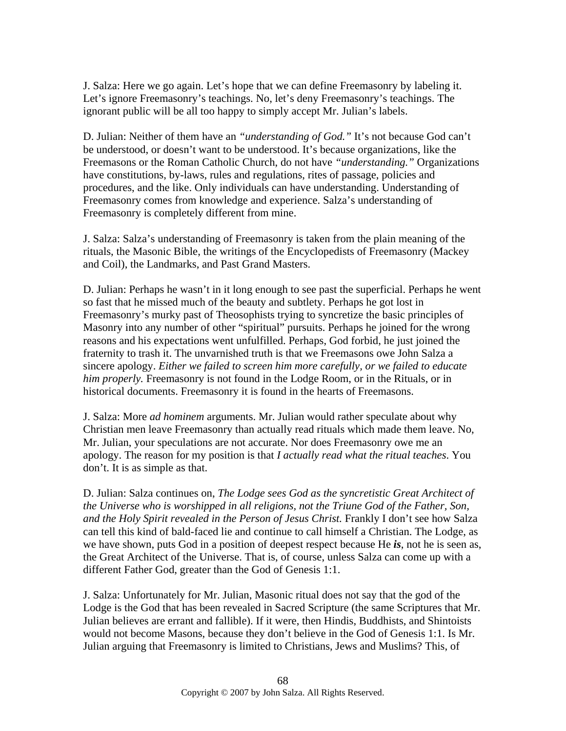J. Salza: Here we go again. Let's hope that we can define Freemasonry by labeling it. Let's ignore Freemasonry's teachings. No, let's deny Freemasonry's teachings. The ignorant public will be all too happy to simply accept Mr. Julian's labels.

D. Julian: Neither of them have an *"understanding of God."* It's not because God can't be understood, or doesn't want to be understood. It's because organizations, like the Freemasons or the Roman Catholic Church, do not have *"understanding."* Organizations have constitutions, by-laws, rules and regulations, rites of passage, policies and procedures, and the like. Only individuals can have understanding. Understanding of Freemasonry comes from knowledge and experience. Salza's understanding of Freemasonry is completely different from mine.

J. Salza: Salza's understanding of Freemasonry is taken from the plain meaning of the rituals, the Masonic Bible, the writings of the Encyclopedists of Freemasonry (Mackey and Coil), the Landmarks, and Past Grand Masters.

D. Julian: Perhaps he wasn't in it long enough to see past the superficial. Perhaps he went so fast that he missed much of the beauty and subtlety. Perhaps he got lost in Freemasonry's murky past of Theosophists trying to syncretize the basic principles of Masonry into any number of other "spiritual" pursuits. Perhaps he joined for the wrong reasons and his expectations went unfulfilled. Perhaps, God forbid, he just joined the fraternity to trash it. The unvarnished truth is that we Freemasons owe John Salza a sincere apology. *Either we failed to screen him more carefully, or we failed to educate him properly.* Freemasonry is not found in the Lodge Room, or in the Rituals, or in historical documents. Freemasonry it is found in the hearts of Freemasons.

J. Salza: More *ad hominem* arguments. Mr. Julian would rather speculate about why Christian men leave Freemasonry than actually read rituals which made them leave. No, Mr. Julian, your speculations are not accurate. Nor does Freemasonry owe me an apology. The reason for my position is that *I actually read what the ritual teaches*. You don't. It is as simple as that.

D. Julian: Salza continues on, *The Lodge sees God as the syncretistic Great Architect of the Universe who is worshipped in all religions, not the Triune God of the Father, Son, and the Holy Spirit revealed in the Person of Jesus Christ.* Frankly I don't see how Salza can tell this kind of bald-faced lie and continue to call himself a Christian. The Lodge, as we have shown, puts God in a position of deepest respect because He *is*, not he is seen as, the Great Architect of the Universe. That is, of course, unless Salza can come up with a different Father God, greater than the God of Genesis 1:1.

J. Salza: Unfortunately for Mr. Julian, Masonic ritual does not say that the god of the Lodge is the God that has been revealed in Sacred Scripture (the same Scriptures that Mr. Julian believes are errant and fallible). If it were, then Hindis, Buddhists, and Shintoists would not become Masons, because they don't believe in the God of Genesis 1:1. Is Mr. Julian arguing that Freemasonry is limited to Christians, Jews and Muslims? This, of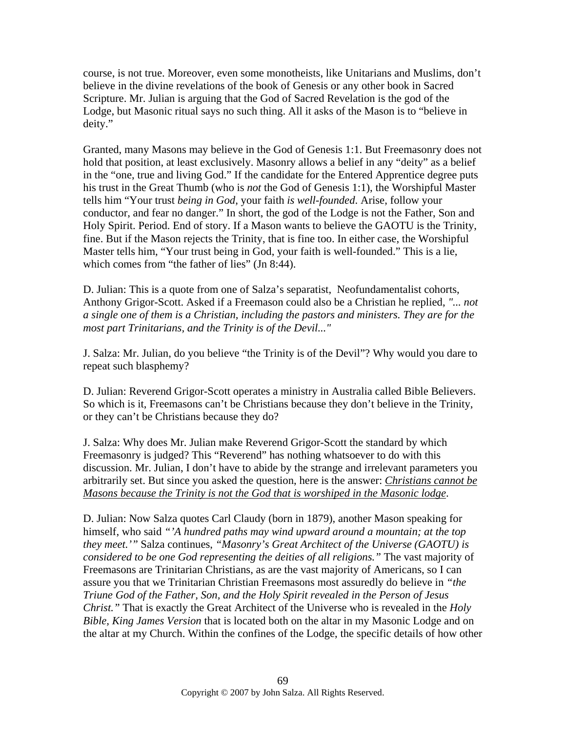course, is not true. Moreover, even some monotheists, like Unitarians and Muslims, don't believe in the divine revelations of the book of Genesis or any other book in Sacred Scripture. Mr. Julian is arguing that the God of Sacred Revelation is the god of the Lodge, but Masonic ritual says no such thing. All it asks of the Mason is to "believe in deity."

Granted, many Masons may believe in the God of Genesis 1:1. But Freemasonry does not hold that position, at least exclusively. Masonry allows a belief in any "deity" as a belief in the "one, true and living God." If the candidate for the Entered Apprentice degree puts his trust in the Great Thumb (who is *not* the God of Genesis 1:1), the Worshipful Master tells him "Your trust *being in God*, your faith *is well-founded*. Arise, follow your conductor, and fear no danger." In short, the god of the Lodge is not the Father, Son and Holy Spirit. Period. End of story. If a Mason wants to believe the GAOTU is the Trinity, fine. But if the Mason rejects the Trinity, that is fine too. In either case, the Worshipful Master tells him, "Your trust being in God, your faith is well-founded." This is a lie, which comes from "the father of lies" (Jn 8:44).

D. Julian: This is a quote from one of Salza's separatist, Neofundamentalist cohorts, Anthony Grigor-Scott. Asked if a Freemason could also be a Christian he replied, *"... not a single one of them is a Christian, including the pastors and ministers. They are for the most part Trinitarians, and the Trinity is of the Devil..."* 

J. Salza: Mr. Julian, do you believe "the Trinity is of the Devil"? Why would you dare to repeat such blasphemy?

D. Julian: Reverend Grigor-Scott operates a ministry in Australia called Bible Believers. So which is it, Freemasons can't be Christians because they don't believe in the Trinity, or they can't be Christians because they do?

J. Salza: Why does Mr. Julian make Reverend Grigor-Scott the standard by which Freemasonry is judged? This "Reverend" has nothing whatsoever to do with this discussion. Mr. Julian, I don't have to abide by the strange and irrelevant parameters you arbitrarily set. But since you asked the question, here is the answer: *Christians cannot be Masons because the Trinity is not the God that is worshiped in the Masonic lodge*.

D. Julian: Now Salza quotes Carl Claudy (born in 1879), another Mason speaking for himself, who said *"'A hundred paths may wind upward around a mountain; at the top they meet.'"* Salza continues, *"Masonry's Great Architect of the Universe (GAOTU) is considered to be one God representing the deities of all religions."* The vast majority of Freemasons are Trinitarian Christians, as are the vast majority of Americans, so I can assure you that we Trinitarian Christian Freemasons most assuredly do believe in *"the Triune God of the Father, Son, and the Holy Spirit revealed in the Person of Jesus Christ."* That is exactly the Great Architect of the Universe who is revealed in the *Holy Bible, King James Version* that is located both on the altar in my Masonic Lodge and on the altar at my Church. Within the confines of the Lodge, the specific details of how other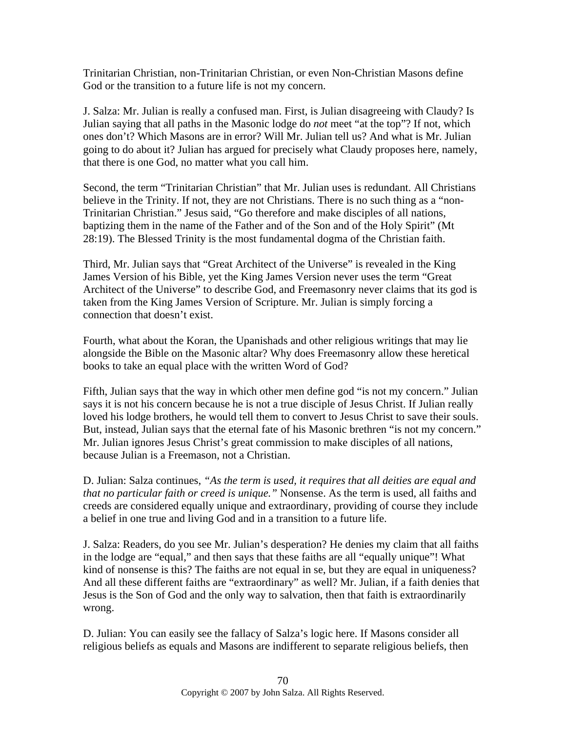Trinitarian Christian, non-Trinitarian Christian, or even Non-Christian Masons define God or the transition to a future life is not my concern.

J. Salza: Mr. Julian is really a confused man. First, is Julian disagreeing with Claudy? Is Julian saying that all paths in the Masonic lodge do *not* meet "at the top"? If not, which ones don't? Which Masons are in error? Will Mr. Julian tell us? And what is Mr. Julian going to do about it? Julian has argued for precisely what Claudy proposes here, namely, that there is one God, no matter what you call him.

Second, the term "Trinitarian Christian" that Mr. Julian uses is redundant. All Christians believe in the Trinity. If not, they are not Christians. There is no such thing as a "non-Trinitarian Christian." Jesus said, "Go therefore and make disciples of all nations, baptizing them in the name of the Father and of the Son and of the Holy Spirit" (Mt 28:19). The Blessed Trinity is the most fundamental dogma of the Christian faith.

Third, Mr. Julian says that "Great Architect of the Universe" is revealed in the King James Version of his Bible, yet the King James Version never uses the term "Great Architect of the Universe" to describe God, and Freemasonry never claims that its god is taken from the King James Version of Scripture. Mr. Julian is simply forcing a connection that doesn't exist.

Fourth, what about the Koran, the Upanishads and other religious writings that may lie alongside the Bible on the Masonic altar? Why does Freemasonry allow these heretical books to take an equal place with the written Word of God?

Fifth, Julian says that the way in which other men define god "is not my concern." Julian says it is not his concern because he is not a true disciple of Jesus Christ. If Julian really loved his lodge brothers, he would tell them to convert to Jesus Christ to save their souls. But, instead, Julian says that the eternal fate of his Masonic brethren "is not my concern." Mr. Julian ignores Jesus Christ's great commission to make disciples of all nations, because Julian is a Freemason, not a Christian.

D. Julian: Salza continues, *"As the term is used, it requires that all deities are equal and that no particular faith or creed is unique."* Nonsense. As the term is used, all faiths and creeds are considered equally unique and extraordinary, providing of course they include a belief in one true and living God and in a transition to a future life.

J. Salza: Readers, do you see Mr. Julian's desperation? He denies my claim that all faiths in the lodge are "equal," and then says that these faiths are all "equally unique"! What kind of nonsense is this? The faiths are not equal in se, but they are equal in uniqueness? And all these different faiths are "extraordinary" as well? Mr. Julian, if a faith denies that Jesus is the Son of God and the only way to salvation, then that faith is extraordinarily wrong.

D. Julian: You can easily see the fallacy of Salza's logic here. If Masons consider all religious beliefs as equals and Masons are indifferent to separate religious beliefs, then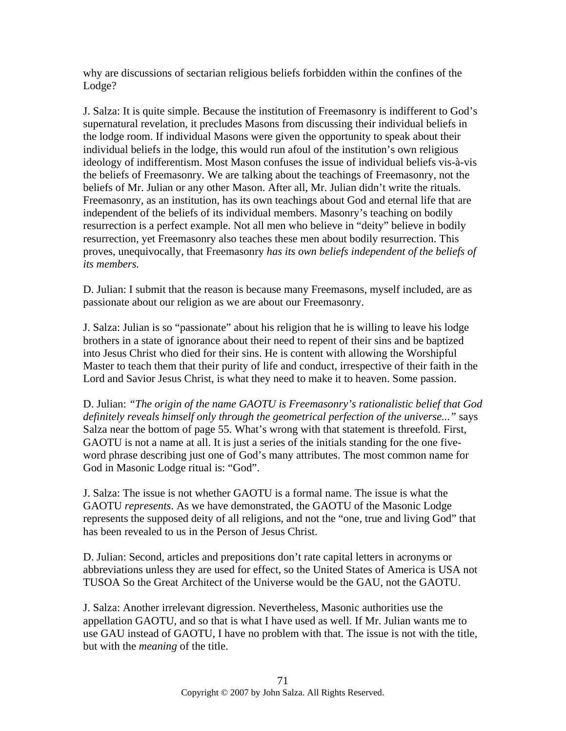why are discussions of sectarian religious beliefs forbidden within the confines of the Lodge?

J. Salza: It is quite simple. Because the institution of Freemasonry is indifferent to God's supernatural revelation, it precludes Masons from discussing their individual beliefs in the lodge room. If individual Masons were given the opportunity to speak about their individual beliefs in the lodge, this would run afoul of the institution's own religious ideology of indifferentism. Most Mason confuses the issue of individual beliefs vis-à-vis the beliefs of Freemasonry. We are talking about the teachings of Freemasonry, not the beliefs of Mr. Julian or any other Mason. After all, Mr. Julian didn't write the rituals. Freemasonry, as an institution, has its own teachings about God and eternal life that are independent of the beliefs of its individual members. Masonry's teaching on bodily resurrection is a perfect example. Not all men who believe in "deity" believe in bodily resurrection, yet Freemasonry also teaches these men about bodily resurrection. This proves, unequivocally, that Freemasonry *has its own beliefs independent of the beliefs of its members.* 

D. Julian: I submit that the reason is because many Freemasons, myself included, are as passionate about our religion as we are about our Freemasonry.

J. Salza: Julian is so "passionate" about his religion that he is willing to leave his lodge brothers in a state of ignorance about their need to repent of their sins and be baptized into Jesus Christ who died for their sins. He is content with allowing the Worshipful Master to teach them that their purity of life and conduct, irrespective of their faith in the Lord and Savior Jesus Christ, is what they need to make it to heaven. Some passion.

D. Julian: *"The origin of the name GAOTU is Freemasonry's rationalistic belief that God definitely reveals himself only through the geometrical perfection of the universe..."* says Salza near the bottom of page 55. What's wrong with that statement is threefold. First, GAOTU is not a name at all. It is just a series of the initials standing for the one fiveword phrase describing just one of God's many attributes. The most common name for God in Masonic Lodge ritual is: "God".

J. Salza: The issue is not whether GAOTU is a formal name. The issue is what the GAOTU *represents*. As we have demonstrated, the GAOTU of the Masonic Lodge represents the supposed deity of all religions, and not the "one, true and living God" that has been revealed to us in the Person of Jesus Christ.

D. Julian: Second, articles and prepositions don't rate capital letters in acronyms or abbreviations unless they are used for effect, so the United States of America is USA not TUSOA So the Great Architect of the Universe would be the GAU, not the GAOTU.

J. Salza: Another irrelevant digression. Nevertheless, Masonic authorities use the appellation GAOTU, and so that is what I have used as well. If Mr. Julian wants me to use GAU instead of GAOTU, I have no problem with that. The issue is not with the title, but with the *meaning* of the title.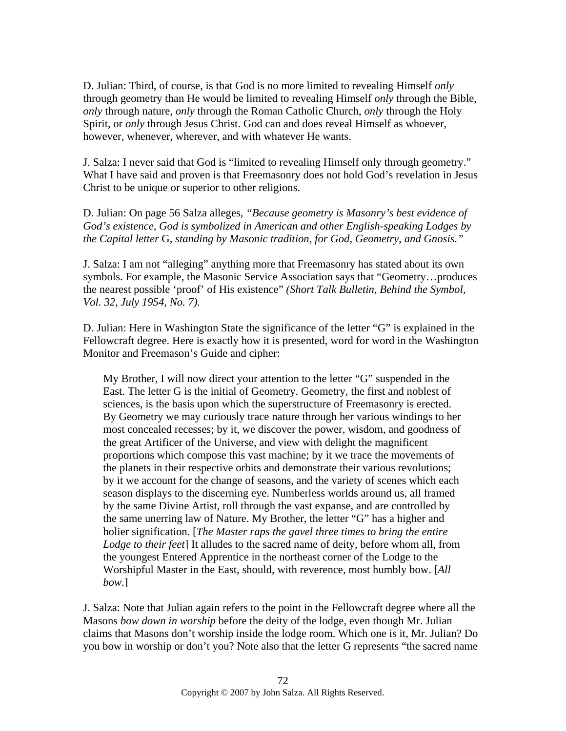D. Julian: Third, of course, is that God is no more limited to revealing Himself *only*  through geometry than He would be limited to revealing Himself *only* through the Bible, *only* through nature, *only* through the Roman Catholic Church, *only* through the Holy Spirit, or *only* through Jesus Christ. God can and does reveal Himself as whoever, however, whenever, wherever, and with whatever He wants.

J. Salza: I never said that God is "limited to revealing Himself only through geometry." What I have said and proven is that Freemasonry does not hold God's revelation in Jesus Christ to be unique or superior to other religions.

D. Julian: On page 56 Salza alleges, *"Because geometry is Masonry's best evidence of God's existence, God is symbolized in American and other English-speaking Lodges by the Capital letter* G*, standing by Masonic tradition, for God, Geometry, and Gnosis."* 

J. Salza: I am not "alleging" anything more that Freemasonry has stated about its own symbols. For example, the Masonic Service Association says that "Geometry…produces the nearest possible 'proof' of His existence" *(Short Talk Bulletin, Behind the Symbol, Vol. 32, July 1954, No. 7).* 

D. Julian: Here in Washington State the significance of the letter "G" is explained in the Fellowcraft degree. Here is exactly how it is presented, word for word in the Washington Monitor and Freemason's Guide and cipher:

My Brother, I will now direct your attention to the letter "G" suspended in the East. The letter G is the initial of Geometry. Geometry, the first and noblest of sciences, is the basis upon which the superstructure of Freemasonry is erected. By Geometry we may curiously trace nature through her various windings to her most concealed recesses; by it, we discover the power, wisdom, and goodness of the great Artificer of the Universe, and view with delight the magnificent proportions which compose this vast machine; by it we trace the movements of the planets in their respective orbits and demonstrate their various revolutions; by it we account for the change of seasons, and the variety of scenes which each season displays to the discerning eye. Numberless worlds around us, all framed by the same Divine Artist, roll through the vast expanse, and are controlled by the same unerring law of Nature. My Brother, the letter "G" has a higher and holier signification. [*The Master raps the gavel three times to bring the entire Lodge to their feet*] It alludes to the sacred name of deity, before whom all, from the youngest Entered Apprentice in the northeast corner of the Lodge to the Worshipful Master in the East, should, with reverence, most humbly bow. [*All bow*.]

J. Salza: Note that Julian again refers to the point in the Fellowcraft degree where all the Masons *bow down in worship* before the deity of the lodge, even though Mr. Julian claims that Masons don't worship inside the lodge room. Which one is it, Mr. Julian? Do you bow in worship or don't you? Note also that the letter G represents "the sacred name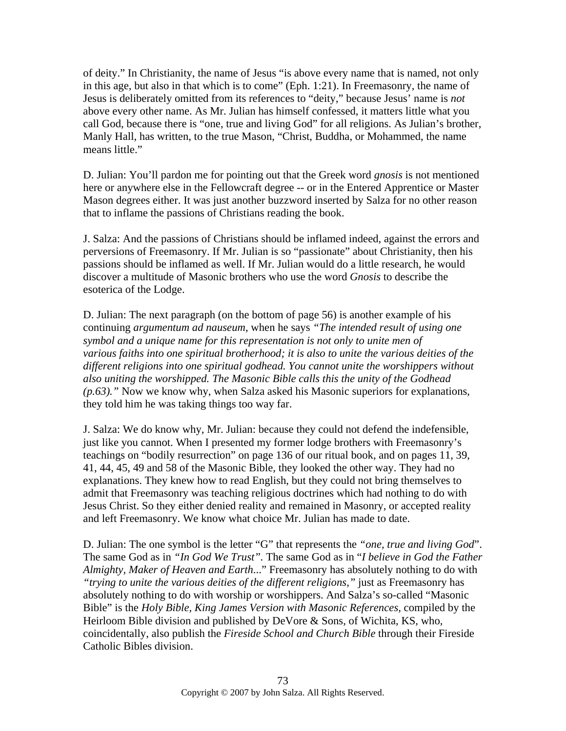of deity." In Christianity, the name of Jesus "is above every name that is named, not only in this age, but also in that which is to come" (Eph. 1:21). In Freemasonry, the name of Jesus is deliberately omitted from its references to "deity," because Jesus' name is *not* above every other name. As Mr. Julian has himself confessed, it matters little what you call God, because there is "one, true and living God" for all religions. As Julian's brother, Manly Hall, has written, to the true Mason, "Christ, Buddha, or Mohammed, the name means little."

D. Julian: You'll pardon me for pointing out that the Greek word *gnosis* is not mentioned here or anywhere else in the Fellowcraft degree -- or in the Entered Apprentice or Master Mason degrees either. It was just another buzzword inserted by Salza for no other reason that to inflame the passions of Christians reading the book.

J. Salza: And the passions of Christians should be inflamed indeed, against the errors and perversions of Freemasonry. If Mr. Julian is so "passionate" about Christianity, then his passions should be inflamed as well. If Mr. Julian would do a little research, he would discover a multitude of Masonic brothers who use the word *Gnosis* to describe the esoterica of the Lodge.

D. Julian: The next paragraph (on the bottom of page 56) is another example of his continuing *argumentum ad nauseum*, when he says *"The intended result of using one symbol and a unique name for this representation is not only to unite men of various faiths into one spiritual brotherhood; it is also to unite the various deities of the different religions into one spiritual godhead. You cannot unite the worshippers without also uniting the worshipped. The Masonic Bible calls this the unity of the Godhead (p.63)."* Now we know why, when Salza asked his Masonic superiors for explanations, they told him he was taking things too way far.

J. Salza: We do know why, Mr. Julian: because they could not defend the indefensible, just like you cannot. When I presented my former lodge brothers with Freemasonry's teachings on "bodily resurrection" on page 136 of our ritual book, and on pages 11, 39, 41, 44, 45, 49 and 58 of the Masonic Bible, they looked the other way. They had no explanations. They knew how to read English, but they could not bring themselves to admit that Freemasonry was teaching religious doctrines which had nothing to do with Jesus Christ. So they either denied reality and remained in Masonry, or accepted reality and left Freemasonry. We know what choice Mr. Julian has made to date.

D. Julian: The one symbol is the letter "G" that represents the *"one, true and living God*". The same God as in *"In God We Trust".* The same God as in "*I believe in God the Father Almighty, Maker of Heaven and Earth*..." Freemasonry has absolutely nothing to do with *"trying to unite the various deities of the different religions,"* just as Freemasonry has absolutely nothing to do with worship or worshippers. And Salza's so-called "Masonic Bible" is the *Holy Bible, King James Version with Masonic References,* compiled by the Heirloom Bible division and published by DeVore & Sons, of Wichita, KS, who, coincidentally, also publish the *Fireside School and Church Bible* through their Fireside Catholic Bibles division.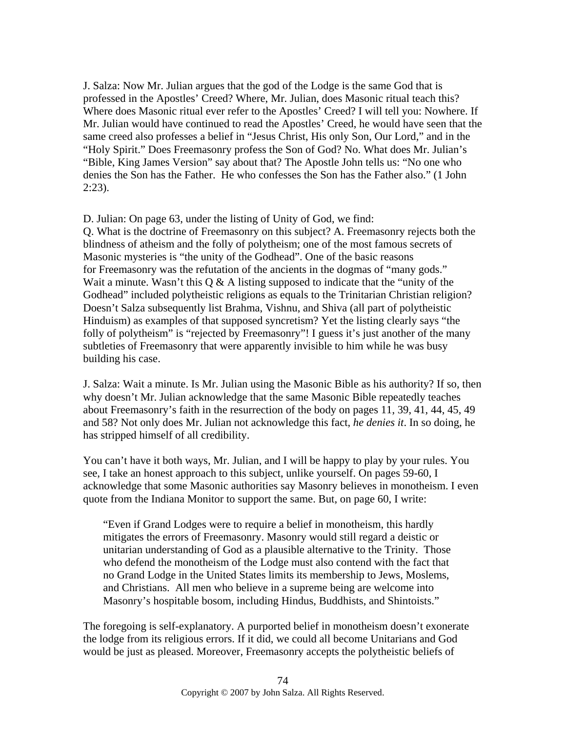J. Salza: Now Mr. Julian argues that the god of the Lodge is the same God that is professed in the Apostles' Creed? Where, Mr. Julian, does Masonic ritual teach this? Where does Masonic ritual ever refer to the Apostles' Creed? I will tell you: Nowhere. If Mr. Julian would have continued to read the Apostles' Creed, he would have seen that the same creed also professes a belief in "Jesus Christ, His only Son, Our Lord," and in the "Holy Spirit." Does Freemasonry profess the Son of God? No. What does Mr. Julian's "Bible, King James Version" say about that? The Apostle John tells us: "No one who denies the Son has the Father. He who confesses the Son has the Father also." (1 John  $2:23$ ).

D. Julian: On page 63, under the listing of Unity of God, we find:

Q. What is the doctrine of Freemasonry on this subject? A. Freemasonry rejects both the blindness of atheism and the folly of polytheism; one of the most famous secrets of Masonic mysteries is "the unity of the Godhead". One of the basic reasons for Freemasonry was the refutation of the ancients in the dogmas of "many gods." Wait a minute. Wasn't this  $Q \& A$  listing supposed to indicate that the "unity of the Godhead" included polytheistic religions as equals to the Trinitarian Christian religion? Doesn't Salza subsequently list Brahma, Vishnu, and Shiva (all part of polytheistic Hinduism) as examples of that supposed syncretism? Yet the listing clearly says "the folly of polytheism" is "rejected by Freemasonry"! I guess it's just another of the many subtleties of Freemasonry that were apparently invisible to him while he was busy building his case.

J. Salza: Wait a minute. Is Mr. Julian using the Masonic Bible as his authority? If so, then why doesn't Mr. Julian acknowledge that the same Masonic Bible repeatedly teaches about Freemasonry's faith in the resurrection of the body on pages 11, 39, 41, 44, 45, 49 and 58? Not only does Mr. Julian not acknowledge this fact, *he denies it*. In so doing, he has stripped himself of all credibility.

You can't have it both ways, Mr. Julian, and I will be happy to play by your rules. You see, I take an honest approach to this subject, unlike yourself. On pages 59-60, I acknowledge that some Masonic authorities say Masonry believes in monotheism. I even quote from the Indiana Monitor to support the same. But, on page 60, I write:

"Even if Grand Lodges were to require a belief in monotheism, this hardly mitigates the errors of Freemasonry. Masonry would still regard a deistic or unitarian understanding of God as a plausible alternative to the Trinity. Those who defend the monotheism of the Lodge must also contend with the fact that no Grand Lodge in the United States limits its membership to Jews, Moslems, and Christians. All men who believe in a supreme being are welcome into Masonry's hospitable bosom, including Hindus, Buddhists, and Shintoists."

The foregoing is self-explanatory. A purported belief in monotheism doesn't exonerate the lodge from its religious errors. If it did, we could all become Unitarians and God would be just as pleased. Moreover, Freemasonry accepts the polytheistic beliefs of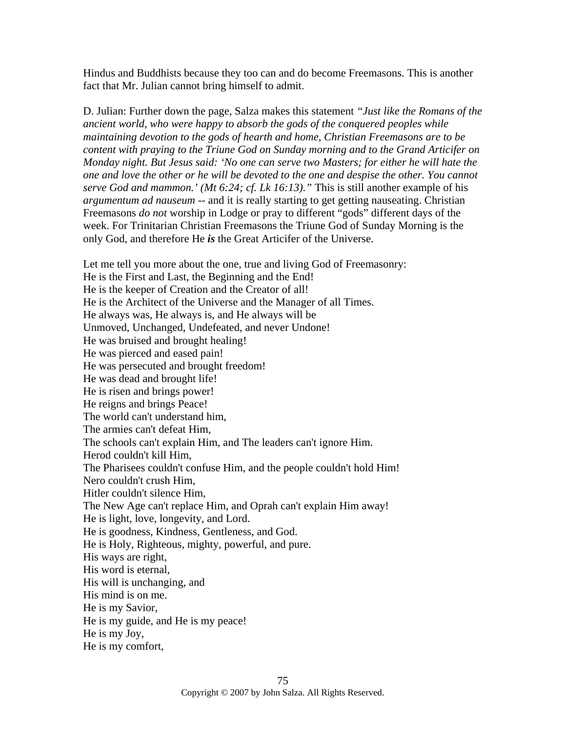Hindus and Buddhists because they too can and do become Freemasons. This is another fact that Mr. Julian cannot bring himself to admit.

D. Julian: Further down the page, Salza makes this statement *"Just like the Romans of the ancient world, who were happy to absorb the gods of the conquered peoples while maintaining devotion to the gods of hearth and home, Christian Freemasons are to be content with praying to the Triune God on Sunday morning and to the Grand Articifer on Monday night. But Jesus said: 'No one can serve two Masters; for either he will hate the one and love the other or he will be devoted to the one and despise the other. You cannot serve God and mammon.' (Mt 6:24; cf. Lk 16:13)."* This is still another example of his *argumentum ad nauseum* -- and it is really starting to get getting nauseating. Christian Freemasons *do not* worship in Lodge or pray to different "gods" different days of the week. For Trinitarian Christian Freemasons the Triune God of Sunday Morning is the only God, and therefore He *is* the Great Articifer of the Universe.

Let me tell you more about the one, true and living God of Freemasonry: He is the First and Last, the Beginning and the End! He is the keeper of Creation and the Creator of all! He is the Architect of the Universe and the Manager of all Times. He always was, He always is, and He always will be Unmoved, Unchanged, Undefeated, and never Undone! He was bruised and brought healing! He was pierced and eased pain! He was persecuted and brought freedom! He was dead and brought life! He is risen and brings power! He reigns and brings Peace! The world can't understand him, The armies can't defeat Him, The schools can't explain Him, and The leaders can't ignore Him. Herod couldn't kill Him, The Pharisees couldn't confuse Him, and the people couldn't hold Him! Nero couldn't crush Him, Hitler couldn't silence Him, The New Age can't replace Him, and Oprah can't explain Him away! He is light, love, longevity, and Lord. He is goodness, Kindness, Gentleness, and God. He is Holy, Righteous, mighty, powerful, and pure. His ways are right, His word is eternal, His will is unchanging, and His mind is on me. He is my Savior, He is my guide, and He is my peace! He is my Joy, He is my comfort,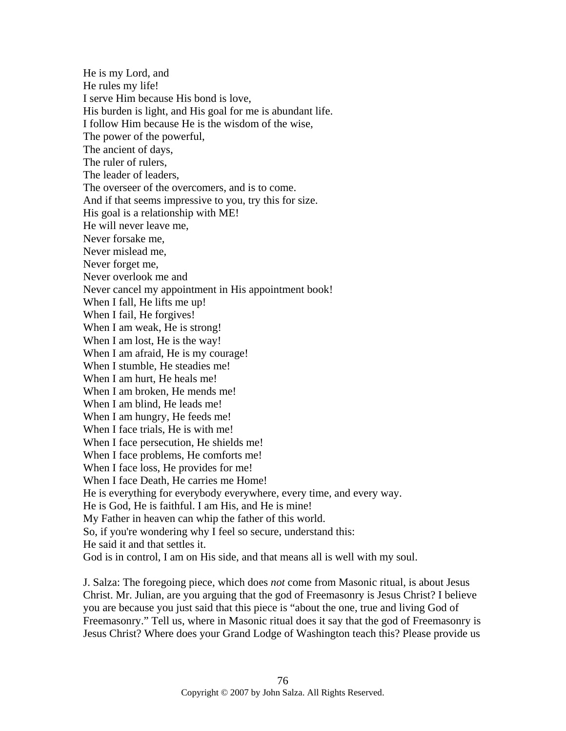He is my Lord, and He rules my life! I serve Him because His bond is love, His burden is light, and His goal for me is abundant life. I follow Him because He is the wisdom of the wise, The power of the powerful, The ancient of days, The ruler of rulers, The leader of leaders, The overseer of the overcomers, and is to come. And if that seems impressive to you, try this for size. His goal is a relationship with ME! He will never leave me, Never forsake me, Never mislead me, Never forget me, Never overlook me and Never cancel my appointment in His appointment book! When I fall, He lifts me up! When I fail, He forgives! When I am weak, He is strong! When I am lost, He is the way! When I am afraid, He is my courage! When I stumble, He steadies me! When I am hurt, He heals me! When I am broken, He mends me! When I am blind, He leads me! When I am hungry, He feeds me! When I face trials, He is with me! When I face persecution, He shields me! When I face problems, He comforts me! When I face loss, He provides for me! When I face Death, He carries me Home! He is everything for everybody everywhere, every time, and every way. He is God, He is faithful. I am His, and He is mine! My Father in heaven can whip the father of this world. So, if you're wondering why I feel so secure, understand this: He said it and that settles it. God is in control, I am on His side, and that means all is well with my soul.

J. Salza: The foregoing piece, which does *not* come from Masonic ritual, is about Jesus Christ. Mr. Julian, are you arguing that the god of Freemasonry is Jesus Christ? I believe you are because you just said that this piece is "about the one, true and living God of Freemasonry." Tell us, where in Masonic ritual does it say that the god of Freemasonry is Jesus Christ? Where does your Grand Lodge of Washington teach this? Please provide us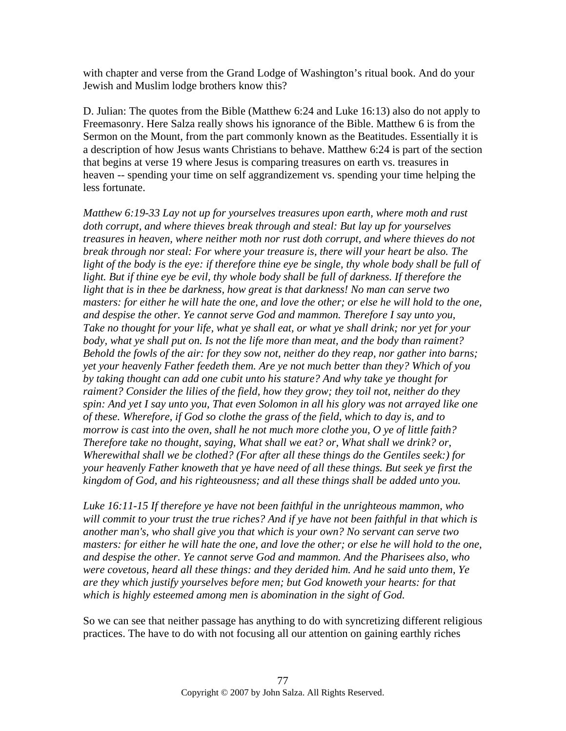with chapter and verse from the Grand Lodge of Washington's ritual book. And do your Jewish and Muslim lodge brothers know this?

D. Julian: The quotes from the Bible (Matthew 6:24 and Luke 16:13) also do not apply to Freemasonry. Here Salza really shows his ignorance of the Bible. Matthew 6 is from the Sermon on the Mount, from the part commonly known as the Beatitudes. Essentially it is a description of how Jesus wants Christians to behave. Matthew 6:24 is part of the section that begins at verse 19 where Jesus is comparing treasures on earth vs. treasures in heaven -- spending your time on self aggrandizement vs. spending your time helping the less fortunate.

*Matthew 6:19-33 Lay not up for yourselves treasures upon earth, where moth and rust doth corrupt, and where thieves break through and steal: But lay up for yourselves treasures in heaven, where neither moth nor rust doth corrupt, and where thieves do not break through nor steal: For where your treasure is, there will your heart be also. The*  light of the body is the eye: if therefore thine eye be single, thy whole body shall be full of light. But if thine eye be evil, thy whole body shall be full of darkness. If therefore the *light that is in thee be darkness, how great is that darkness! No man can serve two masters: for either he will hate the one, and love the other; or else he will hold to the one, and despise the other. Ye cannot serve God and mammon. Therefore I say unto you, Take no thought for your life, what ye shall eat, or what ye shall drink; nor yet for your body, what ye shall put on. Is not the life more than meat, and the body than raiment? Behold the fowls of the air: for they sow not, neither do they reap, nor gather into barns; yet your heavenly Father feedeth them. Are ye not much better than they? Which of you by taking thought can add one cubit unto his stature? And why take ye thought for raiment? Consider the lilies of the field, how they grow; they toil not, neither do they spin: And yet I say unto you, That even Solomon in all his glory was not arrayed like one of these. Wherefore, if God so clothe the grass of the field, which to day is, and to morrow is cast into the oven, shall he not much more clothe you, O ye of little faith? Therefore take no thought, saying, What shall we eat? or, What shall we drink? or, Wherewithal shall we be clothed? (For after all these things do the Gentiles seek:) for your heavenly Father knoweth that ye have need of all these things. But seek ye first the kingdom of God, and his righteousness; and all these things shall be added unto you.* 

*Luke 16:11-15 If therefore ye have not been faithful in the unrighteous mammon, who will commit to your trust the true riches? And if ye have not been faithful in that which is another man's, who shall give you that which is your own? No servant can serve two masters: for either he will hate the one, and love the other; or else he will hold to the one, and despise the other. Ye cannot serve God and mammon. And the Pharisees also, who were covetous, heard all these things: and they derided him. And he said unto them, Ye are they which justify yourselves before men; but God knoweth your hearts: for that which is highly esteemed among men is abomination in the sight of God.* 

So we can see that neither passage has anything to do with syncretizing different religious practices. The have to do with not focusing all our attention on gaining earthly riches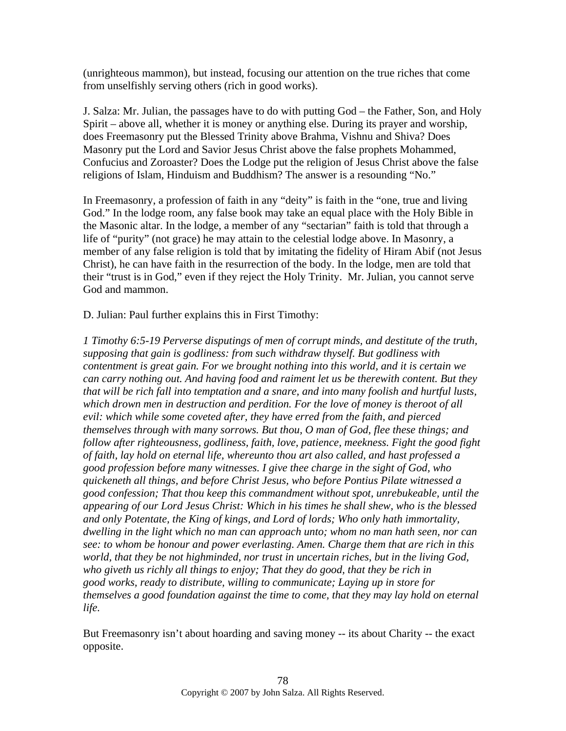(unrighteous mammon), but instead, focusing our attention on the true riches that come from unselfishly serving others (rich in good works).

J. Salza: Mr. Julian, the passages have to do with putting God – the Father, Son, and Holy Spirit – above all, whether it is money or anything else. During its prayer and worship, does Freemasonry put the Blessed Trinity above Brahma, Vishnu and Shiva? Does Masonry put the Lord and Savior Jesus Christ above the false prophets Mohammed, Confucius and Zoroaster? Does the Lodge put the religion of Jesus Christ above the false religions of Islam, Hinduism and Buddhism? The answer is a resounding "No."

In Freemasonry, a profession of faith in any "deity" is faith in the "one, true and living God." In the lodge room, any false book may take an equal place with the Holy Bible in the Masonic altar. In the lodge, a member of any "sectarian" faith is told that through a life of "purity" (not grace) he may attain to the celestial lodge above. In Masonry, a member of any false religion is told that by imitating the fidelity of Hiram Abif (not Jesus Christ), he can have faith in the resurrection of the body. In the lodge, men are told that their "trust is in God," even if they reject the Holy Trinity. Mr. Julian, you cannot serve God and mammon.

D. Julian: Paul further explains this in First Timothy:

*1 Timothy 6:5-19 Perverse disputings of men of corrupt minds, and destitute of the truth, supposing that gain is godliness: from such withdraw thyself. But godliness with contentment is great gain. For we brought nothing into this world, and it is certain we can carry nothing out. And having food and raiment let us be therewith content. But they that will be rich fall into temptation and a snare, and into many foolish and hurtful lusts, which drown men in destruction and perdition. For the love of money is theroot of all evil: which while some coveted after, they have erred from the faith, and pierced themselves through with many sorrows. But thou, O man of God, flee these things; and follow after righteousness, godliness, faith, love, patience, meekness. Fight the good fight of faith, lay hold on eternal life, whereunto thou art also called, and hast professed a good profession before many witnesses. I give thee charge in the sight of God, who quickeneth all things, and before Christ Jesus, who before Pontius Pilate witnessed a good confession; That thou keep this commandment without spot, unrebukeable, until the appearing of our Lord Jesus Christ: Which in his times he shall shew, who is the blessed and only Potentate, the King of kings, and Lord of lords; Who only hath immortality, dwelling in the light which no man can approach unto; whom no man hath seen, nor can see: to whom be honour and power everlasting. Amen. Charge them that are rich in this world, that they be not highminded, nor trust in uncertain riches, but in the living God, who giveth us richly all things to enjoy; That they do good, that they be rich in good works, ready to distribute, willing to communicate; Laying up in store for themselves a good foundation against the time to come, that they may lay hold on eternal life.* 

But Freemasonry isn't about hoarding and saving money -- its about Charity -- the exact opposite.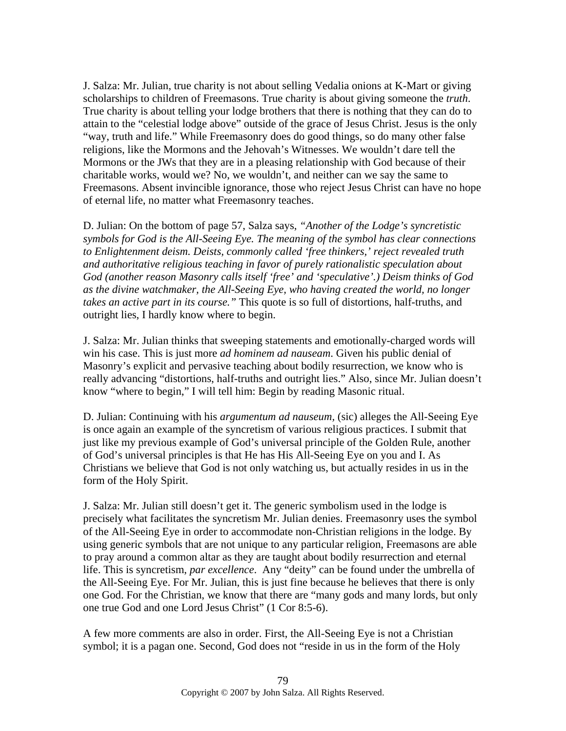J. Salza: Mr. Julian, true charity is not about selling Vedalia onions at K-Mart or giving scholarships to children of Freemasons. True charity is about giving someone the *truth*. True charity is about telling your lodge brothers that there is nothing that they can do to attain to the "celestial lodge above" outside of the grace of Jesus Christ. Jesus is the only "way, truth and life." While Freemasonry does do good things, so do many other false religions, like the Mormons and the Jehovah's Witnesses. We wouldn't dare tell the Mormons or the JWs that they are in a pleasing relationship with God because of their charitable works, would we? No, we wouldn't, and neither can we say the same to Freemasons. Absent invincible ignorance, those who reject Jesus Christ can have no hope of eternal life, no matter what Freemasonry teaches.

D. Julian: On the bottom of page 57, Salza says, *"Another of the Lodge's syncretistic symbols for God is the All-Seeing Eye. The meaning of the symbol has clear connections to Enlightenment deism. Deists, commonly called 'free thinkers,' reject revealed truth and authoritative religious teaching in favor of purely rationalistic speculation about God (another reason Masonry calls itself 'free' and 'speculative'.) Deism thinks of God as the divine watchmaker, the All-Seeing Eye, who having created the world, no longer takes an active part in its course."* This quote is so full of distortions, half-truths, and outright lies, I hardly know where to begin.

J. Salza: Mr. Julian thinks that sweeping statements and emotionally-charged words will win his case. This is just more *ad hominem ad nauseam*. Given his public denial of Masonry's explicit and pervasive teaching about bodily resurrection, we know who is really advancing "distortions, half-truths and outright lies." Also, since Mr. Julian doesn't know "where to begin," I will tell him: Begin by reading Masonic ritual.

D. Julian: Continuing with his *argumentum ad nauseum,* (sic) alleges the All-Seeing Eye is once again an example of the syncretism of various religious practices. I submit that just like my previous example of God's universal principle of the Golden Rule, another of God's universal principles is that He has His All-Seeing Eye on you and I. As Christians we believe that God is not only watching us, but actually resides in us in the form of the Holy Spirit.

J. Salza: Mr. Julian still doesn't get it. The generic symbolism used in the lodge is precisely what facilitates the syncretism Mr. Julian denies. Freemasonry uses the symbol of the All-Seeing Eye in order to accommodate non-Christian religions in the lodge. By using generic symbols that are not unique to any particular religion, Freemasons are able to pray around a common altar as they are taught about bodily resurrection and eternal life. This is syncretism, *par excellence*. Any "deity" can be found under the umbrella of the All-Seeing Eye. For Mr. Julian, this is just fine because he believes that there is only one God. For the Christian, we know that there are "many gods and many lords, but only one true God and one Lord Jesus Christ" (1 Cor 8:5-6).

A few more comments are also in order. First, the All-Seeing Eye is not a Christian symbol; it is a pagan one. Second, God does not "reside in us in the form of the Holy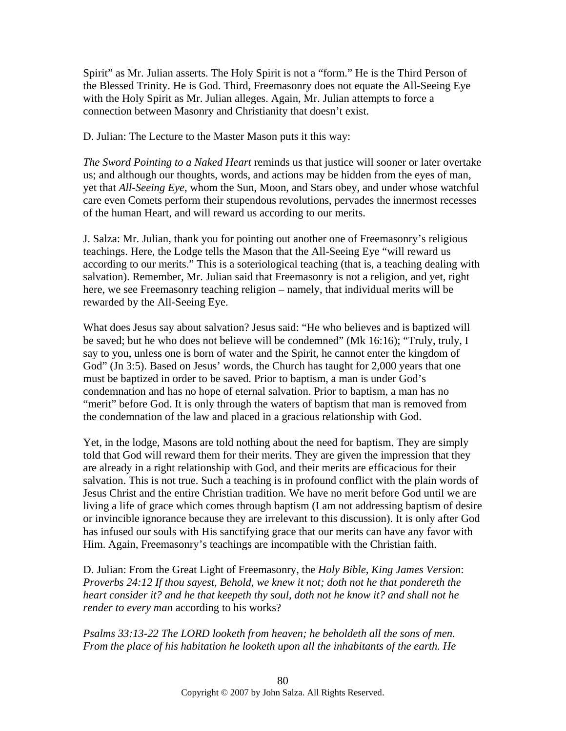Spirit" as Mr. Julian asserts. The Holy Spirit is not a "form." He is the Third Person of the Blessed Trinity. He is God. Third, Freemasonry does not equate the All-Seeing Eye with the Holy Spirit as Mr. Julian alleges. Again, Mr. Julian attempts to force a connection between Masonry and Christianity that doesn't exist.

D. Julian: The Lecture to the Master Mason puts it this way:

*The Sword Pointing to a Naked Heart* reminds us that justice will sooner or later overtake us; and although our thoughts, words, and actions may be hidden from the eyes of man, yet that *All-Seeing Eye*, whom the Sun, Moon, and Stars obey, and under whose watchful care even Comets perform their stupendous revolutions, pervades the innermost recesses of the human Heart, and will reward us according to our merits.

J. Salza: Mr. Julian, thank you for pointing out another one of Freemasonry's religious teachings. Here, the Lodge tells the Mason that the All-Seeing Eye "will reward us according to our merits." This is a soteriological teaching (that is, a teaching dealing with salvation). Remember, Mr. Julian said that Freemasonry is not a religion, and yet, right here, we see Freemasonry teaching religion – namely, that individual merits will be rewarded by the All-Seeing Eye.

What does Jesus say about salvation? Jesus said: "He who believes and is baptized will be saved; but he who does not believe will be condemned" (Mk 16:16); "Truly, truly, I say to you, unless one is born of water and the Spirit, he cannot enter the kingdom of God" (Jn 3:5). Based on Jesus' words, the Church has taught for 2,000 years that one must be baptized in order to be saved. Prior to baptism, a man is under God's condemnation and has no hope of eternal salvation. Prior to baptism, a man has no "merit" before God. It is only through the waters of baptism that man is removed from the condemnation of the law and placed in a gracious relationship with God.

Yet, in the lodge, Masons are told nothing about the need for baptism. They are simply told that God will reward them for their merits. They are given the impression that they are already in a right relationship with God, and their merits are efficacious for their salvation. This is not true. Such a teaching is in profound conflict with the plain words of Jesus Christ and the entire Christian tradition. We have no merit before God until we are living a life of grace which comes through baptism (I am not addressing baptism of desire or invincible ignorance because they are irrelevant to this discussion). It is only after God has infused our souls with His sanctifying grace that our merits can have any favor with Him. Again, Freemasonry's teachings are incompatible with the Christian faith.

D. Julian: From the Great Light of Freemasonry, the *Holy Bible, King James Version*: *Proverbs 24:12 If thou sayest, Behold, we knew it not; doth not he that pondereth the heart consider it? and he that keepeth thy soul, doth not he know it? and shall not he render to every man* according to his works?

*Psalms 33:13-22 The LORD looketh from heaven; he beholdeth all the sons of men. From the place of his habitation he looketh upon all the inhabitants of the earth. He*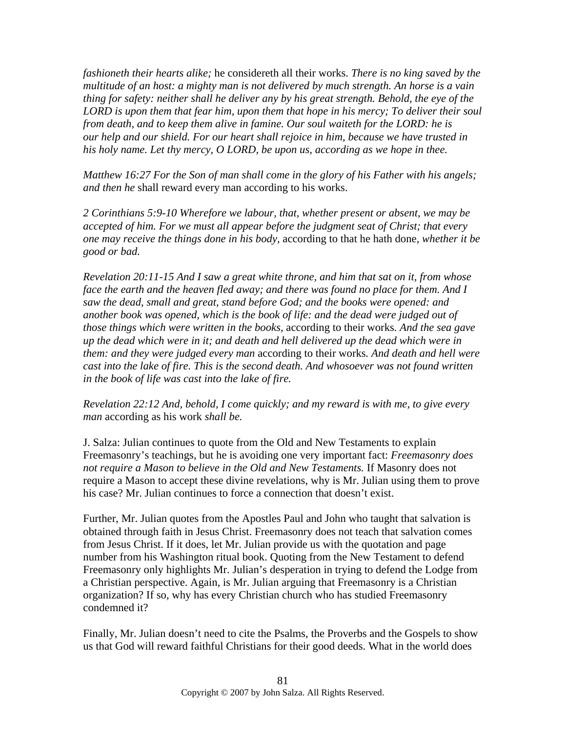*fashioneth their hearts alike;* he considereth all their works. *There is no king saved by the multitude of an host: a mighty man is not delivered by much strength. An horse is a vain thing for safety: neither shall he deliver any by his great strength. Behold, the eye of the LORD is upon them that fear him, upon them that hope in his mercy; To deliver their soul from death, and to keep them alive in famine. Our soul waiteth for the LORD: he is our help and our shield. For our heart shall rejoice in him, because we have trusted in his holy name. Let thy mercy, O LORD, be upon us, according as we hope in thee.* 

*Matthew 16:27 For the Son of man shall come in the glory of his Father with his angels; and then he* shall reward every man according to his works.

*2 Corinthians 5:9-10 Wherefore we labour, that, whether present or absent, we may be accepted of him. For we must all appear before the judgment seat of Christ; that every one may receive the things done in his body,* according to that he hath done*, whether it be good or bad.* 

*Revelation 20:11-15 And I saw a great white throne, and him that sat on it, from whose face the earth and the heaven fled away; and there was found no place for them. And I saw the dead, small and great, stand before God; and the books were opened: and another book was opened, which is the book of life: and the dead were judged out of those things which were written in the books,* according to their works*. And the sea gave up the dead which were in it; and death and hell delivered up the dead which were in them: and they were judged every man* according to their works*. And death and hell were cast into the lake of fire. This is the second death. And whosoever was not found written in the book of life was cast into the lake of fire.* 

*Revelation 22:12 And, behold, I come quickly; and my reward is with me, to give every man* according as his work *shall be.* 

J. Salza: Julian continues to quote from the Old and New Testaments to explain Freemasonry's teachings, but he is avoiding one very important fact: *Freemasonry does not require a Mason to believe in the Old and New Testaments.* If Masonry does not require a Mason to accept these divine revelations, why is Mr. Julian using them to prove his case? Mr. Julian continues to force a connection that doesn't exist.

Further, Mr. Julian quotes from the Apostles Paul and John who taught that salvation is obtained through faith in Jesus Christ. Freemasonry does not teach that salvation comes from Jesus Christ. If it does, let Mr. Julian provide us with the quotation and page number from his Washington ritual book. Quoting from the New Testament to defend Freemasonry only highlights Mr. Julian's desperation in trying to defend the Lodge from a Christian perspective. Again, is Mr. Julian arguing that Freemasonry is a Christian organization? If so, why has every Christian church who has studied Freemasonry condemned it?

Finally, Mr. Julian doesn't need to cite the Psalms, the Proverbs and the Gospels to show us that God will reward faithful Christians for their good deeds. What in the world does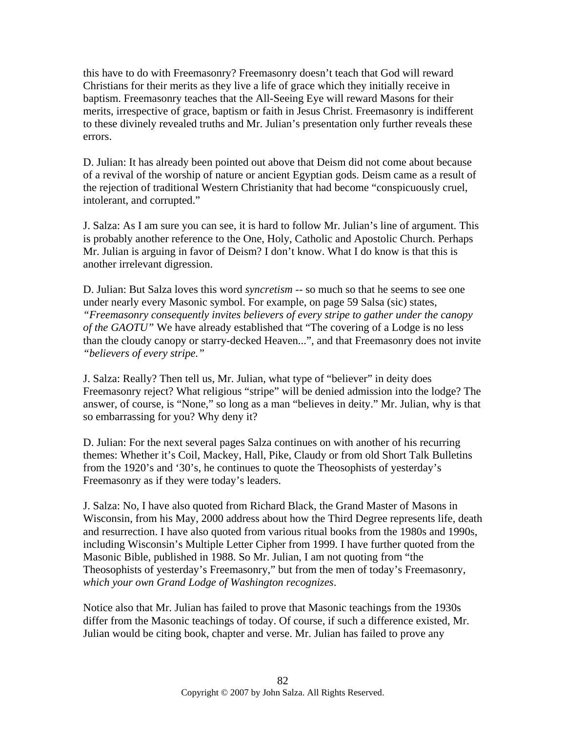this have to do with Freemasonry? Freemasonry doesn't teach that God will reward Christians for their merits as they live a life of grace which they initially receive in baptism. Freemasonry teaches that the All-Seeing Eye will reward Masons for their merits, irrespective of grace, baptism or faith in Jesus Christ. Freemasonry is indifferent to these divinely revealed truths and Mr. Julian's presentation only further reveals these errors.

D. Julian: It has already been pointed out above that Deism did not come about because of a revival of the worship of nature or ancient Egyptian gods. Deism came as a result of the rejection of traditional Western Christianity that had become "conspicuously cruel, intolerant, and corrupted."

J. Salza: As I am sure you can see, it is hard to follow Mr. Julian's line of argument. This is probably another reference to the One, Holy, Catholic and Apostolic Church. Perhaps Mr. Julian is arguing in favor of Deism? I don't know. What I do know is that this is another irrelevant digression.

D. Julian: But Salza loves this word *syncretism* -- so much so that he seems to see one under nearly every Masonic symbol. For example, on page 59 Salsa (sic) states, *"Freemasonry consequently invites believers of every stripe to gather under the canopy of the GAOTU"* We have already established that "The covering of a Lodge is no less than the cloudy canopy or starry-decked Heaven...", and that Freemasonry does not invite *"believers of every stripe."* 

J. Salza: Really? Then tell us, Mr. Julian, what type of "believer" in deity does Freemasonry reject? What religious "stripe" will be denied admission into the lodge? The answer, of course, is "None," so long as a man "believes in deity." Mr. Julian, why is that so embarrassing for you? Why deny it?

D. Julian: For the next several pages Salza continues on with another of his recurring themes: Whether it's Coil, Mackey, Hall, Pike, Claudy or from old Short Talk Bulletins from the 1920's and '30's, he continues to quote the Theosophists of yesterday's Freemasonry as if they were today's leaders.

J. Salza: No, I have also quoted from Richard Black, the Grand Master of Masons in Wisconsin, from his May, 2000 address about how the Third Degree represents life, death and resurrection. I have also quoted from various ritual books from the 1980s and 1990s, including Wisconsin's Multiple Letter Cipher from 1999. I have further quoted from the Masonic Bible, published in 1988. So Mr. Julian, I am not quoting from "the Theosophists of yesterday's Freemasonry," but from the men of today's Freemasonry, *which your own Grand Lodge of Washington recognizes*.

Notice also that Mr. Julian has failed to prove that Masonic teachings from the 1930s differ from the Masonic teachings of today. Of course, if such a difference existed, Mr. Julian would be citing book, chapter and verse. Mr. Julian has failed to prove any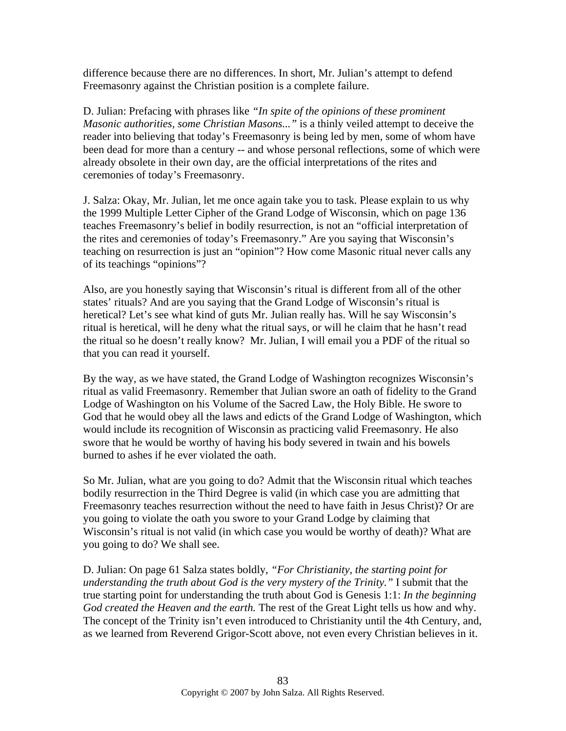difference because there are no differences. In short, Mr. Julian's attempt to defend Freemasonry against the Christian position is a complete failure.

D. Julian: Prefacing with phrases like *"In spite of the opinions of these prominent Masonic authorities, some Christian Masons..."* is a thinly veiled attempt to deceive the reader into believing that today's Freemasonry is being led by men, some of whom have been dead for more than a century -- and whose personal reflections, some of which were already obsolete in their own day, are the official interpretations of the rites and ceremonies of today's Freemasonry.

J. Salza: Okay, Mr. Julian, let me once again take you to task. Please explain to us why the 1999 Multiple Letter Cipher of the Grand Lodge of Wisconsin, which on page 136 teaches Freemasonry's belief in bodily resurrection, is not an "official interpretation of the rites and ceremonies of today's Freemasonry." Are you saying that Wisconsin's teaching on resurrection is just an "opinion"? How come Masonic ritual never calls any of its teachings "opinions"?

Also, are you honestly saying that Wisconsin's ritual is different from all of the other states' rituals? And are you saying that the Grand Lodge of Wisconsin's ritual is heretical? Let's see what kind of guts Mr. Julian really has. Will he say Wisconsin's ritual is heretical, will he deny what the ritual says, or will he claim that he hasn't read the ritual so he doesn't really know? Mr. Julian, I will email you a PDF of the ritual so that you can read it yourself.

By the way, as we have stated, the Grand Lodge of Washington recognizes Wisconsin's ritual as valid Freemasonry. Remember that Julian swore an oath of fidelity to the Grand Lodge of Washington on his Volume of the Sacred Law, the Holy Bible. He swore to God that he would obey all the laws and edicts of the Grand Lodge of Washington, which would include its recognition of Wisconsin as practicing valid Freemasonry. He also swore that he would be worthy of having his body severed in twain and his bowels burned to ashes if he ever violated the oath.

So Mr. Julian, what are you going to do? Admit that the Wisconsin ritual which teaches bodily resurrection in the Third Degree is valid (in which case you are admitting that Freemasonry teaches resurrection without the need to have faith in Jesus Christ)? Or are you going to violate the oath you swore to your Grand Lodge by claiming that Wisconsin's ritual is not valid (in which case you would be worthy of death)? What are you going to do? We shall see.

D. Julian: On page 61 Salza states boldly, *"For Christianity, the starting point for understanding the truth about God is the very mystery of the Trinity."* I submit that the true starting point for understanding the truth about God is Genesis 1:1: *In the beginning God created the Heaven and the earth.* The rest of the Great Light tells us how and why. The concept of the Trinity isn't even introduced to Christianity until the 4th Century, and, as we learned from Reverend Grigor-Scott above, not even every Christian believes in it.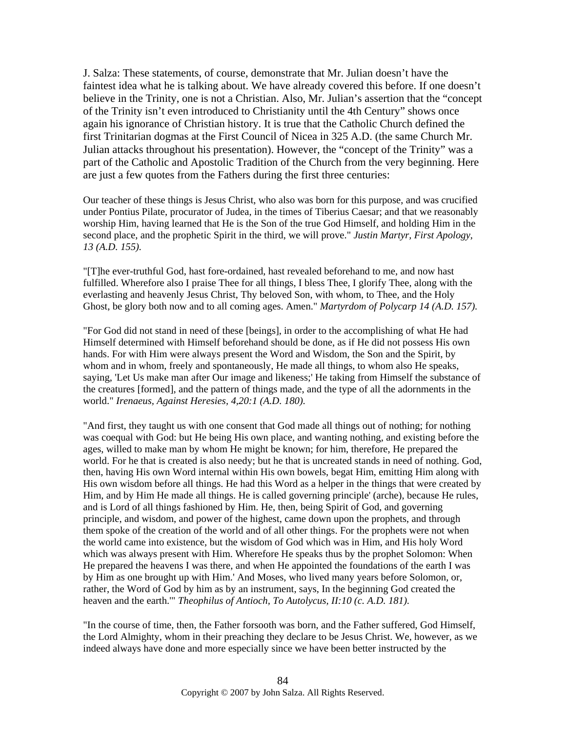J. Salza: These statements, of course, demonstrate that Mr. Julian doesn't have the faintest idea what he is talking about. We have already covered this before. If one doesn't believe in the Trinity, one is not a Christian. Also, Mr. Julian's assertion that the "concept of the Trinity isn't even introduced to Christianity until the 4th Century" shows once again his ignorance of Christian history. It is true that the Catholic Church defined the first Trinitarian dogmas at the First Council of Nicea in 325 A.D. (the same Church Mr. Julian attacks throughout his presentation). However, the "concept of the Trinity" was a part of the Catholic and Apostolic Tradition of the Church from the very beginning. Here are just a few quotes from the Fathers during the first three centuries:

Our teacher of these things is Jesus Christ, who also was born for this purpose, and was crucified under Pontius Pilate, procurator of Judea, in the times of Tiberius Caesar; and that we reasonably worship Him, having learned that He is the Son of the true God Himself, and holding Him in the second place, and the prophetic Spirit in the third, we will prove." *Justin Martyr, First Apology, 13 (A.D. 155).*

"[T]he ever-truthful God, hast fore-ordained, hast revealed beforehand to me, and now hast fulfilled. Wherefore also I praise Thee for all things, I bless Thee, I glorify Thee, along with the everlasting and heavenly Jesus Christ, Thy beloved Son, with whom, to Thee, and the Holy Ghost, be glory both now and to all coming ages. Amen." *Martyrdom of Polycarp 14 (A.D. 157).* 

"For God did not stand in need of these [beings], in order to the accomplishing of what He had Himself determined with Himself beforehand should be done, as if He did not possess His own hands. For with Him were always present the Word and Wisdom, the Son and the Spirit, by whom and in whom, freely and spontaneously, He made all things, to whom also He speaks, saying, 'Let Us make man after Our image and likeness;' He taking from Himself the substance of the creatures [formed], and the pattern of things made, and the type of all the adornments in the world." *Irenaeus, Against Heresies, 4,20:1 (A.D. 180).* 

"And first, they taught us with one consent that God made all things out of nothing; for nothing was coequal with God: but He being His own place, and wanting nothing, and existing before the ages, willed to make man by whom He might be known; for him, therefore, He prepared the world. For he that is created is also needy; but he that is uncreated stands in need of nothing. God, then, having His own Word internal within His own bowels, begat Him, emitting Him along with His own wisdom before all things. He had this Word as a helper in the things that were created by Him, and by Him He made all things. He is called governing principle' (arche), because He rules, and is Lord of all things fashioned by Him. He, then, being Spirit of God, and governing principle, and wisdom, and power of the highest, came down upon the prophets, and through them spoke of the creation of the world and of all other things. For the prophets were not when the world came into existence, but the wisdom of God which was in Him, and His holy Word which was always present with Him. Wherefore He speaks thus by the prophet Solomon: When He prepared the heavens I was there, and when He appointed the foundations of the earth I was by Him as one brought up with Him.' And Moses, who lived many years before Solomon, or, rather, the Word of God by him as by an instrument, says, In the beginning God created the heaven and the earth.'" *Theophilus of Antioch, To Autolycus, II:10 (c. A.D. 181).* 

"In the course of time, then, the Father forsooth was born, and the Father suffered, God Himself, the Lord Almighty, whom in their preaching they declare to be Jesus Christ. We, however, as we indeed always have done and more especially since we have been better instructed by the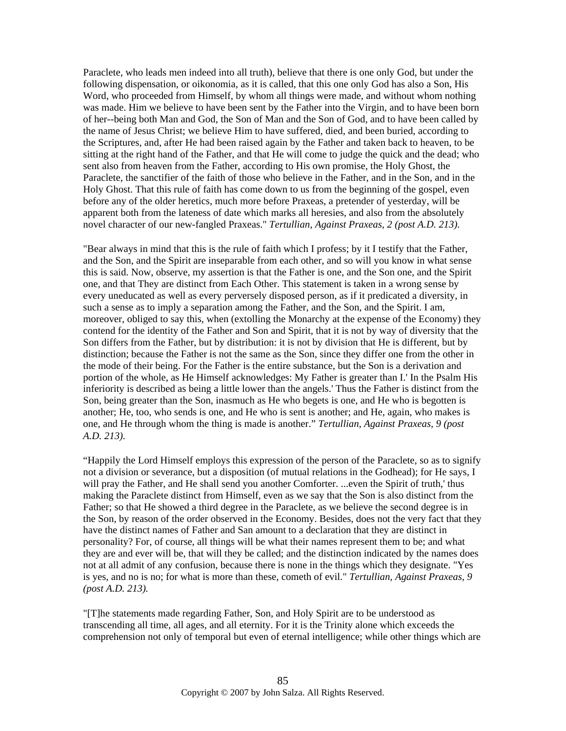Paraclete, who leads men indeed into all truth), believe that there is one only God, but under the following dispensation, or oikonomia, as it is called, that this one only God has also a Son, His Word, who proceeded from Himself, by whom all things were made, and without whom nothing was made. Him we believe to have been sent by the Father into the Virgin, and to have been born of her--being both Man and God, the Son of Man and the Son of God, and to have been called by the name of Jesus Christ; we believe Him to have suffered, died, and been buried, according to the Scriptures, and, after He had been raised again by the Father and taken back to heaven, to be sitting at the right hand of the Father, and that He will come to judge the quick and the dead; who sent also from heaven from the Father, according to His own promise, the Holy Ghost, the Paraclete, the sanctifier of the faith of those who believe in the Father, and in the Son, and in the Holy Ghost. That this rule of faith has come down to us from the beginning of the gospel, even before any of the older heretics, much more before Praxeas, a pretender of yesterday, will be apparent both from the lateness of date which marks all heresies, and also from the absolutely novel character of our new-fangled Praxeas." *Tertullian, Against Praxeas, 2 (post A.D. 213).* 

"Bear always in mind that this is the rule of faith which I profess; by it I testify that the Father, and the Son, and the Spirit are inseparable from each other, and so will you know in what sense this is said. Now, observe, my assertion is that the Father is one, and the Son one, and the Spirit one, and that They are distinct from Each Other. This statement is taken in a wrong sense by every uneducated as well as every perversely disposed person, as if it predicated a diversity, in such a sense as to imply a separation among the Father, and the Son, and the Spirit. I am, moreover, obliged to say this, when (extolling the Monarchy at the expense of the Economy) they contend for the identity of the Father and Son and Spirit, that it is not by way of diversity that the Son differs from the Father, but by distribution: it is not by division that He is different, but by distinction; because the Father is not the same as the Son, since they differ one from the other in the mode of their being. For the Father is the entire substance, but the Son is a derivation and portion of the whole, as He Himself acknowledges: My Father is greater than I.' In the Psalm His inferiority is described as being a little lower than the angels.' Thus the Father is distinct from the Son, being greater than the Son, inasmuch as He who begets is one, and He who is begotten is another; He, too, who sends is one, and He who is sent is another; and He, again, who makes is one, and He through whom the thing is made is another." *Tertullian, Against Praxeas, 9 (post A.D. 213).* 

"Happily the Lord Himself employs this expression of the person of the Paraclete, so as to signify not a division or severance, but a disposition (of mutual relations in the Godhead); for He says, I will pray the Father, and He shall send you another Comforter. ...even the Spirit of truth,' thus making the Paraclete distinct from Himself, even as we say that the Son is also distinct from the Father; so that He showed a third degree in the Paraclete, as we believe the second degree is in the Son, by reason of the order observed in the Economy. Besides, does not the very fact that they have the distinct names of Father and San amount to a declaration that they are distinct in personality? For, of course, all things will be what their names represent them to be; and what they are and ever will be, that will they be called; and the distinction indicated by the names does not at all admit of any confusion, because there is none in the things which they designate. "Yes is yes, and no is no; for what is more than these, cometh of evil." *Tertullian, Against Praxeas, 9 (post A.D. 213).* 

"[T]he statements made regarding Father, Son, and Holy Spirit are to be understood as transcending all time, all ages, and all eternity. For it is the Trinity alone which exceeds the comprehension not only of temporal but even of eternal intelligence; while other things which are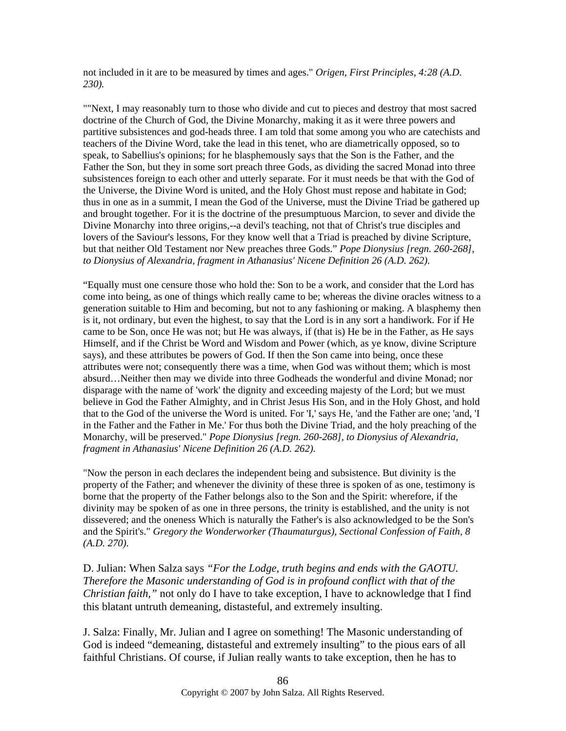not included in it are to be measured by times and ages." *Origen, First Principles, 4:28 (A.D. 230).* 

""Next, I may reasonably turn to those who divide and cut to pieces and destroy that most sacred doctrine of the Church of God, the Divine Monarchy, making it as it were three powers and partitive subsistences and god-heads three. I am told that some among you who are catechists and teachers of the Divine Word, take the lead in this tenet, who are diametrically opposed, so to speak, to Sabellius's opinions; for he blasphemously says that the Son is the Father, and the Father the Son, but they in some sort preach three Gods, as dividing the sacred Monad into three subsistences foreign to each other and utterly separate. For it must needs be that with the God of the Universe, the Divine Word is united, and the Holy Ghost must repose and habitate in God; thus in one as in a summit, I mean the God of the Universe, must the Divine Triad be gathered up and brought together. For it is the doctrine of the presumptuous Marcion, to sever and divide the Divine Monarchy into three origins,--a devil's teaching, not that of Christ's true disciples and lovers of the Saviour's lessons, For they know well that a Triad is preached by divine Scripture, but that neither Old Testament nor New preaches three Gods." *Pope Dionysius [regn. 260-268], to Dionysius of Alexandria, fragment in Athanasius' Nicene Definition 26 (A.D. 262).* 

"Equally must one censure those who hold the: Son to be a work, and consider that the Lord has come into being, as one of things which really came to be; whereas the divine oracles witness to a generation suitable to Him and becoming, but not to any fashioning or making. A blasphemy then is it, not ordinary, but even the highest, to say that the Lord is in any sort a handiwork. For if He came to be Son, once He was not; but He was always, if (that is) He be in the Father, as He says Himself, and if the Christ be Word and Wisdom and Power (which, as ye know, divine Scripture says), and these attributes be powers of God. If then the Son came into being, once these attributes were not; consequently there was a time, when God was without them; which is most absurd…Neither then may we divide into three Godheads the wonderful and divine Monad; nor disparage with the name of 'work' the dignity and exceeding majesty of the Lord; but we must believe in God the Father Almighty, and in Christ Jesus His Son, and in the Holy Ghost, and hold that to the God of the universe the Word is united. For 'I,' says He, 'and the Father are one; 'and, 'I in the Father and the Father in Me.' For thus both the Divine Triad, and the holy preaching of the Monarchy, will be preserved." *Pope Dionysius [regn. 260-268], to Dionysius of Alexandria, fragment in Athanasius' Nicene Definition 26 (A.D. 262).* 

"Now the person in each declares the independent being and subsistence. But divinity is the property of the Father; and whenever the divinity of these three is spoken of as one, testimony is borne that the property of the Father belongs also to the Son and the Spirit: wherefore, if the divinity may be spoken of as one in three persons, the trinity is established, and the unity is not dissevered; and the oneness Which is naturally the Father's is also acknowledged to be the Son's and the Spirit's." *Gregory the Wonderworker (Thaumaturgus), Sectional Confession of Faith, 8 (A.D. 270).* 

D. Julian: When Salza says *"For the Lodge, truth begins and ends with the GAOTU. Therefore the Masonic understanding of God is in profound conflict with that of the Christian faith,"* not only do I have to take exception, I have to acknowledge that I find this blatant untruth demeaning, distasteful, and extremely insulting.

J. Salza: Finally, Mr. Julian and I agree on something! The Masonic understanding of God is indeed "demeaning, distasteful and extremely insulting" to the pious ears of all faithful Christians. Of course, if Julian really wants to take exception, then he has to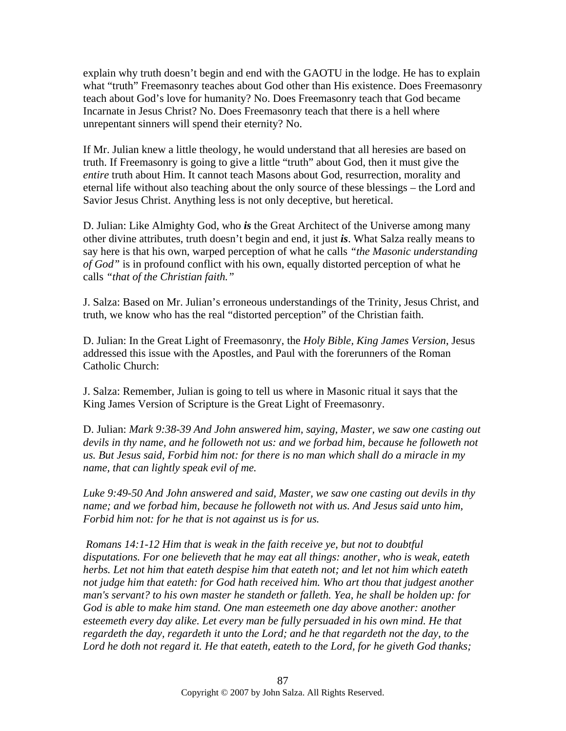explain why truth doesn't begin and end with the GAOTU in the lodge. He has to explain what "truth" Freemasonry teaches about God other than His existence. Does Freemasonry teach about God's love for humanity? No. Does Freemasonry teach that God became Incarnate in Jesus Christ? No. Does Freemasonry teach that there is a hell where unrepentant sinners will spend their eternity? No.

If Mr. Julian knew a little theology, he would understand that all heresies are based on truth. If Freemasonry is going to give a little "truth" about God, then it must give the *entire* truth about Him. It cannot teach Masons about God, resurrection, morality and eternal life without also teaching about the only source of these blessings – the Lord and Savior Jesus Christ. Anything less is not only deceptive, but heretical.

D. Julian: Like Almighty God, who *is* the Great Architect of the Universe among many other divine attributes, truth doesn't begin and end, it just *is*. What Salza really means to say here is that his own, warped perception of what he calls *"the Masonic understanding of God"* is in profound conflict with his own, equally distorted perception of what he calls *"that of the Christian faith."* 

J. Salza: Based on Mr. Julian's erroneous understandings of the Trinity, Jesus Christ, and truth, we know who has the real "distorted perception" of the Christian faith.

D. Julian: In the Great Light of Freemasonry, the *Holy Bible, King James Version*, Jesus addressed this issue with the Apostles, and Paul with the forerunners of the Roman Catholic Church:

J. Salza: Remember, Julian is going to tell us where in Masonic ritual it says that the King James Version of Scripture is the Great Light of Freemasonry.

D. Julian: *Mark 9:38-39 And John answered him, saying, Master, we saw one casting out*  devils in thy name, and he followeth not us: and we forbad him, because he followeth not *us. But Jesus said, Forbid him not: for there is no man which shall do a miracle in my name, that can lightly speak evil of me.* 

*Luke 9:49-50 And John answered and said, Master, we saw one casting out devils in thy name; and we forbad him, because he followeth not with us. And Jesus said unto him, Forbid him not: for he that is not against us is for us.* 

 *Romans 14:1-12 Him that is weak in the faith receive ye, but not to doubtful disputations. For one believeth that he may eat all things: another, who is weak, eateth herbs. Let not him that eateth despise him that eateth not; and let not him which eateth not judge him that eateth: for God hath received him. Who art thou that judgest another man's servant? to his own master he standeth or falleth. Yea, he shall be holden up: for God is able to make him stand. One man esteemeth one day above another: another*  esteemeth every day alike. Let every man be fully persuaded in his own mind. He that *regardeth the day, regardeth it unto the Lord; and he that regardeth not the day, to the*  Lord he doth not regard it. He that eateth, eateth to the Lord, for he giveth God thanks;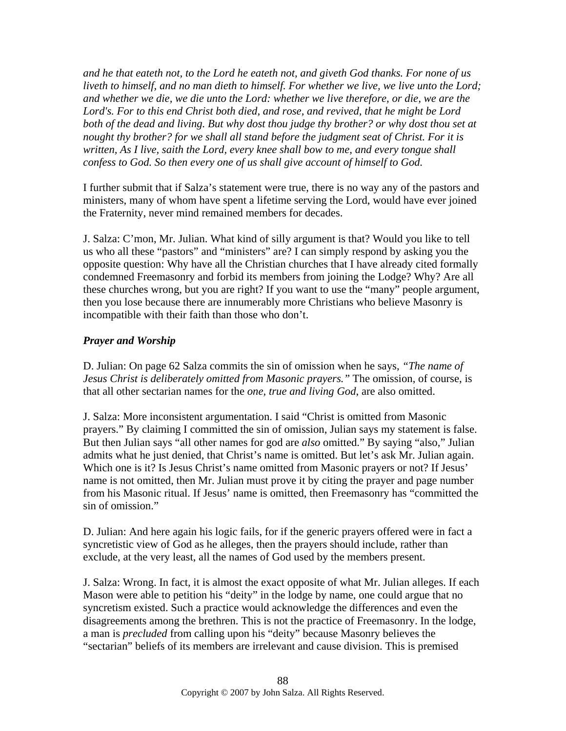*and he that eateth not, to the Lord he eateth not, and giveth God thanks. For none of us liveth to himself, and no man dieth to himself. For whether we live, we live unto the Lord; and whether we die, we die unto the Lord: whether we live therefore, or die, we are the Lord's. For to this end Christ both died, and rose, and revived, that he might be Lord*  both of the dead and living. But why dost thou judge thy brother? or why dost thou set at *nought thy brother? for we shall all stand before the judgment seat of Christ. For it is written, As I live, saith the Lord, every knee shall bow to me, and every tongue shall confess to God. So then every one of us shall give account of himself to God.* 

I further submit that if Salza's statement were true, there is no way any of the pastors and ministers, many of whom have spent a lifetime serving the Lord, would have ever joined the Fraternity, never mind remained members for decades.

J. Salza: C'mon, Mr. Julian. What kind of silly argument is that? Would you like to tell us who all these "pastors" and "ministers" are? I can simply respond by asking you the opposite question: Why have all the Christian churches that I have already cited formally condemned Freemasonry and forbid its members from joining the Lodge? Why? Are all these churches wrong, but you are right? If you want to use the "many" people argument, then you lose because there are innumerably more Christians who believe Masonry is incompatible with their faith than those who don't.

### *Prayer and Worship*

D. Julian: On page 62 Salza commits the sin of omission when he says, *"The name of Jesus Christ is deliberately omitted from Masonic prayers."* The omission, of course, is that all other sectarian names for the *one, true and living God*, are also omitted.

J. Salza: More inconsistent argumentation. I said "Christ is omitted from Masonic prayers." By claiming I committed the sin of omission, Julian says my statement is false. But then Julian says "all other names for god are *also* omitted." By saying "also," Julian admits what he just denied, that Christ's name is omitted. But let's ask Mr. Julian again. Which one is it? Is Jesus Christ's name omitted from Masonic prayers or not? If Jesus' name is not omitted, then Mr. Julian must prove it by citing the prayer and page number from his Masonic ritual. If Jesus' name is omitted, then Freemasonry has "committed the sin of omission."

D. Julian: And here again his logic fails, for if the generic prayers offered were in fact a syncretistic view of God as he alleges, then the prayers should include, rather than exclude, at the very least, all the names of God used by the members present.

J. Salza: Wrong. In fact, it is almost the exact opposite of what Mr. Julian alleges. If each Mason were able to petition his "deity" in the lodge by name, one could argue that no syncretism existed. Such a practice would acknowledge the differences and even the disagreements among the brethren. This is not the practice of Freemasonry. In the lodge, a man is *precluded* from calling upon his "deity" because Masonry believes the "sectarian" beliefs of its members are irrelevant and cause division. This is premised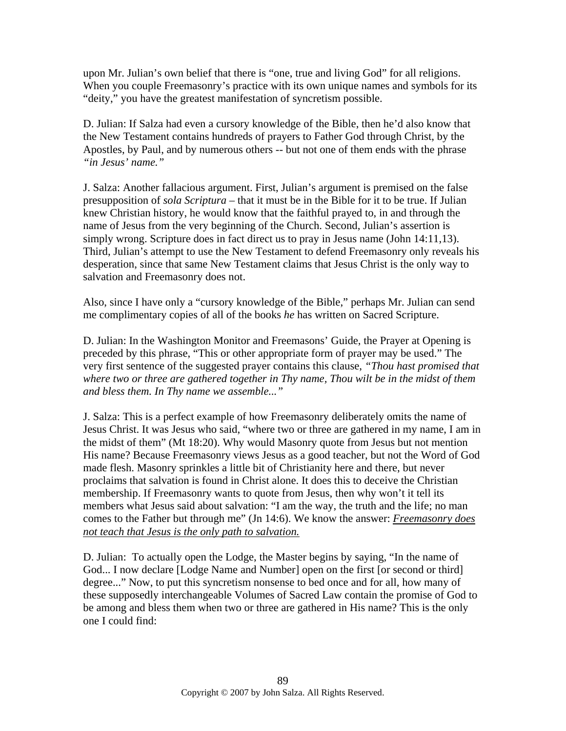upon Mr. Julian's own belief that there is "one, true and living God" for all religions. When you couple Freemasonry's practice with its own unique names and symbols for its "deity," you have the greatest manifestation of syncretism possible.

D. Julian: If Salza had even a cursory knowledge of the Bible, then he'd also know that the New Testament contains hundreds of prayers to Father God through Christ, by the Apostles, by Paul, and by numerous others -- but not one of them ends with the phrase *"in Jesus' name."* 

J. Salza: Another fallacious argument. First, Julian's argument is premised on the false presupposition of *sola Scriptura* – that it must be in the Bible for it to be true. If Julian knew Christian history, he would know that the faithful prayed to, in and through the name of Jesus from the very beginning of the Church. Second, Julian's assertion is simply wrong. Scripture does in fact direct us to pray in Jesus name (John 14:11,13). Third, Julian's attempt to use the New Testament to defend Freemasonry only reveals his desperation, since that same New Testament claims that Jesus Christ is the only way to salvation and Freemasonry does not.

Also, since I have only a "cursory knowledge of the Bible," perhaps Mr. Julian can send me complimentary copies of all of the books *he* has written on Sacred Scripture.

D. Julian: In the Washington Monitor and Freemasons' Guide, the Prayer at Opening is preceded by this phrase, "This or other appropriate form of prayer may be used." The very first sentence of the suggested prayer contains this clause, *"Thou hast promised that where two or three are gathered together in Thy name, Thou wilt be in the midst of them and bless them. In Thy name we assemble..."* 

J. Salza: This is a perfect example of how Freemasonry deliberately omits the name of Jesus Christ. It was Jesus who said, "where two or three are gathered in my name, I am in the midst of them" (Mt 18:20). Why would Masonry quote from Jesus but not mention His name? Because Freemasonry views Jesus as a good teacher, but not the Word of God made flesh. Masonry sprinkles a little bit of Christianity here and there, but never proclaims that salvation is found in Christ alone. It does this to deceive the Christian membership. If Freemasonry wants to quote from Jesus, then why won't it tell its members what Jesus said about salvation: "I am the way, the truth and the life; no man comes to the Father but through me" (Jn 14:6). We know the answer: *Freemasonry does not teach that Jesus is the only path to salvation.* 

D. Julian: To actually open the Lodge, the Master begins by saying, "In the name of God... I now declare [Lodge Name and Number] open on the first [or second or third] degree..." Now, to put this syncretism nonsense to bed once and for all, how many of these supposedly interchangeable Volumes of Sacred Law contain the promise of God to be among and bless them when two or three are gathered in His name? This is the only one I could find: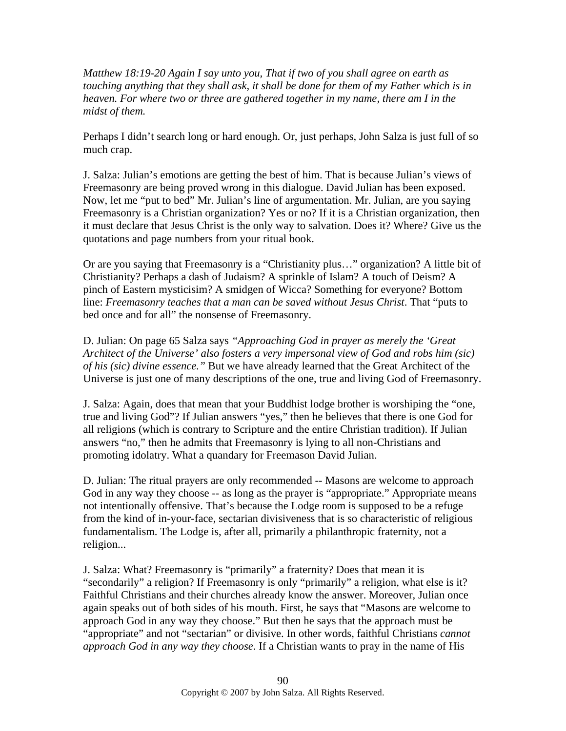*Matthew 18:19-20 Again I say unto you, That if two of you shall agree on earth as touching anything that they shall ask, it shall be done for them of my Father which is in heaven. For where two or three are gathered together in my name, there am I in the midst of them.*

Perhaps I didn't search long or hard enough. Or, just perhaps, John Salza is just full of so much crap.

J. Salza: Julian's emotions are getting the best of him. That is because Julian's views of Freemasonry are being proved wrong in this dialogue. David Julian has been exposed. Now, let me "put to bed" Mr. Julian's line of argumentation. Mr. Julian, are you saying Freemasonry is a Christian organization? Yes or no? If it is a Christian organization, then it must declare that Jesus Christ is the only way to salvation. Does it? Where? Give us the quotations and page numbers from your ritual book.

Or are you saying that Freemasonry is a "Christianity plus…" organization? A little bit of Christianity? Perhaps a dash of Judaism? A sprinkle of Islam? A touch of Deism? A pinch of Eastern mysticisim? A smidgen of Wicca? Something for everyone? Bottom line: *Freemasonry teaches that a man can be saved without Jesus Christ*. That "puts to bed once and for all" the nonsense of Freemasonry.

D. Julian: On page 65 Salza says *"Approaching God in prayer as merely the 'Great Architect of the Universe' also fosters a very impersonal view of God and robs him (sic) of his (sic) divine essence."* But we have already learned that the Great Architect of the Universe is just one of many descriptions of the one, true and living God of Freemasonry.

J. Salza: Again, does that mean that your Buddhist lodge brother is worshiping the "one, true and living God"? If Julian answers "yes," then he believes that there is one God for all religions (which is contrary to Scripture and the entire Christian tradition). If Julian answers "no," then he admits that Freemasonry is lying to all non-Christians and promoting idolatry. What a quandary for Freemason David Julian.

D. Julian: The ritual prayers are only recommended -- Masons are welcome to approach God in any way they choose -- as long as the prayer is "appropriate." Appropriate means not intentionally offensive. That's because the Lodge room is supposed to be a refuge from the kind of in-your-face, sectarian divisiveness that is so characteristic of religious fundamentalism. The Lodge is, after all, primarily a philanthropic fraternity, not a religion...

J. Salza: What? Freemasonry is "primarily" a fraternity? Does that mean it is "secondarily" a religion? If Freemasonry is only "primarily" a religion, what else is it? Faithful Christians and their churches already know the answer. Moreover, Julian once again speaks out of both sides of his mouth. First, he says that "Masons are welcome to approach God in any way they choose." But then he says that the approach must be "appropriate" and not "sectarian" or divisive. In other words, faithful Christians *cannot approach God in any way they choose*. If a Christian wants to pray in the name of His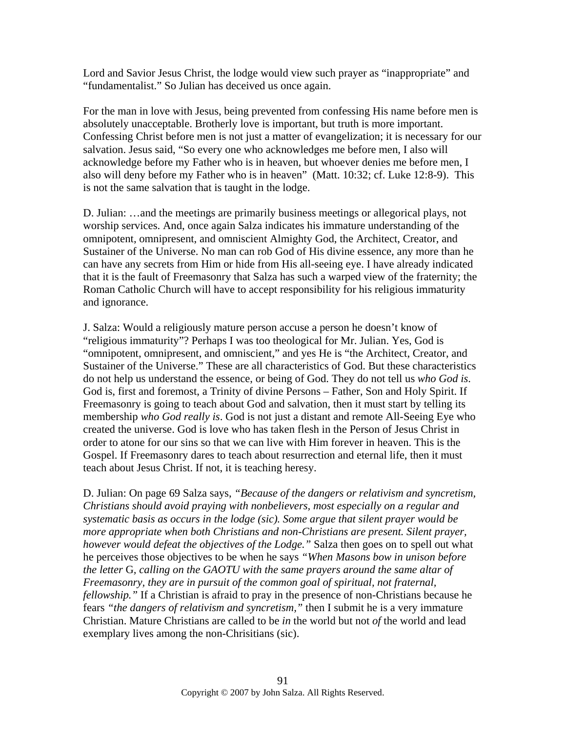Lord and Savior Jesus Christ, the lodge would view such prayer as "inappropriate" and "fundamentalist." So Julian has deceived us once again.

For the man in love with Jesus, being prevented from confessing His name before men is absolutely unacceptable. Brotherly love is important, but truth is more important. Confessing Christ before men is not just a matter of evangelization; it is necessary for our salvation. Jesus said, "So every one who acknowledges me before men, I also will acknowledge before my Father who is in heaven, but whoever denies me before men, I also will deny before my Father who is in heaven" (Matt. 10:32; cf. Luke 12:8-9). This is not the same salvation that is taught in the lodge.

D. Julian: …and the meetings are primarily business meetings or allegorical plays, not worship services. And, once again Salza indicates his immature understanding of the omnipotent, omnipresent, and omniscient Almighty God, the Architect, Creator, and Sustainer of the Universe. No man can rob God of His divine essence, any more than he can have any secrets from Him or hide from His all-seeing eye. I have already indicated that it is the fault of Freemasonry that Salza has such a warped view of the fraternity; the Roman Catholic Church will have to accept responsibility for his religious immaturity and ignorance.

J. Salza: Would a religiously mature person accuse a person he doesn't know of "religious immaturity"? Perhaps I was too theological for Mr. Julian. Yes, God is "omnipotent, omnipresent, and omniscient," and yes He is "the Architect, Creator, and Sustainer of the Universe." These are all characteristics of God. But these characteristics do not help us understand the essence, or being of God. They do not tell us *who God is*. God is, first and foremost, a Trinity of divine Persons – Father, Son and Holy Spirit. If Freemasonry is going to teach about God and salvation, then it must start by telling its membership *who God really is*. God is not just a distant and remote All-Seeing Eye who created the universe. God is love who has taken flesh in the Person of Jesus Christ in order to atone for our sins so that we can live with Him forever in heaven. This is the Gospel. If Freemasonry dares to teach about resurrection and eternal life, then it must teach about Jesus Christ. If not, it is teaching heresy.

D. Julian: On page 69 Salza says, *"Because of the dangers or relativism and syncretism, Christians should avoid praying with nonbelievers, most especially on a regular and systematic basis as occurs in the lodge (sic). Some argue that silent prayer would be more appropriate when both Christians and non-Christians are present. Silent prayer, however would defeat the objectives of the Lodge."* Salza then goes on to spell out what he perceives those objectives to be when he says *"When Masons bow in unison before the letter* G*, calling on the GAOTU with the same prayers around the same altar of Freemasonry, they are in pursuit of the common goal of spiritual, not fraternal, fellowship."* If a Christian is afraid to pray in the presence of non-Christians because he fears *"the dangers of relativism and syncretism,"* then I submit he is a very immature Christian. Mature Christians are called to be *in* the world but not *of* the world and lead exemplary lives among the non-Chrisitians (sic).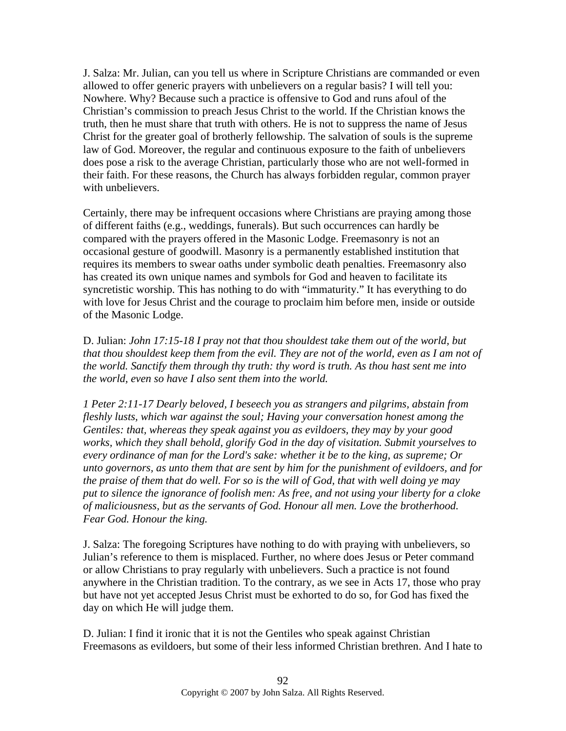J. Salza: Mr. Julian, can you tell us where in Scripture Christians are commanded or even allowed to offer generic prayers with unbelievers on a regular basis? I will tell you: Nowhere. Why? Because such a practice is offensive to God and runs afoul of the Christian's commission to preach Jesus Christ to the world. If the Christian knows the truth, then he must share that truth with others. He is not to suppress the name of Jesus Christ for the greater goal of brotherly fellowship. The salvation of souls is the supreme law of God. Moreover, the regular and continuous exposure to the faith of unbelievers does pose a risk to the average Christian, particularly those who are not well-formed in their faith. For these reasons, the Church has always forbidden regular, common prayer with unbelievers.

Certainly, there may be infrequent occasions where Christians are praying among those of different faiths (e.g., weddings, funerals). But such occurrences can hardly be compared with the prayers offered in the Masonic Lodge. Freemasonry is not an occasional gesture of goodwill. Masonry is a permanently established institution that requires its members to swear oaths under symbolic death penalties. Freemasonry also has created its own unique names and symbols for God and heaven to facilitate its syncretistic worship. This has nothing to do with "immaturity." It has everything to do with love for Jesus Christ and the courage to proclaim him before men, inside or outside of the Masonic Lodge.

D. Julian: *John 17:15-18 I pray not that thou shouldest take them out of the world, but that thou shouldest keep them from the evil. They are not of the world, even as I am not of the world. Sanctify them through thy truth: thy word is truth. As thou hast sent me into the world, even so have I also sent them into the world.* 

*1 Peter 2:11-17 Dearly beloved, I beseech you as strangers and pilgrims, abstain from fleshly lusts, which war against the soul; Having your conversation honest among the Gentiles: that, whereas they speak against you as evildoers, they may by your good works, which they shall behold, glorify God in the day of visitation. Submit yourselves to every ordinance of man for the Lord's sake: whether it be to the king, as supreme; Or unto governors, as unto them that are sent by him for the punishment of evildoers, and for the praise of them that do well. For so is the will of God, that with well doing ye may put to silence the ignorance of foolish men: As free, and not using your liberty for a cloke of maliciousness, but as the servants of God. Honour all men. Love the brotherhood. Fear God. Honour the king.* 

J. Salza: The foregoing Scriptures have nothing to do with praying with unbelievers, so Julian's reference to them is misplaced. Further, no where does Jesus or Peter command or allow Christians to pray regularly with unbelievers. Such a practice is not found anywhere in the Christian tradition. To the contrary, as we see in Acts 17, those who pray but have not yet accepted Jesus Christ must be exhorted to do so, for God has fixed the day on which He will judge them.

D. Julian: I find it ironic that it is not the Gentiles who speak against Christian Freemasons as evildoers, but some of their less informed Christian brethren. And I hate to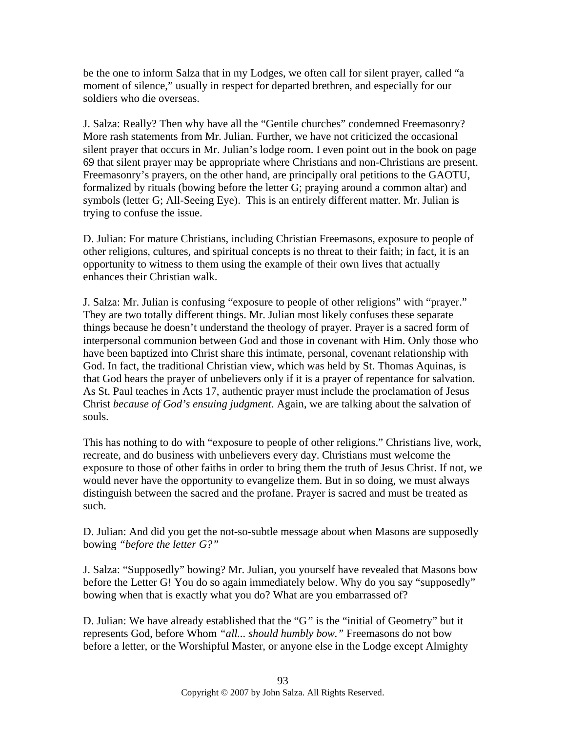be the one to inform Salza that in my Lodges, we often call for silent prayer, called "a moment of silence," usually in respect for departed brethren, and especially for our soldiers who die overseas.

J. Salza: Really? Then why have all the "Gentile churches" condemned Freemasonry? More rash statements from Mr. Julian. Further, we have not criticized the occasional silent prayer that occurs in Mr. Julian's lodge room. I even point out in the book on page 69 that silent prayer may be appropriate where Christians and non-Christians are present. Freemasonry's prayers, on the other hand, are principally oral petitions to the GAOTU, formalized by rituals (bowing before the letter G; praying around a common altar) and symbols (letter G; All-Seeing Eye). This is an entirely different matter. Mr. Julian is trying to confuse the issue.

D. Julian: For mature Christians, including Christian Freemasons, exposure to people of other religions, cultures, and spiritual concepts is no threat to their faith; in fact, it is an opportunity to witness to them using the example of their own lives that actually enhances their Christian walk.

J. Salza: Mr. Julian is confusing "exposure to people of other religions" with "prayer." They are two totally different things. Mr. Julian most likely confuses these separate things because he doesn't understand the theology of prayer. Prayer is a sacred form of interpersonal communion between God and those in covenant with Him. Only those who have been baptized into Christ share this intimate, personal, covenant relationship with God. In fact, the traditional Christian view, which was held by St. Thomas Aquinas, is that God hears the prayer of unbelievers only if it is a prayer of repentance for salvation. As St. Paul teaches in Acts 17, authentic prayer must include the proclamation of Jesus Christ *because of God's ensuing judgment*. Again, we are talking about the salvation of souls.

This has nothing to do with "exposure to people of other religions." Christians live, work, recreate, and do business with unbelievers every day. Christians must welcome the exposure to those of other faiths in order to bring them the truth of Jesus Christ. If not, we would never have the opportunity to evangelize them. But in so doing, we must always distinguish between the sacred and the profane. Prayer is sacred and must be treated as such.

D. Julian: And did you get the not-so-subtle message about when Masons are supposedly bowing *"before the letter G?"* 

J. Salza: "Supposedly" bowing? Mr. Julian, you yourself have revealed that Masons bow before the Letter G! You do so again immediately below. Why do you say "supposedly" bowing when that is exactly what you do? What are you embarrassed of?

D. Julian: We have already established that the "G*"* is the "initial of Geometry" but it represents God, before Whom *"all... should humbly bow."* Freemasons do not bow before a letter, or the Worshipful Master, or anyone else in the Lodge except Almighty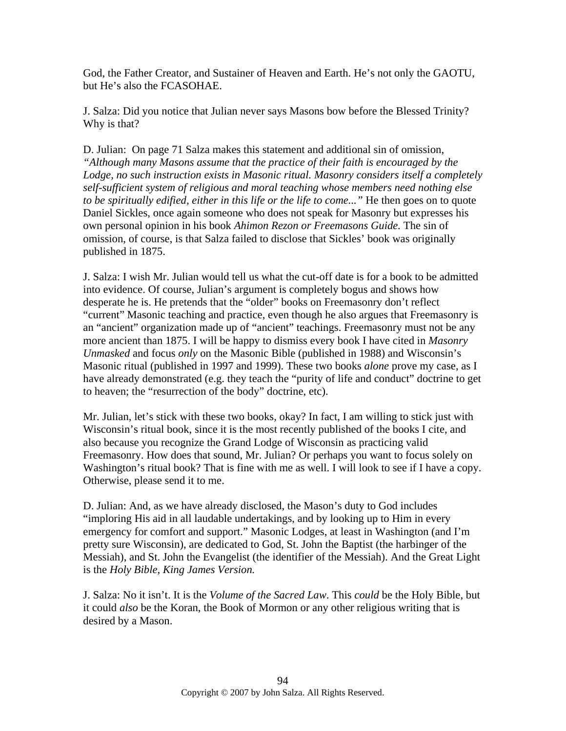God, the Father Creator, and Sustainer of Heaven and Earth. He's not only the GAOTU, but He's also the FCASOHAE.

J. Salza: Did you notice that Julian never says Masons bow before the Blessed Trinity? Why is that?

D. Julian: On page 71 Salza makes this statement and additional sin of omission, *"Although many Masons assume that the practice of their faith is encouraged by the Lodge, no such instruction exists in Masonic ritual. Masonry considers itself a completely self-sufficient system of religious and moral teaching whose members need nothing else to be spiritually edified, either in this life or the life to come..."* He then goes on to quote Daniel Sickles, once again someone who does not speak for Masonry but expresses his own personal opinion in his book *Ahimon Rezon or Freemasons Guide.* The sin of omission, of course, is that Salza failed to disclose that Sickles' book was originally published in 1875.

J. Salza: I wish Mr. Julian would tell us what the cut-off date is for a book to be admitted into evidence. Of course, Julian's argument is completely bogus and shows how desperate he is. He pretends that the "older" books on Freemasonry don't reflect "current" Masonic teaching and practice, even though he also argues that Freemasonry is an "ancient" organization made up of "ancient" teachings. Freemasonry must not be any more ancient than 1875. I will be happy to dismiss every book I have cited in *Masonry Unmasked* and focus *only* on the Masonic Bible (published in 1988) and Wisconsin's Masonic ritual (published in 1997 and 1999). These two books *alone* prove my case, as I have already demonstrated (e.g. they teach the "purity of life and conduct" doctrine to get to heaven; the "resurrection of the body" doctrine, etc).

Mr. Julian, let's stick with these two books, okay? In fact, I am willing to stick just with Wisconsin's ritual book, since it is the most recently published of the books I cite, and also because you recognize the Grand Lodge of Wisconsin as practicing valid Freemasonry. How does that sound, Mr. Julian? Or perhaps you want to focus solely on Washington's ritual book? That is fine with me as well. I will look to see if I have a copy. Otherwise, please send it to me.

D. Julian: And, as we have already disclosed, the Mason's duty to God includes "imploring His aid in all laudable undertakings, and by looking up to Him in every emergency for comfort and support." Masonic Lodges, at least in Washington (and I'm pretty sure Wisconsin), are dedicated to God, St. John the Baptist (the harbinger of the Messiah), and St. John the Evangelist (the identifier of the Messiah). And the Great Light is the *Holy Bible, King James Version.* 

J. Salza: No it isn't. It is the *Volume of the Sacred Law*. This *could* be the Holy Bible, but it could *also* be the Koran, the Book of Mormon or any other religious writing that is desired by a Mason.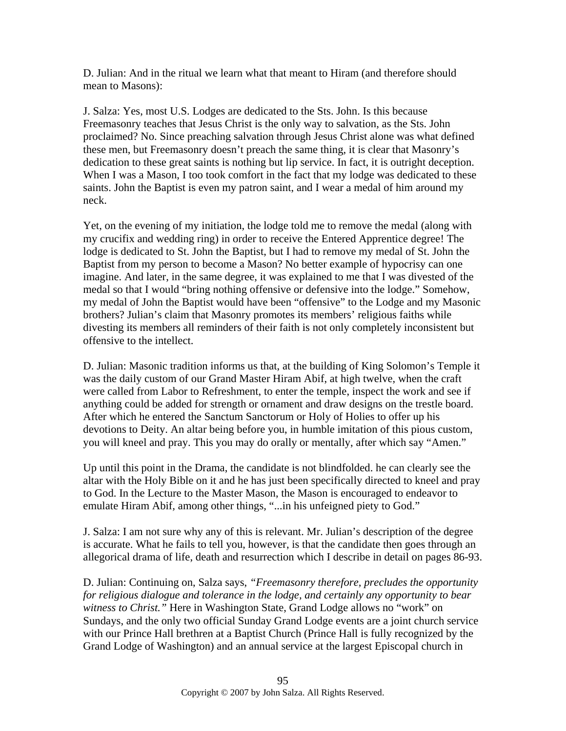D. Julian: And in the ritual we learn what that meant to Hiram (and therefore should mean to Masons):

J. Salza: Yes, most U.S. Lodges are dedicated to the Sts. John. Is this because Freemasonry teaches that Jesus Christ is the only way to salvation, as the Sts. John proclaimed? No. Since preaching salvation through Jesus Christ alone was what defined these men, but Freemasonry doesn't preach the same thing, it is clear that Masonry's dedication to these great saints is nothing but lip service. In fact, it is outright deception. When I was a Mason, I too took comfort in the fact that my lodge was dedicated to these saints. John the Baptist is even my patron saint, and I wear a medal of him around my neck.

Yet, on the evening of my initiation, the lodge told me to remove the medal (along with my crucifix and wedding ring) in order to receive the Entered Apprentice degree! The lodge is dedicated to St. John the Baptist, but I had to remove my medal of St. John the Baptist from my person to become a Mason? No better example of hypocrisy can one imagine. And later, in the same degree, it was explained to me that I was divested of the medal so that I would "bring nothing offensive or defensive into the lodge." Somehow, my medal of John the Baptist would have been "offensive" to the Lodge and my Masonic brothers? Julian's claim that Masonry promotes its members' religious faiths while divesting its members all reminders of their faith is not only completely inconsistent but offensive to the intellect.

D. Julian: Masonic tradition informs us that, at the building of King Solomon's Temple it was the daily custom of our Grand Master Hiram Abif, at high twelve, when the craft were called from Labor to Refreshment, to enter the temple, inspect the work and see if anything could be added for strength or ornament and draw designs on the trestle board. After which he entered the Sanctum Sanctorum or Holy of Holies to offer up his devotions to Deity. An altar being before you, in humble imitation of this pious custom, you will kneel and pray. This you may do orally or mentally, after which say "Amen."

Up until this point in the Drama, the candidate is not blindfolded. he can clearly see the altar with the Holy Bible on it and he has just been specifically directed to kneel and pray to God. In the Lecture to the Master Mason, the Mason is encouraged to endeavor to emulate Hiram Abif*,* among other things*,* "...in his unfeigned piety to God."

J. Salza: I am not sure why any of this is relevant. Mr. Julian's description of the degree is accurate. What he fails to tell you, however, is that the candidate then goes through an allegorical drama of life, death and resurrection which I describe in detail on pages 86-93.

D. Julian: Continuing on, Salza says, *"Freemasonry therefore, precludes the opportunity for religious dialogue and tolerance in the lodge, and certainly any opportunity to bear witness to Christ."* Here in Washington State, Grand Lodge allows no "work" on Sundays, and the only two official Sunday Grand Lodge events are a joint church service with our Prince Hall brethren at a Baptist Church (Prince Hall is fully recognized by the Grand Lodge of Washington) and an annual service at the largest Episcopal church in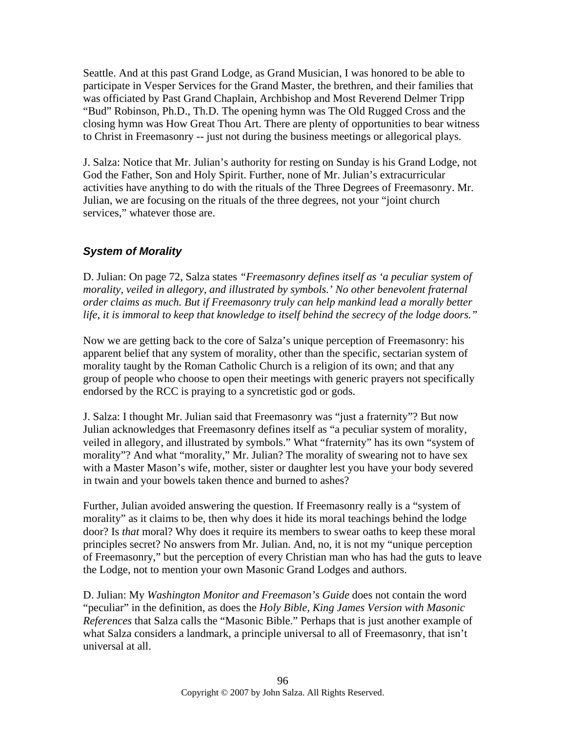Seattle. And at this past Grand Lodge, as Grand Musician, I was honored to be able to participate in Vesper Services for the Grand Master, the brethren, and their families that was officiated by Past Grand Chaplain, Archbishop and Most Reverend Delmer Tripp "Bud" Robinson, Ph.D., Th.D. The opening hymn was The Old Rugged Cross and the closing hymn was How Great Thou Art. There are plenty of opportunities to bear witness to Christ in Freemasonry -- just not during the business meetings or allegorical plays.

J. Salza: Notice that Mr. Julian's authority for resting on Sunday is his Grand Lodge, not God the Father, Son and Holy Spirit. Further, none of Mr. Julian's extracurricular activities have anything to do with the rituals of the Three Degrees of Freemasonry. Mr. Julian, we are focusing on the rituals of the three degrees, not your "joint church services," whatever those are.

# *System of Morality*

D. Julian: On page 72, Salza states *"Freemasonry defines itself as 'a peculiar system of morality, veiled in allegory, and illustrated by symbols.' No other benevolent fraternal order claims as much. But if Freemasonry truly can help mankind lead a morally better life, it is immoral to keep that knowledge to itself behind the secrecy of the lodge doors."* 

Now we are getting back to the core of Salza's unique perception of Freemasonry: his apparent belief that any system of morality, other than the specific, sectarian system of morality taught by the Roman Catholic Church is a religion of its own; and that any group of people who choose to open their meetings with generic prayers not specifically endorsed by the RCC is praying to a syncretistic god or gods.

J. Salza: I thought Mr. Julian said that Freemasonry was "just a fraternity"? But now Julian acknowledges that Freemasonry defines itself as "a peculiar system of morality, veiled in allegory, and illustrated by symbols." What "fraternity" has its own "system of morality"? And what "morality," Mr. Julian? The morality of swearing not to have sex with a Master Mason's wife, mother, sister or daughter lest you have your body severed in twain and your bowels taken thence and burned to ashes?

Further, Julian avoided answering the question. If Freemasonry really is a "system of morality" as it claims to be, then why does it hide its moral teachings behind the lodge door? Is *that* moral? Why does it require its members to swear oaths to keep these moral principles secret? No answers from Mr. Julian. And, no, it is not my "unique perception of Freemasonry," but the perception of every Christian man who has had the guts to leave the Lodge, not to mention your own Masonic Grand Lodges and authors.

D. Julian: My *Washington Monitor and Freemason's Guide* does not contain the word "peculiar" in the definition, as does the *Holy Bible, King James Version with Masonic References* that Salza calls the "Masonic Bible." Perhaps that is just another example of what Salza considers a landmark, a principle universal to all of Freemasonry, that isn't universal at all.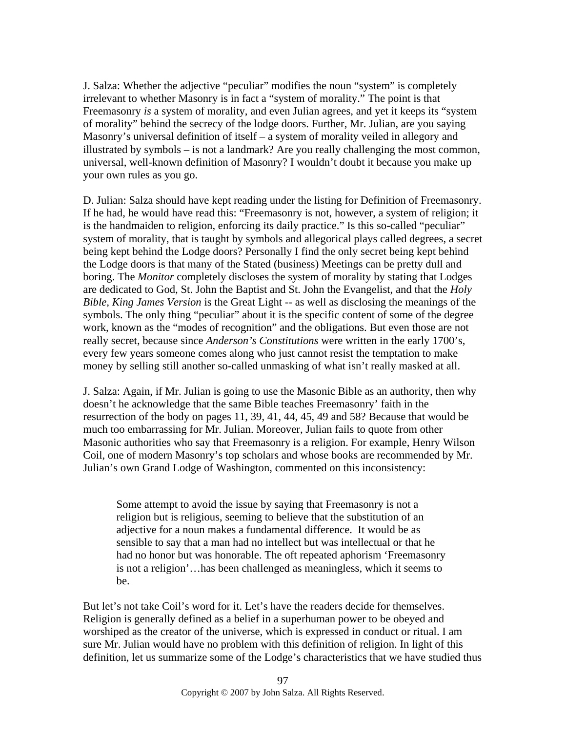J. Salza: Whether the adjective "peculiar" modifies the noun "system" is completely irrelevant to whether Masonry is in fact a "system of morality." The point is that Freemasonry *is* a system of morality, and even Julian agrees, and yet it keeps its "system of morality" behind the secrecy of the lodge doors. Further, Mr. Julian, are you saying Masonry's universal definition of itself – a system of morality veiled in allegory and illustrated by symbols – is not a landmark? Are you really challenging the most common, universal, well-known definition of Masonry? I wouldn't doubt it because you make up your own rules as you go.

D. Julian: Salza should have kept reading under the listing for Definition of Freemasonry. If he had, he would have read this: "Freemasonry is not, however, a system of religion; it is the handmaiden to religion, enforcing its daily practice." Is this so-called "peculiar" system of morality, that is taught by symbols and allegorical plays called degrees, a secret being kept behind the Lodge doors? Personally I find the only secret being kept behind the Lodge doors is that many of the Stated (business) Meetings can be pretty dull and boring. The *Monitor* completely discloses the system of morality by stating that Lodges are dedicated to God, St. John the Baptist and St. John the Evangelist, and that the *Holy Bible, King James Version* is the Great Light -- as well as disclosing the meanings of the symbols. The only thing "peculiar" about it is the specific content of some of the degree work, known as the "modes of recognition" and the obligations. But even those are not really secret, because since *Anderson's Constitutions* were written in the early 1700's, every few years someone comes along who just cannot resist the temptation to make money by selling still another so-called unmasking of what isn't really masked at all.

J. Salza: Again, if Mr. Julian is going to use the Masonic Bible as an authority, then why doesn't he acknowledge that the same Bible teaches Freemasonry' faith in the resurrection of the body on pages 11, 39, 41, 44, 45, 49 and 58? Because that would be much too embarrassing for Mr. Julian. Moreover, Julian fails to quote from other Masonic authorities who say that Freemasonry is a religion. For example, Henry Wilson Coil, one of modern Masonry's top scholars and whose books are recommended by Mr. Julian's own Grand Lodge of Washington, commented on this inconsistency:

Some attempt to avoid the issue by saying that Freemasonry is not a religion but is religious, seeming to believe that the substitution of an adjective for a noun makes a fundamental difference. It would be as sensible to say that a man had no intellect but was intellectual or that he had no honor but was honorable. The oft repeated aphorism 'Freemasonry is not a religion'…has been challenged as meaningless, which it seems to be.

But let's not take Coil's word for it. Let's have the readers decide for themselves. Religion is generally defined as a belief in a superhuman power to be obeyed and worshiped as the creator of the universe, which is expressed in conduct or ritual. I am sure Mr. Julian would have no problem with this definition of religion. In light of this definition, let us summarize some of the Lodge's characteristics that we have studied thus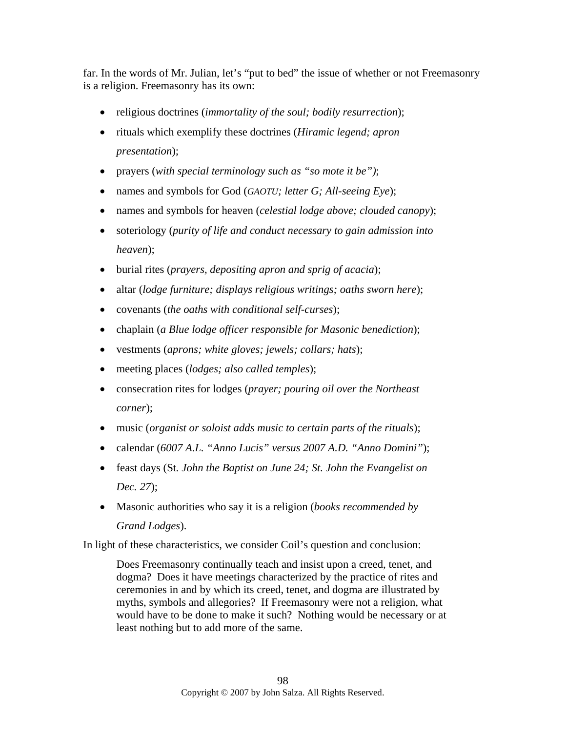far. In the words of Mr. Julian, let's "put to bed" the issue of whether or not Freemasonry is a religion. Freemasonry has its own:

- religious doctrines (*immortality of the soul; bodily resurrection*);
- rituals which exemplify these doctrines (*Hiramic legend; apron presentation*);
- prayers (*with special terminology such as "so mote it be")*;
- names and symbols for God (*GAOTU; letter G; All-seeing Eye*);
- names and symbols for heaven (*celestial lodge above; clouded canopy*);
- soteriology (*purity of life and conduct necessary to gain admission into heaven*);
- burial rites (*prayers, depositing apron and sprig of acacia*);
- altar (*lodge furniture; displays religious writings; oaths sworn here*);
- covenants (*the oaths with conditional self-curses*);
- chaplain (*a Blue lodge officer responsible for Masonic benediction*);
- vestments (*aprons; white gloves; jewels; collars; hats*);
- meeting places (*lodges; also called temples*);
- consecration rites for lodges (*prayer; pouring oil over the Northeast corner*);
- music (*organist or soloist adds music to certain parts of the rituals*);
- calendar (*6007 A.L. "Anno Lucis" versus 2007 A.D. "Anno Domini"*);
- feast days (St*. John the Baptist on June 24; St. John the Evangelist on Dec. 27*);
- Masonic authorities who say it is a religion (*books recommended by Grand Lodges*).

In light of these characteristics, we consider Coil's question and conclusion:

Does Freemasonry continually teach and insist upon a creed, tenet, and dogma? Does it have meetings characterized by the practice of rites and ceremonies in and by which its creed, tenet, and dogma are illustrated by myths, symbols and allegories? If Freemasonry were not a religion, what would have to be done to make it such? Nothing would be necessary or at least nothing but to add more of the same.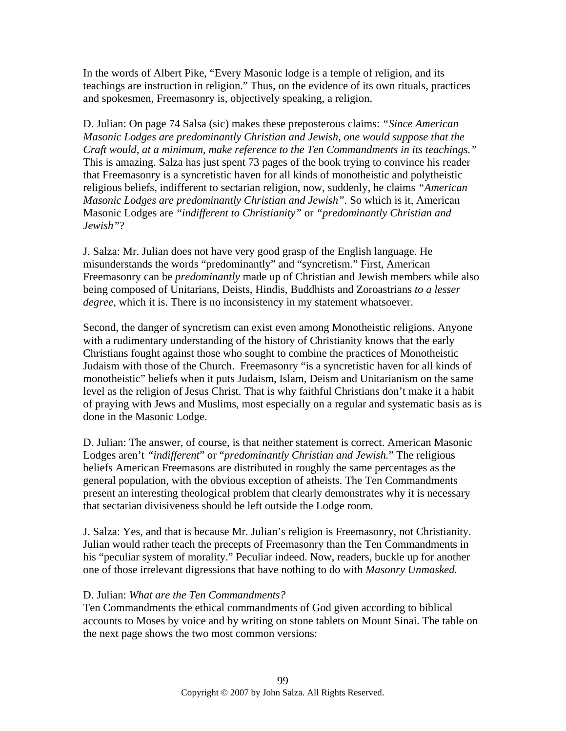In the words of Albert Pike, "Every Masonic lodge is a temple of religion, and its teachings are instruction in religion." Thus, on the evidence of its own rituals, practices and spokesmen, Freemasonry is, objectively speaking, a religion.

D. Julian: On page 74 Salsa (sic) makes these preposterous claims: *"Since American Masonic Lodges are predominantly Christian and Jewish, one would suppose that the Craft would, at a minimum, make reference to the Ten Commandments in its teachings."*  This is amazing. Salza has just spent 73 pages of the book trying to convince his reader that Freemasonry is a syncretistic haven for all kinds of monotheistic and polytheistic religious beliefs, indifferent to sectarian religion, now, suddenly, he claims *"American Masonic Lodges are predominantly Christian and Jewish".* So which is it, American Masonic Lodges are *"indifferent to Christianity"* or *"predominantly Christian and Jewish"*?

J. Salza: Mr. Julian does not have very good grasp of the English language. He misunderstands the words "predominantly" and "syncretism." First, American Freemasonry can be *predominantly* made up of Christian and Jewish members while also being composed of Unitarians, Deists, Hindis, Buddhists and Zoroastrians *to a lesser degree*, which it is. There is no inconsistency in my statement whatsoever.

Second, the danger of syncretism can exist even among Monotheistic religions. Anyone with a rudimentary understanding of the history of Christianity knows that the early Christians fought against those who sought to combine the practices of Monotheistic Judaism with those of the Church. Freemasonry "is a syncretistic haven for all kinds of monotheistic" beliefs when it puts Judaism, Islam, Deism and Unitarianism on the same level as the religion of Jesus Christ. That is why faithful Christians don't make it a habit of praying with Jews and Muslims, most especially on a regular and systematic basis as is done in the Masonic Lodge.

D. Julian: The answer, of course, is that neither statement is correct. American Masonic Lodges aren't *"indifferent*" or "*predominantly Christian and Jewish.*" The religious beliefs American Freemasons are distributed in roughly the same percentages as the general population, with the obvious exception of atheists. The Ten Commandments present an interesting theological problem that clearly demonstrates why it is necessary that sectarian divisiveness should be left outside the Lodge room.

J. Salza: Yes, and that is because Mr. Julian's religion is Freemasonry, not Christianity. Julian would rather teach the precepts of Freemasonry than the Ten Commandments in his "peculiar system of morality." Peculiar indeed. Now, readers, buckle up for another one of those irrelevant digressions that have nothing to do with *Masonry Unmasked.*

### D. Julian: *What are the Ten Commandments?*

Ten Commandments the ethical commandments of God given according to biblical accounts to Moses by voice and by writing on stone tablets on Mount Sinai. The table on the next page shows the two most common versions: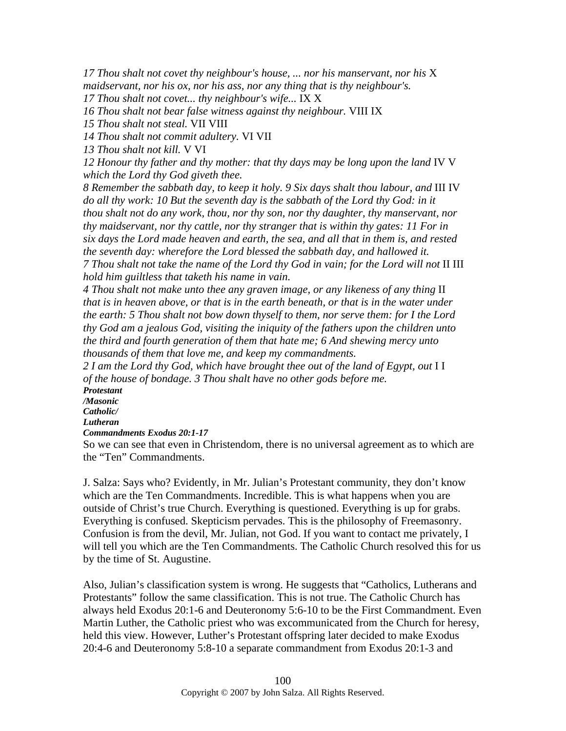*17 Thou shalt not covet thy neighbour's house, ... nor his manservant, nor his* X *maidservant, nor his ox, nor his ass, nor any thing that is thy neighbour's.* 

*17 Thou shalt not covet... thy neighbour's wife...* IX X

*16 Thou shalt not bear false witness against thy neighbour.* VIII IX

*15 Thou shalt not steal.* VII VIII

*14 Thou shalt not commit adultery.* VI VII

*13 Thou shalt not kill.* V VI

*12 Honour thy father and thy mother: that thy days may be long upon the land* IV V *which the Lord thy God giveth thee.* 

*8 Remember the sabbath day, to keep it holy. 9 Six days shalt thou labour, and* III IV *do all thy work: 10 But the seventh day is the sabbath of the Lord thy God: in it thou shalt not do any work, thou, nor thy son, nor thy daughter, thy manservant, nor thy maidservant, nor thy cattle, nor thy stranger that is within thy gates: 11 For in six days the Lord made heaven and earth, the sea, and all that in them is, and rested the seventh day: wherefore the Lord blessed the sabbath day, and hallowed it.* 

*7 Thou shalt not take the name of the Lord thy God in vain; for the Lord will not* II III *hold him guiltless that taketh his name in vain.* 

*4 Thou shalt not make unto thee any graven image, or any likeness of any thing* II *that is in heaven above, or that is in the earth beneath, or that is in the water under the earth: 5 Thou shalt not bow down thyself to them, nor serve them: for I the Lord thy God am a jealous God, visiting the iniquity of the fathers upon the children unto the third and fourth generation of them that hate me; 6 And shewing mercy unto thousands of them that love me, and keep my commandments.* 

*2 I am the Lord thy God, which have brought thee out of the land of Egypt, out* I I *of the house of bondage. 3 Thou shalt have no other gods before me. Protestant* 

*/Masonic* 

*Catholic/* 

*Lutheran* 

*Commandments Exodus 20:1-17* 

So we can see that even in Christendom, there is no universal agreement as to which are the "Ten" Commandments.

J. Salza: Says who? Evidently, in Mr. Julian's Protestant community, they don't know which are the Ten Commandments. Incredible. This is what happens when you are outside of Christ's true Church. Everything is questioned. Everything is up for grabs. Everything is confused. Skepticism pervades. This is the philosophy of Freemasonry. Confusion is from the devil, Mr. Julian, not God. If you want to contact me privately, I will tell you which are the Ten Commandments. The Catholic Church resolved this for us by the time of St. Augustine.

Also, Julian's classification system is wrong. He suggests that "Catholics, Lutherans and Protestants" follow the same classification. This is not true. The Catholic Church has always held Exodus 20:1-6 and Deuteronomy 5:6-10 to be the First Commandment. Even Martin Luther, the Catholic priest who was excommunicated from the Church for heresy, held this view. However, Luther's Protestant offspring later decided to make Exodus 20:4-6 and Deuteronomy 5:8-10 a separate commandment from Exodus 20:1-3 and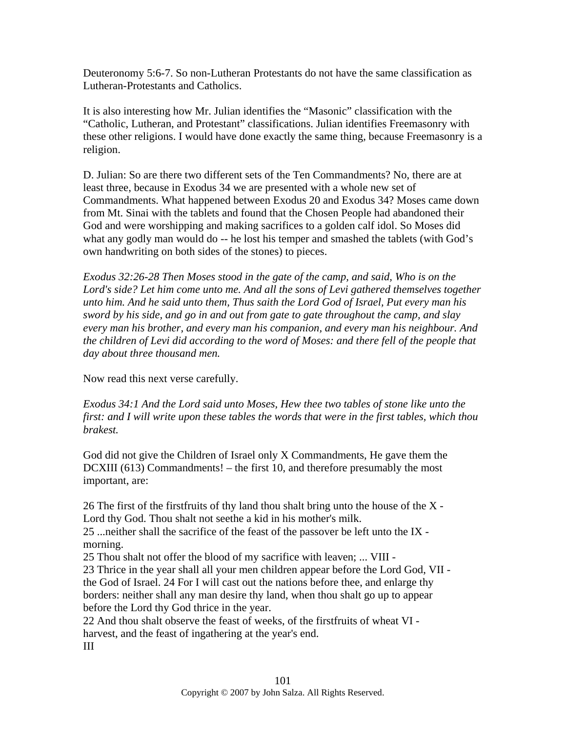Deuteronomy 5:6-7. So non-Lutheran Protestants do not have the same classification as Lutheran-Protestants and Catholics.

It is also interesting how Mr. Julian identifies the "Masonic" classification with the "Catholic, Lutheran, and Protestant" classifications. Julian identifies Freemasonry with these other religions. I would have done exactly the same thing, because Freemasonry is a religion.

D. Julian: So are there two different sets of the Ten Commandments? No, there are at least three, because in Exodus 34 we are presented with a whole new set of Commandments. What happened between Exodus 20 and Exodus 34? Moses came down from Mt. Sinai with the tablets and found that the Chosen People had abandoned their God and were worshipping and making sacrifices to a golden calf idol. So Moses did what any godly man would do -- he lost his temper and smashed the tablets (with God's own handwriting on both sides of the stones) to pieces.

*Exodus 32:26-28 Then Moses stood in the gate of the camp, and said, Who is on the Lord's side? Let him come unto me. And all the sons of Levi gathered themselves together unto him. And he said unto them, Thus saith the Lord God of Israel, Put every man his sword by his side, and go in and out from gate to gate throughout the camp, and slay every man his brother, and every man his companion, and every man his neighbour. And the children of Levi did according to the word of Moses: and there fell of the people that day about three thousand men.* 

Now read this next verse carefully.

*Exodus 34:1 And the Lord said unto Moses, Hew thee two tables of stone like unto the first: and I will write upon these tables the words that were in the first tables, which thou brakest.* 

God did not give the Children of Israel only X Commandments, He gave them the DCXIII (613) Commandments! – the first 10, and therefore presumably the most important, are:

26 The first of the firstfruits of thy land thou shalt bring unto the house of the X - Lord thy God. Thou shalt not seethe a kid in his mother's milk.

25 ...neither shall the sacrifice of the feast of the passover be left unto the IX morning.

25 Thou shalt not offer the blood of my sacrifice with leaven; ... VIII -

23 Thrice in the year shall all your men children appear before the Lord God, VII the God of Israel. 24 For I will cast out the nations before thee, and enlarge thy borders: neither shall any man desire thy land, when thou shalt go up to appear before the Lord thy God thrice in the year.

22 And thou shalt observe the feast of weeks, of the firstfruits of wheat VI harvest, and the feast of ingathering at the year's end.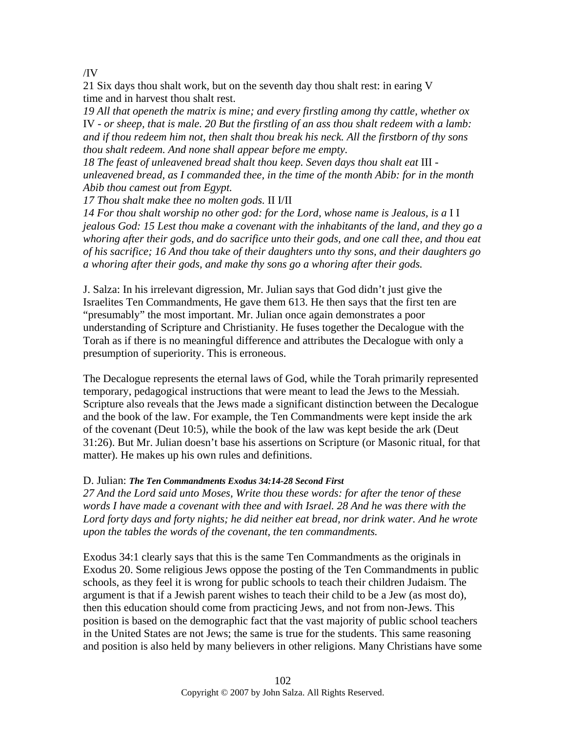/IV

21 Six days thou shalt work, but on the seventh day thou shalt rest: in earing V time and in harvest thou shalt rest.

*19 All that openeth the matrix is mine; and every firstling among thy cattle, whether ox*  IV - *or sheep, that is male. 20 But the firstling of an ass thou shalt redeem with a lamb: and if thou redeem him not, then shalt thou break his neck. All the firstborn of thy sons thou shalt redeem. And none shall appear before me empty.* 

*18 The feast of unleavened bread shalt thou keep. Seven days thou shalt eat* III *unleavened bread, as I commanded thee, in the time of the month Abib: for in the month Abib thou camest out from Egypt.* 

*17 Thou shalt make thee no molten gods.* II I/II

14 For thou shalt worship no other god: for the Lord, whose name is Jealous, is a II *jealous God: 15 Lest thou make a covenant with the inhabitants of the land, and they go a whoring after their gods, and do sacrifice unto their gods, and one call thee, and thou eat of his sacrifice; 16 And thou take of their daughters unto thy sons, and their daughters go a whoring after their gods, and make thy sons go a whoring after their gods.* 

J. Salza: In his irrelevant digression, Mr. Julian says that God didn't just give the Israelites Ten Commandments, He gave them 613. He then says that the first ten are "presumably" the most important. Mr. Julian once again demonstrates a poor understanding of Scripture and Christianity. He fuses together the Decalogue with the Torah as if there is no meaningful difference and attributes the Decalogue with only a presumption of superiority. This is erroneous.

The Decalogue represents the eternal laws of God, while the Torah primarily represented temporary, pedagogical instructions that were meant to lead the Jews to the Messiah. Scripture also reveals that the Jews made a significant distinction between the Decalogue and the book of the law. For example, the Ten Commandments were kept inside the ark of the covenant (Deut 10:5), while the book of the law was kept beside the ark (Deut 31:26). But Mr. Julian doesn't base his assertions on Scripture (or Masonic ritual, for that matter). He makes up his own rules and definitions.

## D. Julian: *The Ten Commandments Exodus 34:14-28 Second First*

*27 And the Lord said unto Moses, Write thou these words: for after the tenor of these words I have made a covenant with thee and with Israel. 28 And he was there with the Lord forty days and forty nights; he did neither eat bread, nor drink water. And he wrote upon the tables the words of the covenant, the ten commandments.* 

Exodus 34:1 clearly says that this is the same Ten Commandments as the originals in Exodus 20. Some religious Jews oppose the posting of the Ten Commandments in public schools, as they feel it is wrong for public schools to teach their children Judaism. The argument is that if a Jewish parent wishes to teach their child to be a Jew (as most do), then this education should come from practicing Jews, and not from non-Jews. This position is based on the demographic fact that the vast majority of public school teachers in the United States are not Jews; the same is true for the students. This same reasoning and position is also held by many believers in other religions. Many Christians have some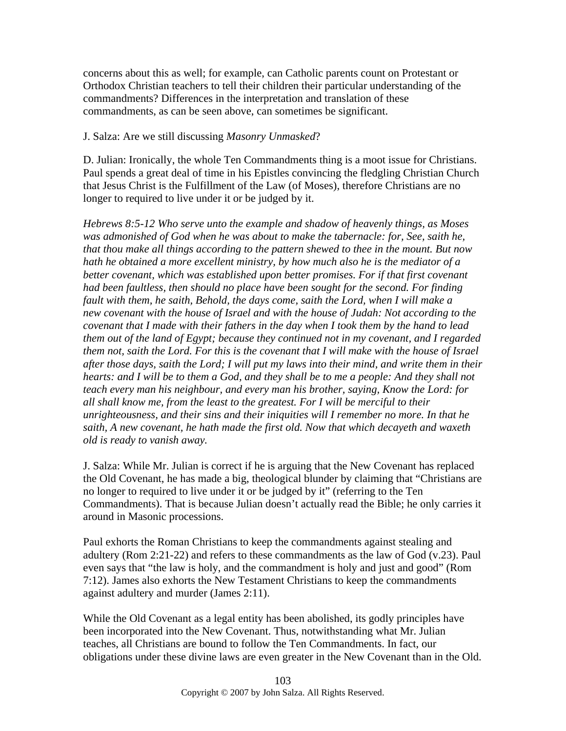concerns about this as well; for example, can Catholic parents count on Protestant or Orthodox Christian teachers to tell their children their particular understanding of the commandments? Differences in the interpretation and translation of these commandments, as can be seen above, can sometimes be significant.

#### J. Salza: Are we still discussing *Masonry Unmasked*?

D. Julian: Ironically, the whole Ten Commandments thing is a moot issue for Christians. Paul spends a great deal of time in his Epistles convincing the fledgling Christian Church that Jesus Christ is the Fulfillment of the Law (of Moses), therefore Christians are no longer to required to live under it or be judged by it.

*Hebrews 8:5-12 Who serve unto the example and shadow of heavenly things, as Moses was admonished of God when he was about to make the tabernacle: for, See, saith he, that thou make all things according to the pattern shewed to thee in the mount. But now hath he obtained a more excellent ministry, by how much also he is the mediator of a better covenant, which was established upon better promises. For if that first covenant had been faultless, then should no place have been sought for the second. For finding fault with them, he saith, Behold, the days come, saith the Lord, when I will make a new covenant with the house of Israel and with the house of Judah: Not according to the covenant that I made with their fathers in the day when I took them by the hand to lead them out of the land of Egypt; because they continued not in my covenant, and I regarded them not, saith the Lord. For this is the covenant that I will make with the house of Israel after those days, saith the Lord; I will put my laws into their mind, and write them in their hearts: and I will be to them a God, and they shall be to me a people: And they shall not teach every man his neighbour, and every man his brother, saying, Know the Lord: for all shall know me, from the least to the greatest. For I will be merciful to their unrighteousness, and their sins and their iniquities will I remember no more. In that he saith, A new covenant, he hath made the first old. Now that which decayeth and waxeth old is ready to vanish away.* 

J. Salza: While Mr. Julian is correct if he is arguing that the New Covenant has replaced the Old Covenant, he has made a big, theological blunder by claiming that "Christians are no longer to required to live under it or be judged by it" (referring to the Ten Commandments). That is because Julian doesn't actually read the Bible; he only carries it around in Masonic processions.

Paul exhorts the Roman Christians to keep the commandments against stealing and adultery (Rom 2:21-22) and refers to these commandments as the law of God (v.23). Paul even says that "the law is holy, and the commandment is holy and just and good" (Rom 7:12). James also exhorts the New Testament Christians to keep the commandments against adultery and murder (James 2:11).

While the Old Covenant as a legal entity has been abolished, its godly principles have been incorporated into the New Covenant. Thus, notwithstanding what Mr. Julian teaches, all Christians are bound to follow the Ten Commandments. In fact, our obligations under these divine laws are even greater in the New Covenant than in the Old.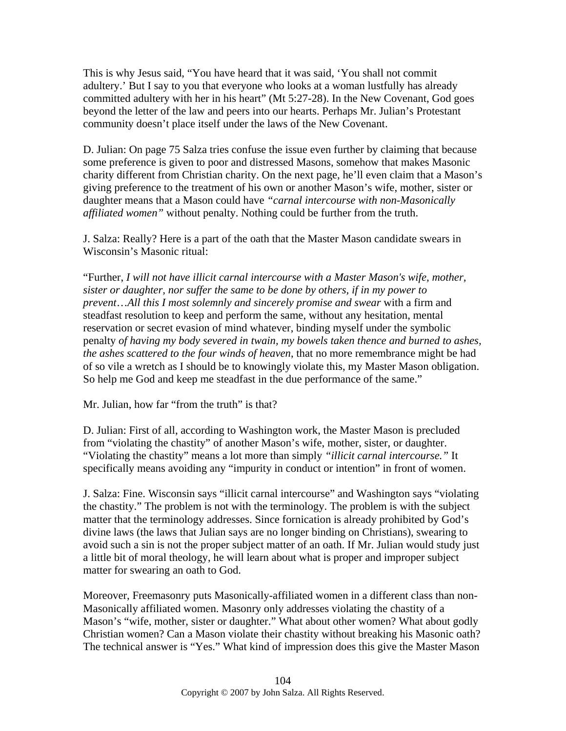This is why Jesus said, "You have heard that it was said, 'You shall not commit adultery.' But I say to you that everyone who looks at a woman lustfully has already committed adultery with her in his heart" (Mt 5:27-28). In the New Covenant, God goes beyond the letter of the law and peers into our hearts. Perhaps Mr. Julian's Protestant community doesn't place itself under the laws of the New Covenant.

D. Julian: On page 75 Salza tries confuse the issue even further by claiming that because some preference is given to poor and distressed Masons, somehow that makes Masonic charity different from Christian charity. On the next page, he'll even claim that a Mason's giving preference to the treatment of his own or another Mason's wife, mother, sister or daughter means that a Mason could have *"carnal intercourse with non-Masonically affiliated women"* without penalty. Nothing could be further from the truth.

J. Salza: Really? Here is a part of the oath that the Master Mason candidate swears in Wisconsin's Masonic ritual:

"Further, *I will not have illicit carnal intercourse with a Master Mason's wife, mother, sister or daughter, nor suffer the same to be done by others, if in my power to prevent*…*All this I most solemnly and sincerely promise and swear* with a firm and steadfast resolution to keep and perform the same, without any hesitation, mental reservation or secret evasion of mind whatever, binding myself under the symbolic penalty *of having my body severed in twain, my bowels taken thence and burned to ashes, the ashes scattered to the four winds of heaven*, that no more remembrance might be had of so vile a wretch as I should be to knowingly violate this, my Master Mason obligation. So help me God and keep me steadfast in the due performance of the same."

Mr. Julian, how far "from the truth" is that?

D. Julian: First of all, according to Washington work, the Master Mason is precluded from "violating the chastity" of another Mason's wife, mother, sister, or daughter. "Violating the chastity" means a lot more than simply *"illicit carnal intercourse."* It specifically means avoiding any "impurity in conduct or intention" in front of women.

J. Salza: Fine. Wisconsin says "illicit carnal intercourse" and Washington says "violating the chastity." The problem is not with the terminology. The problem is with the subject matter that the terminology addresses. Since fornication is already prohibited by God's divine laws (the laws that Julian says are no longer binding on Christians), swearing to avoid such a sin is not the proper subject matter of an oath. If Mr. Julian would study just a little bit of moral theology, he will learn about what is proper and improper subject matter for swearing an oath to God.

Moreover, Freemasonry puts Masonically-affiliated women in a different class than non-Masonically affiliated women. Masonry only addresses violating the chastity of a Mason's "wife, mother, sister or daughter." What about other women? What about godly Christian women? Can a Mason violate their chastity without breaking his Masonic oath? The technical answer is "Yes." What kind of impression does this give the Master Mason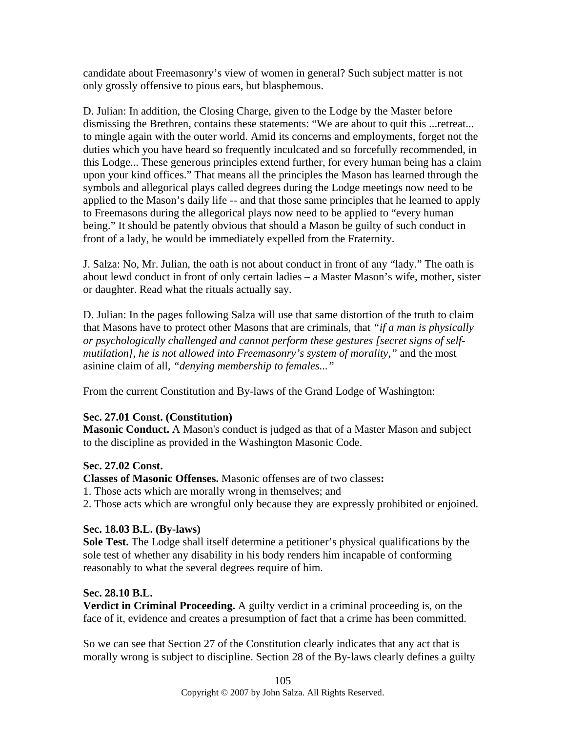candidate about Freemasonry's view of women in general? Such subject matter is not only grossly offensive to pious ears, but blasphemous.

D. Julian: In addition, the Closing Charge, given to the Lodge by the Master before dismissing the Brethren, contains these statements: "We are about to quit this ...retreat... to mingle again with the outer world. Amid its concerns and employments, forget not the duties which you have heard so frequently inculcated and so forcefully recommended, in this Lodge... These generous principles extend further, for every human being has a claim upon your kind offices." That means all the principles the Mason has learned through the symbols and allegorical plays called degrees during the Lodge meetings now need to be applied to the Mason's daily life -- and that those same principles that he learned to apply to Freemasons during the allegorical plays now need to be applied to "every human being." It should be patently obvious that should a Mason be guilty of such conduct in front of a lady, he would be immediately expelled from the Fraternity.

J. Salza: No, Mr. Julian, the oath is not about conduct in front of any "lady." The oath is about lewd conduct in front of only certain ladies – a Master Mason's wife, mother, sister or daughter. Read what the rituals actually say.

D. Julian: In the pages following Salza will use that same distortion of the truth to claim that Masons have to protect other Masons that are criminals, that *"if a man is physically or psychologically challenged and cannot perform these gestures [secret signs of selfmutilation], he is not allowed into Freemasonry's system of morality,"* and the most asinine claim of all, *"denying membership to females..."* 

From the current Constitution and By-laws of the Grand Lodge of Washington:

## **Sec. 27.01 Const. (Constitution)**

**Masonic Conduct.** A Mason's conduct is judged as that of a Master Mason and subject to the discipline as provided in the Washington Masonic Code.

## **Sec. 27.02 Const.**

**Classes of Masonic Offenses.** Masonic offenses are of two classes**:** 

- 1. Those acts which are morally wrong in themselves; and
- 2. Those acts which are wrongful only because they are expressly prohibited or enjoined.

### **Sec. 18.03 B.L. (By-laws)**

**Sole Test.** The Lodge shall itself determine a petitioner's physical qualifications by the sole test of whether any disability in his body renders him incapable of conforming reasonably to what the several degrees require of him.

## **Sec. 28.10 B.L.**

**Verdict in Criminal Proceeding.** A guilty verdict in a criminal proceeding is, on the face of it, evidence and creates a presumption of fact that a crime has been committed.

So we can see that Section 27 of the Constitution clearly indicates that any act that is morally wrong is subject to discipline. Section 28 of the By-laws clearly defines a guilty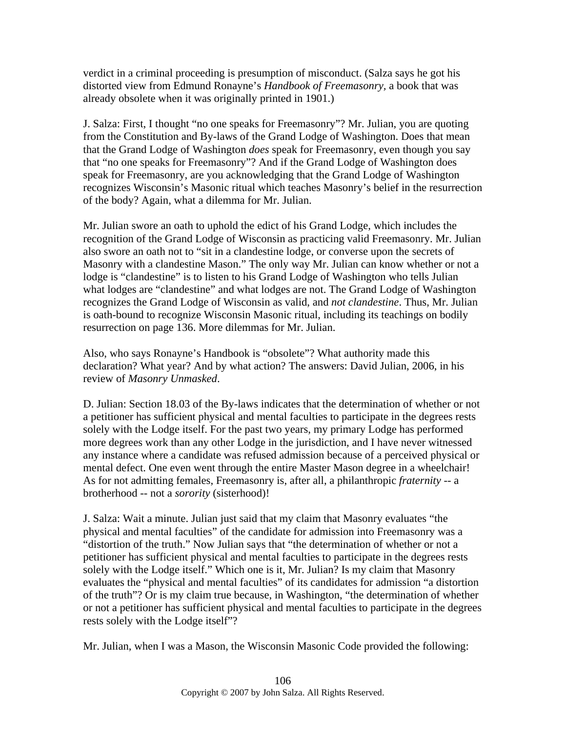verdict in a criminal proceeding is presumption of misconduct. (Salza says he got his distorted view from Edmund Ronayne's *Handbook of Freemasonry,* a book that was already obsolete when it was originally printed in 1901.)

J. Salza: First, I thought "no one speaks for Freemasonry"? Mr. Julian, you are quoting from the Constitution and By-laws of the Grand Lodge of Washington. Does that mean that the Grand Lodge of Washington *does* speak for Freemasonry, even though you say that "no one speaks for Freemasonry"? And if the Grand Lodge of Washington does speak for Freemasonry, are you acknowledging that the Grand Lodge of Washington recognizes Wisconsin's Masonic ritual which teaches Masonry's belief in the resurrection of the body? Again, what a dilemma for Mr. Julian.

Mr. Julian swore an oath to uphold the edict of his Grand Lodge, which includes the recognition of the Grand Lodge of Wisconsin as practicing valid Freemasonry. Mr. Julian also swore an oath not to "sit in a clandestine lodge, or converse upon the secrets of Masonry with a clandestine Mason." The only way Mr. Julian can know whether or not a lodge is "clandestine" is to listen to his Grand Lodge of Washington who tells Julian what lodges are "clandestine" and what lodges are not. The Grand Lodge of Washington recognizes the Grand Lodge of Wisconsin as valid, and *not clandestine*. Thus, Mr. Julian is oath-bound to recognize Wisconsin Masonic ritual, including its teachings on bodily resurrection on page 136. More dilemmas for Mr. Julian.

Also, who says Ronayne's Handbook is "obsolete"? What authority made this declaration? What year? And by what action? The answers: David Julian, 2006, in his review of *Masonry Unmasked*.

D. Julian: Section 18.03 of the By-laws indicates that the determination of whether or not a petitioner has sufficient physical and mental faculties to participate in the degrees rests solely with the Lodge itself. For the past two years, my primary Lodge has performed more degrees work than any other Lodge in the jurisdiction, and I have never witnessed any instance where a candidate was refused admission because of a perceived physical or mental defect. One even went through the entire Master Mason degree in a wheelchair! As for not admitting females, Freemasonry is, after all, a philanthropic *fraternity* -- a brotherhood -- not a *sorority* (sisterhood)!

J. Salza: Wait a minute. Julian just said that my claim that Masonry evaluates "the physical and mental faculties" of the candidate for admission into Freemasonry was a "distortion of the truth." Now Julian says that "the determination of whether or not a petitioner has sufficient physical and mental faculties to participate in the degrees rests solely with the Lodge itself." Which one is it, Mr. Julian? Is my claim that Masonry evaluates the "physical and mental faculties" of its candidates for admission "a distortion of the truth"? Or is my claim true because, in Washington, "the determination of whether or not a petitioner has sufficient physical and mental faculties to participate in the degrees rests solely with the Lodge itself"?

Mr. Julian, when I was a Mason, the Wisconsin Masonic Code provided the following: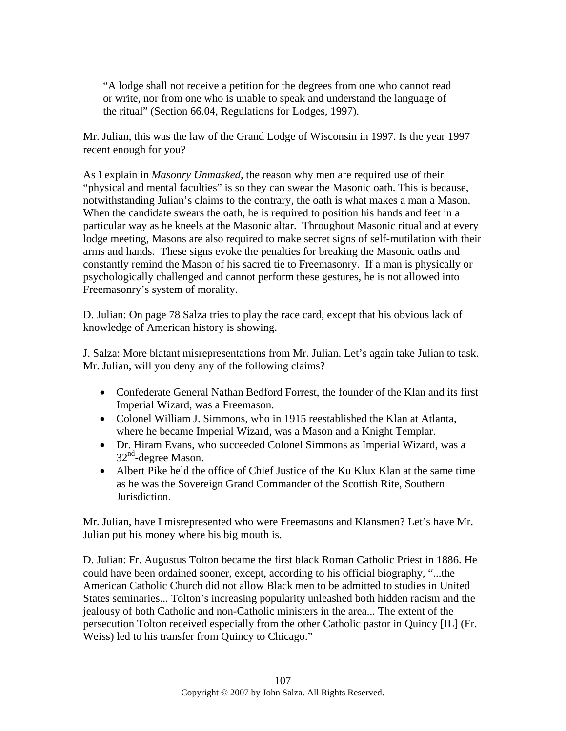"A lodge shall not receive a petition for the degrees from one who cannot read or write, nor from one who is unable to speak and understand the language of the ritual" (Section 66.04, Regulations for Lodges, 1997).

Mr. Julian, this was the law of the Grand Lodge of Wisconsin in 1997. Is the year 1997 recent enough for you?

As I explain in *Masonry Unmasked*, the reason why men are required use of their "physical and mental faculties" is so they can swear the Masonic oath. This is because, notwithstanding Julian's claims to the contrary, the oath is what makes a man a Mason. When the candidate swears the oath, he is required to position his hands and feet in a particular way as he kneels at the Masonic altar. Throughout Masonic ritual and at every lodge meeting, Masons are also required to make secret signs of self-mutilation with their arms and hands. These signs evoke the penalties for breaking the Masonic oaths and constantly remind the Mason of his sacred tie to Freemasonry. If a man is physically or psychologically challenged and cannot perform these gestures, he is not allowed into Freemasonry's system of morality.

D. Julian: On page 78 Salza tries to play the race card, except that his obvious lack of knowledge of American history is showing.

J. Salza: More blatant misrepresentations from Mr. Julian. Let's again take Julian to task. Mr. Julian, will you deny any of the following claims?

- Confederate General Nathan Bedford Forrest, the founder of the Klan and its first Imperial Wizard, was a Freemason.
- Colonel William J. Simmons, who in 1915 reestablished the Klan at Atlanta, where he became Imperial Wizard, was a Mason and a Knight Templar.
- Dr. Hiram Evans, who succeeded Colonel Simmons as Imperial Wizard, was a  $32<sup>nd</sup>$ -degree Mason.
- Albert Pike held the office of Chief Justice of the Ku Klux Klan at the same time as he was the Sovereign Grand Commander of the Scottish Rite, Southern Jurisdiction.

Mr. Julian, have I misrepresented who were Freemasons and Klansmen? Let's have Mr. Julian put his money where his big mouth is.

D. Julian: Fr. Augustus Tolton became the first black Roman Catholic Priest in 1886. He could have been ordained sooner, except, according to his official biography, "...the American Catholic Church did not allow Black men to be admitted to studies in United States seminaries... Tolton's increasing popularity unleashed both hidden racism and the jealousy of both Catholic and non-Catholic ministers in the area... The extent of the persecution Tolton received especially from the other Catholic pastor in Quincy [IL] (Fr. Weiss) led to his transfer from Quincy to Chicago."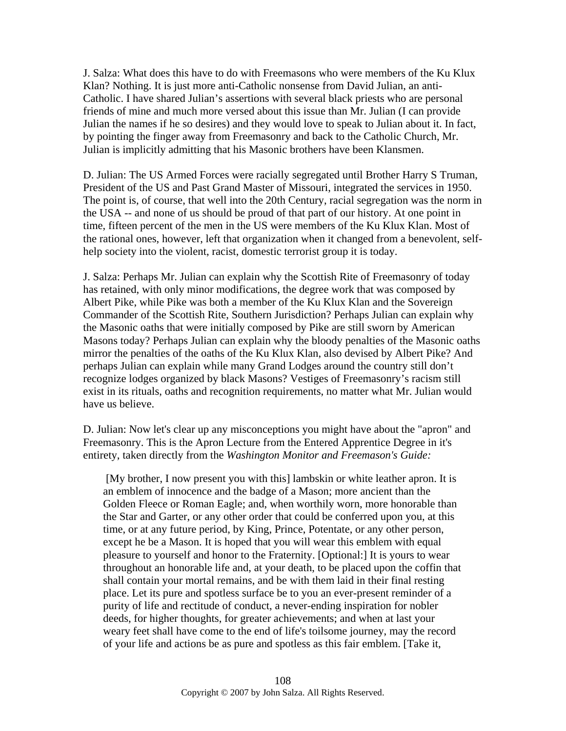J. Salza: What does this have to do with Freemasons who were members of the Ku Klux Klan? Nothing. It is just more anti-Catholic nonsense from David Julian, an anti-Catholic. I have shared Julian's assertions with several black priests who are personal friends of mine and much more versed about this issue than Mr. Julian (I can provide Julian the names if he so desires) and they would love to speak to Julian about it. In fact, by pointing the finger away from Freemasonry and back to the Catholic Church, Mr. Julian is implicitly admitting that his Masonic brothers have been Klansmen.

D. Julian: The US Armed Forces were racially segregated until Brother Harry S Truman, President of the US and Past Grand Master of Missouri, integrated the services in 1950. The point is, of course, that well into the 20th Century, racial segregation was the norm in the USA -- and none of us should be proud of that part of our history. At one point in time, fifteen percent of the men in the US were members of the Ku Klux Klan. Most of the rational ones, however, left that organization when it changed from a benevolent, selfhelp society into the violent, racist, domestic terrorist group it is today.

J. Salza: Perhaps Mr. Julian can explain why the Scottish Rite of Freemasonry of today has retained, with only minor modifications, the degree work that was composed by Albert Pike, while Pike was both a member of the Ku Klux Klan and the Sovereign Commander of the Scottish Rite, Southern Jurisdiction? Perhaps Julian can explain why the Masonic oaths that were initially composed by Pike are still sworn by American Masons today? Perhaps Julian can explain why the bloody penalties of the Masonic oaths mirror the penalties of the oaths of the Ku Klux Klan, also devised by Albert Pike? And perhaps Julian can explain while many Grand Lodges around the country still don't recognize lodges organized by black Masons? Vestiges of Freemasonry's racism still exist in its rituals, oaths and recognition requirements, no matter what Mr. Julian would have us believe.

D. Julian: Now let's clear up any misconceptions you might have about the "apron" and Freemasonry. This is the Apron Lecture from the Entered Apprentice Degree in it's entirety, taken directly from the *Washington Monitor and Freemason's Guide:* 

 [My brother, I now present you with this] lambskin or white leather apron. It is an emblem of innocence and the badge of a Mason; more ancient than the Golden Fleece or Roman Eagle; and, when worthily worn, more honorable than the Star and Garter, or any other order that could be conferred upon you, at this time, or at any future period, by King, Prince, Potentate, or any other person, except he be a Mason. It is hoped that you will wear this emblem with equal pleasure to yourself and honor to the Fraternity. [Optional:] It is yours to wear throughout an honorable life and, at your death, to be placed upon the coffin that shall contain your mortal remains, and be with them laid in their final resting place. Let its pure and spotless surface be to you an ever-present reminder of a purity of life and rectitude of conduct, a never-ending inspiration for nobler deeds, for higher thoughts, for greater achievements; and when at last your weary feet shall have come to the end of life's toilsome journey, may the record of your life and actions be as pure and spotless as this fair emblem. [Take it,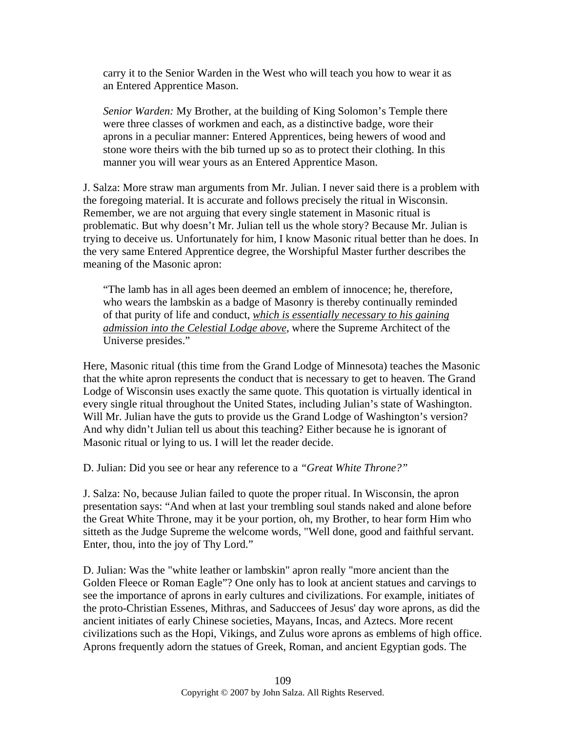carry it to the Senior Warden in the West who will teach you how to wear it as an Entered Apprentice Mason.

*Senior Warden:* My Brother, at the building of King Solomon's Temple there were three classes of workmen and each, as a distinctive badge, wore their aprons in a peculiar manner: Entered Apprentices, being hewers of wood and stone wore theirs with the bib turned up so as to protect their clothing. In this manner you will wear yours as an Entered Apprentice Mason.

J. Salza: More straw man arguments from Mr. Julian. I never said there is a problem with the foregoing material. It is accurate and follows precisely the ritual in Wisconsin. Remember, we are not arguing that every single statement in Masonic ritual is problematic. But why doesn't Mr. Julian tell us the whole story? Because Mr. Julian is trying to deceive us. Unfortunately for him, I know Masonic ritual better than he does. In the very same Entered Apprentice degree, the Worshipful Master further describes the meaning of the Masonic apron:

"The lamb has in all ages been deemed an emblem of innocence; he, therefore, who wears the lambskin as a badge of Masonry is thereby continually reminded of that purity of life and conduct, *which is essentially necessary to his gaining admission into the Celestial Lodge above*, where the Supreme Architect of the Universe presides."

Here, Masonic ritual (this time from the Grand Lodge of Minnesota) teaches the Masonic that the white apron represents the conduct that is necessary to get to heaven. The Grand Lodge of Wisconsin uses exactly the same quote. This quotation is virtually identical in every single ritual throughout the United States, including Julian's state of Washington. Will Mr. Julian have the guts to provide us the Grand Lodge of Washington's version? And why didn't Julian tell us about this teaching? Either because he is ignorant of Masonic ritual or lying to us. I will let the reader decide.

D. Julian: Did you see or hear any reference to a *"Great White Throne?"* 

J. Salza: No, because Julian failed to quote the proper ritual. In Wisconsin, the apron presentation says: "And when at last your trembling soul stands naked and alone before the Great White Throne, may it be your portion, oh, my Brother, to hear form Him who sitteth as the Judge Supreme the welcome words, "Well done, good and faithful servant. Enter, thou, into the joy of Thy Lord."

D. Julian: Was the "white leather or lambskin" apron really "more ancient than the Golden Fleece or Roman Eagle"? One only has to look at ancient statues and carvings to see the importance of aprons in early cultures and civilizations. For example, initiates of the proto-Christian Essenes, Mithras, and Saduccees of Jesus' day wore aprons, as did the ancient initiates of early Chinese societies, Mayans, Incas, and Aztecs. More recent civilizations such as the Hopi, Vikings, and Zulus wore aprons as emblems of high office. Aprons frequently adorn the statues of Greek, Roman, and ancient Egyptian gods. The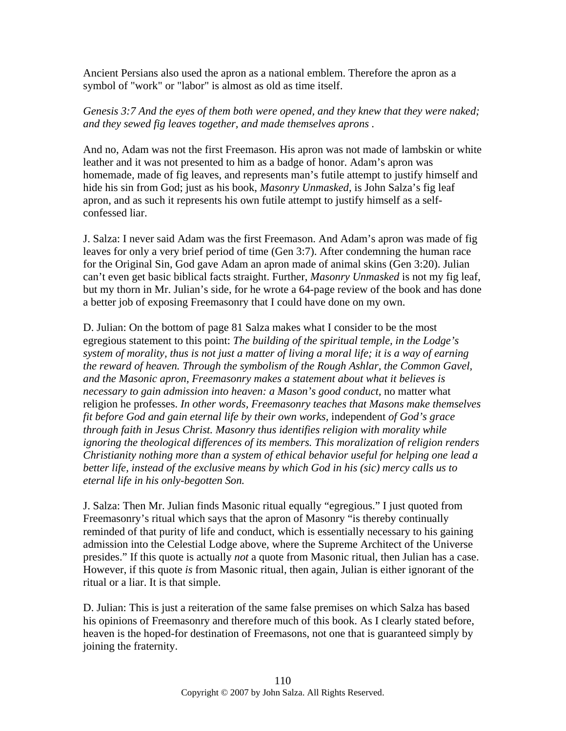Ancient Persians also used the apron as a national emblem. Therefore the apron as a symbol of "work" or "labor" is almost as old as time itself.

#### *Genesis 3:7 And the eyes of them both were opened, and they knew that they were naked; and they sewed fig leaves together, and made themselves aprons .*

And no, Adam was not the first Freemason. His apron was not made of lambskin or white leather and it was not presented to him as a badge of honor. Adam's apron was homemade, made of fig leaves, and represents man's futile attempt to justify himself and hide his sin from God; just as his book, *Masonry Unmasked*, is John Salza's fig leaf apron, and as such it represents his own futile attempt to justify himself as a selfconfessed liar.

J. Salza: I never said Adam was the first Freemason. And Adam's apron was made of fig leaves for only a very brief period of time (Gen 3:7). After condemning the human race for the Original Sin, God gave Adam an apron made of animal skins (Gen 3:20). Julian can't even get basic biblical facts straight. Further, *Masonry Unmasked* is not my fig leaf, but my thorn in Mr. Julian's side, for he wrote a 64-page review of the book and has done a better job of exposing Freemasonry that I could have done on my own.

D. Julian: On the bottom of page 81 Salza makes what I consider to be the most egregious statement to this point: *The building of the spiritual temple, in the Lodge's system of morality, thus is not just a matter of living a moral life; it is a way of earning the reward of heaven. Through the symbolism of the Rough Ashlar, the Common Gavel, and the Masonic apron, Freemasonry makes a statement about what it believes is necessary to gain admission into heaven: a Mason's good conduct,* no matter what religion he professes. *In other words, Freemasonry teaches that Masons make themselves fit before God and gain eternal life by their own works,* independent *of God's grace through faith in Jesus Christ. Masonry thus identifies religion with morality while ignoring the theological differences of its members. This moralization of religion renders Christianity nothing more than a system of ethical behavior useful for helping one lead a better life, instead of the exclusive means by which God in his (sic) mercy calls us to eternal life in his only-begotten Son.* 

J. Salza: Then Mr. Julian finds Masonic ritual equally "egregious." I just quoted from Freemasonry's ritual which says that the apron of Masonry "is thereby continually reminded of that purity of life and conduct, which is essentially necessary to his gaining admission into the Celestial Lodge above, where the Supreme Architect of the Universe presides." If this quote is actually *not* a quote from Masonic ritual, then Julian has a case. However, if this quote *is* from Masonic ritual, then again, Julian is either ignorant of the ritual or a liar. It is that simple.

D. Julian: This is just a reiteration of the same false premises on which Salza has based his opinions of Freemasonry and therefore much of this book. As I clearly stated before, heaven is the hoped-for destination of Freemasons, not one that is guaranteed simply by joining the fraternity.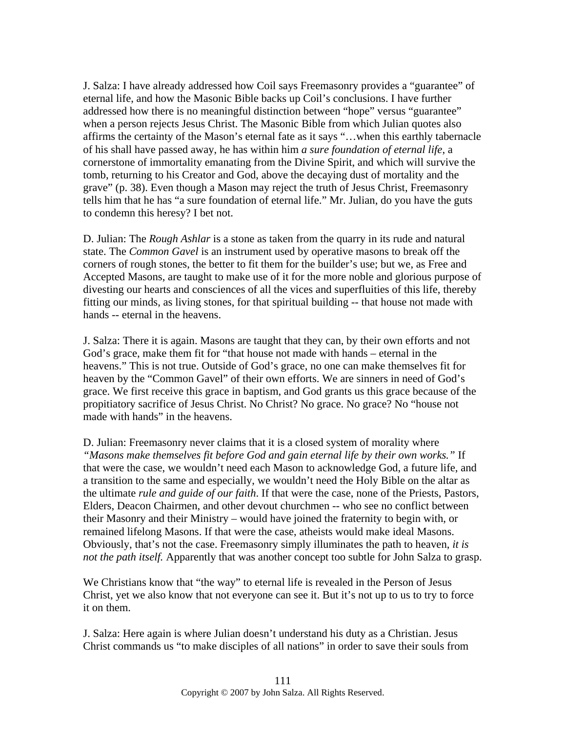J. Salza: I have already addressed how Coil says Freemasonry provides a "guarantee" of eternal life, and how the Masonic Bible backs up Coil's conclusions. I have further addressed how there is no meaningful distinction between "hope" versus "guarantee" when a person rejects Jesus Christ. The Masonic Bible from which Julian quotes also affirms the certainty of the Mason's eternal fate as it says "…when this earthly tabernacle of his shall have passed away, he has within him *a sure foundation of eternal life*, a cornerstone of immortality emanating from the Divine Spirit, and which will survive the tomb, returning to his Creator and God, above the decaying dust of mortality and the grave" (p. 38). Even though a Mason may reject the truth of Jesus Christ, Freemasonry tells him that he has "a sure foundation of eternal life." Mr. Julian, do you have the guts to condemn this heresy? I bet not.

D. Julian: The *Rough Ashlar* is a stone as taken from the quarry in its rude and natural state. The *Common Gavel* is an instrument used by operative masons to break off the corners of rough stones, the better to fit them for the builder's use; but we, as Free and Accepted Masons, are taught to make use of it for the more noble and glorious purpose of divesting our hearts and consciences of all the vices and superfluities of this life, thereby fitting our minds, as living stones, for that spiritual building -- that house not made with hands -- eternal in the heavens.

J. Salza: There it is again. Masons are taught that they can, by their own efforts and not God's grace, make them fit for "that house not made with hands – eternal in the heavens." This is not true. Outside of God's grace, no one can make themselves fit for heaven by the "Common Gavel" of their own efforts. We are sinners in need of God's grace. We first receive this grace in baptism, and God grants us this grace because of the propitiatory sacrifice of Jesus Christ. No Christ? No grace. No grace? No "house not made with hands" in the heavens.

D. Julian: Freemasonry never claims that it is a closed system of morality where *"Masons make themselves fit before God and gain eternal life by their own works."* If that were the case, we wouldn't need each Mason to acknowledge God, a future life, and a transition to the same and especially, we wouldn't need the Holy Bible on the altar as the ultimate *rule and guide of our faith*. If that were the case, none of the Priests, Pastors, Elders, Deacon Chairmen, and other devout churchmen -- who see no conflict between their Masonry and their Ministry – would have joined the fraternity to begin with, or remained lifelong Masons. If that were the case, atheists would make ideal Masons. Obviously, that's not the case. Freemasonry simply illuminates the path to heaven, *it is not the path itself.* Apparently that was another concept too subtle for John Salza to grasp.

We Christians know that "the way" to eternal life is revealed in the Person of Jesus Christ, yet we also know that not everyone can see it. But it's not up to us to try to force it on them.

J. Salza: Here again is where Julian doesn't understand his duty as a Christian. Jesus Christ commands us "to make disciples of all nations" in order to save their souls from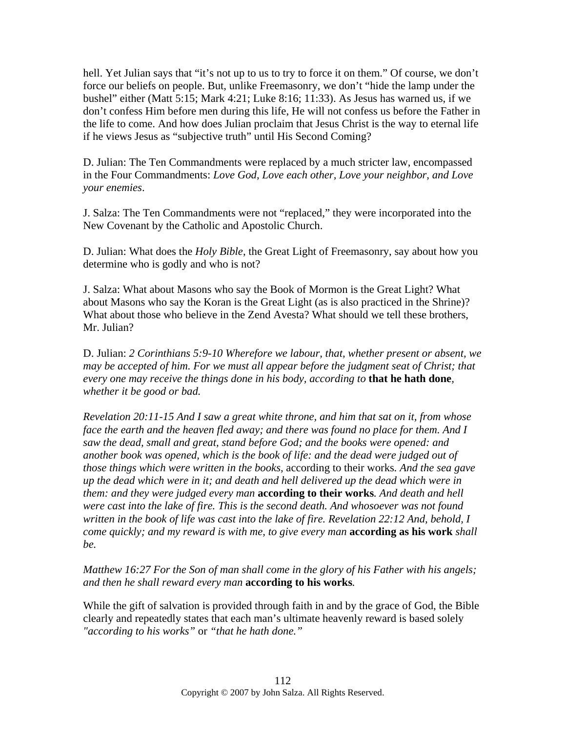hell. Yet Julian says that "it's not up to us to try to force it on them." Of course, we don't force our beliefs on people. But, unlike Freemasonry, we don't "hide the lamp under the bushel" either (Matt 5:15; Mark 4:21; Luke 8:16; 11:33). As Jesus has warned us, if we don't confess Him before men during this life, He will not confess us before the Father in the life to come. And how does Julian proclaim that Jesus Christ is the way to eternal life if he views Jesus as "subjective truth" until His Second Coming?

D. Julian: The Ten Commandments were replaced by a much stricter law, encompassed in the Four Commandments: *Love God, Love each other, Love your neighbor, and Love your enemies*.

J. Salza: The Ten Commandments were not "replaced," they were incorporated into the New Covenant by the Catholic and Apostolic Church.

D. Julian: What does the *Holy Bible*, the Great Light of Freemasonry, say about how you determine who is godly and who is not?

J. Salza: What about Masons who say the Book of Mormon is the Great Light? What about Masons who say the Koran is the Great Light (as is also practiced in the Shrine)? What about those who believe in the Zend Avesta? What should we tell these brothers, Mr. Julian?

D. Julian: *2 Corinthians 5:9-10 Wherefore we labour, that, whether present or absent, we may be accepted of him. For we must all appear before the judgment seat of Christ; that every one may receive the things done in his body, according to* **that he hath done***, whether it be good or bad.* 

*Revelation 20:11-15 And I saw a great white throne, and him that sat on it, from whose face the earth and the heaven fled away; and there was found no place for them. And I saw the dead, small and great, stand before God; and the books were opened: and another book was opened, which is the book of life: and the dead were judged out of those things which were written in the books,* according to their works*. And the sea gave up the dead which were in it; and death and hell delivered up the dead which were in them: and they were judged every man* **according to their works***. And death and hell were cast into the lake of fire. This is the second death. And whosoever was not found written in the book of life was cast into the lake of fire. Revelation 22:12 And, behold, I come quickly; and my reward is with me, to give every man* **according as his work** *shall be.* 

*Matthew 16:27 For the Son of man shall come in the glory of his Father with his angels; and then he shall reward every man* **according to his works***.* 

While the gift of salvation is provided through faith in and by the grace of God, the Bible clearly and repeatedly states that each man's ultimate heavenly reward is based solely *"according to his works"* or *"that he hath done."*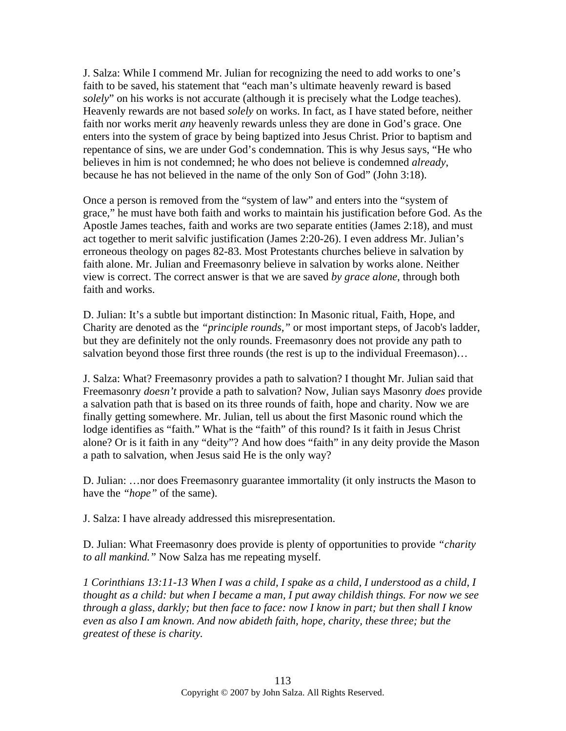J. Salza: While I commend Mr. Julian for recognizing the need to add works to one's faith to be saved, his statement that "each man's ultimate heavenly reward is based *solely*" on his works is not accurate (although it is precisely what the Lodge teaches). Heavenly rewards are not based *solely* on works. In fact, as I have stated before, neither faith nor works merit *any* heavenly rewards unless they are done in God's grace. One enters into the system of grace by being baptized into Jesus Christ. Prior to baptism and repentance of sins, we are under God's condemnation. This is why Jesus says, "He who believes in him is not condemned; he who does not believe is condemned *already*, because he has not believed in the name of the only Son of God" (John 3:18).

Once a person is removed from the "system of law" and enters into the "system of grace," he must have both faith and works to maintain his justification before God. As the Apostle James teaches, faith and works are two separate entities (James 2:18), and must act together to merit salvific justification (James 2:20-26). I even address Mr. Julian's erroneous theology on pages 82-83. Most Protestants churches believe in salvation by faith alone. Mr. Julian and Freemasonry believe in salvation by works alone. Neither view is correct. The correct answer is that we are saved *by grace alone*, through both faith and works.

D. Julian: It's a subtle but important distinction: In Masonic ritual, Faith, Hope, and Charity are denoted as the *"principle rounds,"* or most important steps, of Jacob's ladder, but they are definitely not the only rounds. Freemasonry does not provide any path to salvation beyond those first three rounds (the rest is up to the individual Freemason)…

J. Salza: What? Freemasonry provides a path to salvation? I thought Mr. Julian said that Freemasonry *doesn't* provide a path to salvation? Now, Julian says Masonry *does* provide a salvation path that is based on its three rounds of faith, hope and charity. Now we are finally getting somewhere. Mr. Julian, tell us about the first Masonic round which the lodge identifies as "faith." What is the "faith" of this round? Is it faith in Jesus Christ alone? Or is it faith in any "deity"? And how does "faith" in any deity provide the Mason a path to salvation, when Jesus said He is the only way?

D. Julian: …nor does Freemasonry guarantee immortality (it only instructs the Mason to have the *"hope"* of the same).

J. Salza: I have already addressed this misrepresentation.

D. Julian: What Freemasonry does provide is plenty of opportunities to provide *"charity to all mankind."* Now Salza has me repeating myself.

*1 Corinthians 13:11-13 When I was a child, I spake as a child, I understood as a child, I thought as a child: but when I became a man, I put away childish things. For now we see through a glass, darkly; but then face to face: now I know in part; but then shall I know even as also I am known. And now abideth faith, hope, charity, these three; but the greatest of these is charity.*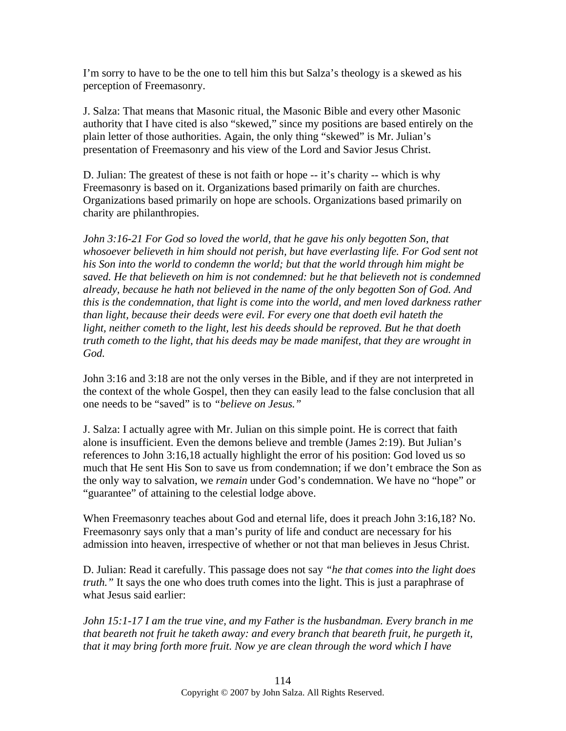I'm sorry to have to be the one to tell him this but Salza's theology is a skewed as his perception of Freemasonry.

J. Salza: That means that Masonic ritual, the Masonic Bible and every other Masonic authority that I have cited is also "skewed," since my positions are based entirely on the plain letter of those authorities. Again, the only thing "skewed" is Mr. Julian's presentation of Freemasonry and his view of the Lord and Savior Jesus Christ.

D. Julian: The greatest of these is not faith or hope -- it's charity -- which is why Freemasonry is based on it. Organizations based primarily on faith are churches. Organizations based primarily on hope are schools. Organizations based primarily on charity are philanthropies.

John 3:16-21 For God so loved the world, that he gave his only begotten Son, that *whosoever believeth in him should not perish, but have everlasting life. For God sent not his Son into the world to condemn the world; but that the world through him might be saved. He that believeth on him is not condemned: but he that believeth not is condemned already, because he hath not believed in the name of the only begotten Son of God. And this is the condemnation, that light is come into the world, and men loved darkness rather than light, because their deeds were evil. For every one that doeth evil hateth the light, neither cometh to the light, lest his deeds should be reproved. But he that doeth truth cometh to the light, that his deeds may be made manifest, that they are wrought in God.* 

John 3:16 and 3:18 are not the only verses in the Bible, and if they are not interpreted in the context of the whole Gospel, then they can easily lead to the false conclusion that all one needs to be "saved" is to *"believe on Jesus."* 

J. Salza: I actually agree with Mr. Julian on this simple point. He is correct that faith alone is insufficient. Even the demons believe and tremble (James 2:19). But Julian's references to John 3:16,18 actually highlight the error of his position: God loved us so much that He sent His Son to save us from condemnation; if we don't embrace the Son as the only way to salvation, we *remain* under God's condemnation. We have no "hope" or "guarantee" of attaining to the celestial lodge above.

When Freemasonry teaches about God and eternal life, does it preach John 3:16,18? No. Freemasonry says only that a man's purity of life and conduct are necessary for his admission into heaven, irrespective of whether or not that man believes in Jesus Christ.

D. Julian: Read it carefully. This passage does not say *"he that comes into the light does truth.*" It says the one who does truth comes into the light. This is just a paraphrase of what Jesus said earlier:

*John 15:1-17 I am the true vine, and my Father is the husbandman. Every branch in me that beareth not fruit he taketh away: and every branch that beareth fruit, he purgeth it, that it may bring forth more fruit. Now ye are clean through the word which I have*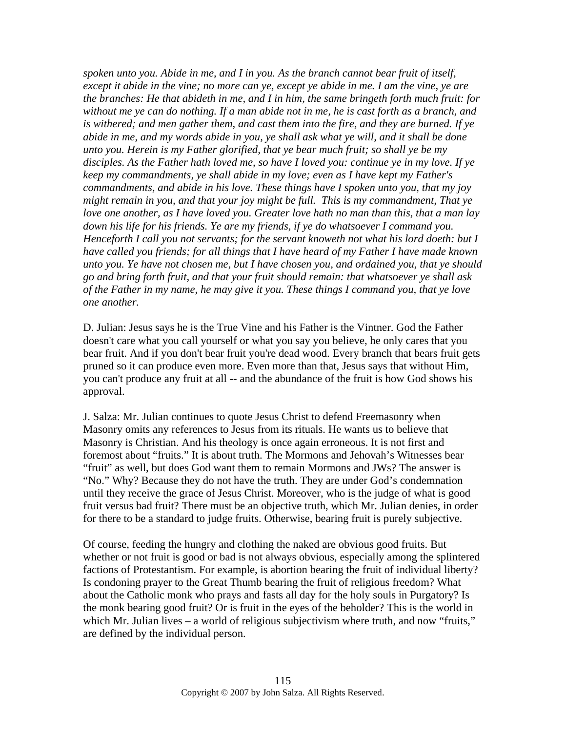*spoken unto you. Abide in me, and I in you. As the branch cannot bear fruit of itself, except it abide in the vine; no more can ye, except ye abide in me. I am the vine, ye are the branches: He that abideth in me, and I in him, the same bringeth forth much fruit: for without me ye can do nothing. If a man abide not in me, he is cast forth as a branch, and is withered; and men gather them, and cast them into the fire, and they are burned. If ye abide in me, and my words abide in you, ye shall ask what ye will, and it shall be done unto you. Herein is my Father glorified, that ye bear much fruit; so shall ye be my disciples. As the Father hath loved me, so have I loved you: continue ye in my love. If ye keep my commandments, ye shall abide in my love; even as I have kept my Father's commandments, and abide in his love. These things have I spoken unto you, that my joy might remain in you, and that your joy might be full. This is my commandment, That ye love one another, as I have loved you. Greater love hath no man than this, that a man lay down his life for his friends. Ye are my friends, if ye do whatsoever I command you. Henceforth I call you not servants; for the servant knoweth not what his lord doeth: but I have called you friends; for all things that I have heard of my Father I have made known unto you. Ye have not chosen me, but I have chosen you, and ordained you, that ye should go and bring forth fruit, and that your fruit should remain: that whatsoever ye shall ask of the Father in my name, he may give it you. These things I command you, that ye love one another.* 

D. Julian: Jesus says he is the True Vine and his Father is the Vintner. God the Father doesn't care what you call yourself or what you say you believe, he only cares that you bear fruit. And if you don't bear fruit you're dead wood. Every branch that bears fruit gets pruned so it can produce even more. Even more than that, Jesus says that without Him, you can't produce any fruit at all -- and the abundance of the fruit is how God shows his approval.

J. Salza: Mr. Julian continues to quote Jesus Christ to defend Freemasonry when Masonry omits any references to Jesus from its rituals. He wants us to believe that Masonry is Christian. And his theology is once again erroneous. It is not first and foremost about "fruits." It is about truth. The Mormons and Jehovah's Witnesses bear "fruit" as well, but does God want them to remain Mormons and JWs? The answer is "No." Why? Because they do not have the truth. They are under God's condemnation until they receive the grace of Jesus Christ. Moreover, who is the judge of what is good fruit versus bad fruit? There must be an objective truth, which Mr. Julian denies, in order for there to be a standard to judge fruits. Otherwise, bearing fruit is purely subjective.

Of course, feeding the hungry and clothing the naked are obvious good fruits. But whether or not fruit is good or bad is not always obvious, especially among the splintered factions of Protestantism. For example, is abortion bearing the fruit of individual liberty? Is condoning prayer to the Great Thumb bearing the fruit of religious freedom? What about the Catholic monk who prays and fasts all day for the holy souls in Purgatory? Is the monk bearing good fruit? Or is fruit in the eyes of the beholder? This is the world in which Mr. Julian lives – a world of religious subjectivism where truth, and now "fruits," are defined by the individual person.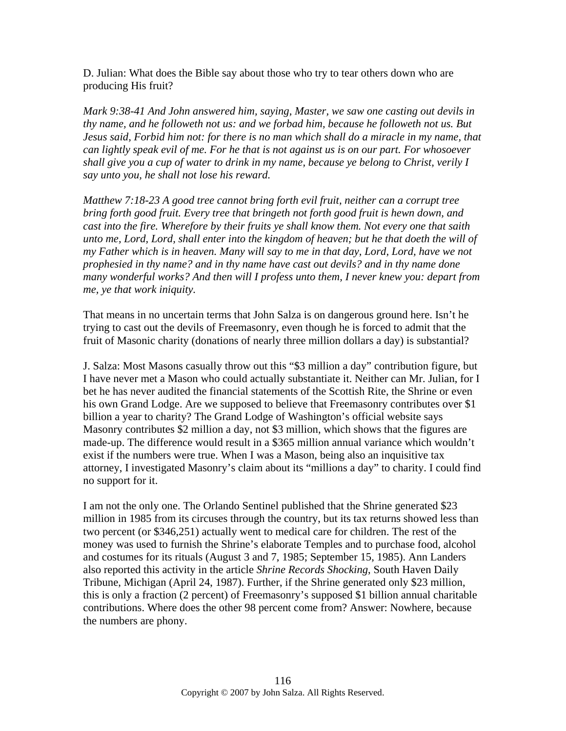D. Julian: What does the Bible say about those who try to tear others down who are producing His fruit?

*Mark 9:38-41 And John answered him, saying, Master, we saw one casting out devils in thy name, and he followeth not us: and we forbad him, because he followeth not us. But Jesus said, Forbid him not: for there is no man which shall do a miracle in my name, that can lightly speak evil of me. For he that is not against us is on our part. For whosoever shall give you a cup of water to drink in my name, because ye belong to Christ, verily I say unto you, he shall not lose his reward.* 

*Matthew 7:18-23 A good tree cannot bring forth evil fruit, neither can a corrupt tree bring forth good fruit. Every tree that bringeth not forth good fruit is hewn down, and cast into the fire. Wherefore by their fruits ye shall know them. Not every one that saith unto me, Lord, Lord, shall enter into the kingdom of heaven; but he that doeth the will of my Father which is in heaven. Many will say to me in that day, Lord, Lord, have we not prophesied in thy name? and in thy name have cast out devils? and in thy name done many wonderful works? And then will I profess unto them, I never knew you: depart from me, ye that work iniquity.* 

That means in no uncertain terms that John Salza is on dangerous ground here. Isn't he trying to cast out the devils of Freemasonry, even though he is forced to admit that the fruit of Masonic charity (donations of nearly three million dollars a day) is substantial?

J. Salza: Most Masons casually throw out this "\$3 million a day" contribution figure, but I have never met a Mason who could actually substantiate it. Neither can Mr. Julian, for I bet he has never audited the financial statements of the Scottish Rite, the Shrine or even his own Grand Lodge. Are we supposed to believe that Freemasonry contributes over \$1 billion a year to charity? The Grand Lodge of Washington's official website says Masonry contributes \$2 million a day, not \$3 million, which shows that the figures are made-up. The difference would result in a \$365 million annual variance which wouldn't exist if the numbers were true. When I was a Mason, being also an inquisitive tax attorney, I investigated Masonry's claim about its "millions a day" to charity. I could find no support for it.

I am not the only one. The Orlando Sentinel published that the Shrine generated \$23 million in 1985 from its circuses through the country, but its tax returns showed less than two percent (or \$346,251) actually went to medical care for children. The rest of the money was used to furnish the Shrine's elaborate Temples and to purchase food, alcohol and costumes for its rituals (August 3 and 7, 1985; September 15, 1985). Ann Landers also reported this activity in the article *Shrine Records Shocking*, South Haven Daily Tribune, Michigan (April 24, 1987). Further, if the Shrine generated only \$23 million, this is only a fraction (2 percent) of Freemasonry's supposed \$1 billion annual charitable contributions. Where does the other 98 percent come from? Answer: Nowhere, because the numbers are phony.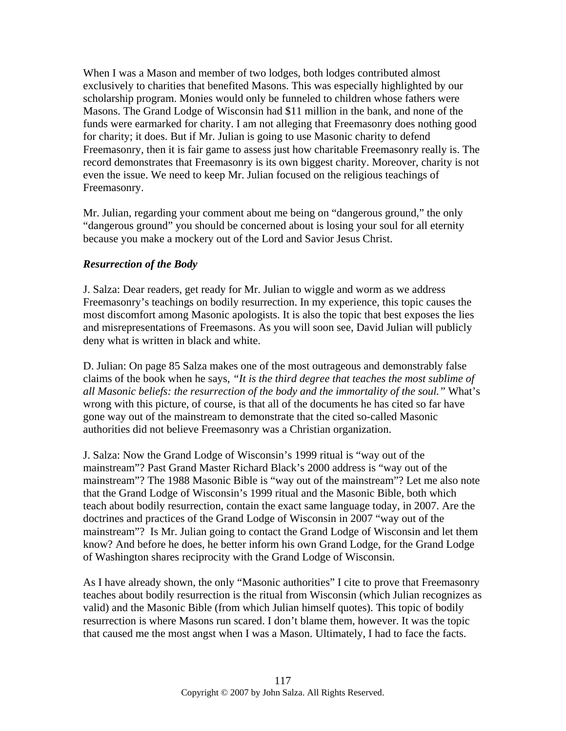When I was a Mason and member of two lodges, both lodges contributed almost exclusively to charities that benefited Masons. This was especially highlighted by our scholarship program. Monies would only be funneled to children whose fathers were Masons. The Grand Lodge of Wisconsin had \$11 million in the bank, and none of the funds were earmarked for charity. I am not alleging that Freemasonry does nothing good for charity; it does. But if Mr. Julian is going to use Masonic charity to defend Freemasonry, then it is fair game to assess just how charitable Freemasonry really is. The record demonstrates that Freemasonry is its own biggest charity. Moreover, charity is not even the issue. We need to keep Mr. Julian focused on the religious teachings of Freemasonry.

Mr. Julian, regarding your comment about me being on "dangerous ground," the only "dangerous ground" you should be concerned about is losing your soul for all eternity because you make a mockery out of the Lord and Savior Jesus Christ.

### *Resurrection of the Body*

J. Salza: Dear readers, get ready for Mr. Julian to wiggle and worm as we address Freemasonry's teachings on bodily resurrection. In my experience, this topic causes the most discomfort among Masonic apologists. It is also the topic that best exposes the lies and misrepresentations of Freemasons. As you will soon see, David Julian will publicly deny what is written in black and white.

D. Julian: On page 85 Salza makes one of the most outrageous and demonstrably false claims of the book when he says, *"It is the third degree that teaches the most sublime of all Masonic beliefs: the resurrection of the body and the immortality of the soul."* What's wrong with this picture, of course, is that all of the documents he has cited so far have gone way out of the mainstream to demonstrate that the cited so-called Masonic authorities did not believe Freemasonry was a Christian organization.

J. Salza: Now the Grand Lodge of Wisconsin's 1999 ritual is "way out of the mainstream"? Past Grand Master Richard Black's 2000 address is "way out of the mainstream"? The 1988 Masonic Bible is "way out of the mainstream"? Let me also note that the Grand Lodge of Wisconsin's 1999 ritual and the Masonic Bible, both which teach about bodily resurrection, contain the exact same language today, in 2007. Are the doctrines and practices of the Grand Lodge of Wisconsin in 2007 "way out of the mainstream"? Is Mr. Julian going to contact the Grand Lodge of Wisconsin and let them know? And before he does, he better inform his own Grand Lodge, for the Grand Lodge of Washington shares reciprocity with the Grand Lodge of Wisconsin.

As I have already shown, the only "Masonic authorities" I cite to prove that Freemasonry teaches about bodily resurrection is the ritual from Wisconsin (which Julian recognizes as valid) and the Masonic Bible (from which Julian himself quotes). This topic of bodily resurrection is where Masons run scared. I don't blame them, however. It was the topic that caused me the most angst when I was a Mason. Ultimately, I had to face the facts.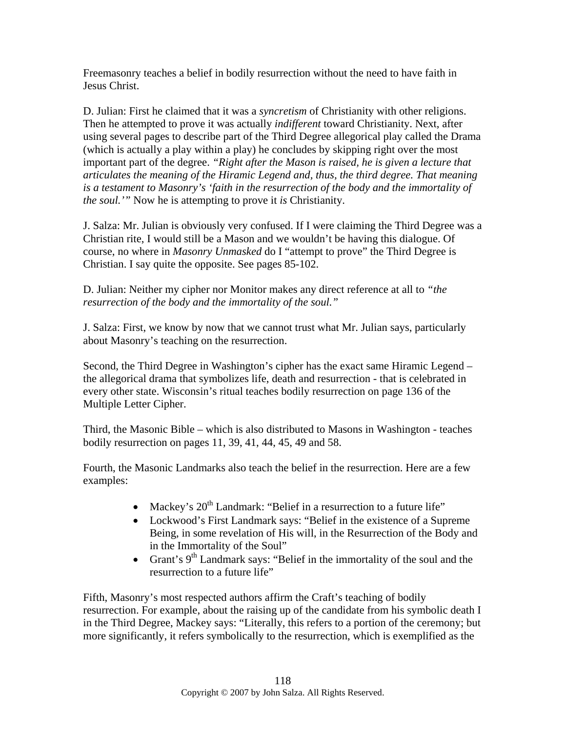Freemasonry teaches a belief in bodily resurrection without the need to have faith in Jesus Christ.

D. Julian: First he claimed that it was a *syncretism* of Christianity with other religions. Then he attempted to prove it was actually *indifferent* toward Christianity. Next, after using several pages to describe part of the Third Degree allegorical play called the Drama (which is actually a play within a play) he concludes by skipping right over the most important part of the degree. *"Right after the Mason is raised, he is given a lecture that articulates the meaning of the Hiramic Legend and, thus, the third degree. That meaning is a testament to Masonry's 'faith in the resurrection of the body and the immortality of the soul.'"* Now he is attempting to prove it *is* Christianity.

J. Salza: Mr. Julian is obviously very confused. If I were claiming the Third Degree was a Christian rite, I would still be a Mason and we wouldn't be having this dialogue. Of course, no where in *Masonry Unmasked* do I "attempt to prove" the Third Degree is Christian. I say quite the opposite. See pages 85-102.

D. Julian: Neither my cipher nor Monitor makes any direct reference at all to *"the resurrection of the body and the immortality of the soul."* 

J. Salza: First, we know by now that we cannot trust what Mr. Julian says, particularly about Masonry's teaching on the resurrection.

Second, the Third Degree in Washington's cipher has the exact same Hiramic Legend – the allegorical drama that symbolizes life, death and resurrection - that is celebrated in every other state. Wisconsin's ritual teaches bodily resurrection on page 136 of the Multiple Letter Cipher.

Third, the Masonic Bible – which is also distributed to Masons in Washington - teaches bodily resurrection on pages 11, 39, 41, 44, 45, 49 and 58.

Fourth, the Masonic Landmarks also teach the belief in the resurrection. Here are a few examples:

- Mackey's  $20<sup>th</sup>$  Landmark: "Belief in a resurrection to a future life"
- Lockwood's First Landmark says: "Belief in the existence of a Supreme Being, in some revelation of His will, in the Resurrection of the Body and in the Immortality of the Soul"
- Grant's  $9<sup>th</sup>$  Landmark says: "Belief in the immortality of the soul and the resurrection to a future life"

Fifth, Masonry's most respected authors affirm the Craft's teaching of bodily resurrection. For example, about the raising up of the candidate from his symbolic death I in the Third Degree, Mackey says: "Literally, this refers to a portion of the ceremony; but more significantly, it refers symbolically to the resurrection, which is exemplified as the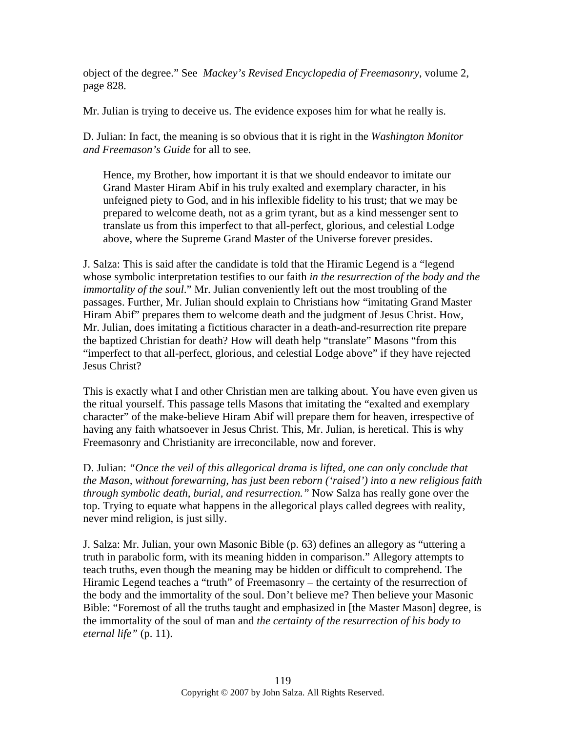object of the degree." See *Mackey's Revised Encyclopedia of Freemasonry*, volume 2, page 828.

Mr. Julian is trying to deceive us. The evidence exposes him for what he really is.

D. Julian: In fact, the meaning is so obvious that it is right in the *Washington Monitor and Freemason's Guide* for all to see.

Hence, my Brother, how important it is that we should endeavor to imitate our Grand Master Hiram Abif in his truly exalted and exemplary character, in his unfeigned piety to God, and in his inflexible fidelity to his trust; that we may be prepared to welcome death, not as a grim tyrant, but as a kind messenger sent to translate us from this imperfect to that all-perfect, glorious, and celestial Lodge above, where the Supreme Grand Master of the Universe forever presides.

J. Salza: This is said after the candidate is told that the Hiramic Legend is a "legend whose symbolic interpretation testifies to our faith *in the resurrection of the body and the immortality of the soul*." Mr. Julian conveniently left out the most troubling of the passages. Further, Mr. Julian should explain to Christians how "imitating Grand Master Hiram Abif" prepares them to welcome death and the judgment of Jesus Christ. How, Mr. Julian, does imitating a fictitious character in a death-and-resurrection rite prepare the baptized Christian for death? How will death help "translate" Masons "from this "imperfect to that all-perfect, glorious, and celestial Lodge above" if they have rejected Jesus Christ?

This is exactly what I and other Christian men are talking about. You have even given us the ritual yourself. This passage tells Masons that imitating the "exalted and exemplary character" of the make-believe Hiram Abif will prepare them for heaven, irrespective of having any faith whatsoever in Jesus Christ. This, Mr. Julian, is heretical. This is why Freemasonry and Christianity are irreconcilable, now and forever.

D. Julian: *"Once the veil of this allegorical drama is lifted, one can only conclude that the Mason, without forewarning, has just been reborn ('raised') into a new religious faith through symbolic death, burial, and resurrection."* Now Salza has really gone over the top. Trying to equate what happens in the allegorical plays called degrees with reality, never mind religion, is just silly.

J. Salza: Mr. Julian, your own Masonic Bible (p. 63) defines an allegory as "uttering a truth in parabolic form, with its meaning hidden in comparison." Allegory attempts to teach truths, even though the meaning may be hidden or difficult to comprehend. The Hiramic Legend teaches a "truth" of Freemasonry – the certainty of the resurrection of the body and the immortality of the soul. Don't believe me? Then believe your Masonic Bible: "Foremost of all the truths taught and emphasized in [the Master Mason] degree, is the immortality of the soul of man and *the certainty of the resurrection of his body to eternal life"* (p. 11).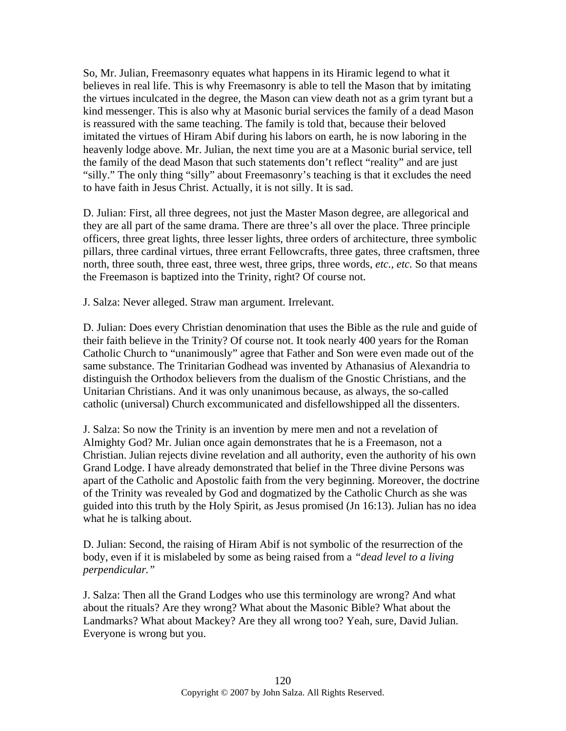So, Mr. Julian, Freemasonry equates what happens in its Hiramic legend to what it believes in real life. This is why Freemasonry is able to tell the Mason that by imitating the virtues inculcated in the degree, the Mason can view death not as a grim tyrant but a kind messenger. This is also why at Masonic burial services the family of a dead Mason is reassured with the same teaching. The family is told that, because their beloved imitated the virtues of Hiram Abif during his labors on earth, he is now laboring in the heavenly lodge above. Mr. Julian, the next time you are at a Masonic burial service, tell the family of the dead Mason that such statements don't reflect "reality" and are just "silly." The only thing "silly" about Freemasonry's teaching is that it excludes the need to have faith in Jesus Christ. Actually, it is not silly. It is sad.

D. Julian: First, all three degrees, not just the Master Mason degree, are allegorical and they are all part of the same drama. There are three's all over the place. Three principle officers, three great lights, three lesser lights, three orders of architecture, three symbolic pillars, three cardinal virtues, three errant Fellowcrafts, three gates, three craftsmen, three north, three south, three east, three west, three grips, three words, *etc., etc.* So that means the Freemason is baptized into the Trinity, right? Of course not.

J. Salza: Never alleged. Straw man argument. Irrelevant.

D. Julian: Does every Christian denomination that uses the Bible as the rule and guide of their faith believe in the Trinity? Of course not. It took nearly 400 years for the Roman Catholic Church to "unanimously" agree that Father and Son were even made out of the same substance. The Trinitarian Godhead was invented by Athanasius of Alexandria to distinguish the Orthodox believers from the dualism of the Gnostic Christians, and the Unitarian Christians. And it was only unanimous because, as always, the so-called catholic (universal) Church excommunicated and disfellowshipped all the dissenters.

J. Salza: So now the Trinity is an invention by mere men and not a revelation of Almighty God? Mr. Julian once again demonstrates that he is a Freemason, not a Christian. Julian rejects divine revelation and all authority, even the authority of his own Grand Lodge. I have already demonstrated that belief in the Three divine Persons was apart of the Catholic and Apostolic faith from the very beginning. Moreover, the doctrine of the Trinity was revealed by God and dogmatized by the Catholic Church as she was guided into this truth by the Holy Spirit, as Jesus promised (Jn 16:13). Julian has no idea what he is talking about.

D. Julian: Second, the raising of Hiram Abif is not symbolic of the resurrection of the body, even if it is mislabeled by some as being raised from a *"dead level to a living perpendicular."* 

J. Salza: Then all the Grand Lodges who use this terminology are wrong? And what about the rituals? Are they wrong? What about the Masonic Bible? What about the Landmarks? What about Mackey? Are they all wrong too? Yeah, sure, David Julian. Everyone is wrong but you.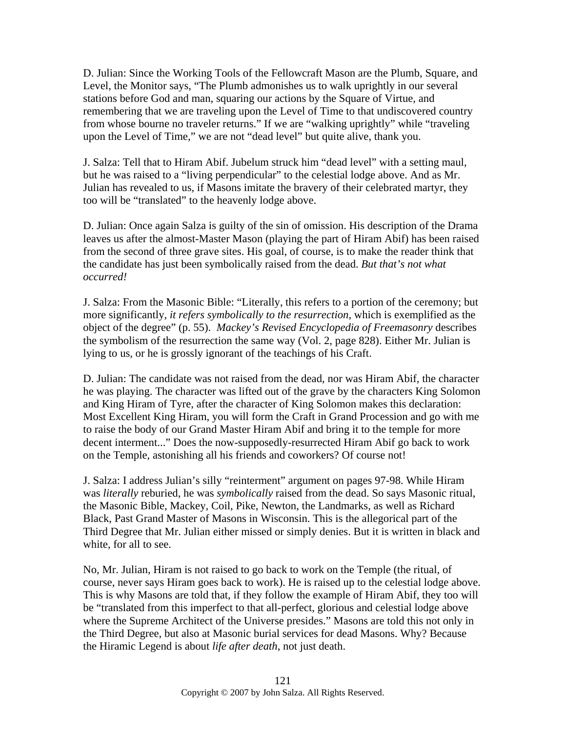D. Julian: Since the Working Tools of the Fellowcraft Mason are the Plumb, Square, and Level, the Monitor says, "The Plumb admonishes us to walk uprightly in our several stations before God and man, squaring our actions by the Square of Virtue, and remembering that we are traveling upon the Level of Time to that undiscovered country from whose bourne no traveler returns." If we are "walking uprightly" while "traveling upon the Level of Time," we are not "dead level" but quite alive, thank you.

J. Salza: Tell that to Hiram Abif. Jubelum struck him "dead level" with a setting maul, but he was raised to a "living perpendicular" to the celestial lodge above. And as Mr. Julian has revealed to us, if Masons imitate the bravery of their celebrated martyr, they too will be "translated" to the heavenly lodge above.

D. Julian: Once again Salza is guilty of the sin of omission. His description of the Drama leaves us after the almost-Master Mason (playing the part of Hiram Abif) has been raised from the second of three grave sites. His goal, of course, is to make the reader think that the candidate has just been symbolically raised from the dead. *But that's not what occurred!* 

J. Salza: From the Masonic Bible: "Literally, this refers to a portion of the ceremony; but more significantly, *it refers symbolically to the resurrection*, which is exemplified as the object of the degree" (p. 55). *Mackey's Revised Encyclopedia of Freemasonry* describes the symbolism of the resurrection the same way (Vol. 2, page 828). Either Mr. Julian is lying to us, or he is grossly ignorant of the teachings of his Craft.

D. Julian: The candidate was not raised from the dead, nor was Hiram Abif, the character he was playing. The character was lifted out of the grave by the characters King Solomon and King Hiram of Tyre, after the character of King Solomon makes this declaration: Most Excellent King Hiram, you will form the Craft in Grand Procession and go with me to raise the body of our Grand Master Hiram Abif and bring it to the temple for more decent interment..." Does the now-supposedly-resurrected Hiram Abif go back to work on the Temple, astonishing all his friends and coworkers? Of course not!

J. Salza: I address Julian's silly "reinterment" argument on pages 97-98. While Hiram was *literally* reburied, he was *symbolically* raised from the dead. So says Masonic ritual, the Masonic Bible, Mackey, Coil, Pike, Newton, the Landmarks, as well as Richard Black, Past Grand Master of Masons in Wisconsin. This is the allegorical part of the Third Degree that Mr. Julian either missed or simply denies. But it is written in black and white, for all to see.

No, Mr. Julian, Hiram is not raised to go back to work on the Temple (the ritual, of course, never says Hiram goes back to work). He is raised up to the celestial lodge above. This is why Masons are told that, if they follow the example of Hiram Abif, they too will be "translated from this imperfect to that all-perfect, glorious and celestial lodge above where the Supreme Architect of the Universe presides." Masons are told this not only in the Third Degree, but also at Masonic burial services for dead Masons. Why? Because the Hiramic Legend is about *life after death*, not just death.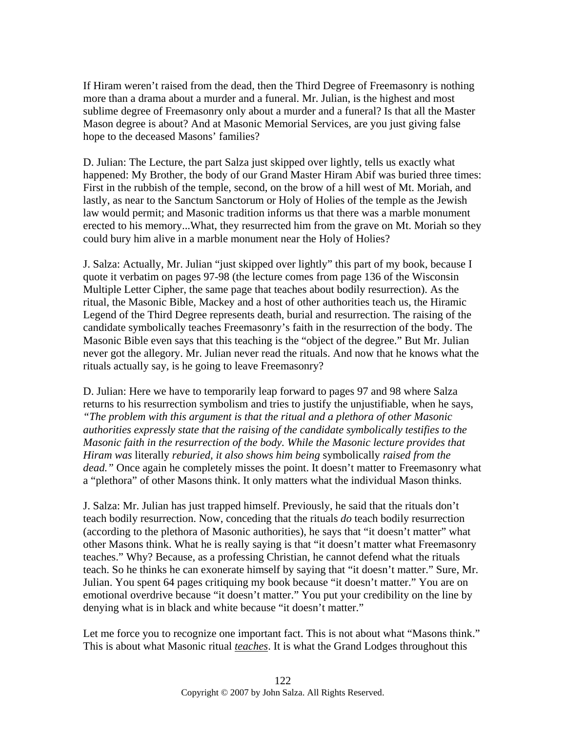If Hiram weren't raised from the dead, then the Third Degree of Freemasonry is nothing more than a drama about a murder and a funeral. Mr. Julian, is the highest and most sublime degree of Freemasonry only about a murder and a funeral? Is that all the Master Mason degree is about? And at Masonic Memorial Services, are you just giving false hope to the deceased Masons' families?

D. Julian: The Lecture, the part Salza just skipped over lightly, tells us exactly what happened: My Brother, the body of our Grand Master Hiram Abif was buried three times: First in the rubbish of the temple, second, on the brow of a hill west of Mt. Moriah, and lastly, as near to the Sanctum Sanctorum or Holy of Holies of the temple as the Jewish law would permit; and Masonic tradition informs us that there was a marble monument erected to his memory...What, they resurrected him from the grave on Mt. Moriah so they could bury him alive in a marble monument near the Holy of Holies?

J. Salza: Actually, Mr. Julian "just skipped over lightly" this part of my book, because I quote it verbatim on pages 97-98 (the lecture comes from page 136 of the Wisconsin Multiple Letter Cipher, the same page that teaches about bodily resurrection). As the ritual, the Masonic Bible, Mackey and a host of other authorities teach us, the Hiramic Legend of the Third Degree represents death, burial and resurrection. The raising of the candidate symbolically teaches Freemasonry's faith in the resurrection of the body. The Masonic Bible even says that this teaching is the "object of the degree." But Mr. Julian never got the allegory. Mr. Julian never read the rituals. And now that he knows what the rituals actually say, is he going to leave Freemasonry?

D. Julian: Here we have to temporarily leap forward to pages 97 and 98 where Salza returns to his resurrection symbolism and tries to justify the unjustifiable, when he says, *"The problem with this argument is that the ritual and a plethora of other Masonic authorities expressly state that the raising of the candidate symbolically testifies to the Masonic faith in the resurrection of the body. While the Masonic lecture provides that Hiram was* literally *reburied, it also shows him being* symbolically *raised from the dead.*" Once again he completely misses the point. It doesn't matter to Freemasonry what a "plethora" of other Masons think. It only matters what the individual Mason thinks.

J. Salza: Mr. Julian has just trapped himself. Previously, he said that the rituals don't teach bodily resurrection. Now, conceding that the rituals *do* teach bodily resurrection (according to the plethora of Masonic authorities), he says that "it doesn't matter" what other Masons think. What he is really saying is that "it doesn't matter what Freemasonry teaches." Why? Because, as a professing Christian, he cannot defend what the rituals teach. So he thinks he can exonerate himself by saying that "it doesn't matter." Sure, Mr. Julian. You spent 64 pages critiquing my book because "it doesn't matter." You are on emotional overdrive because "it doesn't matter." You put your credibility on the line by denying what is in black and white because "it doesn't matter."

Let me force you to recognize one important fact. This is not about what "Masons think." This is about what Masonic ritual *teaches*. It is what the Grand Lodges throughout this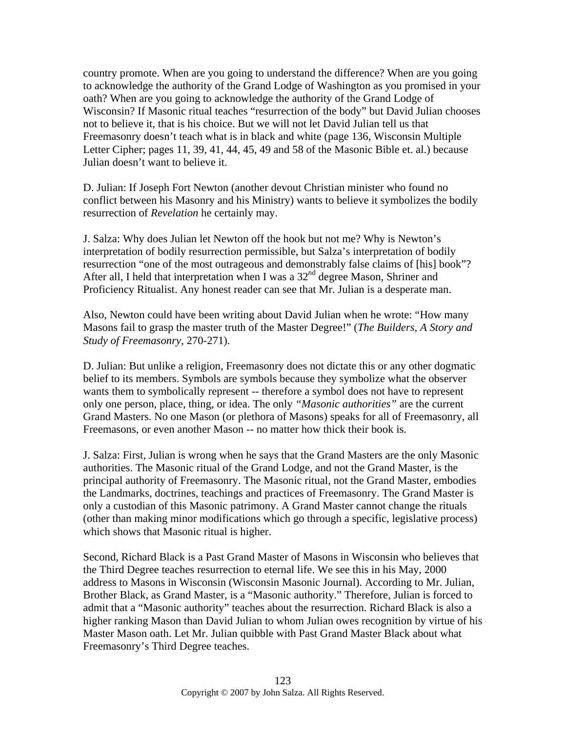country promote. When are you going to understand the difference? When are you going to acknowledge the authority of the Grand Lodge of Washington as you promised in your oath? When are you going to acknowledge the authority of the Grand Lodge of Wisconsin? If Masonic ritual teaches "resurrection of the body" but David Julian chooses not to believe it, that is his choice. But we will not let David Julian tell us that Freemasonry doesn't teach what is in black and white (page 136, Wisconsin Multiple Letter Cipher; pages 11, 39, 41, 44, 45, 49 and 58 of the Masonic Bible et. al.) because Julian doesn't want to believe it.

D. Julian: If Joseph Fort Newton (another devout Christian minister who found no conflict between his Masonry and his Ministry) wants to believe it symbolizes the bodily resurrection of *Revelation* he certainly may.

J. Salza: Why does Julian let Newton off the hook but not me? Why is Newton's interpretation of bodily resurrection permissible, but Salza's interpretation of bodily resurrection "one of the most outrageous and demonstrably false claims of [his] book"? After all, I held that interpretation when I was a  $32<sup>nd</sup>$  degree Mason, Shriner and Proficiency Ritualist. Any honest reader can see that Mr. Julian is a desperate man.

Also, Newton could have been writing about David Julian when he wrote: "How many Masons fail to grasp the master truth of the Master Degree!" (*The Builders, A Story and Study of Freemasonry*, 270-271).

D. Julian: But unlike a religion, Freemasonry does not dictate this or any other dogmatic belief to its members. Symbols are symbols because they symbolize what the observer wants them to symbolically represent -- therefore a symbol does not have to represent only one person, place, thing, or idea. The only *"Masonic authorities"* are the current Grand Masters. No one Mason (or plethora of Masons) speaks for all of Freemasonry, all Freemasons, or even another Mason -- no matter how thick their book is.

J. Salza: First, Julian is wrong when he says that the Grand Masters are the only Masonic authorities. The Masonic ritual of the Grand Lodge, and not the Grand Master, is the principal authority of Freemasonry. The Masonic ritual, not the Grand Master, embodies the Landmarks, doctrines, teachings and practices of Freemasonry. The Grand Master is only a custodian of this Masonic patrimony. A Grand Master cannot change the rituals (other than making minor modifications which go through a specific, legislative process) which shows that Masonic ritual is higher.

Second, Richard Black is a Past Grand Master of Masons in Wisconsin who believes that the Third Degree teaches resurrection to eternal life. We see this in his May, 2000 address to Masons in Wisconsin (Wisconsin Masonic Journal). According to Mr. Julian, Brother Black, as Grand Master, is a "Masonic authority." Therefore, Julian is forced to admit that a "Masonic authority" teaches about the resurrection. Richard Black is also a higher ranking Mason than David Julian to whom Julian owes recognition by virtue of his Master Mason oath. Let Mr. Julian quibble with Past Grand Master Black about what Freemasonry's Third Degree teaches.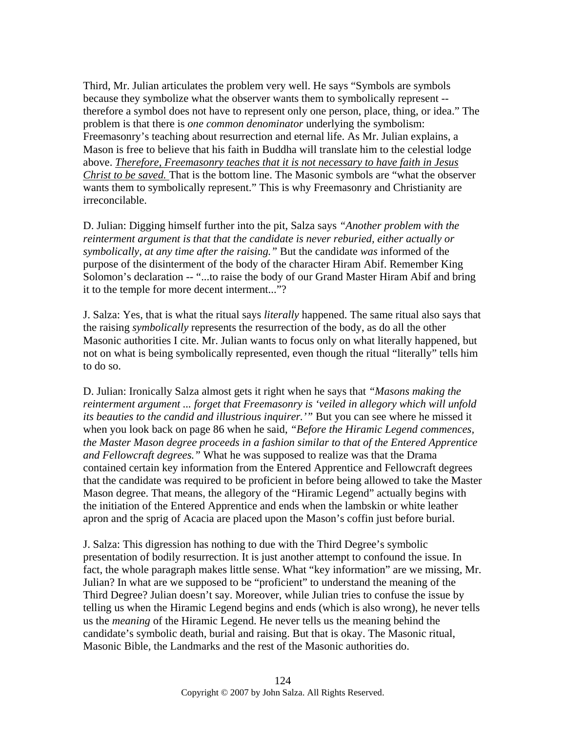Third, Mr. Julian articulates the problem very well. He says "Symbols are symbols because they symbolize what the observer wants them to symbolically represent - therefore a symbol does not have to represent only one person, place, thing, or idea." The problem is that there is *one common denominator* underlying the symbolism: Freemasonry's teaching about resurrection and eternal life. As Mr. Julian explains, a Mason is free to believe that his faith in Buddha will translate him to the celestial lodge above. *Therefore, Freemasonry teaches that it is not necessary to have faith in Jesus Christ to be saved.* That is the bottom line. The Masonic symbols are "what the observer wants them to symbolically represent." This is why Freemasonry and Christianity are irreconcilable.

D. Julian: Digging himself further into the pit, Salza says *"Another problem with the reinterment argument is that that the candidate is never reburied, either actually or symbolically, at any time after the raising."* But the candidate *was* informed of the purpose of the disinterment of the body of the character Hiram Abif. Remember King Solomon's declaration -- "...to raise the body of our Grand Master Hiram Abif and bring it to the temple for more decent interment..."?

J. Salza: Yes, that is what the ritual says *literally* happened. The same ritual also says that the raising *symbolically* represents the resurrection of the body, as do all the other Masonic authorities I cite. Mr. Julian wants to focus only on what literally happened, but not on what is being symbolically represented, even though the ritual "literally" tells him to do so.

D. Julian: Ironically Salza almost gets it right when he says that *"Masons making the reinterment argument ... forget that Freemasonry is 'veiled in allegory which will unfold its beauties to the candid and illustrious inquirer.'"* But you can see where he missed it when you look back on page 86 when he said, *"Before the Hiramic Legend commences, the Master Mason degree proceeds in a fashion similar to that of the Entered Apprentice and Fellowcraft degrees."* What he was supposed to realize was that the Drama contained certain key information from the Entered Apprentice and Fellowcraft degrees that the candidate was required to be proficient in before being allowed to take the Master Mason degree. That means, the allegory of the "Hiramic Legend" actually begins with the initiation of the Entered Apprentice and ends when the lambskin or white leather apron and the sprig of Acacia are placed upon the Mason's coffin just before burial.

J. Salza: This digression has nothing to due with the Third Degree's symbolic presentation of bodily resurrection. It is just another attempt to confound the issue. In fact, the whole paragraph makes little sense. What "key information" are we missing, Mr. Julian? In what are we supposed to be "proficient" to understand the meaning of the Third Degree? Julian doesn't say. Moreover, while Julian tries to confuse the issue by telling us when the Hiramic Legend begins and ends (which is also wrong), he never tells us the *meaning* of the Hiramic Legend. He never tells us the meaning behind the candidate's symbolic death, burial and raising. But that is okay. The Masonic ritual, Masonic Bible, the Landmarks and the rest of the Masonic authorities do.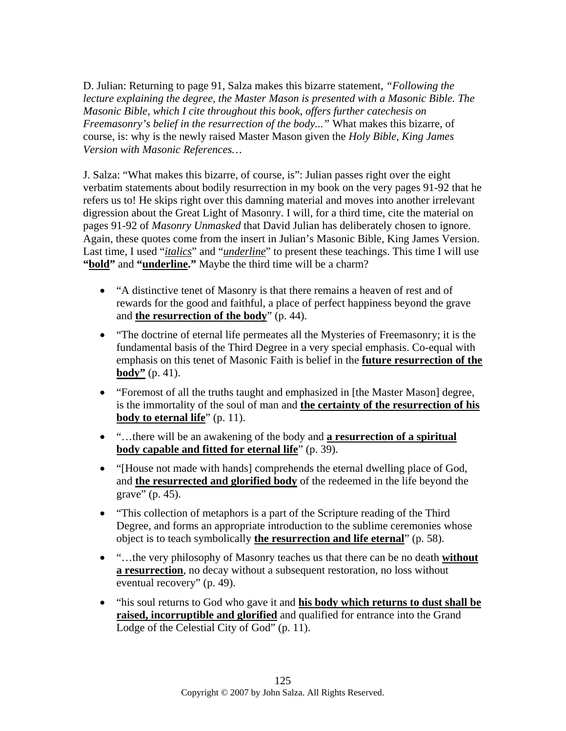D. Julian: Returning to page 91, Salza makes this bizarre statement, *"Following the lecture explaining the degree, the Master Mason is presented with a Masonic Bible. The Masonic Bible, which I cite throughout this book, offers further catechesis on Freemasonry's belief in the resurrection of the body..."* What makes this bizarre, of course, is: why is the newly raised Master Mason given the *Holy Bible, King James Version with Masonic References…* 

J. Salza: "What makes this bizarre, of course, is": Julian passes right over the eight verbatim statements about bodily resurrection in my book on the very pages 91-92 that he refers us to! He skips right over this damning material and moves into another irrelevant digression about the Great Light of Masonry. I will, for a third time, cite the material on pages 91-92 of *Masonry Unmasked* that David Julian has deliberately chosen to ignore. Again, these quotes come from the insert in Julian's Masonic Bible, King James Version. Last time, I used "*italics*" and "*underline*" to present these teachings. This time I will use **"bold"** and **"underline."** Maybe the third time will be a charm?

- "A distinctive tenet of Masonry is that there remains a heaven of rest and of rewards for the good and faithful, a place of perfect happiness beyond the grave and **the resurrection of the body**" (p. 44).
- "The doctrine of eternal life permeates all the Mysteries of Freemasonry; it is the fundamental basis of the Third Degree in a very special emphasis. Co-equal with emphasis on this tenet of Masonic Faith is belief in the **future resurrection of the body"** (p. 41).
- "Foremost of all the truths taught and emphasized in [the Master Mason] degree, is the immortality of the soul of man and **the certainty of the resurrection of his body to eternal life**" (p. 11).
- "…there will be an awakening of the body and **a resurrection of a spiritual body capable and fitted for eternal life**" (p. 39).
- "[House not made with hands] comprehends the eternal dwelling place of God, and **the resurrected and glorified body** of the redeemed in the life beyond the grave" (p. 45).
- "This collection of metaphors is a part of the Scripture reading of the Third Degree, and forms an appropriate introduction to the sublime ceremonies whose object is to teach symbolically **the resurrection and life eternal**" (p. 58).
- "…the very philosophy of Masonry teaches us that there can be no death **without a resurrection**, no decay without a subsequent restoration, no loss without eventual recovery" (p. 49).
- "his soul returns to God who gave it and **his body which returns to dust shall be raised, incorruptible and glorified** and qualified for entrance into the Grand Lodge of the Celestial City of God" (p. 11).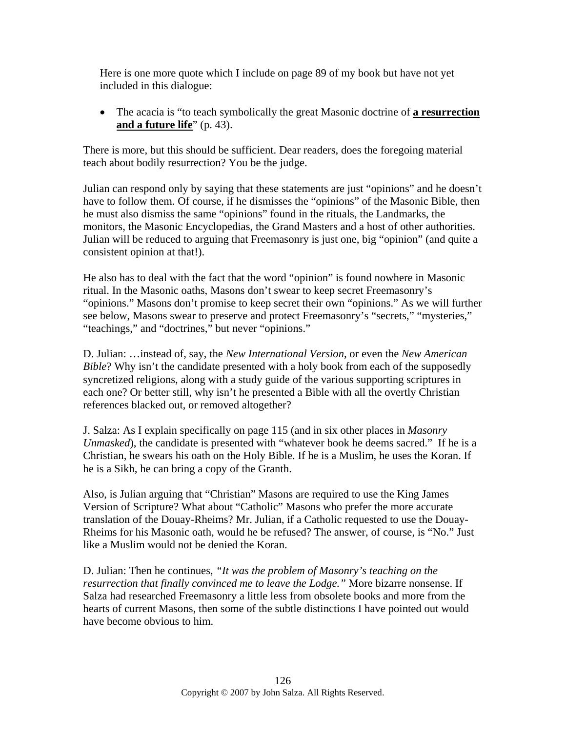Here is one more quote which I include on page 89 of my book but have not yet included in this dialogue:

• The acacia is "to teach symbolically the great Masonic doctrine of **a resurrection and a future life**" (p. 43).

There is more, but this should be sufficient. Dear readers, does the foregoing material teach about bodily resurrection? You be the judge.

Julian can respond only by saying that these statements are just "opinions" and he doesn't have to follow them. Of course, if he dismisses the "opinions" of the Masonic Bible, then he must also dismiss the same "opinions" found in the rituals, the Landmarks, the monitors, the Masonic Encyclopedias, the Grand Masters and a host of other authorities. Julian will be reduced to arguing that Freemasonry is just one, big "opinion" (and quite a consistent opinion at that!).

He also has to deal with the fact that the word "opinion" is found nowhere in Masonic ritual. In the Masonic oaths, Masons don't swear to keep secret Freemasonry's "opinions." Masons don't promise to keep secret their own "opinions." As we will further see below, Masons swear to preserve and protect Freemasonry's "secrets," "mysteries," "teachings," and "doctrines," but never "opinions."

D. Julian: …instead of, say, the *New International Version*, or even the *New American Bible*? Why isn't the candidate presented with a holy book from each of the supposedly syncretized religions, along with a study guide of the various supporting scriptures in each one? Or better still, why isn't he presented a Bible with all the overtly Christian references blacked out, or removed altogether?

J. Salza: As I explain specifically on page 115 (and in six other places in *Masonry Unmasked*), the candidate is presented with "whatever book he deems sacred." If he is a Christian, he swears his oath on the Holy Bible. If he is a Muslim, he uses the Koran. If he is a Sikh, he can bring a copy of the Granth.

Also, is Julian arguing that "Christian" Masons are required to use the King James Version of Scripture? What about "Catholic" Masons who prefer the more accurate translation of the Douay-Rheims? Mr. Julian, if a Catholic requested to use the Douay-Rheims for his Masonic oath, would he be refused? The answer, of course, is "No." Just like a Muslim would not be denied the Koran.

D. Julian: Then he continues, *"It was the problem of Masonry's teaching on the resurrection that finally convinced me to leave the Lodge."* More bizarre nonsense. If Salza had researched Freemasonry a little less from obsolete books and more from the hearts of current Masons, then some of the subtle distinctions I have pointed out would have become obvious to him.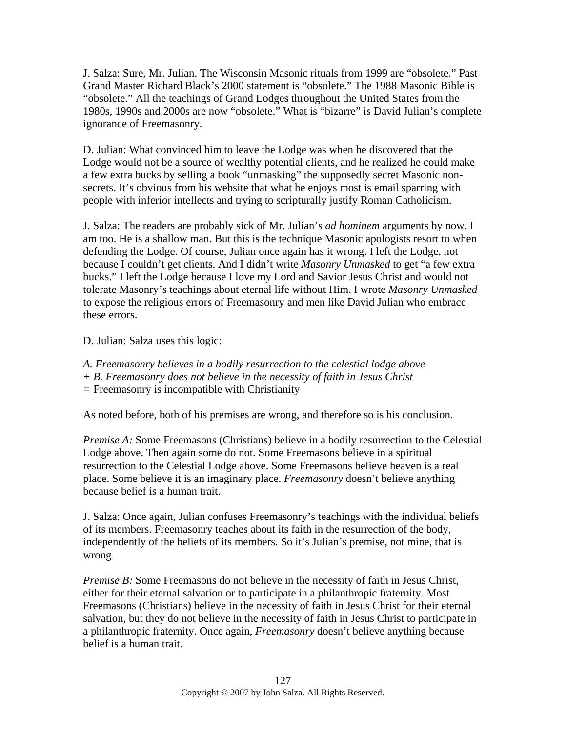J. Salza: Sure, Mr. Julian. The Wisconsin Masonic rituals from 1999 are "obsolete." Past Grand Master Richard Black's 2000 statement is "obsolete." The 1988 Masonic Bible is "obsolete." All the teachings of Grand Lodges throughout the United States from the 1980s, 1990s and 2000s are now "obsolete." What is "bizarre" is David Julian's complete ignorance of Freemasonry.

D. Julian: What convinced him to leave the Lodge was when he discovered that the Lodge would not be a source of wealthy potential clients, and he realized he could make a few extra bucks by selling a book "unmasking" the supposedly secret Masonic nonsecrets. It's obvious from his website that what he enjoys most is email sparring with people with inferior intellects and trying to scripturally justify Roman Catholicism.

J. Salza: The readers are probably sick of Mr. Julian's *ad hominem* arguments by now. I am too. He is a shallow man. But this is the technique Masonic apologists resort to when defending the Lodge. Of course, Julian once again has it wrong. I left the Lodge, not because I couldn't get clients. And I didn't write *Masonry Unmasked* to get "a few extra bucks." I left the Lodge because I love my Lord and Savior Jesus Christ and would not tolerate Masonry's teachings about eternal life without Him. I wrote *Masonry Unmasked* to expose the religious errors of Freemasonry and men like David Julian who embrace these errors.

D. Julian: Salza uses this logic:

- *A. Freemasonry believes in a bodily resurrection to the celestial lodge above*
- *+ B. Freemasonry does not believe in the necessity of faith in Jesus Christ*
- *=* Freemasonry is incompatible with Christianity

As noted before, both of his premises are wrong, and therefore so is his conclusion.

*Premise A:* Some Freemasons (Christians) believe in a bodily resurrection to the Celestial Lodge above. Then again some do not. Some Freemasons believe in a spiritual resurrection to the Celestial Lodge above. Some Freemasons believe heaven is a real place. Some believe it is an imaginary place. *Freemasonry* doesn't believe anything because belief is a human trait.

J. Salza: Once again, Julian confuses Freemasonry's teachings with the individual beliefs of its members. Freemasonry teaches about its faith in the resurrection of the body, independently of the beliefs of its members. So it's Julian's premise, not mine, that is wrong.

*Premise B:* Some Freemasons do not believe in the necessity of faith in Jesus Christ, either for their eternal salvation or to participate in a philanthropic fraternity. Most Freemasons (Christians) believe in the necessity of faith in Jesus Christ for their eternal salvation, but they do not believe in the necessity of faith in Jesus Christ to participate in a philanthropic fraternity. Once again, *Freemasonry* doesn't believe anything because belief is a human trait.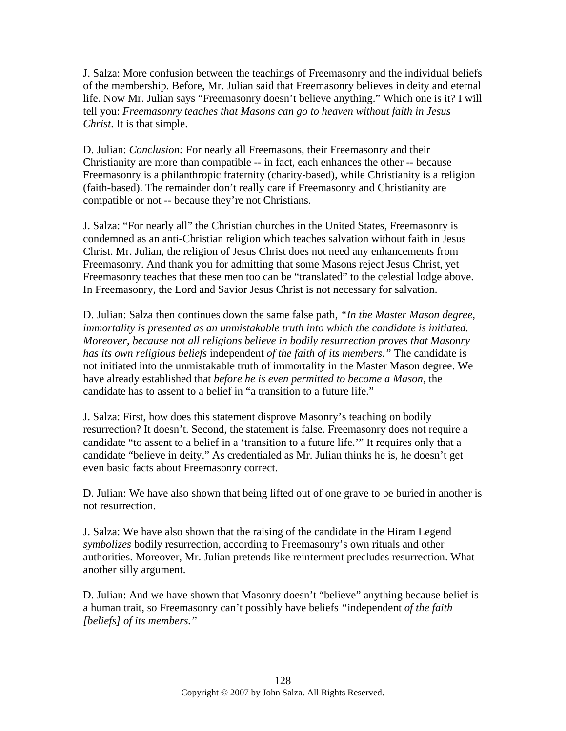J. Salza: More confusion between the teachings of Freemasonry and the individual beliefs of the membership. Before, Mr. Julian said that Freemasonry believes in deity and eternal life. Now Mr. Julian says "Freemasonry doesn't believe anything." Which one is it? I will tell you: *Freemasonry teaches that Masons can go to heaven without faith in Jesus Christ*. It is that simple.

D. Julian: *Conclusion:* For nearly all Freemasons, their Freemasonry and their Christianity are more than compatible -- in fact, each enhances the other -- because Freemasonry is a philanthropic fraternity (charity-based), while Christianity is a religion (faith-based). The remainder don't really care if Freemasonry and Christianity are compatible or not -- because they're not Christians.

J. Salza: "For nearly all" the Christian churches in the United States, Freemasonry is condemned as an anti-Christian religion which teaches salvation without faith in Jesus Christ. Mr. Julian, the religion of Jesus Christ does not need any enhancements from Freemasonry. And thank you for admitting that some Masons reject Jesus Christ, yet Freemasonry teaches that these men too can be "translated" to the celestial lodge above. In Freemasonry, the Lord and Savior Jesus Christ is not necessary for salvation.

D. Julian: Salza then continues down the same false path, *"In the Master Mason degree, immortality is presented as an unmistakable truth into which the candidate is initiated. Moreover, because not all religions believe in bodily resurrection proves that Masonry has its own religious beliefs* independent *of the faith of its members."* The candidate is not initiated into the unmistakable truth of immortality in the Master Mason degree. We have already established that *before he is even permitted to become a Mason*, the candidate has to assent to a belief in "a transition to a future life."

J. Salza: First, how does this statement disprove Masonry's teaching on bodily resurrection? It doesn't. Second, the statement is false. Freemasonry does not require a candidate "to assent to a belief in a 'transition to a future life.'" It requires only that a candidate "believe in deity." As credentialed as Mr. Julian thinks he is, he doesn't get even basic facts about Freemasonry correct.

D. Julian: We have also shown that being lifted out of one grave to be buried in another is not resurrection.

J. Salza: We have also shown that the raising of the candidate in the Hiram Legend *symbolizes* bodily resurrection, according to Freemasonry's own rituals and other authorities. Moreover, Mr. Julian pretends like reinterment precludes resurrection. What another silly argument.

D. Julian: And we have shown that Masonry doesn't "believe" anything because belief is a human trait, so Freemasonry can't possibly have beliefs *"*independent *of the faith [beliefs] of its members."*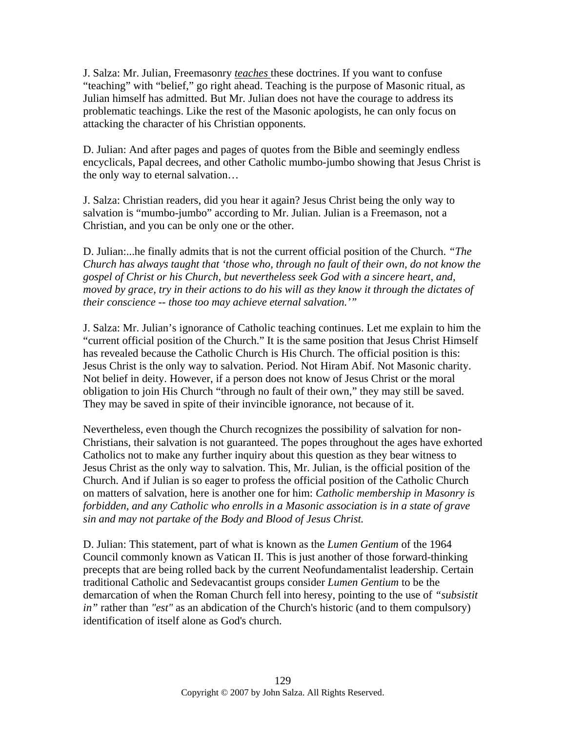J. Salza: Mr. Julian, Freemasonry *teaches* these doctrines. If you want to confuse "teaching" with "belief," go right ahead. Teaching is the purpose of Masonic ritual, as Julian himself has admitted. But Mr. Julian does not have the courage to address its problematic teachings. Like the rest of the Masonic apologists, he can only focus on attacking the character of his Christian opponents.

D. Julian: And after pages and pages of quotes from the Bible and seemingly endless encyclicals, Papal decrees, and other Catholic mumbo-jumbo showing that Jesus Christ is the only way to eternal salvation…

J. Salza: Christian readers, did you hear it again? Jesus Christ being the only way to salvation is "mumbo-jumbo" according to Mr. Julian. Julian is a Freemason, not a Christian, and you can be only one or the other.

D. Julian:...he finally admits that is not the current official position of the Church. *"The Church has always taught that 'those who, through no fault of their own, do not know the gospel of Christ or his Church, but nevertheless seek God with a sincere heart, and, moved by grace, try in their actions to do his will as they know it through the dictates of their conscience -- those too may achieve eternal salvation.'"* 

J. Salza: Mr. Julian's ignorance of Catholic teaching continues. Let me explain to him the "current official position of the Church." It is the same position that Jesus Christ Himself has revealed because the Catholic Church is His Church. The official position is this: Jesus Christ is the only way to salvation. Period. Not Hiram Abif. Not Masonic charity. Not belief in deity. However, if a person does not know of Jesus Christ or the moral obligation to join His Church "through no fault of their own," they may still be saved. They may be saved in spite of their invincible ignorance, not because of it.

Nevertheless, even though the Church recognizes the possibility of salvation for non-Christians, their salvation is not guaranteed. The popes throughout the ages have exhorted Catholics not to make any further inquiry about this question as they bear witness to Jesus Christ as the only way to salvation. This, Mr. Julian, is the official position of the Church. And if Julian is so eager to profess the official position of the Catholic Church on matters of salvation, here is another one for him: *Catholic membership in Masonry is forbidden, and any Catholic who enrolls in a Masonic association is in a state of grave sin and may not partake of the Body and Blood of Jesus Christ.*

D. Julian: This statement, part of what is known as the *Lumen Gentium* of the 1964 Council commonly known as Vatican II. This is just another of those forward-thinking precepts that are being rolled back by the current Neofundamentalist leadership. Certain traditional Catholic and Sedevacantist groups consider *Lumen Gentium* to be the demarcation of when the Roman Church fell into heresy, pointing to the use of *"subsistit in"* rather than *"est"* as an abdication of the Church's historic (and to them compulsory) identification of itself alone as God's church.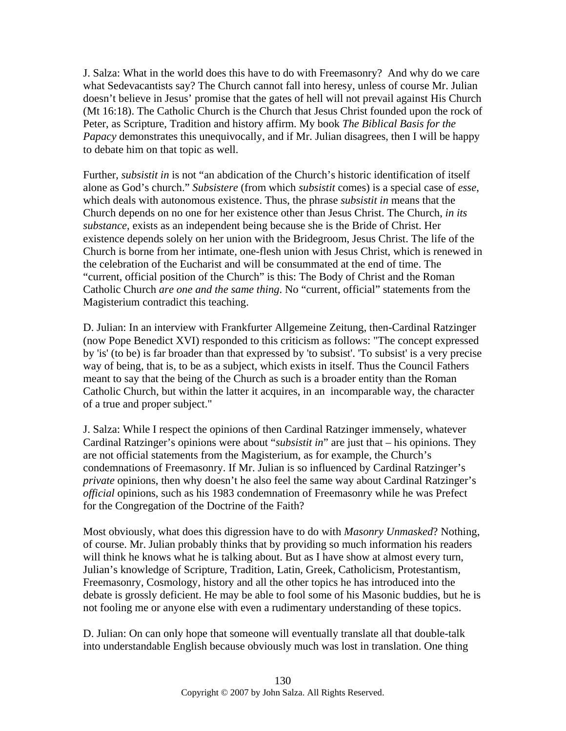J. Salza: What in the world does this have to do with Freemasonry? And why do we care what Sedevacantists say? The Church cannot fall into heresy, unless of course Mr. Julian doesn't believe in Jesus' promise that the gates of hell will not prevail against His Church (Mt 16:18). The Catholic Church is the Church that Jesus Christ founded upon the rock of Peter, as Scripture, Tradition and history affirm. My book *The Biblical Basis for the Papacy* demonstrates this unequivocally, and if Mr. Julian disagrees, then I will be happy to debate him on that topic as well.

Further, *subsistit in* is not "an abdication of the Church's historic identification of itself alone as God's church." *Subsistere* (from which *subsistit* comes) is a special case of *esse*, which deals with autonomous existence. Thus, the phrase *subsistit in* means that the Church depends on no one for her existence other than Jesus Christ. The Church, *in its substance*, exists as an independent being because she is the Bride of Christ. Her existence depends solely on her union with the Bridegroom, Jesus Christ. The life of the Church is borne from her intimate, one-flesh union with Jesus Christ, which is renewed in the celebration of the Eucharist and will be consummated at the end of time. The "current, official position of the Church" is this: The Body of Christ and the Roman Catholic Church *are one and the same thing*. No "current, official" statements from the Magisterium contradict this teaching.

D. Julian: In an interview with Frankfurter Allgemeine Zeitung, then-Cardinal Ratzinger (now Pope Benedict XVI) responded to this criticism as follows: "The concept expressed by 'is' (to be) is far broader than that expressed by 'to subsist'. 'To subsist' is a very precise way of being, that is, to be as a subject, which exists in itself. Thus the Council Fathers meant to say that the being of the Church as such is a broader entity than the Roman Catholic Church, but within the latter it acquires, in an incomparable way, the character of a true and proper subject."

J. Salza: While I respect the opinions of then Cardinal Ratzinger immensely, whatever Cardinal Ratzinger's opinions were about "*subsistit in*" are just that – his opinions. They are not official statements from the Magisterium, as for example, the Church's condemnations of Freemasonry. If Mr. Julian is so influenced by Cardinal Ratzinger's *private* opinions, then why doesn't he also feel the same way about Cardinal Ratzinger's *official* opinions, such as his 1983 condemnation of Freemasonry while he was Prefect for the Congregation of the Doctrine of the Faith?

Most obviously, what does this digression have to do with *Masonry Unmasked*? Nothing, of course. Mr. Julian probably thinks that by providing so much information his readers will think he knows what he is talking about. But as I have show at almost every turn, Julian's knowledge of Scripture, Tradition, Latin, Greek, Catholicism, Protestantism, Freemasonry, Cosmology, history and all the other topics he has introduced into the debate is grossly deficient. He may be able to fool some of his Masonic buddies, but he is not fooling me or anyone else with even a rudimentary understanding of these topics.

D. Julian: On can only hope that someone will eventually translate all that double-talk into understandable English because obviously much was lost in translation. One thing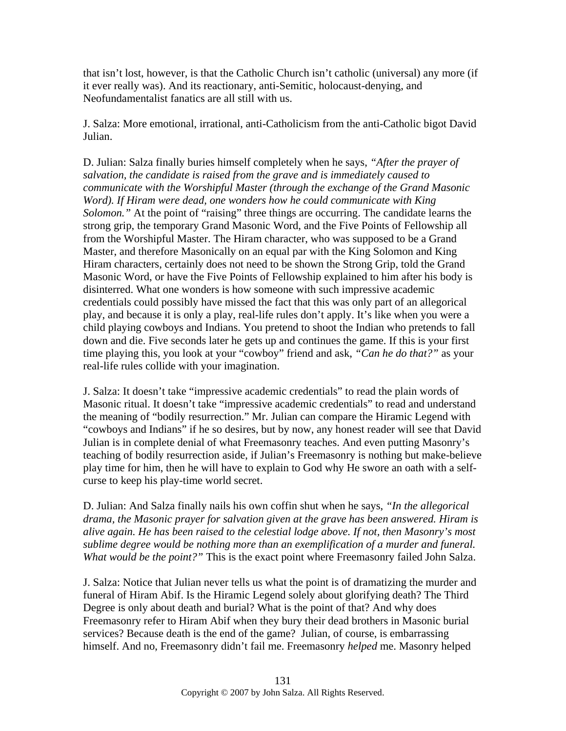that isn't lost, however, is that the Catholic Church isn't catholic (universal) any more (if it ever really was). And its reactionary, anti-Semitic, holocaust-denying, and Neofundamentalist fanatics are all still with us.

J. Salza: More emotional, irrational, anti-Catholicism from the anti-Catholic bigot David Julian.

D. Julian: Salza finally buries himself completely when he says, *"After the prayer of salvation, the candidate is raised from the grave and is immediately caused to communicate with the Worshipful Master (through the exchange of the Grand Masonic Word). If Hiram were dead, one wonders how he could communicate with King Solomon."* At the point of "raising" three things are occurring. The candidate learns the strong grip, the temporary Grand Masonic Word, and the Five Points of Fellowship all from the Worshipful Master. The Hiram character, who was supposed to be a Grand Master, and therefore Masonically on an equal par with the King Solomon and King Hiram characters, certainly does not need to be shown the Strong Grip, told the Grand Masonic Word, or have the Five Points of Fellowship explained to him after his body is disinterred. What one wonders is how someone with such impressive academic credentials could possibly have missed the fact that this was only part of an allegorical play, and because it is only a play, real-life rules don't apply. It's like when you were a child playing cowboys and Indians. You pretend to shoot the Indian who pretends to fall down and die. Five seconds later he gets up and continues the game. If this is your first time playing this, you look at your "cowboy" friend and ask, *"Can he do that?"* as your real-life rules collide with your imagination.

J. Salza: It doesn't take "impressive academic credentials" to read the plain words of Masonic ritual. It doesn't take "impressive academic credentials" to read and understand the meaning of "bodily resurrection." Mr. Julian can compare the Hiramic Legend with "cowboys and Indians" if he so desires, but by now, any honest reader will see that David Julian is in complete denial of what Freemasonry teaches. And even putting Masonry's teaching of bodily resurrection aside, if Julian's Freemasonry is nothing but make-believe play time for him, then he will have to explain to God why He swore an oath with a selfcurse to keep his play-time world secret.

D. Julian: And Salza finally nails his own coffin shut when he says, *"In the allegorical drama, the Masonic prayer for salvation given at the grave has been answered. Hiram is alive again. He has been raised to the celestial lodge above. If not, then Masonry's most sublime degree would be nothing more than an exemplification of a murder and funeral. What would be the point?"* This is the exact point where Freemasonry failed John Salza.

J. Salza: Notice that Julian never tells us what the point is of dramatizing the murder and funeral of Hiram Abif. Is the Hiramic Legend solely about glorifying death? The Third Degree is only about death and burial? What is the point of that? And why does Freemasonry refer to Hiram Abif when they bury their dead brothers in Masonic burial services? Because death is the end of the game? Julian, of course, is embarrassing himself. And no, Freemasonry didn't fail me. Freemasonry *helped* me. Masonry helped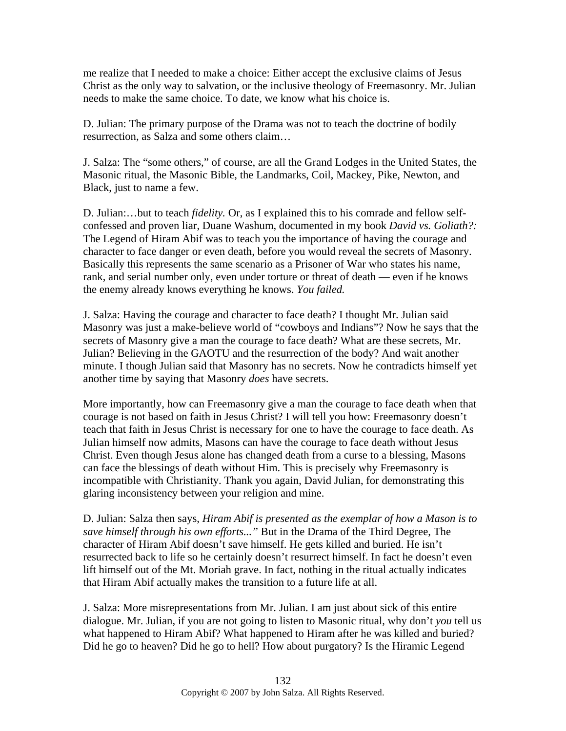me realize that I needed to make a choice: Either accept the exclusive claims of Jesus Christ as the only way to salvation, or the inclusive theology of Freemasonry. Mr. Julian needs to make the same choice. To date, we know what his choice is.

D. Julian: The primary purpose of the Drama was not to teach the doctrine of bodily resurrection, as Salza and some others claim…

J. Salza: The "some others," of course, are all the Grand Lodges in the United States, the Masonic ritual, the Masonic Bible, the Landmarks, Coil, Mackey, Pike, Newton, and Black, just to name a few.

D. Julian:…but to teach *fidelity.* Or, as I explained this to his comrade and fellow selfconfessed and proven liar, Duane Washum, documented in my book *David vs. Goliath?:*  The Legend of Hiram Abif was to teach you the importance of having the courage and character to face danger or even death, before you would reveal the secrets of Masonry. Basically this represents the same scenario as a Prisoner of War who states his name, rank, and serial number only, even under torture or threat of death — even if he knows the enemy already knows everything he knows. *You failed.* 

J. Salza: Having the courage and character to face death? I thought Mr. Julian said Masonry was just a make-believe world of "cowboys and Indians"? Now he says that the secrets of Masonry give a man the courage to face death? What are these secrets, Mr. Julian? Believing in the GAOTU and the resurrection of the body? And wait another minute. I though Julian said that Masonry has no secrets. Now he contradicts himself yet another time by saying that Masonry *does* have secrets.

More importantly, how can Freemasonry give a man the courage to face death when that courage is not based on faith in Jesus Christ? I will tell you how: Freemasonry doesn't teach that faith in Jesus Christ is necessary for one to have the courage to face death. As Julian himself now admits, Masons can have the courage to face death without Jesus Christ. Even though Jesus alone has changed death from a curse to a blessing, Masons can face the blessings of death without Him. This is precisely why Freemasonry is incompatible with Christianity. Thank you again, David Julian, for demonstrating this glaring inconsistency between your religion and mine.

D. Julian: Salza then says, *Hiram Abif is presented as the exemplar of how a Mason is to save himself through his own efforts..."* But in the Drama of the Third Degree, The character of Hiram Abif doesn't save himself. He gets killed and buried. He isn't resurrected back to life so he certainly doesn't resurrect himself. In fact he doesn't even lift himself out of the Mt. Moriah grave. In fact, nothing in the ritual actually indicates that Hiram Abif actually makes the transition to a future life at all.

J. Salza: More misrepresentations from Mr. Julian. I am just about sick of this entire dialogue. Mr. Julian, if you are not going to listen to Masonic ritual, why don't *you* tell us what happened to Hiram Abif? What happened to Hiram after he was killed and buried? Did he go to heaven? Did he go to hell? How about purgatory? Is the Hiramic Legend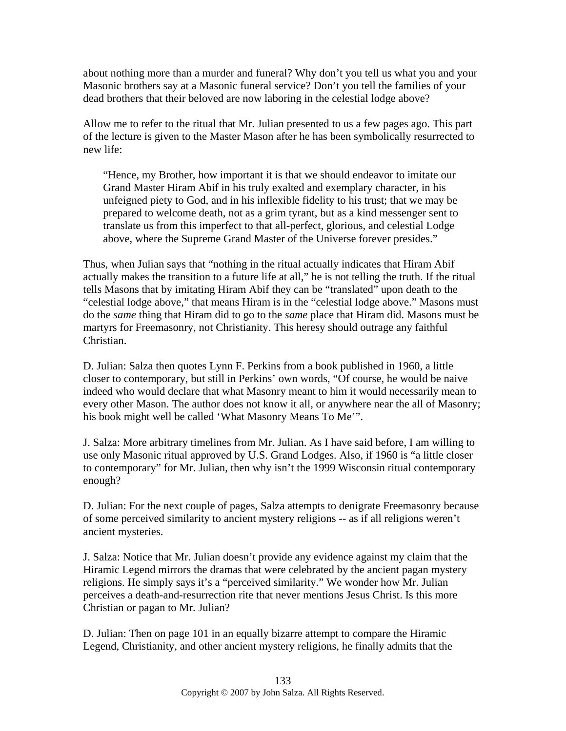about nothing more than a murder and funeral? Why don't you tell us what you and your Masonic brothers say at a Masonic funeral service? Don't you tell the families of your dead brothers that their beloved are now laboring in the celestial lodge above?

Allow me to refer to the ritual that Mr. Julian presented to us a few pages ago. This part of the lecture is given to the Master Mason after he has been symbolically resurrected to new life:

"Hence, my Brother, how important it is that we should endeavor to imitate our Grand Master Hiram Abif in his truly exalted and exemplary character, in his unfeigned piety to God, and in his inflexible fidelity to his trust; that we may be prepared to welcome death, not as a grim tyrant, but as a kind messenger sent to translate us from this imperfect to that all-perfect, glorious, and celestial Lodge above, where the Supreme Grand Master of the Universe forever presides."

Thus, when Julian says that "nothing in the ritual actually indicates that Hiram Abif actually makes the transition to a future life at all," he is not telling the truth. If the ritual tells Masons that by imitating Hiram Abif they can be "translated" upon death to the "celestial lodge above," that means Hiram is in the "celestial lodge above." Masons must do the *same* thing that Hiram did to go to the *same* place that Hiram did. Masons must be martyrs for Freemasonry, not Christianity. This heresy should outrage any faithful Christian.

D. Julian: Salza then quotes Lynn F. Perkins from a book published in 1960, a little closer to contemporary, but still in Perkins' own words, "Of course, he would be naive indeed who would declare that what Masonry meant to him it would necessarily mean to every other Mason. The author does not know it all, or anywhere near the all of Masonry; his book might well be called 'What Masonry Means To Me'".

J. Salza: More arbitrary timelines from Mr. Julian. As I have said before, I am willing to use only Masonic ritual approved by U.S. Grand Lodges. Also, if 1960 is "a little closer to contemporary" for Mr. Julian, then why isn't the 1999 Wisconsin ritual contemporary enough?

D. Julian: For the next couple of pages, Salza attempts to denigrate Freemasonry because of some perceived similarity to ancient mystery religions -- as if all religions weren't ancient mysteries.

J. Salza: Notice that Mr. Julian doesn't provide any evidence against my claim that the Hiramic Legend mirrors the dramas that were celebrated by the ancient pagan mystery religions. He simply says it's a "perceived similarity." We wonder how Mr. Julian perceives a death-and-resurrection rite that never mentions Jesus Christ. Is this more Christian or pagan to Mr. Julian?

D. Julian: Then on page 101 in an equally bizarre attempt to compare the Hiramic Legend, Christianity, and other ancient mystery religions, he finally admits that the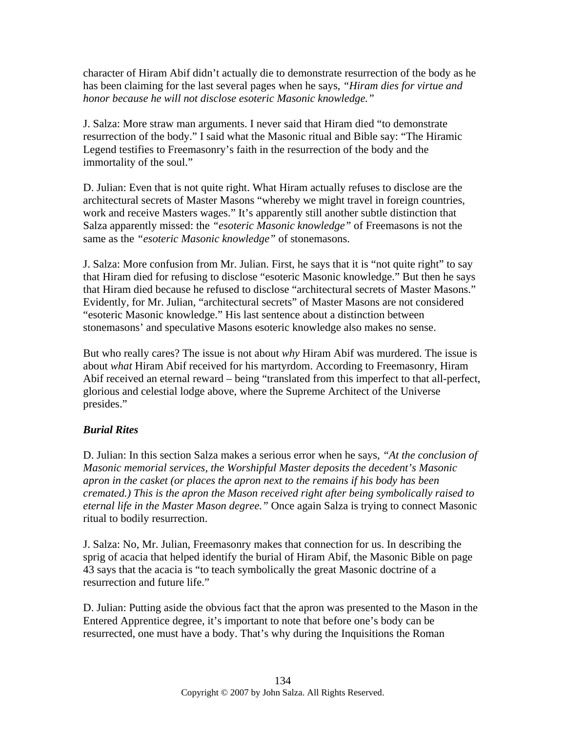character of Hiram Abif didn't actually die to demonstrate resurrection of the body as he has been claiming for the last several pages when he says, *"Hiram dies for virtue and honor because he will not disclose esoteric Masonic knowledge."* 

J. Salza: More straw man arguments. I never said that Hiram died "to demonstrate resurrection of the body." I said what the Masonic ritual and Bible say: "The Hiramic Legend testifies to Freemasonry's faith in the resurrection of the body and the immortality of the soul."

D. Julian: Even that is not quite right. What Hiram actually refuses to disclose are the architectural secrets of Master Masons "whereby we might travel in foreign countries, work and receive Masters wages." It's apparently still another subtle distinction that Salza apparently missed: the *"esoteric Masonic knowledge"* of Freemasons is not the same as the *"esoteric Masonic knowledge"* of stonemasons.

J. Salza: More confusion from Mr. Julian. First, he says that it is "not quite right" to say that Hiram died for refusing to disclose "esoteric Masonic knowledge." But then he says that Hiram died because he refused to disclose "architectural secrets of Master Masons." Evidently, for Mr. Julian, "architectural secrets" of Master Masons are not considered "esoteric Masonic knowledge." His last sentence about a distinction between stonemasons' and speculative Masons esoteric knowledge also makes no sense.

But who really cares? The issue is not about *why* Hiram Abif was murdered. The issue is about *what* Hiram Abif received for his martyrdom. According to Freemasonry, Hiram Abif received an eternal reward – being "translated from this imperfect to that all-perfect, glorious and celestial lodge above, where the Supreme Architect of the Universe presides."

## *Burial Rites*

D. Julian: In this section Salza makes a serious error when he says, *"At the conclusion of Masonic memorial services, the Worshipful Master deposits the decedent's Masonic apron in the casket (or places the apron next to the remains if his body has been cremated.) This is the apron the Mason received right after being symbolically raised to eternal life in the Master Mason degree."* Once again Salza is trying to connect Masonic ritual to bodily resurrection.

J. Salza: No, Mr. Julian, Freemasonry makes that connection for us. In describing the sprig of acacia that helped identify the burial of Hiram Abif, the Masonic Bible on page 43 says that the acacia is "to teach symbolically the great Masonic doctrine of a resurrection and future life."

D. Julian: Putting aside the obvious fact that the apron was presented to the Mason in the Entered Apprentice degree, it's important to note that before one's body can be resurrected, one must have a body. That's why during the Inquisitions the Roman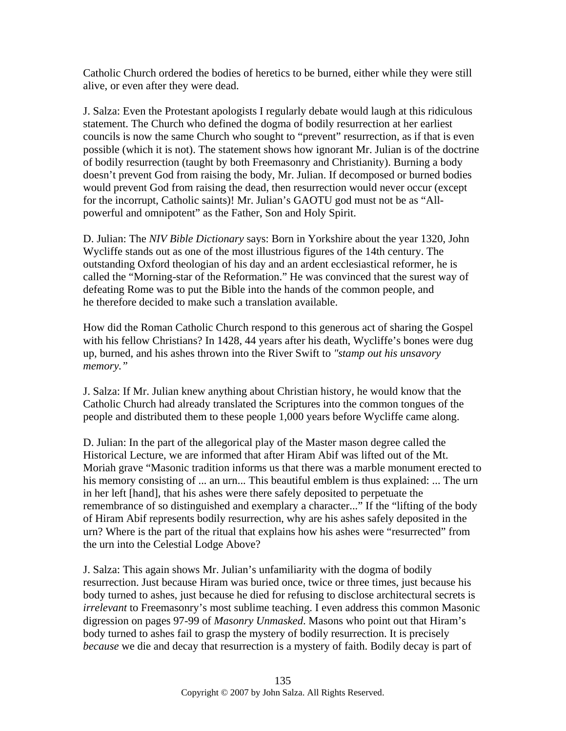Catholic Church ordered the bodies of heretics to be burned, either while they were still alive, or even after they were dead.

J. Salza: Even the Protestant apologists I regularly debate would laugh at this ridiculous statement. The Church who defined the dogma of bodily resurrection at her earliest councils is now the same Church who sought to "prevent" resurrection, as if that is even possible (which it is not). The statement shows how ignorant Mr. Julian is of the doctrine of bodily resurrection (taught by both Freemasonry and Christianity). Burning a body doesn't prevent God from raising the body, Mr. Julian. If decomposed or burned bodies would prevent God from raising the dead, then resurrection would never occur (except for the incorrupt, Catholic saints)! Mr. Julian's GAOTU god must not be as "Allpowerful and omnipotent" as the Father, Son and Holy Spirit.

D. Julian: The *NIV Bible Dictionary* says: Born in Yorkshire about the year 1320, John Wycliffe stands out as one of the most illustrious figures of the 14th century. The outstanding Oxford theologian of his day and an ardent ecclesiastical reformer, he is called the "Morning-star of the Reformation." He was convinced that the surest way of defeating Rome was to put the Bible into the hands of the common people, and he therefore decided to make such a translation available.

How did the Roman Catholic Church respond to this generous act of sharing the Gospel with his fellow Christians? In 1428, 44 years after his death, Wycliffe's bones were dug up, burned, and his ashes thrown into the River Swift to *"stamp out his unsavory memory."* 

J. Salza: If Mr. Julian knew anything about Christian history, he would know that the Catholic Church had already translated the Scriptures into the common tongues of the people and distributed them to these people 1,000 years before Wycliffe came along.

D. Julian: In the part of the allegorical play of the Master mason degree called the Historical Lecture, we are informed that after Hiram Abif was lifted out of the Mt. Moriah grave "Masonic tradition informs us that there was a marble monument erected to his memory consisting of ... an urn... This beautiful emblem is thus explained: ... The urn in her left [hand], that his ashes were there safely deposited to perpetuate the remembrance of so distinguished and exemplary a character..." If the "lifting of the body of Hiram Abif represents bodily resurrection, why are his ashes safely deposited in the urn? Where is the part of the ritual that explains how his ashes were "resurrected" from the urn into the Celestial Lodge Above?

J. Salza: This again shows Mr. Julian's unfamiliarity with the dogma of bodily resurrection. Just because Hiram was buried once, twice or three times, just because his body turned to ashes, just because he died for refusing to disclose architectural secrets is *irrelevant* to Freemasonry's most sublime teaching. I even address this common Masonic digression on pages 97-99 of *Masonry Unmasked*. Masons who point out that Hiram's body turned to ashes fail to grasp the mystery of bodily resurrection. It is precisely *because* we die and decay that resurrection is a mystery of faith. Bodily decay is part of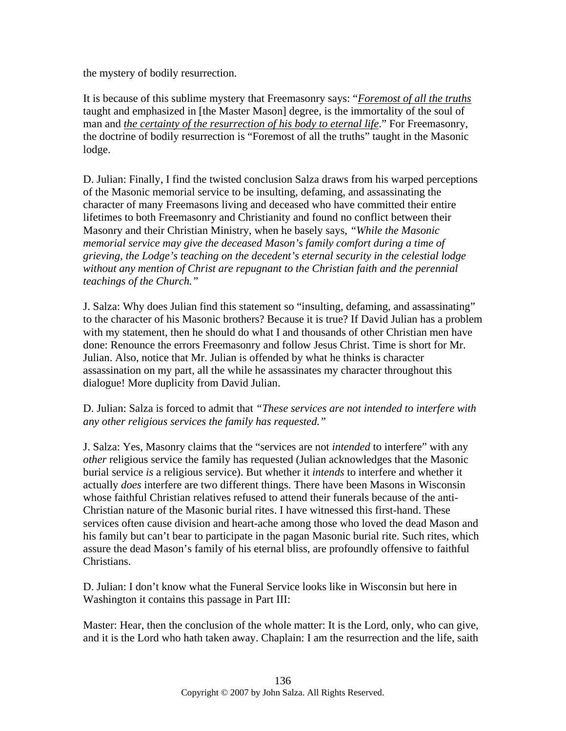the mystery of bodily resurrection.

It is because of this sublime mystery that Freemasonry says: "*Foremost of all the truths* taught and emphasized in [the Master Mason] degree, is the immortality of the soul of man and *the certainty of the resurrection of his body to eternal life*." For Freemasonry, the doctrine of bodily resurrection is "Foremost of all the truths" taught in the Masonic lodge.

D. Julian: Finally, I find the twisted conclusion Salza draws from his warped perceptions of the Masonic memorial service to be insulting, defaming, and assassinating the character of many Freemasons living and deceased who have committed their entire lifetimes to both Freemasonry and Christianity and found no conflict between their Masonry and their Christian Ministry, when he basely says, *"While the Masonic memorial service may give the deceased Mason's family comfort during a time of grieving, the Lodge's teaching on the decedent's eternal security in the celestial lodge without any mention of Christ are repugnant to the Christian faith and the perennial teachings of the Church."* 

J. Salza: Why does Julian find this statement so "insulting, defaming, and assassinating" to the character of his Masonic brothers? Because it is true? If David Julian has a problem with my statement, then he should do what I and thousands of other Christian men have done: Renounce the errors Freemasonry and follow Jesus Christ. Time is short for Mr. Julian. Also, notice that Mr. Julian is offended by what he thinks is character assassination on my part, all the while he assassinates my character throughout this dialogue! More duplicity from David Julian.

D. Julian: Salza is forced to admit that *"These services are not intended to interfere with any other religious services the family has requested."* 

J. Salza: Yes, Masonry claims that the "services are not *intended* to interfere" with any *other* religious service the family has requested (Julian acknowledges that the Masonic burial service *is* a religious service). But whether it *intends* to interfere and whether it actually *does* interfere are two different things. There have been Masons in Wisconsin whose faithful Christian relatives refused to attend their funerals because of the anti-Christian nature of the Masonic burial rites. I have witnessed this first-hand. These services often cause division and heart-ache among those who loved the dead Mason and his family but can't bear to participate in the pagan Masonic burial rite. Such rites, which assure the dead Mason's family of his eternal bliss, are profoundly offensive to faithful Christians.

D. Julian: I don't know what the Funeral Service looks like in Wisconsin but here in Washington it contains this passage in Part III:

Master: Hear, then the conclusion of the whole matter: It is the Lord, only, who can give, and it is the Lord who hath taken away. Chaplain: I am the resurrection and the life, saith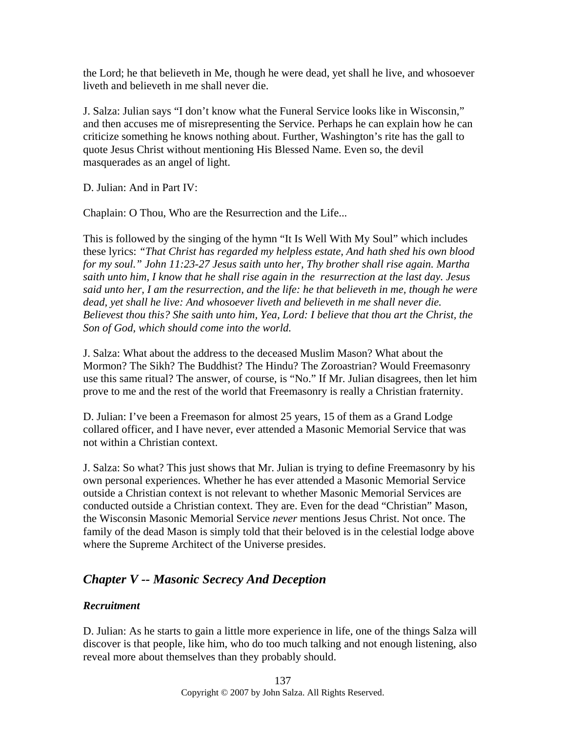the Lord; he that believeth in Me, though he were dead, yet shall he live, and whosoever liveth and believeth in me shall never die.

J. Salza: Julian says "I don't know what the Funeral Service looks like in Wisconsin," and then accuses me of misrepresenting the Service. Perhaps he can explain how he can criticize something he knows nothing about. Further, Washington's rite has the gall to quote Jesus Christ without mentioning His Blessed Name. Even so, the devil masquerades as an angel of light.

D. Julian: And in Part IV:

Chaplain: O Thou, Who are the Resurrection and the Life...

This is followed by the singing of the hymn "It Is Well With My Soul" which includes these lyrics: *"That Christ has regarded my helpless estate, And hath shed his own blood for my soul." John 11:23-27 Jesus saith unto her, Thy brother shall rise again. Martha saith unto him, I know that he shall rise again in the resurrection at the last day. Jesus said unto her, I am the resurrection, and the life: he that believeth in me, though he were dead, yet shall he live: And whosoever liveth and believeth in me shall never die. Believest thou this? She saith unto him, Yea, Lord: I believe that thou art the Christ, the Son of God, which should come into the world.* 

J. Salza: What about the address to the deceased Muslim Mason? What about the Mormon? The Sikh? The Buddhist? The Hindu? The Zoroastrian? Would Freemasonry use this same ritual? The answer, of course, is "No." If Mr. Julian disagrees, then let him prove to me and the rest of the world that Freemasonry is really a Christian fraternity.

D. Julian: I've been a Freemason for almost 25 years, 15 of them as a Grand Lodge collared officer, and I have never, ever attended a Masonic Memorial Service that was not within a Christian context.

J. Salza: So what? This just shows that Mr. Julian is trying to define Freemasonry by his own personal experiences. Whether he has ever attended a Masonic Memorial Service outside a Christian context is not relevant to whether Masonic Memorial Services are conducted outside a Christian context. They are. Even for the dead "Christian" Mason, the Wisconsin Masonic Memorial Service *never* mentions Jesus Christ. Not once. The family of the dead Mason is simply told that their beloved is in the celestial lodge above where the Supreme Architect of the Universe presides.

# *Chapter V -- Masonic Secrecy And Deception*

# *Recruitment*

D. Julian: As he starts to gain a little more experience in life, one of the things Salza will discover is that people, like him, who do too much talking and not enough listening, also reveal more about themselves than they probably should.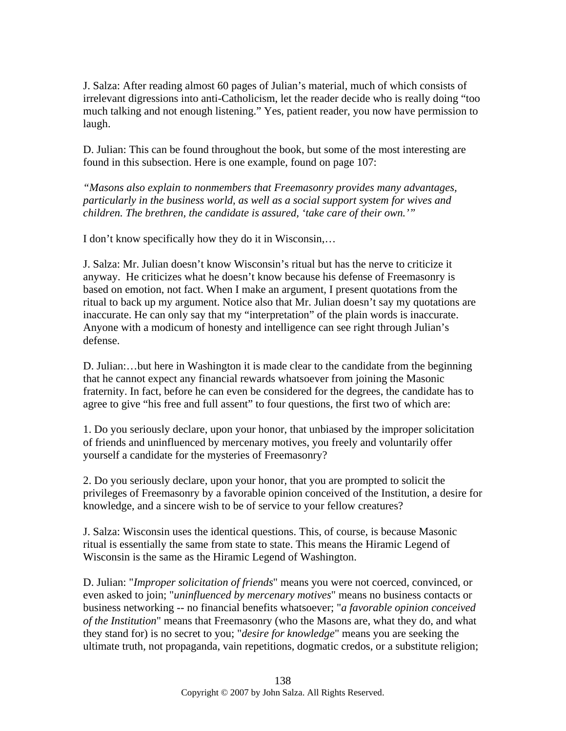J. Salza: After reading almost 60 pages of Julian's material, much of which consists of irrelevant digressions into anti-Catholicism, let the reader decide who is really doing "too much talking and not enough listening." Yes, patient reader, you now have permission to laugh.

D. Julian: This can be found throughout the book, but some of the most interesting are found in this subsection. Here is one example, found on page 107:

*"Masons also explain to nonmembers that Freemasonry provides many advantages, particularly in the business world, as well as a social support system for wives and children. The brethren, the candidate is assured, 'take care of their own.'"* 

I don't know specifically how they do it in Wisconsin,…

J. Salza: Mr. Julian doesn't know Wisconsin's ritual but has the nerve to criticize it anyway. He criticizes what he doesn't know because his defense of Freemasonry is based on emotion, not fact. When I make an argument, I present quotations from the ritual to back up my argument. Notice also that Mr. Julian doesn't say my quotations are inaccurate. He can only say that my "interpretation" of the plain words is inaccurate. Anyone with a modicum of honesty and intelligence can see right through Julian's defense.

D. Julian:…but here in Washington it is made clear to the candidate from the beginning that he cannot expect any financial rewards whatsoever from joining the Masonic fraternity. In fact, before he can even be considered for the degrees, the candidate has to agree to give "his free and full assent" to four questions, the first two of which are:

1. Do you seriously declare, upon your honor, that unbiased by the improper solicitation of friends and uninfluenced by mercenary motives, you freely and voluntarily offer yourself a candidate for the mysteries of Freemasonry?

2. Do you seriously declare, upon your honor, that you are prompted to solicit the privileges of Freemasonry by a favorable opinion conceived of the Institution, a desire for knowledge, and a sincere wish to be of service to your fellow creatures?

J. Salza: Wisconsin uses the identical questions. This, of course, is because Masonic ritual is essentially the same from state to state. This means the Hiramic Legend of Wisconsin is the same as the Hiramic Legend of Washington.

D. Julian: "*Improper solicitation of friends*" means you were not coerced, convinced, or even asked to join; "*uninfluenced by mercenary motives*" means no business contacts or business networking -- no financial benefits whatsoever; "*a favorable opinion conceived of the Institution*" means that Freemasonry (who the Masons are, what they do, and what they stand for) is no secret to you; "*desire for knowledge*" means you are seeking the ultimate truth, not propaganda, vain repetitions, dogmatic credos, or a substitute religion;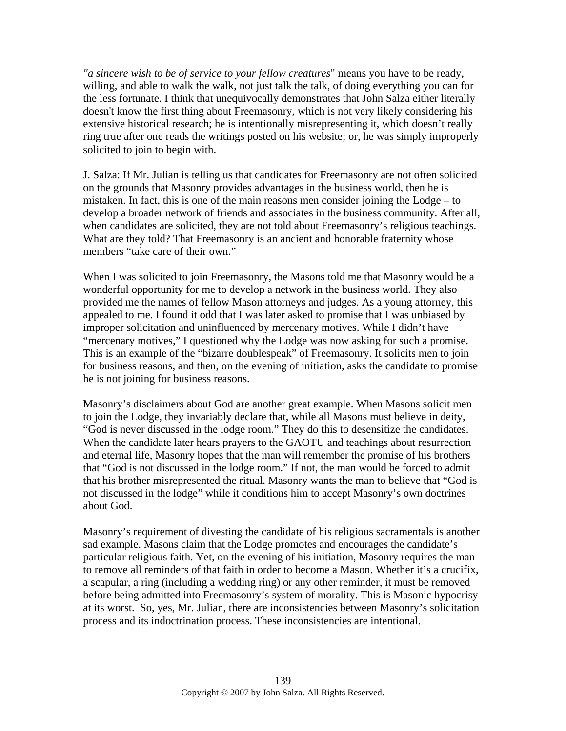*"a sincere wish to be of service to your fellow creatures*" means you have to be ready, willing, and able to walk the walk, not just talk the talk, of doing everything you can for the less fortunate. I think that unequivocally demonstrates that John Salza either literally doesn't know the first thing about Freemasonry, which is not very likely considering his extensive historical research; he is intentionally misrepresenting it, which doesn't really ring true after one reads the writings posted on his website; or, he was simply improperly solicited to join to begin with.

J. Salza: If Mr. Julian is telling us that candidates for Freemasonry are not often solicited on the grounds that Masonry provides advantages in the business world, then he is mistaken. In fact, this is one of the main reasons men consider joining the Lodge – to develop a broader network of friends and associates in the business community. After all, when candidates are solicited, they are not told about Freemasonry's religious teachings. What are they told? That Freemasonry is an ancient and honorable fraternity whose members "take care of their own."

When I was solicited to join Freemasonry, the Masons told me that Masonry would be a wonderful opportunity for me to develop a network in the business world. They also provided me the names of fellow Mason attorneys and judges. As a young attorney, this appealed to me. I found it odd that I was later asked to promise that I was unbiased by improper solicitation and uninfluenced by mercenary motives. While I didn't have "mercenary motives," I questioned why the Lodge was now asking for such a promise. This is an example of the "bizarre doublespeak" of Freemasonry. It solicits men to join for business reasons, and then, on the evening of initiation, asks the candidate to promise he is not joining for business reasons.

Masonry's disclaimers about God are another great example. When Masons solicit men to join the Lodge, they invariably declare that, while all Masons must believe in deity, "God is never discussed in the lodge room." They do this to desensitize the candidates. When the candidate later hears prayers to the GAOTU and teachings about resurrection and eternal life, Masonry hopes that the man will remember the promise of his brothers that "God is not discussed in the lodge room." If not, the man would be forced to admit that his brother misrepresented the ritual. Masonry wants the man to believe that "God is not discussed in the lodge" while it conditions him to accept Masonry's own doctrines about God.

Masonry's requirement of divesting the candidate of his religious sacramentals is another sad example. Masons claim that the Lodge promotes and encourages the candidate's particular religious faith. Yet, on the evening of his initiation, Masonry requires the man to remove all reminders of that faith in order to become a Mason. Whether it's a crucifix, a scapular, a ring (including a wedding ring) or any other reminder, it must be removed before being admitted into Freemasonry's system of morality. This is Masonic hypocrisy at its worst. So, yes, Mr. Julian, there are inconsistencies between Masonry's solicitation process and its indoctrination process. These inconsistencies are intentional.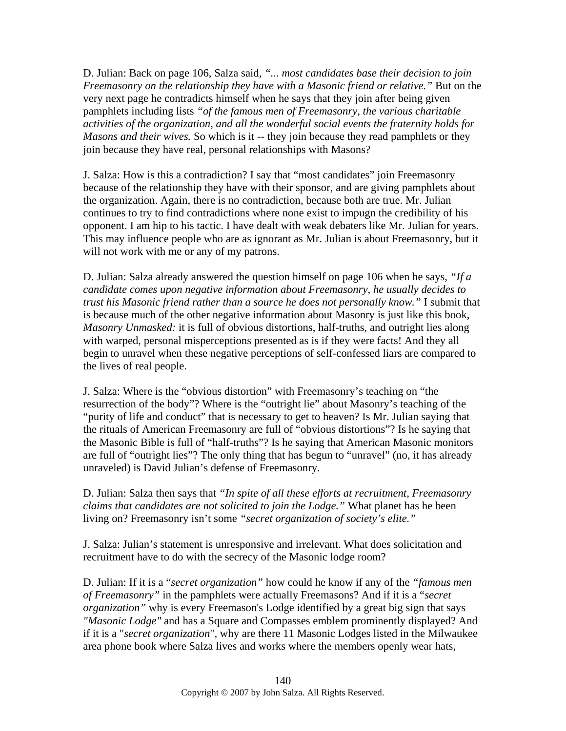D. Julian: Back on page 106, Salza said, *"... most candidates base their decision to join Freemasonry on the relationship they have with a Masonic friend or relative.*" But on the very next page he contradicts himself when he says that they join after being given pamphlets including lists *"of the famous men of Freemasonry, the various charitable activities of the organization, and all the wonderful social events the fraternity holds for Masons and their wives.* So which is it -- they join because they read pamphlets or they join because they have real, personal relationships with Masons?

J. Salza: How is this a contradiction? I say that "most candidates" join Freemasonry because of the relationship they have with their sponsor, and are giving pamphlets about the organization. Again, there is no contradiction, because both are true. Mr. Julian continues to try to find contradictions where none exist to impugn the credibility of his opponent. I am hip to his tactic. I have dealt with weak debaters like Mr. Julian for years. This may influence people who are as ignorant as Mr. Julian is about Freemasonry, but it will not work with me or any of my patrons.

D. Julian: Salza already answered the question himself on page 106 when he says, *"If a candidate comes upon negative information about Freemasonry, he usually decides to trust his Masonic friend rather than a source he does not personally know."* I submit that is because much of the other negative information about Masonry is just like this book, *Masonry Unmasked:* it is full of obvious distortions, half-truths, and outright lies along with warped, personal misperceptions presented as is if they were facts! And they all begin to unravel when these negative perceptions of self-confessed liars are compared to the lives of real people.

J. Salza: Where is the "obvious distortion" with Freemasonry's teaching on "the resurrection of the body"? Where is the "outright lie" about Masonry's teaching of the "purity of life and conduct" that is necessary to get to heaven? Is Mr. Julian saying that the rituals of American Freemasonry are full of "obvious distortions"? Is he saying that the Masonic Bible is full of "half-truths"? Is he saying that American Masonic monitors are full of "outright lies"? The only thing that has begun to "unravel" (no, it has already unraveled) is David Julian's defense of Freemasonry.

D. Julian: Salza then says that *"In spite of all these efforts at recruitment, Freemasonry claims that candidates are not solicited to join the Lodge."* What planet has he been living on? Freemasonry isn't some *"secret organization of society's elite."* 

J. Salza: Julian's statement is unresponsive and irrelevant. What does solicitation and recruitment have to do with the secrecy of the Masonic lodge room?

D. Julian: If it is a "*secret organization"* how could he know if any of the *"famous men of Freemasonry"* in the pamphlets were actually Freemasons? And if it is a "*secret organization"* why is every Freemason's Lodge identified by a great big sign that says *"Masonic Lodge"* and has a Square and Compasses emblem prominently displayed? And if it is a "*secret organization*", why are there 11 Masonic Lodges listed in the Milwaukee area phone book where Salza lives and works where the members openly wear hats,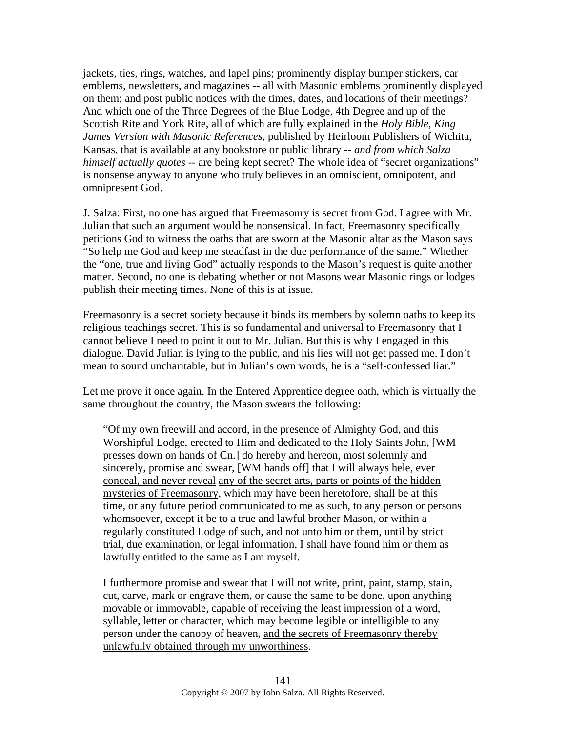jackets, ties, rings, watches, and lapel pins; prominently display bumper stickers, car emblems, newsletters, and magazines -- all with Masonic emblems prominently displayed on them; and post public notices with the times, dates, and locations of their meetings? And which one of the Three Degrees of the Blue Lodge, 4th Degree and up of the Scottish Rite and York Rite, all of which are fully explained in the *Holy Bible, King James Version with Masonic References*, published by Heirloom Publishers of Wichita, Kansas, that is available at any bookstore or public library -- *and from which Salza himself actually quotes* -- are being kept secret? The whole idea of "secret organizations" is nonsense anyway to anyone who truly believes in an omniscient, omnipotent, and omnipresent God.

J. Salza: First, no one has argued that Freemasonry is secret from God. I agree with Mr. Julian that such an argument would be nonsensical. In fact, Freemasonry specifically petitions God to witness the oaths that are sworn at the Masonic altar as the Mason says "So help me God and keep me steadfast in the due performance of the same." Whether the "one, true and living God" actually responds to the Mason's request is quite another matter. Second, no one is debating whether or not Masons wear Masonic rings or lodges publish their meeting times. None of this is at issue.

Freemasonry is a secret society because it binds its members by solemn oaths to keep its religious teachings secret. This is so fundamental and universal to Freemasonry that I cannot believe I need to point it out to Mr. Julian. But this is why I engaged in this dialogue. David Julian is lying to the public, and his lies will not get passed me. I don't mean to sound uncharitable, but in Julian's own words, he is a "self-confessed liar."

Let me prove it once again. In the Entered Apprentice degree oath, which is virtually the same throughout the country, the Mason swears the following:

"Of my own freewill and accord, in the presence of Almighty God, and this Worshipful Lodge, erected to Him and dedicated to the Holy Saints John, [WM presses down on hands of Cn.] do hereby and hereon, most solemnly and sincerely, promise and swear, [WM hands off] that I will always hele, ever conceal, and never reveal any of the secret arts, parts or points of the hidden mysteries of Freemasonry, which may have been heretofore, shall be at this time, or any future period communicated to me as such, to any person or persons whomsoever, except it be to a true and lawful brother Mason, or within a regularly constituted Lodge of such, and not unto him or them, until by strict trial, due examination, or legal information, I shall have found him or them as lawfully entitled to the same as I am myself.

I furthermore promise and swear that I will not write, print, paint, stamp, stain, cut, carve, mark or engrave them, or cause the same to be done, upon anything movable or immovable, capable of receiving the least impression of a word, syllable, letter or character, which may become legible or intelligible to any person under the canopy of heaven, and the secrets of Freemasonry thereby unlawfully obtained through my unworthiness.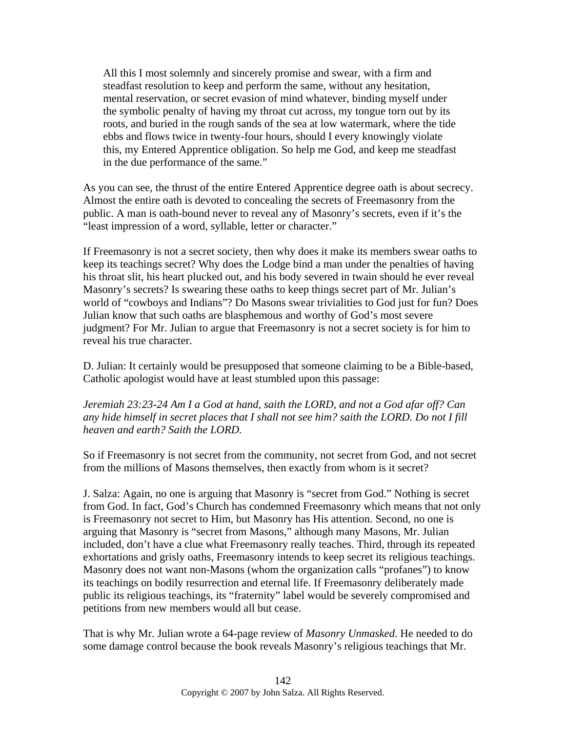All this I most solemnly and sincerely promise and swear, with a firm and steadfast resolution to keep and perform the same, without any hesitation, mental reservation, or secret evasion of mind whatever, binding myself under the symbolic penalty of having my throat cut across, my tongue torn out by its roots, and buried in the rough sands of the sea at low watermark, where the tide ebbs and flows twice in twenty-four hours, should I every knowingly violate this, my Entered Apprentice obligation. So help me God, and keep me steadfast in the due performance of the same."

As you can see, the thrust of the entire Entered Apprentice degree oath is about secrecy. Almost the entire oath is devoted to concealing the secrets of Freemasonry from the public. A man is oath-bound never to reveal any of Masonry's secrets, even if it's the "least impression of a word, syllable, letter or character."

If Freemasonry is not a secret society, then why does it make its members swear oaths to keep its teachings secret? Why does the Lodge bind a man under the penalties of having his throat slit, his heart plucked out, and his body severed in twain should he ever reveal Masonry's secrets? Is swearing these oaths to keep things secret part of Mr. Julian's world of "cowboys and Indians"? Do Masons swear trivialities to God just for fun? Does Julian know that such oaths are blasphemous and worthy of God's most severe judgment? For Mr. Julian to argue that Freemasonry is not a secret society is for him to reveal his true character.

D. Julian: It certainly would be presupposed that someone claiming to be a Bible-based, Catholic apologist would have at least stumbled upon this passage:

*Jeremiah 23:23-24 Am I a God at hand, saith the LORD, and not a God afar off? Can any hide himself in secret places that I shall not see him? saith the LORD. Do not I fill heaven and earth? Saith the LORD.* 

So if Freemasonry is not secret from the community, not secret from God, and not secret from the millions of Masons themselves, then exactly from whom is it secret?

J. Salza: Again, no one is arguing that Masonry is "secret from God." Nothing is secret from God. In fact, God's Church has condemned Freemasonry which means that not only is Freemasonry not secret to Him, but Masonry has His attention. Second, no one is arguing that Masonry is "secret from Masons," although many Masons, Mr. Julian included, don't have a clue what Freemasonry really teaches. Third, through its repeated exhortations and grisly oaths, Freemasonry intends to keep secret its religious teachings. Masonry does not want non-Masons (whom the organization calls "profanes") to know its teachings on bodily resurrection and eternal life. If Freemasonry deliberately made public its religious teachings, its "fraternity" label would be severely compromised and petitions from new members would all but cease.

That is why Mr. Julian wrote a 64-page review of *Masonry Unmasked*. He needed to do some damage control because the book reveals Masonry's religious teachings that Mr.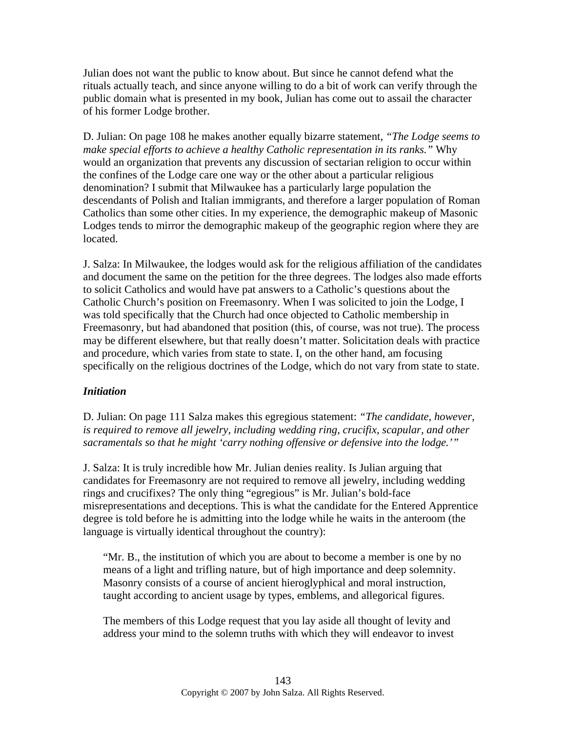Julian does not want the public to know about. But since he cannot defend what the rituals actually teach, and since anyone willing to do a bit of work can verify through the public domain what is presented in my book, Julian has come out to assail the character of his former Lodge brother.

D. Julian: On page 108 he makes another equally bizarre statement, *"The Lodge seems to make special efforts to achieve a healthy Catholic representation in its ranks."* Why would an organization that prevents any discussion of sectarian religion to occur within the confines of the Lodge care one way or the other about a particular religious denomination? I submit that Milwaukee has a particularly large population the descendants of Polish and Italian immigrants, and therefore a larger population of Roman Catholics than some other cities. In my experience, the demographic makeup of Masonic Lodges tends to mirror the demographic makeup of the geographic region where they are located.

J. Salza: In Milwaukee, the lodges would ask for the religious affiliation of the candidates and document the same on the petition for the three degrees. The lodges also made efforts to solicit Catholics and would have pat answers to a Catholic's questions about the Catholic Church's position on Freemasonry. When I was solicited to join the Lodge, I was told specifically that the Church had once objected to Catholic membership in Freemasonry, but had abandoned that position (this, of course, was not true). The process may be different elsewhere, but that really doesn't matter. Solicitation deals with practice and procedure, which varies from state to state. I, on the other hand, am focusing specifically on the religious doctrines of the Lodge, which do not vary from state to state.

## *Initiation*

D. Julian: On page 111 Salza makes this egregious statement: *"The candidate, however, is required to remove all jewelry, including wedding ring, crucifix, scapular, and other sacramentals so that he might 'carry nothing offensive or defensive into the lodge.'"* 

J. Salza: It is truly incredible how Mr. Julian denies reality. Is Julian arguing that candidates for Freemasonry are not required to remove all jewelry, including wedding rings and crucifixes? The only thing "egregious" is Mr. Julian's bold-face misrepresentations and deceptions. This is what the candidate for the Entered Apprentice degree is told before he is admitting into the lodge while he waits in the anteroom (the language is virtually identical throughout the country):

"Mr. B., the institution of which you are about to become a member is one by no means of a light and trifling nature, but of high importance and deep solemnity. Masonry consists of a course of ancient hieroglyphical and moral instruction, taught according to ancient usage by types, emblems, and allegorical figures.

The members of this Lodge request that you lay aside all thought of levity and address your mind to the solemn truths with which they will endeavor to invest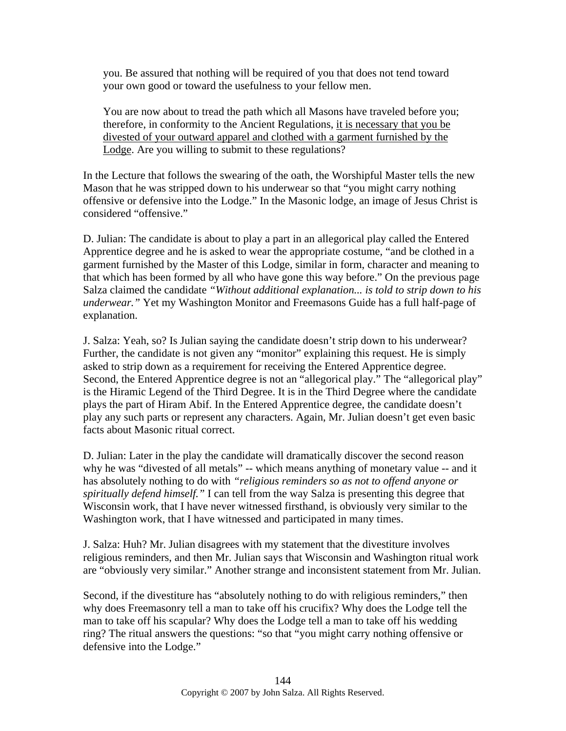you. Be assured that nothing will be required of you that does not tend toward your own good or toward the usefulness to your fellow men.

You are now about to tread the path which all Masons have traveled before you; therefore, in conformity to the Ancient Regulations, it is necessary that you be divested of your outward apparel and clothed with a garment furnished by the Lodge. Are you willing to submit to these regulations?

In the Lecture that follows the swearing of the oath, the Worshipful Master tells the new Mason that he was stripped down to his underwear so that "you might carry nothing offensive or defensive into the Lodge." In the Masonic lodge, an image of Jesus Christ is considered "offensive."

D. Julian: The candidate is about to play a part in an allegorical play called the Entered Apprentice degree and he is asked to wear the appropriate costume, "and be clothed in a garment furnished by the Master of this Lodge, similar in form, character and meaning to that which has been formed by all who have gone this way before." On the previous page Salza claimed the candidate *"Without additional explanation... is told to strip down to his underwear."* Yet my Washington Monitor and Freemasons Guide has a full half-page of explanation.

J. Salza: Yeah, so? Is Julian saying the candidate doesn't strip down to his underwear? Further, the candidate is not given any "monitor" explaining this request. He is simply asked to strip down as a requirement for receiving the Entered Apprentice degree. Second, the Entered Apprentice degree is not an "allegorical play." The "allegorical play" is the Hiramic Legend of the Third Degree. It is in the Third Degree where the candidate plays the part of Hiram Abif. In the Entered Apprentice degree, the candidate doesn't play any such parts or represent any characters. Again, Mr. Julian doesn't get even basic facts about Masonic ritual correct.

D. Julian: Later in the play the candidate will dramatically discover the second reason why he was "divested of all metals" -- which means anything of monetary value -- and it has absolutely nothing to do with *"religious reminders so as not to offend anyone or spiritually defend himself."* I can tell from the way Salza is presenting this degree that Wisconsin work, that I have never witnessed firsthand, is obviously very similar to the Washington work, that I have witnessed and participated in many times.

J. Salza: Huh? Mr. Julian disagrees with my statement that the divestiture involves religious reminders, and then Mr. Julian says that Wisconsin and Washington ritual work are "obviously very similar." Another strange and inconsistent statement from Mr. Julian.

Second, if the divestiture has "absolutely nothing to do with religious reminders," then why does Freemasonry tell a man to take off his crucifix? Why does the Lodge tell the man to take off his scapular? Why does the Lodge tell a man to take off his wedding ring? The ritual answers the questions: "so that "you might carry nothing offensive or defensive into the Lodge."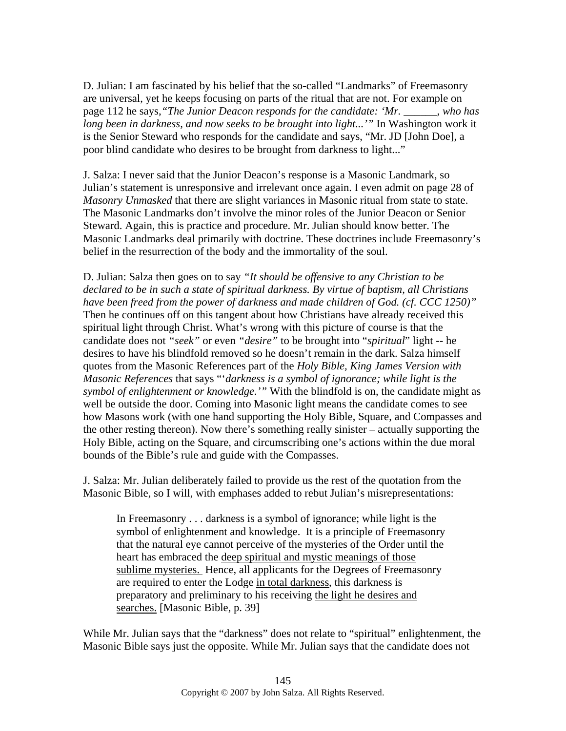D. Julian: I am fascinated by his belief that the so-called "Landmarks" of Freemasonry are universal, yet he keeps focusing on parts of the ritual that are not. For example on page 112 he says,*"The Junior Deacon responds for the candidate: 'Mr. \_\_\_\_\_\_, who has long been in darkness, and now seeks to be brought into light...'"* In Washington work it is the Senior Steward who responds for the candidate and says, "Mr. JD [John Doe], a poor blind candidate who desires to be brought from darkness to light..."

J. Salza: I never said that the Junior Deacon's response is a Masonic Landmark, so Julian's statement is unresponsive and irrelevant once again. I even admit on page 28 of *Masonry Unmasked* that there are slight variances in Masonic ritual from state to state. The Masonic Landmarks don't involve the minor roles of the Junior Deacon or Senior Steward. Again, this is practice and procedure. Mr. Julian should know better. The Masonic Landmarks deal primarily with doctrine. These doctrines include Freemasonry's belief in the resurrection of the body and the immortality of the soul.

D. Julian: Salza then goes on to say *"It should be offensive to any Christian to be declared to be in such a state of spiritual darkness. By virtue of baptism, all Christians have been freed from the power of darkness and made children of God. (cf. CCC 1250)"*  Then he continues off on this tangent about how Christians have already received this spiritual light through Christ. What's wrong with this picture of course is that the candidate does not *"seek"* or even *"desire"* to be brought into "*spiritual*" light -- he desires to have his blindfold removed so he doesn't remain in the dark. Salza himself quotes from the Masonic References part of the *Holy Bible, King James Version with Masonic References* that says "'*darkness is a symbol of ignorance; while light is the symbol of enlightenment or knowledge.'"* With the blindfold is on, the candidate might as well be outside the door. Coming into Masonic light means the candidate comes to see how Masons work (with one hand supporting the Holy Bible, Square, and Compasses and the other resting thereon). Now there's something really sinister – actually supporting the Holy Bible, acting on the Square, and circumscribing one's actions within the due moral bounds of the Bible's rule and guide with the Compasses.

J. Salza: Mr. Julian deliberately failed to provide us the rest of the quotation from the Masonic Bible, so I will, with emphases added to rebut Julian's misrepresentations:

In Freemasonry . . . darkness is a symbol of ignorance; while light is the symbol of enlightenment and knowledge. It is a principle of Freemasonry that the natural eye cannot perceive of the mysteries of the Order until the heart has embraced the deep spiritual and mystic meanings of those sublime mysteries. Hence, all applicants for the Degrees of Freemasonry are required to enter the Lodge in total darkness, this darkness is preparatory and preliminary to his receiving the light he desires and searches. [Masonic Bible, p. 39]

While Mr. Julian says that the "darkness" does not relate to "spiritual" enlightenment, the Masonic Bible says just the opposite. While Mr. Julian says that the candidate does not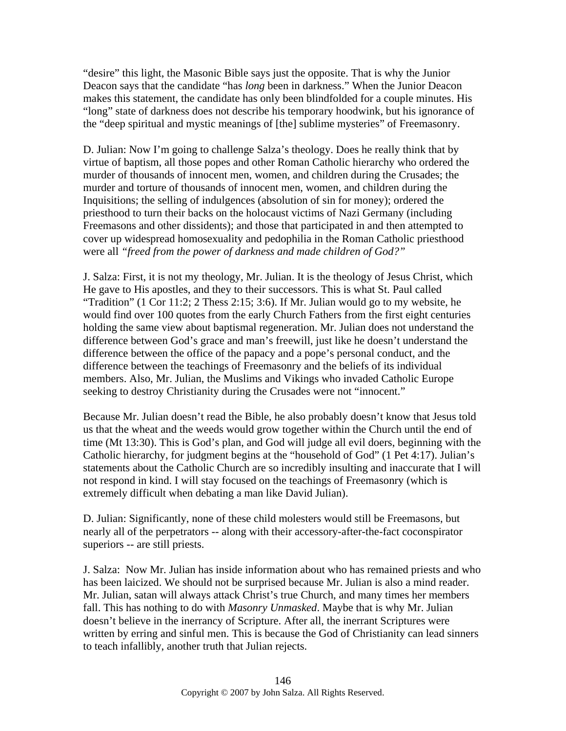"desire" this light, the Masonic Bible says just the opposite. That is why the Junior Deacon says that the candidate "has *long* been in darkness." When the Junior Deacon makes this statement, the candidate has only been blindfolded for a couple minutes. His "long" state of darkness does not describe his temporary hoodwink, but his ignorance of the "deep spiritual and mystic meanings of [the] sublime mysteries" of Freemasonry.

D. Julian: Now I'm going to challenge Salza's theology. Does he really think that by virtue of baptism, all those popes and other Roman Catholic hierarchy who ordered the murder of thousands of innocent men, women, and children during the Crusades; the murder and torture of thousands of innocent men, women, and children during the Inquisitions; the selling of indulgences (absolution of sin for money); ordered the priesthood to turn their backs on the holocaust victims of Nazi Germany (including Freemasons and other dissidents); and those that participated in and then attempted to cover up widespread homosexuality and pedophilia in the Roman Catholic priesthood were all *"freed from the power of darkness and made children of God?"* 

J. Salza: First, it is not my theology, Mr. Julian. It is the theology of Jesus Christ, which He gave to His apostles, and they to their successors. This is what St. Paul called "Tradition" (1 Cor 11:2; 2 Thess 2:15; 3:6). If Mr. Julian would go to my website, he would find over 100 quotes from the early Church Fathers from the first eight centuries holding the same view about baptismal regeneration. Mr. Julian does not understand the difference between God's grace and man's freewill, just like he doesn't understand the difference between the office of the papacy and a pope's personal conduct, and the difference between the teachings of Freemasonry and the beliefs of its individual members. Also, Mr. Julian, the Muslims and Vikings who invaded Catholic Europe seeking to destroy Christianity during the Crusades were not "innocent."

Because Mr. Julian doesn't read the Bible, he also probably doesn't know that Jesus told us that the wheat and the weeds would grow together within the Church until the end of time (Mt 13:30). This is God's plan, and God will judge all evil doers, beginning with the Catholic hierarchy, for judgment begins at the "household of God" (1 Pet 4:17). Julian's statements about the Catholic Church are so incredibly insulting and inaccurate that I will not respond in kind. I will stay focused on the teachings of Freemasonry (which is extremely difficult when debating a man like David Julian).

D. Julian: Significantly, none of these child molesters would still be Freemasons, but nearly all of the perpetrators -- along with their accessory-after-the-fact coconspirator superiors -- are still priests.

J. Salza: Now Mr. Julian has inside information about who has remained priests and who has been laicized. We should not be surprised because Mr. Julian is also a mind reader. Mr. Julian, satan will always attack Christ's true Church, and many times her members fall. This has nothing to do with *Masonry Unmasked*. Maybe that is why Mr. Julian doesn't believe in the inerrancy of Scripture. After all, the inerrant Scriptures were written by erring and sinful men. This is because the God of Christianity can lead sinners to teach infallibly, another truth that Julian rejects.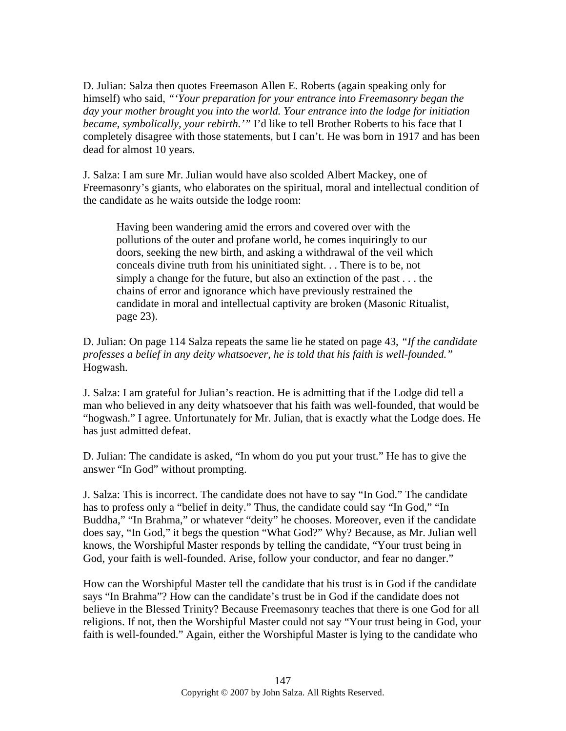D. Julian: Salza then quotes Freemason Allen E. Roberts (again speaking only for himself) who said, *"'Your preparation for your entrance into Freemasonry began the day your mother brought you into the world. Your entrance into the lodge for initiation became, symbolically, your rebirth.'"* I'd like to tell Brother Roberts to his face that I completely disagree with those statements, but I can't. He was born in 1917 and has been dead for almost 10 years.

J. Salza: I am sure Mr. Julian would have also scolded Albert Mackey, one of Freemasonry's giants, who elaborates on the spiritual, moral and intellectual condition of the candidate as he waits outside the lodge room:

Having been wandering amid the errors and covered over with the pollutions of the outer and profane world, he comes inquiringly to our doors, seeking the new birth, and asking a withdrawal of the veil which conceals divine truth from his uninitiated sight. . . There is to be, not simply a change for the future, but also an extinction of the past . . . the chains of error and ignorance which have previously restrained the candidate in moral and intellectual captivity are broken (Masonic Ritualist, page 23).

D. Julian: On page 114 Salza repeats the same lie he stated on page 43, *"If the candidate professes a belief in any deity whatsoever, he is told that his faith is well-founded."*  Hogwash.

J. Salza: I am grateful for Julian's reaction. He is admitting that if the Lodge did tell a man who believed in any deity whatsoever that his faith was well-founded, that would be "hogwash." I agree. Unfortunately for Mr. Julian, that is exactly what the Lodge does. He has just admitted defeat.

D. Julian: The candidate is asked, "In whom do you put your trust." He has to give the answer "In God" without prompting.

J. Salza: This is incorrect. The candidate does not have to say "In God." The candidate has to profess only a "belief in deity." Thus, the candidate could say "In God," "In Buddha," "In Brahma," or whatever "deity" he chooses. Moreover, even if the candidate does say, "In God," it begs the question "What God?" Why? Because, as Mr. Julian well knows, the Worshipful Master responds by telling the candidate, "Your trust being in God, your faith is well-founded. Arise, follow your conductor, and fear no danger."

How can the Worshipful Master tell the candidate that his trust is in God if the candidate says "In Brahma"? How can the candidate's trust be in God if the candidate does not believe in the Blessed Trinity? Because Freemasonry teaches that there is one God for all religions. If not, then the Worshipful Master could not say "Your trust being in God, your faith is well-founded." Again, either the Worshipful Master is lying to the candidate who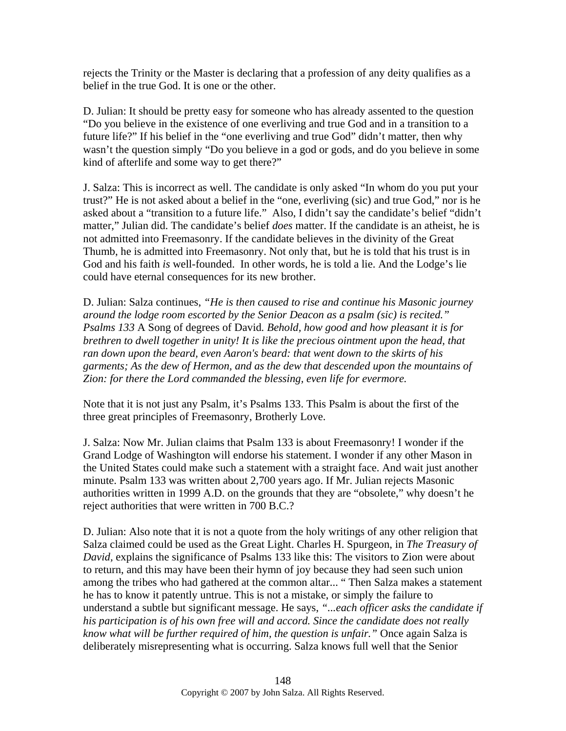rejects the Trinity or the Master is declaring that a profession of any deity qualifies as a belief in the true God. It is one or the other.

D. Julian: It should be pretty easy for someone who has already assented to the question "Do you believe in the existence of one everliving and true God and in a transition to a future life?" If his belief in the "one everliving and true God" didn't matter, then why wasn't the question simply "Do you believe in a god or gods, and do you believe in some kind of afterlife and some way to get there?"

J. Salza: This is incorrect as well. The candidate is only asked "In whom do you put your trust?" He is not asked about a belief in the "one, everliving (sic) and true God," nor is he asked about a "transition to a future life." Also, I didn't say the candidate's belief "didn't matter," Julian did. The candidate's belief *does* matter. If the candidate is an atheist, he is not admitted into Freemasonry. If the candidate believes in the divinity of the Great Thumb, he is admitted into Freemasonry. Not only that, but he is told that his trust is in God and his faith *is* well-founded. In other words, he is told a lie. And the Lodge's lie could have eternal consequences for its new brother.

D. Julian: Salza continues, *"He is then caused to rise and continue his Masonic journey around the lodge room escorted by the Senior Deacon as a psalm (sic) is recited." Psalms 133* A Song of degrees of David*. Behold, how good and how pleasant it is for brethren to dwell together in unity! It is like the precious ointment upon the head, that ran down upon the beard, even Aaron's beard: that went down to the skirts of his garments; As the dew of Hermon, and as the dew that descended upon the mountains of Zion: for there the Lord commanded the blessing, even life for evermore.* 

Note that it is not just any Psalm, it's Psalms 133. This Psalm is about the first of the three great principles of Freemasonry, Brotherly Love.

J. Salza: Now Mr. Julian claims that Psalm 133 is about Freemasonry! I wonder if the Grand Lodge of Washington will endorse his statement. I wonder if any other Mason in the United States could make such a statement with a straight face. And wait just another minute. Psalm 133 was written about 2,700 years ago. If Mr. Julian rejects Masonic authorities written in 1999 A.D. on the grounds that they are "obsolete," why doesn't he reject authorities that were written in 700 B.C.?

D. Julian: Also note that it is not a quote from the holy writings of any other religion that Salza claimed could be used as the Great Light. Charles H. Spurgeon, in *The Treasury of David,* explains the significance of Psalms 133 like this: The visitors to Zion were about to return, and this may have been their hymn of joy because they had seen such union among the tribes who had gathered at the common altar... " Then Salza makes a statement he has to know it patently untrue. This is not a mistake, or simply the failure to understand a subtle but significant message. He says, *"...each officer asks the candidate if his participation is of his own free will and accord. Since the candidate does not really know what will be further required of him, the question is unfair."* Once again Salza is deliberately misrepresenting what is occurring. Salza knows full well that the Senior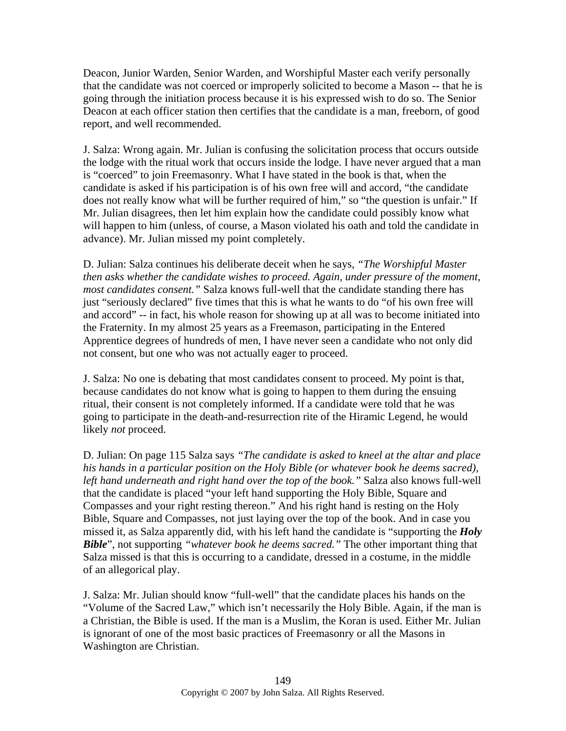Deacon, Junior Warden, Senior Warden, and Worshipful Master each verify personally that the candidate was not coerced or improperly solicited to become a Mason -- that he is going through the initiation process because it is his expressed wish to do so. The Senior Deacon at each officer station then certifies that the candidate is a man, freeborn, of good report, and well recommended.

J. Salza: Wrong again. Mr. Julian is confusing the solicitation process that occurs outside the lodge with the ritual work that occurs inside the lodge. I have never argued that a man is "coerced" to join Freemasonry. What I have stated in the book is that, when the candidate is asked if his participation is of his own free will and accord, "the candidate does not really know what will be further required of him," so "the question is unfair." If Mr. Julian disagrees, then let him explain how the candidate could possibly know what will happen to him (unless, of course, a Mason violated his oath and told the candidate in advance). Mr. Julian missed my point completely.

D. Julian: Salza continues his deliberate deceit when he says, *"The Worshipful Master then asks whether the candidate wishes to proceed. Again, under pressure of the moment, most candidates consent."* Salza knows full-well that the candidate standing there has just "seriously declared" five times that this is what he wants to do "of his own free will and accord" -- in fact, his whole reason for showing up at all was to become initiated into the Fraternity. In my almost 25 years as a Freemason, participating in the Entered Apprentice degrees of hundreds of men, I have never seen a candidate who not only did not consent, but one who was not actually eager to proceed.

J. Salza: No one is debating that most candidates consent to proceed. My point is that, because candidates do not know what is going to happen to them during the ensuing ritual, their consent is not completely informed. If a candidate were told that he was going to participate in the death-and-resurrection rite of the Hiramic Legend, he would likely *not* proceed.

D. Julian: On page 115 Salza says *"The candidate is asked to kneel at the altar and place his hands in a particular position on the Holy Bible (or whatever book he deems sacred), left hand underneath and right hand over the top of the book."* Salza also knows full-well that the candidate is placed "your left hand supporting the Holy Bible, Square and Compasses and your right resting thereon." And his right hand is resting on the Holy Bible, Square and Compasses, not just laying over the top of the book. And in case you missed it, as Salza apparently did, with his left hand the candidate is "supporting the *Holy Bible*", not supporting *"whatever book he deems sacred."* The other important thing that Salza missed is that this is occurring to a candidate, dressed in a costume, in the middle of an allegorical play.

J. Salza: Mr. Julian should know "full-well" that the candidate places his hands on the "Volume of the Sacred Law," which isn't necessarily the Holy Bible. Again, if the man is a Christian, the Bible is used. If the man is a Muslim, the Koran is used. Either Mr. Julian is ignorant of one of the most basic practices of Freemasonry or all the Masons in Washington are Christian.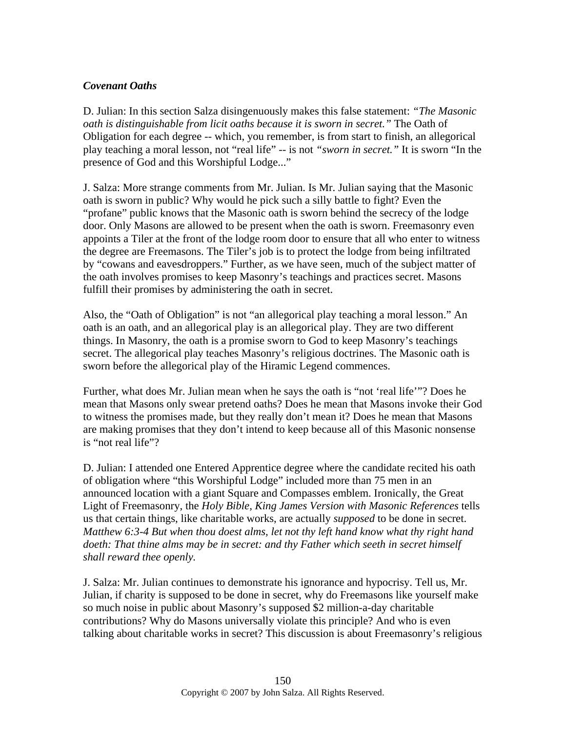## *Covenant Oaths*

D. Julian: In this section Salza disingenuously makes this false statement: *"The Masonic oath is distinguishable from licit oaths because it is sworn in secret."* The Oath of Obligation for each degree -- which, you remember, is from start to finish, an allegorical play teaching a moral lesson, not "real life" -- is not *"sworn in secret."* It is sworn "In the presence of God and this Worshipful Lodge..."

J. Salza: More strange comments from Mr. Julian. Is Mr. Julian saying that the Masonic oath is sworn in public? Why would he pick such a silly battle to fight? Even the "profane" public knows that the Masonic oath is sworn behind the secrecy of the lodge door. Only Masons are allowed to be present when the oath is sworn. Freemasonry even appoints a Tiler at the front of the lodge room door to ensure that all who enter to witness the degree are Freemasons. The Tiler's job is to protect the lodge from being infiltrated by "cowans and eavesdroppers." Further, as we have seen, much of the subject matter of the oath involves promises to keep Masonry's teachings and practices secret. Masons fulfill their promises by administering the oath in secret.

Also, the "Oath of Obligation" is not "an allegorical play teaching a moral lesson." An oath is an oath, and an allegorical play is an allegorical play. They are two different things. In Masonry, the oath is a promise sworn to God to keep Masonry's teachings secret. The allegorical play teaches Masonry's religious doctrines. The Masonic oath is sworn before the allegorical play of the Hiramic Legend commences.

Further, what does Mr. Julian mean when he says the oath is "not 'real life'"? Does he mean that Masons only swear pretend oaths? Does he mean that Masons invoke their God to witness the promises made, but they really don't mean it? Does he mean that Masons are making promises that they don't intend to keep because all of this Masonic nonsense is "not real life"?

D. Julian: I attended one Entered Apprentice degree where the candidate recited his oath of obligation where "this Worshipful Lodge" included more than 75 men in an announced location with a giant Square and Compasses emblem. Ironically, the Great Light of Freemasonry, the *Holy Bible, King James Version with Masonic References* tells us that certain things, like charitable works, are actually *supposed* to be done in secret. *Matthew 6:3-4 But when thou doest alms, let not thy left hand know what thy right hand*  doeth: That thine alms may be in secret: and thy Father which seeth in secret himself *shall reward thee openly.* 

J. Salza: Mr. Julian continues to demonstrate his ignorance and hypocrisy. Tell us, Mr. Julian, if charity is supposed to be done in secret, why do Freemasons like yourself make so much noise in public about Masonry's supposed \$2 million-a-day charitable contributions? Why do Masons universally violate this principle? And who is even talking about charitable works in secret? This discussion is about Freemasonry's religious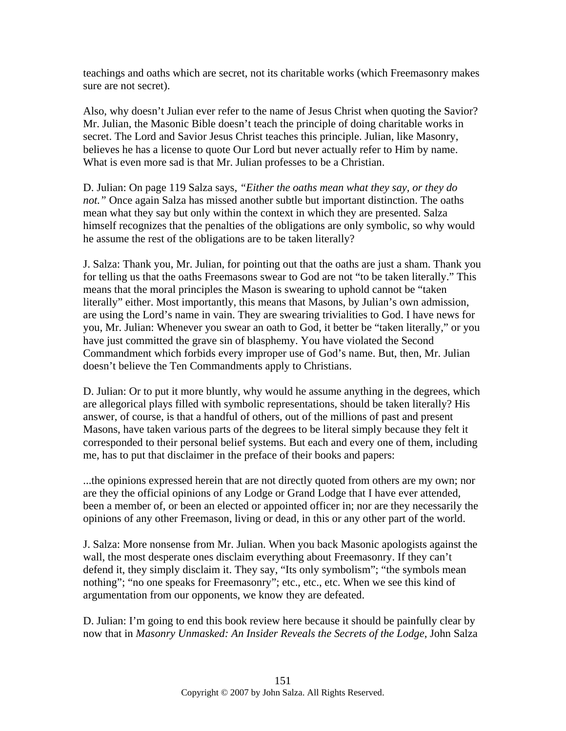teachings and oaths which are secret, not its charitable works (which Freemasonry makes sure are not secret).

Also, why doesn't Julian ever refer to the name of Jesus Christ when quoting the Savior? Mr. Julian, the Masonic Bible doesn't teach the principle of doing charitable works in secret. The Lord and Savior Jesus Christ teaches this principle. Julian, like Masonry, believes he has a license to quote Our Lord but never actually refer to Him by name. What is even more sad is that Mr. Julian professes to be a Christian.

D. Julian: On page 119 Salza says, *"Either the oaths mean what they say, or they do not."* Once again Salza has missed another subtle but important distinction. The oaths mean what they say but only within the context in which they are presented. Salza himself recognizes that the penalties of the obligations are only symbolic, so why would he assume the rest of the obligations are to be taken literally?

J. Salza: Thank you, Mr. Julian, for pointing out that the oaths are just a sham. Thank you for telling us that the oaths Freemasons swear to God are not "to be taken literally." This means that the moral principles the Mason is swearing to uphold cannot be "taken literally" either. Most importantly, this means that Masons, by Julian's own admission, are using the Lord's name in vain. They are swearing trivialities to God. I have news for you, Mr. Julian: Whenever you swear an oath to God, it better be "taken literally," or you have just committed the grave sin of blasphemy. You have violated the Second Commandment which forbids every improper use of God's name. But, then, Mr. Julian doesn't believe the Ten Commandments apply to Christians.

D. Julian: Or to put it more bluntly, why would he assume anything in the degrees, which are allegorical plays filled with symbolic representations, should be taken literally? His answer, of course, is that a handful of others, out of the millions of past and present Masons, have taken various parts of the degrees to be literal simply because they felt it corresponded to their personal belief systems. But each and every one of them, including me, has to put that disclaimer in the preface of their books and papers:

...the opinions expressed herein that are not directly quoted from others are my own; nor are they the official opinions of any Lodge or Grand Lodge that I have ever attended, been a member of, or been an elected or appointed officer in; nor are they necessarily the opinions of any other Freemason, living or dead, in this or any other part of the world.

J. Salza: More nonsense from Mr. Julian. When you back Masonic apologists against the wall, the most desperate ones disclaim everything about Freemasonry. If they can't defend it, they simply disclaim it. They say, "Its only symbolism"; "the symbols mean nothing"; "no one speaks for Freemasonry"; etc., etc., etc. When we see this kind of argumentation from our opponents, we know they are defeated.

D. Julian: I'm going to end this book review here because it should be painfully clear by now that in *Masonry Unmasked: An Insider Reveals the Secrets of the Lodge*, John Salza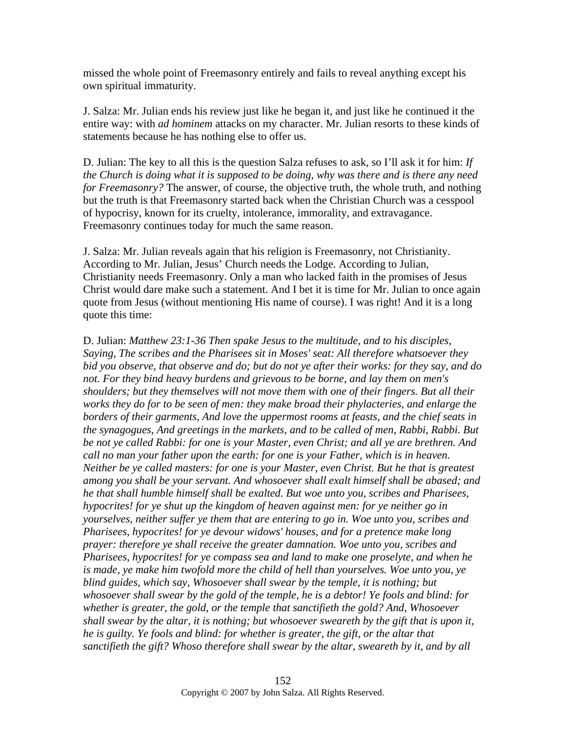missed the whole point of Freemasonry entirely and fails to reveal anything except his own spiritual immaturity.

J. Salza: Mr. Julian ends his review just like he began it, and just like he continued it the entire way: with *ad hominem* attacks on my character. Mr. Julian resorts to these kinds of statements because he has nothing else to offer us.

D. Julian: The key to all this is the question Salza refuses to ask, so I'll ask it for him: *If the Church is doing what it is supposed to be doing, why was there and is there any need for Freemasonry?* The answer, of course, the objective truth, the whole truth, and nothing but the truth is that Freemasonry started back when the Christian Church was a cesspool of hypocrisy, known for its cruelty, intolerance, immorality, and extravagance. Freemasonry continues today for much the same reason.

J. Salza: Mr. Julian reveals again that his religion is Freemasonry, not Christianity. According to Mr. Julian, Jesus' Church needs the Lodge. According to Julian, Christianity needs Freemasonry. Only a man who lacked faith in the promises of Jesus Christ would dare make such a statement. And I bet it is time for Mr. Julian to once again quote from Jesus (without mentioning His name of course). I was right! And it is a long quote this time:

D. Julian: *Matthew 23:1-36 Then spake Jesus to the multitude, and to his disciples, Saying, The scribes and the Pharisees sit in Moses' seat: All therefore whatsoever they bid you observe, that observe and do; but do not ye after their works: for they say, and do not. For they bind heavy burdens and grievous to be borne, and lay them on men's shoulders; but they themselves will not move them with one of their fingers. But all their works they do for to be seen of men: they make broad their phylacteries, and enlarge the borders of their garments, And love the uppermost rooms at feasts, and the chief seats in the synagogues, And greetings in the markets, and to be called of men, Rabbi, Rabbi. But be not ye called Rabbi: for one is your Master, even Christ; and all ye are brethren. And call no man your father upon the earth: for one is your Father, which is in heaven. Neither be ye called masters: for one is your Master, even Christ. But he that is greatest among you shall be your servant. And whosoever shall exalt himself shall be abased; and he that shall humble himself shall be exalted. But woe unto you, scribes and Pharisees, hypocrites! for ye shut up the kingdom of heaven against men: for ye neither go in yourselves, neither suffer ye them that are entering to go in. Woe unto you, scribes and Pharisees, hypocrites! for ye devour widows' houses, and for a pretence make long prayer: therefore ye shall receive the greater damnation. Woe unto you, scribes and Pharisees, hypocrites! for ye compass sea and land to make one proselyte, and when he is made, ye make him twofold more the child of hell than yourselves. Woe unto you, ye blind guides, which say, Whosoever shall swear by the temple, it is nothing; but whosoever shall swear by the gold of the temple, he is a debtor! Ye fools and blind: for whether is greater, the gold, or the temple that sanctifieth the gold? And, Whosoever shall swear by the altar, it is nothing; but whosoever sweareth by the gift that is upon it, he is guilty. Ye fools and blind: for whether is greater, the gift, or the altar that sanctifieth the gift? Whoso therefore shall swear by the altar, sweareth by it, and by all*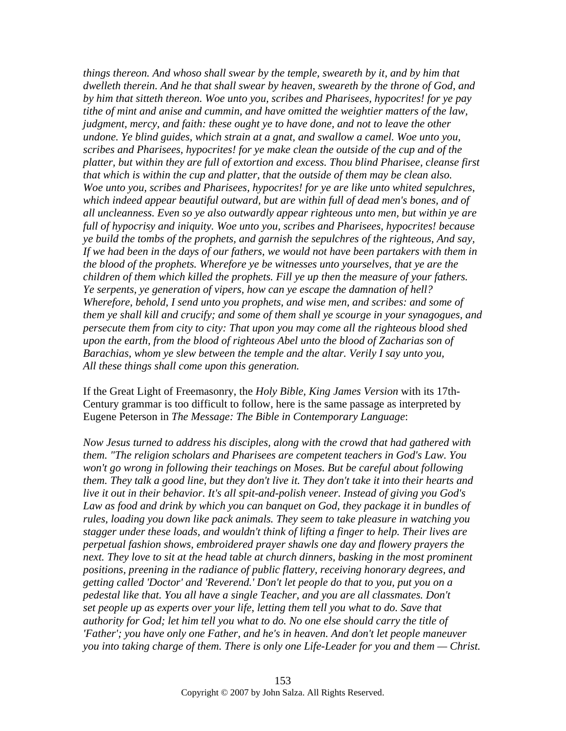*things thereon. And whoso shall swear by the temple, sweareth by it, and by him that dwelleth therein. And he that shall swear by heaven, sweareth by the throne of God, and by him that sitteth thereon. Woe unto you, scribes and Pharisees, hypocrites! for ye pay tithe of mint and anise and cummin, and have omitted the weightier matters of the law, judgment, mercy, and faith: these ought ye to have done, and not to leave the other undone. Ye blind guides, which strain at a gnat, and swallow a camel. Woe unto you, scribes and Pharisees, hypocrites! for ye make clean the outside of the cup and of the platter, but within they are full of extortion and excess. Thou blind Pharisee, cleanse first that which is within the cup and platter, that the outside of them may be clean also. Woe unto you, scribes and Pharisees, hypocrites! for ye are like unto whited sepulchres, which indeed appear beautiful outward, but are within full of dead men's bones, and of all uncleanness. Even so ye also outwardly appear righteous unto men, but within ye are full of hypocrisy and iniquity. Woe unto you, scribes and Pharisees, hypocrites! because ye build the tombs of the prophets, and garnish the sepulchres of the righteous, And say,*  If we had been in the days of our fathers, we would not have been partakers with them in *the blood of the prophets. Wherefore ye be witnesses unto yourselves, that ye are the children of them which killed the prophets. Fill ye up then the measure of your fathers. Ye serpents, ye generation of vipers, how can ye escape the damnation of hell? Wherefore, behold, I send unto you prophets, and wise men, and scribes: and some of them ye shall kill and crucify; and some of them shall ye scourge in your synagogues, and persecute them from city to city: That upon you may come all the righteous blood shed upon the earth, from the blood of righteous Abel unto the blood of Zacharias son of Barachias, whom ye slew between the temple and the altar. Verily I say unto you, All these things shall come upon this generation.* 

If the Great Light of Freemasonry, the *Holy Bible, King James Version* with its 17th-Century grammar is too difficult to follow, here is the same passage as interpreted by Eugene Peterson in *The Message: The Bible in Contemporary Language*:

*Now Jesus turned to address his disciples, along with the crowd that had gathered with them. "The religion scholars and Pharisees are competent teachers in God's Law. You won't go wrong in following their teachings on Moses. But be careful about following them. They talk a good line, but they don't live it. They don't take it into their hearts and live it out in their behavior. It's all spit-and-polish veneer. Instead of giving you God's*  Law as food and drink by which you can banquet on God, they package it in bundles of *rules, loading you down like pack animals. They seem to take pleasure in watching you stagger under these loads, and wouldn't think of lifting a finger to help. Their lives are perpetual fashion shows, embroidered prayer shawls one day and flowery prayers the next. They love to sit at the head table at church dinners, basking in the most prominent positions, preening in the radiance of public flattery, receiving honorary degrees, and getting called 'Doctor' and 'Reverend.' Don't let people do that to you, put you on a pedestal like that. You all have a single Teacher, and you are all classmates. Don't set people up as experts over your life, letting them tell you what to do. Save that authority for God; let him tell you what to do. No one else should carry the title of 'Father'; you have only one Father, and he's in heaven. And don't let people maneuver you into taking charge of them. There is only one Life-Leader for you and them — Christ.*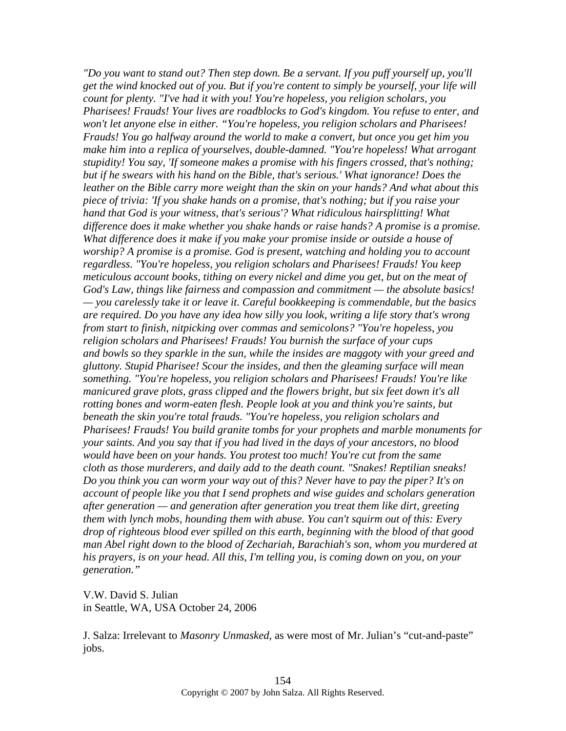*"Do you want to stand out? Then step down. Be a servant. If you puff yourself up, you'll get the wind knocked out of you. But if you're content to simply be yourself, your life will count for plenty. "I've had it with you! You're hopeless, you religion scholars, you Pharisees! Frauds! Your lives are roadblocks to God's kingdom. You refuse to enter, and won't let anyone else in either. "You're hopeless, you religion scholars and Pharisees! Frauds! You go halfway around the world to make a convert, but once you get him you make him into a replica of yourselves, double-damned. "You're hopeless! What arrogant stupidity! You say, 'If someone makes a promise with his fingers crossed, that's nothing; but if he swears with his hand on the Bible, that's serious.' What ignorance! Does the leather on the Bible carry more weight than the skin on your hands? And what about this piece of trivia: 'If you shake hands on a promise, that's nothing; but if you raise your*  hand that God is your witness, that's serious'? What ridiculous hairsplitting! What *difference does it make whether you shake hands or raise hands? A promise is a promise. What difference does it make if you make your promise inside or outside a house of worship? A promise is a promise. God is present, watching and holding you to account regardless. "You're hopeless, you religion scholars and Pharisees! Frauds! You keep meticulous account books, tithing on every nickel and dime you get, but on the meat of God's Law, things like fairness and compassion and commitment — the absolute basics! — you carelessly take it or leave it. Careful bookkeeping is commendable, but the basics are required. Do you have any idea how silly you look, writing a life story that's wrong from start to finish, nitpicking over commas and semicolons? "You're hopeless, you religion scholars and Pharisees! Frauds! You burnish the surface of your cups and bowls so they sparkle in the sun, while the insides are maggoty with your greed and gluttony. Stupid Pharisee! Scour the insides, and then the gleaming surface will mean something. "You're hopeless, you religion scholars and Pharisees! Frauds! You're like manicured grave plots, grass clipped and the flowers bright, but six feet down it's all rotting bones and worm-eaten flesh. People look at you and think you're saints, but beneath the skin you're total frauds. "You're hopeless, you religion scholars and Pharisees! Frauds! You build granite tombs for your prophets and marble monuments for your saints. And you say that if you had lived in the days of your ancestors, no blood would have been on your hands. You protest too much! You're cut from the same cloth as those murderers, and daily add to the death count. "Snakes! Reptilian sneaks! Do you think you can worm your way out of this? Never have to pay the piper? It's on account of people like you that I send prophets and wise guides and scholars generation after generation — and generation after generation you treat them like dirt, greeting them with lynch mobs, hounding them with abuse. You can't squirm out of this: Every drop of righteous blood ever spilled on this earth, beginning with the blood of that good man Abel right down to the blood of Zechariah, Barachiah's son, whom you murdered at his prayers, is on your head. All this, I'm telling you, is coming down on you, on your generation."* 

V.W. David S. Julian in Seattle, WA, USA October 24, 2006

J. Salza: Irrelevant to *Masonry Unmasked*, as were most of Mr. Julian's "cut-and-paste" jobs.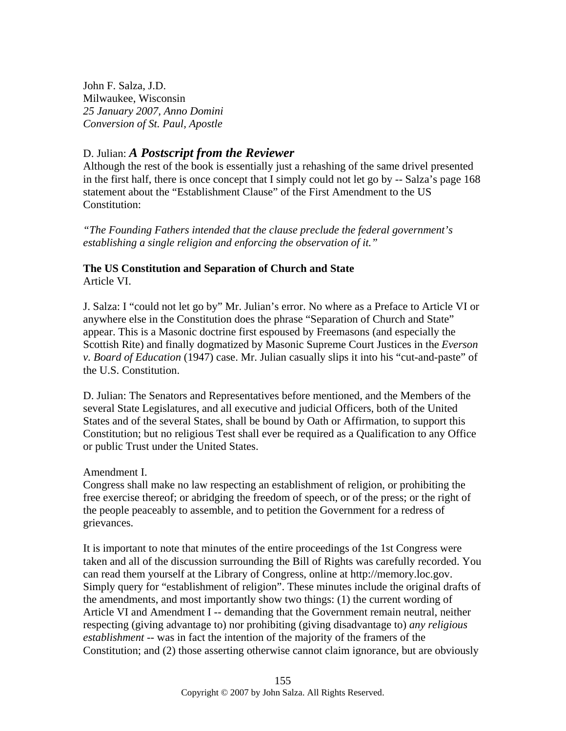John F. Salza, J.D. Milwaukee, Wisconsin *25 January 2007, Anno Domini Conversion of St. Paul, Apostle* 

## D. Julian: *A Postscript from the Reviewer*

Although the rest of the book is essentially just a rehashing of the same drivel presented in the first half, there is once concept that I simply could not let go by -- Salza's page 168 statement about the "Establishment Clause" of the First Amendment to the US Constitution:

*"The Founding Fathers intended that the clause preclude the federal government's establishing a single religion and enforcing the observation of it."* 

## **The US Constitution and Separation of Church and State**

Article VI.

J. Salza: I "could not let go by" Mr. Julian's error. No where as a Preface to Article VI or anywhere else in the Constitution does the phrase "Separation of Church and State" appear. This is a Masonic doctrine first espoused by Freemasons (and especially the Scottish Rite) and finally dogmatized by Masonic Supreme Court Justices in the *Everson v. Board of Education* (1947) case. Mr. Julian casually slips it into his "cut-and-paste" of the U.S. Constitution.

D. Julian: The Senators and Representatives before mentioned, and the Members of the several State Legislatures, and all executive and judicial Officers, both of the United States and of the several States, shall be bound by Oath or Affirmation, to support this Constitution; but no religious Test shall ever be required as a Qualification to any Office or public Trust under the United States.

Amendment I.

Congress shall make no law respecting an establishment of religion, or prohibiting the free exercise thereof; or abridging the freedom of speech, or of the press; or the right of the people peaceably to assemble, and to petition the Government for a redress of grievances.

It is important to note that minutes of the entire proceedings of the 1st Congress were taken and all of the discussion surrounding the Bill of Rights was carefully recorded. You can read them yourself at the Library of Congress, online at http://memory.loc.gov. Simply query for "establishment of religion". These minutes include the original drafts of the amendments, and most importantly show two things: (1) the current wording of Article VI and Amendment I -- demanding that the Government remain neutral, neither respecting (giving advantage to) nor prohibiting (giving disadvantage to) *any religious establishment* -- was in fact the intention of the majority of the framers of the Constitution; and (2) those asserting otherwise cannot claim ignorance, but are obviously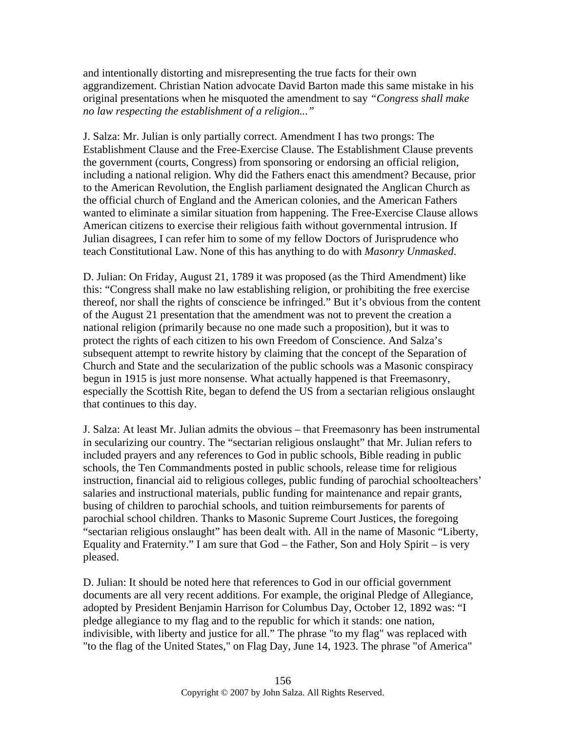and intentionally distorting and misrepresenting the true facts for their own aggrandizement. Christian Nation advocate David Barton made this same mistake in his original presentations when he misquoted the amendment to say *"Congress shall make no law respecting the establishment of a religion..."* 

J. Salza: Mr. Julian is only partially correct. Amendment I has two prongs: The Establishment Clause and the Free-Exercise Clause. The Establishment Clause prevents the government (courts, Congress) from sponsoring or endorsing an official religion, including a national religion. Why did the Fathers enact this amendment? Because, prior to the American Revolution, the English parliament designated the Anglican Church as the official church of England and the American colonies, and the American Fathers wanted to eliminate a similar situation from happening. The Free-Exercise Clause allows American citizens to exercise their religious faith without governmental intrusion. If Julian disagrees, I can refer him to some of my fellow Doctors of Jurisprudence who teach Constitutional Law. None of this has anything to do with *Masonry Unmasked*.

D. Julian: On Friday, August 21, 1789 it was proposed (as the Third Amendment) like this: "Congress shall make no law establishing religion, or prohibiting the free exercise thereof, nor shall the rights of conscience be infringed." But it's obvious from the content of the August 21 presentation that the amendment was not to prevent the creation a national religion (primarily because no one made such a proposition), but it was to protect the rights of each citizen to his own Freedom of Conscience. And Salza's subsequent attempt to rewrite history by claiming that the concept of the Separation of Church and State and the secularization of the public schools was a Masonic conspiracy begun in 1915 is just more nonsense. What actually happened is that Freemasonry, especially the Scottish Rite, began to defend the US from a sectarian religious onslaught that continues to this day.

J. Salza: At least Mr. Julian admits the obvious – that Freemasonry has been instrumental in secularizing our country. The "sectarian religious onslaught" that Mr. Julian refers to included prayers and any references to God in public schools, Bible reading in public schools, the Ten Commandments posted in public schools, release time for religious instruction, financial aid to religious colleges, public funding of parochial schoolteachers' salaries and instructional materials, public funding for maintenance and repair grants, busing of children to parochial schools, and tuition reimbursements for parents of parochial school children. Thanks to Masonic Supreme Court Justices, the foregoing "sectarian religious onslaught" has been dealt with. All in the name of Masonic "Liberty, Equality and Fraternity." I am sure that God – the Father, Son and Holy Spirit – is very pleased.

D. Julian: It should be noted here that references to God in our official government documents are all very recent additions. For example, the original Pledge of Allegiance, adopted by President Benjamin Harrison for Columbus Day, October 12, 1892 was: "I pledge allegiance to my flag and to the republic for which it stands: one nation, indivisible, with liberty and justice for all." The phrase "to my flag" was replaced with "to the flag of the United States," on Flag Day, June 14, 1923. The phrase "of America"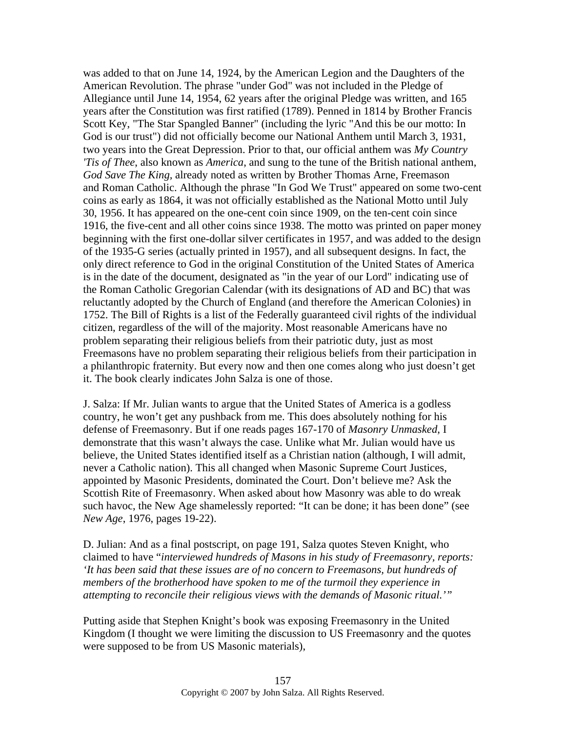was added to that on June 14, 1924, by the American Legion and the Daughters of the American Revolution. The phrase "under God" was not included in the Pledge of Allegiance until June 14, 1954, 62 years after the original Pledge was written, and 165 years after the Constitution was first ratified (1789). Penned in 1814 by Brother Francis Scott Key, "The Star Spangled Banner" (including the lyric "And this be our motto: In God is our trust") did not officially become our National Anthem until March 3, 1931, two years into the Great Depression. Prior to that, our official anthem was *My Country 'Tis of Thee*, also known as *America*, and sung to the tune of the British national anthem, *God Save The King,* already noted as written by Brother Thomas Arne, Freemason and Roman Catholic. Although the phrase "In God We Trust" appeared on some two-cent coins as early as 1864, it was not officially established as the National Motto until July 30, 1956. It has appeared on the one-cent coin since 1909, on the ten-cent coin since 1916, the five-cent and all other coins since 1938. The motto was printed on paper money beginning with the first one-dollar silver certificates in 1957, and was added to the design of the 1935-G series (actually printed in 1957), and all subsequent designs. In fact, the only direct reference to God in the original Constitution of the United States of America is in the date of the document, designated as "in the year of our Lord" indicating use of the Roman Catholic Gregorian Calendar (with its designations of AD and BC) that was reluctantly adopted by the Church of England (and therefore the American Colonies) in 1752. The Bill of Rights is a list of the Federally guaranteed civil rights of the individual citizen, regardless of the will of the majority. Most reasonable Americans have no problem separating their religious beliefs from their patriotic duty, just as most Freemasons have no problem separating their religious beliefs from their participation in a philanthropic fraternity. But every now and then one comes along who just doesn't get it. The book clearly indicates John Salza is one of those.

J. Salza: If Mr. Julian wants to argue that the United States of America is a godless country, he won't get any pushback from me. This does absolutely nothing for his defense of Freemasonry. But if one reads pages 167-170 of *Masonry Unmasked*, I demonstrate that this wasn't always the case. Unlike what Mr. Julian would have us believe, the United States identified itself as a Christian nation (although, I will admit, never a Catholic nation). This all changed when Masonic Supreme Court Justices, appointed by Masonic Presidents, dominated the Court. Don't believe me? Ask the Scottish Rite of Freemasonry. When asked about how Masonry was able to do wreak such havoc, the New Age shamelessly reported: "It can be done; it has been done" (see *New Age*, 1976, pages 19-22).

D. Julian: And as a final postscript, on page 191, Salza quotes Steven Knight, who claimed to have "*interviewed hundreds of Masons in his study of Freemasonry, reports: 'It has been said that these issues are of no concern to Freemasons, but hundreds of members of the brotherhood have spoken to me of the turmoil they experience in attempting to reconcile their religious views with the demands of Masonic ritual.'"* 

Putting aside that Stephen Knight's book was exposing Freemasonry in the United Kingdom (I thought we were limiting the discussion to US Freemasonry and the quotes were supposed to be from US Masonic materials),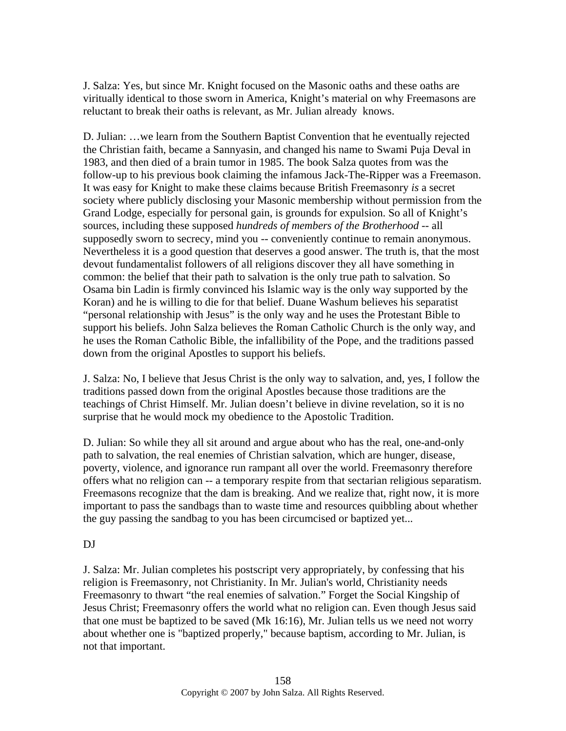J. Salza: Yes, but since Mr. Knight focused on the Masonic oaths and these oaths are viritually identical to those sworn in America, Knight's material on why Freemasons are reluctant to break their oaths is relevant, as Mr. Julian already knows.

D. Julian: …we learn from the Southern Baptist Convention that he eventually rejected the Christian faith, became a Sannyasin, and changed his name to Swami Puja Deval in 1983, and then died of a brain tumor in 1985. The book Salza quotes from was the follow-up to his previous book claiming the infamous Jack-The-Ripper was a Freemason. It was easy for Knight to make these claims because British Freemasonry *is* a secret society where publicly disclosing your Masonic membership without permission from the Grand Lodge, especially for personal gain, is grounds for expulsion. So all of Knight's sources, including these supposed *hundreds of members of the Brotherhood* -- all supposedly sworn to secrecy, mind you -- conveniently continue to remain anonymous. Nevertheless it is a good question that deserves a good answer. The truth is, that the most devout fundamentalist followers of all religions discover they all have something in common: the belief that their path to salvation is the only true path to salvation. So Osama bin Ladin is firmly convinced his Islamic way is the only way supported by the Koran) and he is willing to die for that belief. Duane Washum believes his separatist "personal relationship with Jesus" is the only way and he uses the Protestant Bible to support his beliefs. John Salza believes the Roman Catholic Church is the only way, and he uses the Roman Catholic Bible, the infallibility of the Pope, and the traditions passed down from the original Apostles to support his beliefs.

J. Salza: No, I believe that Jesus Christ is the only way to salvation, and, yes, I follow the traditions passed down from the original Apostles because those traditions are the teachings of Christ Himself. Mr. Julian doesn't believe in divine revelation, so it is no surprise that he would mock my obedience to the Apostolic Tradition.

D. Julian: So while they all sit around and argue about who has the real, one-and-only path to salvation, the real enemies of Christian salvation, which are hunger, disease, poverty, violence, and ignorance run rampant all over the world. Freemasonry therefore offers what no religion can -- a temporary respite from that sectarian religious separatism. Freemasons recognize that the dam is breaking. And we realize that, right now, it is more important to pass the sandbags than to waste time and resources quibbling about whether the guy passing the sandbag to you has been circumcised or baptized yet...

## DJ

J. Salza: Mr. Julian completes his postscript very appropriately, by confessing that his religion is Freemasonry, not Christianity. In Mr. Julian's world, Christianity needs Freemasonry to thwart "the real enemies of salvation." Forget the Social Kingship of Jesus Christ; Freemasonry offers the world what no religion can. Even though Jesus said that one must be baptized to be saved (Mk 16:16), Mr. Julian tells us we need not worry about whether one is "baptized properly," because baptism, according to Mr. Julian, is not that important.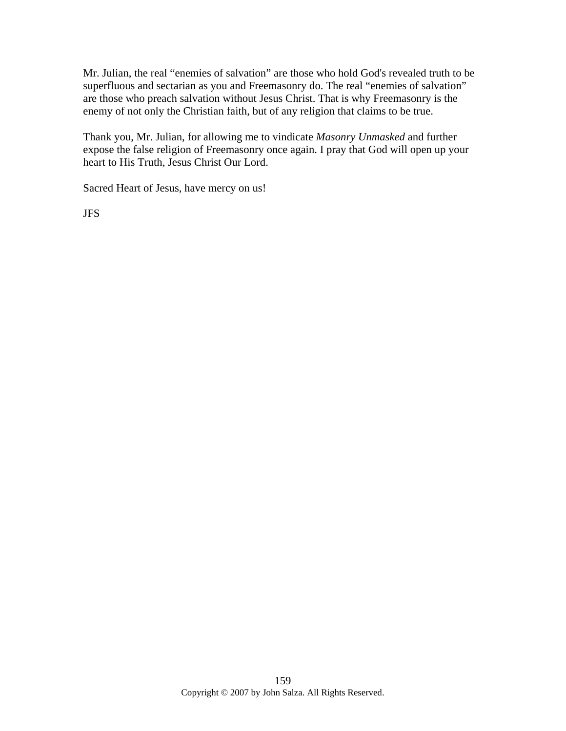Mr. Julian, the real "enemies of salvation" are those who hold God's revealed truth to be superfluous and sectarian as you and Freemasonry do. The real "enemies of salvation" are those who preach salvation without Jesus Christ. That is why Freemasonry is the enemy of not only the Christian faith, but of any religion that claims to be true.

Thank you, Mr. Julian, for allowing me to vindicate *Masonry Unmasked* and further expose the false religion of Freemasonry once again. I pray that God will open up your heart to His Truth, Jesus Christ Our Lord.

Sacred Heart of Jesus, have mercy on us!

JFS